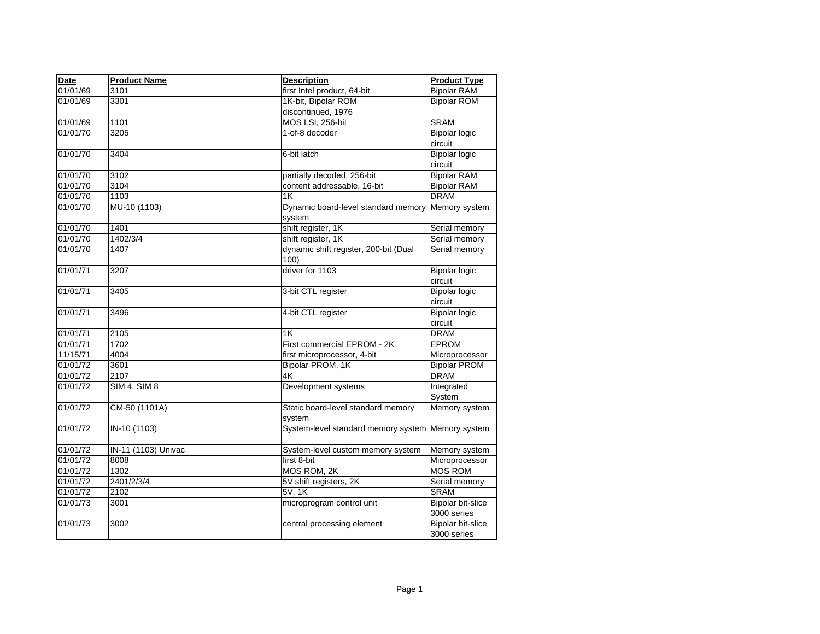| <b>Date</b> | <b>Product Name</b> | <b>Description</b>                            | <b>Product Type</b>      |
|-------------|---------------------|-----------------------------------------------|--------------------------|
| 01/01/69    | 3101                | first Intel product, 64-bit                   | <b>Bipolar RAM</b>       |
| 01/01/69    | 3301                | 1K-bit, Bipolar ROM                           | <b>Bipolar ROM</b>       |
|             |                     | discontinued, 1976                            |                          |
| 01/01/69    | 1101                | MOS LSI, 256-bit                              | <b>SRAM</b>              |
| 01/01/70    | 3205                | 1-of-8 decoder                                | <b>Bipolar logic</b>     |
|             |                     |                                               | circuit                  |
| 01/01/70    | 3404                | 6-bit latch                                   | <b>Bipolar logic</b>     |
|             |                     |                                               | circuit                  |
| 01/01/70    | 3102                | partially decoded, 256-bit                    | <b>Bipolar RAM</b>       |
| 01/01/70    | 3104                | content addressable, 16-bit                   | <b>Bipolar RAM</b>       |
| 01/01/70    | 1103                | 1K                                            | <b>DRAM</b>              |
| 01/01/70    | MU-10 (1103)        | Dynamic board-level standard memory           | Memory system            |
|             |                     | system                                        |                          |
| 01/01/70    | 1401                | shift register, 1K                            | Serial memory            |
| 01/01/70    | 1402/3/4            | shift register, 1K                            | Serial memory            |
| 01/01/70    | 1407                | dynamic shift register, 200-bit (Dual<br>100) | Serial memory            |
| 01/01/71    | 3207                | driver for 1103                               | <b>Bipolar logic</b>     |
|             |                     |                                               | circuit                  |
| 01/01/71    | 3405                | 3-bit CTL register                            | <b>Bipolar logic</b>     |
|             |                     |                                               | circuit                  |
| 01/01/71    | 3496                | 4-bit CTL register                            | <b>Bipolar logic</b>     |
|             |                     |                                               | circuit                  |
| 01/01/71    | 2105                | 1K                                            | <b>DRAM</b>              |
| 01/01/71    | 1702                | First commercial EPROM - 2K                   | <b>EPROM</b>             |
| 11/15/71    | 4004                | first microprocessor, 4-bit                   | Microprocessor           |
| 01/01/72    | 3601                | Bipolar PROM, 1K                              | <b>Bipolar PROM</b>      |
| 01/01/72    | 2107                | 4K                                            | <b>DRAM</b>              |
| 01/01/72    | <b>SIM 4, SIM 8</b> | Development systems                           | Integrated               |
|             |                     |                                               | System                   |
| 01/01/72    | CM-50 (1101A)       | Static board-level standard memory<br>system  | Memory system            |
| 01/01/72    | IN-10 (1103)        | System-level standard memory system           | Memory system            |
| 01/01/72    | IN-11 (1103) Univac | System-level custom memory system             | Memory system            |
| 01/01/72    | 8008                | $f$ irst 8-bit                                | Microprocessor           |
| 01/01/72    | 1302                | MOS ROM, 2K                                   | <b>MOS ROM</b>           |
| 01/01/72    | 2401/2/3/4          | 5V shift registers, 2K                        | Serial memory            |
| 01/01/72    | 2102                | 5V, 1K                                        | <b>SRAM</b>              |
| 01/01/73    | 3001                | microprogram control unit                     | <b>Bipolar bit-slice</b> |
|             |                     |                                               | 3000 series              |
| 01/01/73    | 3002                | central processing element                    | Bipolar bit-slice        |
|             |                     |                                               | 3000 series              |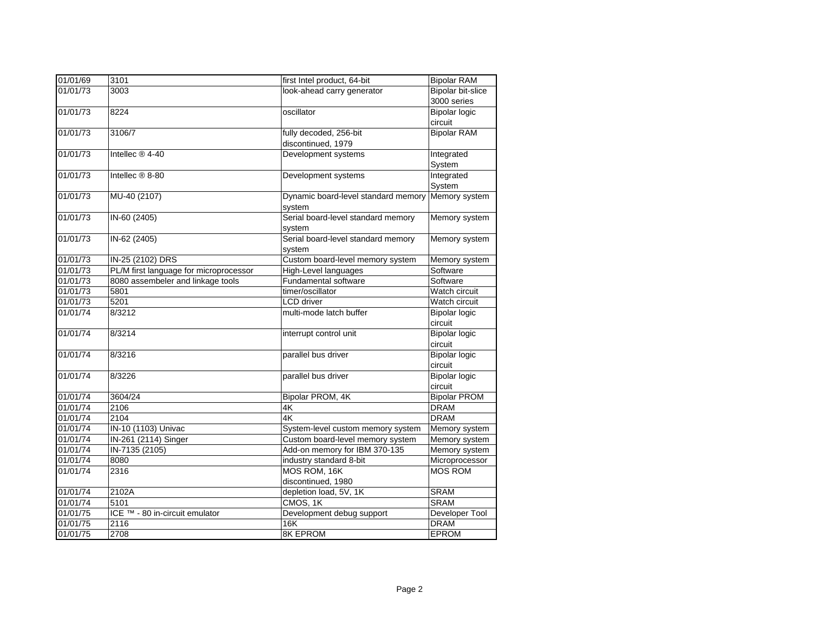| 01/01/69 | 3101                                   | first Intel product, 64-bit                       | <b>Bipolar RAM</b>   |
|----------|----------------------------------------|---------------------------------------------------|----------------------|
| 01/01/73 | 3003                                   | look-ahead carry generator                        | Bipolar bit-slice    |
|          |                                        |                                                   | 3000 series          |
| 01/01/73 | 8224                                   | oscillator                                        | <b>Bipolar logic</b> |
|          |                                        |                                                   | circuit              |
| 01/01/73 | 3106/7                                 | fully decoded, 256-bit                            | <b>Bipolar RAM</b>   |
|          |                                        | discontinued, 1979                                |                      |
| 01/01/73 | Intellec ® 4-40                        | Development systems                               | Integrated           |
|          |                                        |                                                   | System               |
| 01/01/73 | Intellec ® 8-80                        | Development systems                               | Integrated           |
|          |                                        |                                                   | System               |
| 01/01/73 | MU-40 (2107)                           | Dynamic board-level standard memory Memory system |                      |
|          |                                        | system                                            |                      |
| 01/01/73 | IN-60 (2405)                           | Serial board-level standard memory                | Memory system        |
|          |                                        | system                                            |                      |
| 01/01/73 | IN-62 (2405)                           | Serial board-level standard memory                | Memory system        |
|          |                                        | system                                            |                      |
| 01/01/73 | IN-25 (2102) DRS                       | Custom board-level memory system                  | Memory system        |
| 01/01/73 | PL/M first language for microprocessor | High-Level languages                              | Software             |
| 01/01/73 | 8080 assembeler and linkage tools      | <b>Fundamental software</b>                       | Software             |
| 01/01/73 | 5801                                   | timer/oscillator                                  | Watch circuit        |
| 01/01/73 | 5201                                   | <b>LCD</b> driver                                 | Watch circuit        |
| 01/01/74 | 8/3212                                 | multi-mode latch buffer                           | <b>Bipolar logic</b> |
|          |                                        |                                                   | circuit              |
| 01/01/74 | 8/3214                                 | interrupt control unit                            | <b>Bipolar logic</b> |
|          |                                        |                                                   | circuit              |
| 01/01/74 | 8/3216                                 | parallel bus driver                               | <b>Bipolar logic</b> |
|          |                                        |                                                   | circuit              |
| 01/01/74 | 8/3226                                 | parallel bus driver                               | <b>Bipolar logic</b> |
|          |                                        |                                                   | circuit              |
| 01/01/74 | 3604/24                                | Bipolar PROM, 4K                                  | <b>Bipolar PROM</b>  |
| 01/01/74 | 2106                                   | 4K                                                | <b>DRAM</b>          |
| 01/01/74 | 2104                                   | 4K                                                | <b>DRAM</b>          |
| 01/01/74 | IN-10 (1103) Univac                    | System-level custom memory system                 | Memory system        |
| 01/01/74 | IN-261 (2114) Singer                   | Custom board-level memory system                  | Memory system        |
| 01/01/74 | IN-7135 (2105)                         | Add-on memory for IBM 370-135                     | Memory system        |
| 01/01/74 | 8080                                   | industry standard 8-bit                           | Microprocessor       |
| 01/01/74 | 2316                                   | MOS ROM, 16K                                      | <b>MOS ROM</b>       |
|          |                                        | discontinued, 1980                                |                      |
| 01/01/74 | 2102A                                  | depletion load, 5V, 1K                            | <b>SRAM</b>          |
| 01/01/74 | 5101                                   | CMOS, 1K                                          | <b>SRAM</b>          |
| 01/01/75 | ICE ™ - 80 in-circuit emulator         | Development debug support                         | Developer Tool       |
| 01/01/75 | 2116                                   | <b>16K</b>                                        | <b>DRAM</b>          |
| 01/01/75 | 2708                                   | <b>8K EPROM</b>                                   | <b>EPROM</b>         |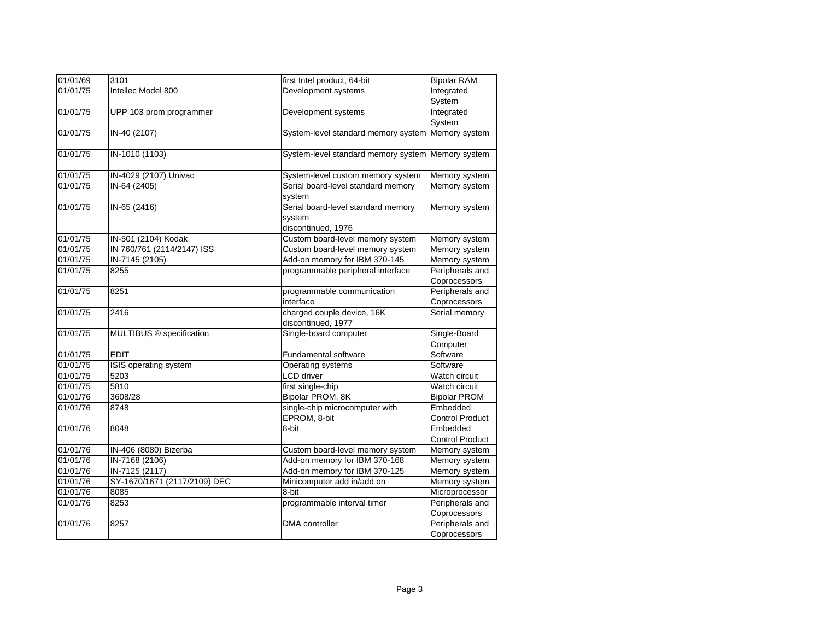| 01/01/69 | 3101                         | first Intel product, 64-bit                       | <b>Bipolar RAM</b>     |
|----------|------------------------------|---------------------------------------------------|------------------------|
| 01/01/75 | Intellec Model 800           | Development systems                               | Integrated             |
|          |                              |                                                   | System                 |
| 01/01/75 | UPP 103 prom programmer      | Development systems                               | Integrated             |
|          |                              |                                                   | System                 |
| 01/01/75 | IN-40 (2107)                 | System-level standard memory system Memory system |                        |
| 01/01/75 | IN-1010 (1103)               | System-level standard memory system Memory system |                        |
| 01/01/75 | IN-4029 (2107) Univac        | System-level custom memory system                 | Memory system          |
| 01/01/75 | IN-64 (2405)                 | Serial board-level standard memory                | Memory system          |
|          |                              | system                                            |                        |
| 01/01/75 | IN-65 (2416)                 | Serial board-level standard memory                | Memory system          |
|          |                              | system                                            |                        |
|          |                              | discontinued, 1976                                |                        |
| 01/01/75 | IN-501 (2104) Kodak          | Custom board-level memory system                  | Memory system          |
| 01/01/75 | IN 760/761 (2114/2147) ISS   | Custom board-level memory system                  | Memory system          |
| 01/01/75 | IN-7145 (2105)               | Add-on memory for IBM 370-145                     | Memory system          |
| 01/01/75 | 8255                         | programmable peripheral interface                 | Peripherals and        |
|          |                              |                                                   | Coprocessors           |
| 01/01/75 | 8251                         | programmable communication                        | Peripherals and        |
|          |                              | interface                                         | Coprocessors           |
| 01/01/75 | 2416                         | charged couple device, 16K<br>discontinued, 1977  | Serial memory          |
| 01/01/75 | MULTIBUS ® specification     | Single-board computer                             | Single-Board           |
|          |                              |                                                   | Computer               |
| 01/01/75 | <b>EDIT</b>                  | Fundamental software                              | Software               |
| 01/01/75 | ISIS operating system        | Operating systems                                 | Software               |
| 01/01/75 | 5203                         | <b>LCD</b> driver                                 | Watch circuit          |
| 01/01/75 | 5810                         | first single-chip                                 | Watch circuit          |
| 01/01/76 | 3608/28                      | Bipolar PROM, 8K                                  | <b>Bipolar PROM</b>    |
| 01/01/76 | 8748                         | single-chip microcomputer with                    | Embedded               |
|          |                              | EPROM, 8-bit                                      | <b>Control Product</b> |
| 01/01/76 | 8048                         | 8-bit                                             | Embedded               |
|          |                              |                                                   | <b>Control Product</b> |
| 01/01/76 | IN-406 (8080) Bizerba        | Custom board-level memory system                  | Memory system          |
| 01/01/76 | IN-7168 (2106)               | Add-on memory for IBM 370-168                     | Memory system          |
| 01/01/76 | IN-7125 (2117)               | Add-on memory for IBM 370-125                     | Memory system          |
| 01/01/76 | SY-1670/1671 (2117/2109) DEC | Minicomputer add in/add on                        | Memory system          |
| 01/01/76 | 8085                         | 8-bit                                             | Microprocessor         |
| 01/01/76 | 8253                         | programmable interval timer                       | Peripherals and        |
|          |                              |                                                   | Coprocessors           |
| 01/01/76 | 8257                         | <b>DMA</b> controller                             | Peripherals and        |
|          |                              |                                                   | Coprocessors           |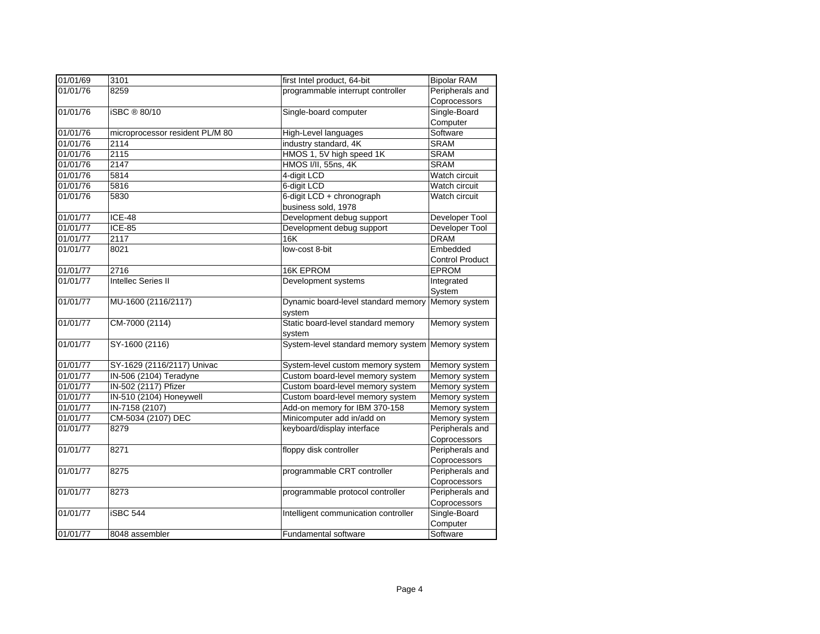| 01/01/69 | 3101                            | first Intel product, 64-bit          | <b>Bipolar RAM</b>     |
|----------|---------------------------------|--------------------------------------|------------------------|
| 01/01/76 | 8259                            | programmable interrupt controller    | Peripherals and        |
|          |                                 |                                      | Coprocessors           |
| 01/01/76 | iSBC ® 80/10                    | Single-board computer                | Single-Board           |
|          |                                 |                                      | Computer               |
| 01/01/76 | microprocessor resident PL/M 80 | <b>High-Level languages</b>          | Software               |
| 01/01/76 | 2114                            | industry standard, 4K                | SRAM                   |
| 01/01/76 | 2115                            | HMOS 1, 5V high speed 1K             | <b>SRAM</b>            |
| 01/01/76 | 2147                            | HMOS I/II, 55ns, 4K                  | <b>SRAM</b>            |
| 01/01/76 | 5814                            | 4-digit LCD                          | Watch circuit          |
| 01/01/76 | 5816                            | 6-digit LCD                          | Watch circuit          |
| 01/01/76 | 5830                            | 6-digit LCD + chronograph            | Watch circuit          |
|          |                                 | business sold, 1978                  |                        |
| 01/01/77 | <b>ICE-48</b>                   | Development debug support            | Developer Tool         |
| 01/01/77 | <b>ICE-85</b>                   | Development debug support            | Developer Tool         |
| 01/01/77 | 2117                            | <b>16K</b>                           | <b>DRAM</b>            |
| 01/01/77 | 8021                            | low-cost 8-bit                       | Embedded               |
|          |                                 |                                      | <b>Control Product</b> |
| 01/01/77 | 2716                            | 16K EPROM                            | <b>EPROM</b>           |
| 01/01/77 | <b>Intellec Series II</b>       | Development systems                  | Integrated             |
|          |                                 |                                      | System                 |
| 01/01/77 | MU-1600 (2116/2117)             | Dynamic board-level standard memory  | Memory system          |
|          |                                 | system                               |                        |
| 01/01/77 | CM-7000 (2114)                  | Static board-level standard memory   | Memory system          |
|          |                                 | system                               |                        |
| 01/01/77 | SY-1600 (2116)                  | System-level standard memory system  | Memory system          |
|          |                                 |                                      |                        |
| 01/01/77 | SY-1629 (2116/2117) Univac      | System-level custom memory system    | Memory system          |
| 01/01/77 | IN-506 (2104) Teradyne          | Custom board-level memory system     | Memory system          |
| 01/01/77 | IN-502 (2117) Pfizer            | Custom board-level memory system     | Memory system          |
| 01/01/77 | IN-510 (2104) Honeywell         | Custom board-level memory system     | Memory system          |
| 01/01/77 | IN-7158 (2107)                  | Add-on memory for IBM 370-158        | Memory system          |
| 01/01/77 | CM-5034 (2107) DEC              | Minicomputer add in/add on           | Memory system          |
| 01/01/77 | 8279                            | keyboard/display interface           | Peripherals and        |
|          |                                 |                                      | Coprocessors           |
| 01/01/77 | 8271                            | floppy disk controller               | Peripherals and        |
|          |                                 |                                      | Coprocessors           |
| 01/01/77 | 8275                            | programmable CRT controller          | Peripherals and        |
|          |                                 |                                      | Coprocessors           |
| 01/01/77 | 8273                            | programmable protocol controller     | Peripherals and        |
|          |                                 |                                      | Coprocessors           |
| 01/01/77 | <b>iSBC 544</b>                 | Intelligent communication controller | Single-Board           |
|          |                                 |                                      | Computer               |
| 01/01/77 | 8048 assembler                  | <b>Fundamental software</b>          | Software               |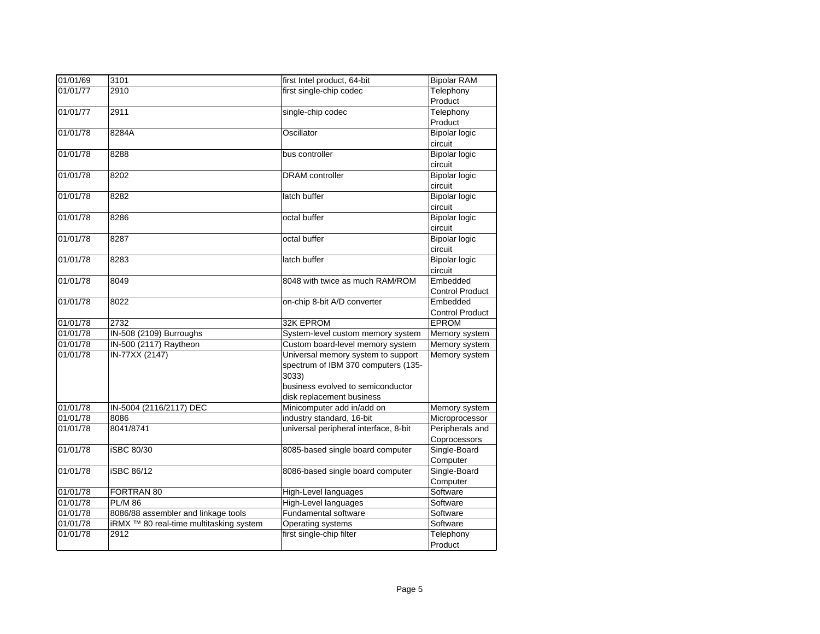| 01/01/69 | 3101                                               | first Intel product, 64-bit           | <b>Bipolar RAM</b>     |
|----------|----------------------------------------------------|---------------------------------------|------------------------|
| 01/01/77 | 2910                                               | first single-chip codec               | Telephony              |
|          |                                                    |                                       | Product                |
| 01/01/77 | 2911                                               | single-chip codec                     | Telephony              |
|          |                                                    |                                       | Product                |
| 01/01/78 | 8284A                                              | Oscillator                            | <b>Bipolar logic</b>   |
|          |                                                    |                                       | circuit                |
| 01/01/78 | 8288                                               | bus controller                        | <b>Bipolar logic</b>   |
|          |                                                    |                                       | circuit                |
| 01/01/78 | 8202                                               | <b>DRAM</b> controller                | <b>Bipolar logic</b>   |
|          |                                                    |                                       | circuit                |
| 01/01/78 | 8282                                               | latch buffer                          | <b>Bipolar logic</b>   |
|          |                                                    |                                       | circuit                |
| 01/01/78 | 8286                                               | octal buffer                          | <b>Bipolar logic</b>   |
|          |                                                    |                                       | circuit                |
| 01/01/78 | 8287                                               | octal buffer                          | <b>Bipolar logic</b>   |
|          |                                                    |                                       | circuit                |
| 01/01/78 | 8283                                               | latch buffer                          | <b>Bipolar logic</b>   |
|          |                                                    |                                       | circuit                |
| 01/01/78 | 8049                                               | 8048 with twice as much RAM/ROM       | Embedded               |
|          |                                                    |                                       | <b>Control Product</b> |
| 01/01/78 | 8022                                               | on-chip 8-bit A/D converter           | Embedded               |
|          |                                                    |                                       | <b>Control Product</b> |
| 01/01/78 | 2732                                               | 32K EPROM                             | <b>EPROM</b>           |
| 01/01/78 | IN-508 (2109) Burroughs                            | System-level custom memory system     | Memory system          |
| 01/01/78 | IN-500 (2117) Raytheon                             | Custom board-level memory system      | Memory system          |
| 01/01/78 | IN-77XX (2147)                                     | Universal memory system to support    | Memory system          |
|          |                                                    | spectrum of IBM 370 computers (135-   |                        |
|          |                                                    | 3033)                                 |                        |
|          |                                                    | business evolved to semiconductor     |                        |
|          |                                                    | disk replacement business             |                        |
| 01/01/78 | IN-5004 (2116/2117) DEC                            | Minicomputer add in/add on            | Memory system          |
| 01/01/78 | 8086                                               | industry standard, 16-bit             | Microprocessor         |
| 01/01/78 | 8041/8741                                          | universal peripheral interface, 8-bit | Peripherals and        |
|          |                                                    |                                       | Coprocessors           |
| 01/01/78 | iSBC 80/30                                         | 8085-based single board computer      | Single-Board           |
|          |                                                    |                                       | Computer               |
| 01/01/78 | <b>iSBC 86/12</b>                                  | 8086-based single board computer      | Single-Board           |
|          |                                                    |                                       | Computer               |
| 01/01/78 | FORTRAN 80                                         | High-Level languages                  | Software               |
| 01/01/78 | <b>PL/M 86</b>                                     | High-Level languages                  | Software               |
| 01/01/78 | 8086/88 assembler and linkage tools                | Fundamental software                  | Software               |
| 01/01/78 | iRMX <sup>™</sup> 80 real-time multitasking system | Operating systems                     | Software               |
| 01/01/78 | 2912                                               | first single-chip filter              | Telephony              |
|          |                                                    |                                       | Product                |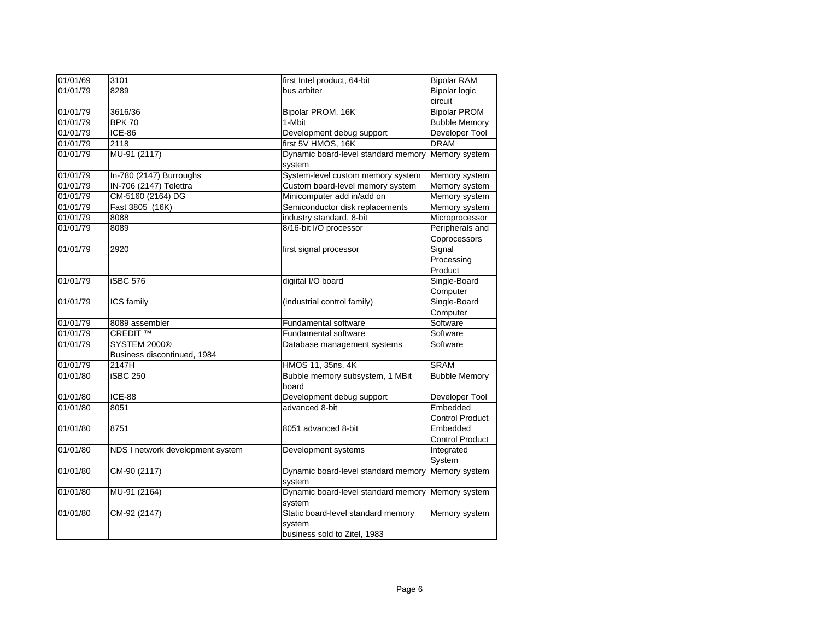| 01/01/69 | 3101                             | first Intel product, 64-bit                                                  | <b>Bipolar RAM</b>                 |
|----------|----------------------------------|------------------------------------------------------------------------------|------------------------------------|
| 01/01/79 | 8289                             | bus arbiter                                                                  | <b>Bipolar logic</b>               |
|          |                                  |                                                                              | circuit                            |
| 01/01/79 | 3616/36                          | Bipolar PROM, 16K                                                            | <b>Bipolar PROM</b>                |
| 01/01/79 | <b>BPK 70</b>                    | 1-Mbit                                                                       | <b>Bubble Memory</b>               |
| 01/01/79 | <b>ICE-86</b>                    | Development debug support                                                    | Developer Tool                     |
| 01/01/79 | 2118                             | first 5V HMOS, 16K                                                           | <b>DRAM</b>                        |
| 01/01/79 | MU-91 (2117)                     | Dynamic board-level standard memory<br>system                                | Memory system                      |
| 01/01/79 | In-780 (2147) Burroughs          | System-level custom memory system                                            | Memory system                      |
| 01/01/79 | IN-706 (2147) Telettra           | Custom board-level memory system                                             | Memory system                      |
| 01/01/79 | CM-5160 (2164) DG                | Minicomputer add in/add on                                                   | Memory system                      |
| 01/01/79 | Fast 3805 (16K)                  | Semiconductor disk replacements                                              | Memory system                      |
| 01/01/79 | 8088                             | industry standard, 8-bit                                                     | Microprocessor                     |
| 01/01/79 | 8089                             | 8/16-bit I/O processor                                                       | Peripherals and<br>Coprocessors    |
| 01/01/79 | 2920                             | first signal processor                                                       | Signal<br>Processing<br>Product    |
| 01/01/79 | iSBC 576                         | digiital I/O board                                                           | Single-Board<br>Computer           |
| 01/01/79 | ICS family                       | (industrial control family)                                                  | Single-Board<br>Computer           |
| 01/01/79 | 8089 assembler                   | Fundamental software                                                         | Software                           |
| 01/01/79 | <b>CREDIT ™</b>                  | <b>Fundamental software</b>                                                  | Software                           |
| 01/01/79 | <b>SYSTEM 2000®</b>              | Database management systems                                                  | Software                           |
|          | Business discontinued, 1984      |                                                                              |                                    |
| 01/01/79 | 2147H                            | HMOS 11, 35ns, 4K                                                            | <b>SRAM</b>                        |
| 01/01/80 | <b>iSBC 250</b>                  | Bubble memory subsystem, 1 MBit<br>board                                     | <b>Bubble Memory</b>               |
| 01/01/80 | <b>ICE-88</b>                    | Development debug support                                                    | Developer Tool                     |
| 01/01/80 | 8051                             | advanced 8-bit                                                               | Embedded<br><b>Control Product</b> |
| 01/01/80 | 8751                             | 8051 advanced 8-bit                                                          | Embedded<br><b>Control Product</b> |
| 01/01/80 | NDS I network development system | Development systems                                                          | Integrated<br>System               |
| 01/01/80 | CM-90 (2117)                     | Dynamic board-level standard memory<br>svstem                                | Memory system                      |
| 01/01/80 | MU-91 (2164)                     | Dynamic board-level standard memory<br>system                                | Memory system                      |
| 01/01/80 | CM-92 (2147)                     | Static board-level standard memory<br>system<br>business sold to Zitel, 1983 | Memory system                      |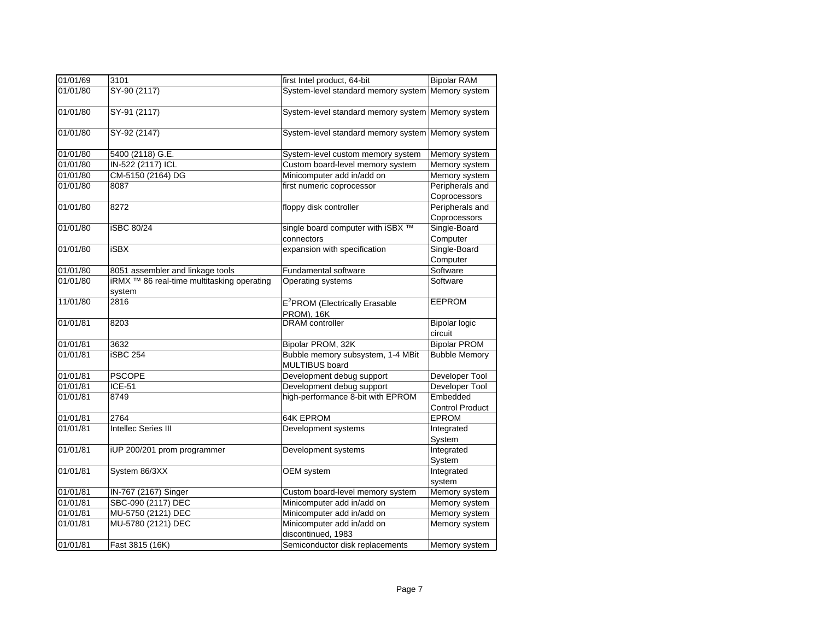| 01/01/69             | 3101                                                                           | first Intel product, 64-bit                                | <b>Bipolar RAM</b>                 |
|----------------------|--------------------------------------------------------------------------------|------------------------------------------------------------|------------------------------------|
| 01/01/80             | SY-90 (2117)                                                                   | System-level standard memory system Memory system          |                                    |
| 01/01/80             | SY-91 (2117)                                                                   | System-level standard memory system Memory system          |                                    |
| 01/01/80             | SY-92 (2147)                                                                   | System-level standard memory system Memory system          |                                    |
| 01/01/80             | 5400 (2118) G.E.                                                               | System-level custom memory system                          | Memory system                      |
| 01/01/80             | IN-522 (2117) ICL                                                              | Custom board-level memory system                           | Memory system                      |
| 01/01/80             | CM-5150 (2164) DG                                                              | Minicomputer add in/add on                                 | Memory system                      |
| 01/01/80             | 8087                                                                           | first numeric coprocessor                                  | Peripherals and<br>Coprocessors    |
| 01/01/80             | 8272                                                                           | floppy disk controller                                     | Peripherals and<br>Coprocessors    |
| 01/01/80             | <b>iSBC 80/24</b>                                                              | single board computer with iSBX ™<br>connectors            | Single-Board<br>Computer           |
| 01/01/80             | <b>iSBX</b>                                                                    | expansion with specification                               | Single-Board                       |
|                      |                                                                                |                                                            | Computer                           |
|                      |                                                                                | <b>Fundamental software</b>                                | Software                           |
| 01/01/80<br>01/01/80 | 8051 assembler and linkage tools<br>iRMX ™ 86 real-time multitasking operating | Operating systems                                          | Software                           |
|                      | system                                                                         |                                                            |                                    |
| 11/01/80             | 2816                                                                           | E <sup>2</sup> PROM (Electrically Erasable<br>PROM). 16K   | <b>EEPROM</b>                      |
| 01/01/81             | 8203                                                                           | <b>DRAM</b> controller                                     | <b>Bipolar logic</b><br>circuit    |
| 01/01/81             | 3632                                                                           | Bipolar PROM, 32K                                          | <b>Bipolar PROM</b>                |
| 01/01/81             | iSBC 254                                                                       | Bubble memory subsystem, 1-4 MBit<br><b>MULTIBUS</b> board | <b>Bubble Memory</b>               |
| 01/01/81             | <b>PSCOPE</b>                                                                  | Development debug support                                  | Developer Tool                     |
| 01/01/81             | <b>ICE-51</b>                                                                  | Development debug support                                  | Developer Tool                     |
| 01/01/81             | 8749                                                                           | high-performance 8-bit with EPROM                          | Embedded<br><b>Control Product</b> |
| 01/01/81             | 2764                                                                           | 64K EPROM                                                  | <b>EPROM</b>                       |
| 01/01/81             | <b>Intellec Series III</b>                                                     | Development systems                                        | Integrated<br>System               |
| 01/01/81             | iUP 200/201 prom programmer                                                    | Development systems                                        | Integrated<br>System               |
| 01/01/81             | System 86/3XX                                                                  | OEM system                                                 | Integrated<br>system               |
| 01/01/81             | IN-767 (2167) Singer                                                           | Custom board-level memory system                           | Memory system                      |
| 01/01/81             | SBC-090 (2117) DEC                                                             | Minicomputer add in/add on                                 | Memory system                      |
| 01/01/81             | MU-5750 (2121) DEC                                                             | Minicomputer add in/add on                                 | Memory system                      |
| 01/01/81             | MU-5780 (2121) DEC                                                             | Minicomputer add in/add on<br>discontinued, 1983           | Memory system                      |
| 01/01/81             | Fast 3815 (16K)                                                                | Semiconductor disk replacements                            | Memory system                      |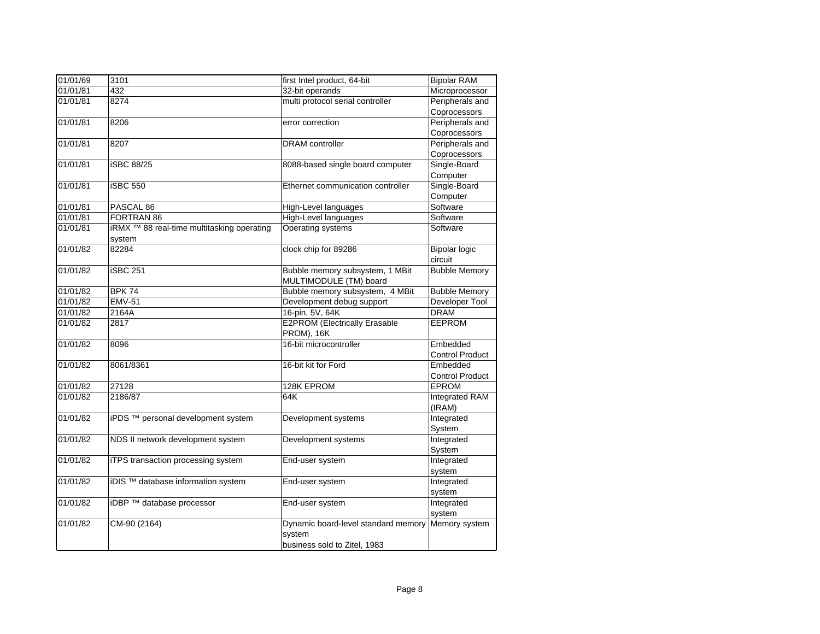| 01/01/69 | 3101                                                  | first Intel product, 64-bit                        | <b>Bipolar RAM</b>     |
|----------|-------------------------------------------------------|----------------------------------------------------|------------------------|
| 01/01/81 | 432                                                   | 32-bit operands                                    | Microprocessor         |
| 01/01/81 | 8274                                                  | multi protocol serial controller                   | Peripherals and        |
|          |                                                       |                                                    | Coprocessors           |
| 01/01/81 | 8206                                                  | error correction                                   | Peripherals and        |
|          |                                                       |                                                    | Coprocessors           |
| 01/01/81 | 8207                                                  | <b>DRAM</b> controller                             | Peripherals and        |
|          |                                                       |                                                    | Coprocessors           |
| 01/01/81 | <b>iSBC 88/25</b>                                     | 8088-based single board computer                   | Single-Board           |
|          |                                                       |                                                    | Computer               |
| 01/01/81 | <b>iSBC 550</b>                                       | Ethernet communication controller                  | Single-Board           |
|          |                                                       |                                                    | Computer               |
| 01/01/81 | PASCAL 86                                             | High-Level languages                               | Software               |
| 01/01/81 | FORTRAN 86                                            | High-Level languages                               | Software               |
| 01/01/81 | iRMX <sup>™</sup> 88 real-time multitasking operating | Operating systems                                  | Software               |
|          | system                                                |                                                    |                        |
| 01/01/82 | 82284                                                 | clock chip for 89286                               | <b>Bipolar logic</b>   |
|          |                                                       |                                                    | circuit                |
| 01/01/82 | <b>iSBC 251</b>                                       | Bubble memory subsystem, 1 MBit                    | <b>Bubble Memory</b>   |
|          |                                                       | MULTIMODULE (TM) board                             |                        |
| 01/01/82 | <b>BPK 74</b>                                         | Bubble memory subsystem, 4 MBit                    | <b>Bubble Memory</b>   |
| 01/01/82 | <b>EMV-51</b>                                         | Development debug support                          | Developer Tool         |
| 01/01/82 | 2164A                                                 | 16-pin, 5V, 64K                                    | <b>DRAM</b>            |
| 01/01/82 | 2817                                                  | <b>E2PROM (Electrically Erasable</b><br>PROM), 16K | <b>EEPROM</b>          |
| 01/01/82 | 8096                                                  | 16-bit microcontroller                             | Embedded               |
|          |                                                       |                                                    | <b>Control Product</b> |
| 01/01/82 | 8061/8361                                             | 16-bit kit for Ford                                | Embedded               |
|          |                                                       |                                                    | <b>Control Product</b> |
| 01/01/82 | 27128                                                 | 128K EPROM                                         | <b>EPROM</b>           |
| 01/01/82 | 2186/87                                               | 64K                                                | Integrated RAM         |
|          |                                                       |                                                    | (IRAM)                 |
| 01/01/82 | iPDS <sup>™</sup> personal development system         | Development systems                                | Integrated             |
|          |                                                       |                                                    | System                 |
| 01/01/82 | NDS II network development system                     | Development systems                                | Integrated             |
|          |                                                       |                                                    | System                 |
| 01/01/82 | iTPS transaction processing system                    | End-user system                                    | Integrated             |
|          |                                                       |                                                    | system                 |
| 01/01/82 | iDIS <sup>™</sup> database information system         | End-user system                                    | Integrated             |
|          |                                                       |                                                    | system                 |
| 01/01/82 | iDBP ™ database processor                             | End-user system                                    | Integrated             |
|          |                                                       |                                                    | system                 |
| 01/01/82 | CM-90 (2164)                                          | Dynamic board-level standard memory<br>system      | Memory system          |
|          |                                                       | business sold to Zitel, 1983                       |                        |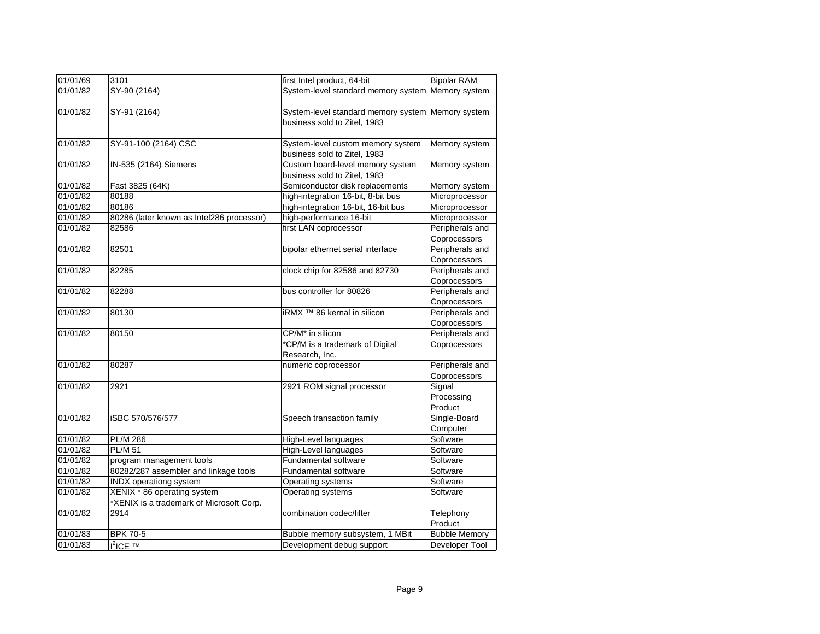| 01/01/69 | 3101                                      | first Intel product, 64-bit                                                       | <b>Bipolar RAM</b>              |
|----------|-------------------------------------------|-----------------------------------------------------------------------------------|---------------------------------|
| 01/01/82 | SY-90 (2164)                              | System-level standard memory system Memory system                                 |                                 |
| 01/01/82 | SY-91 (2164)                              | System-level standard memory system Memory system<br>business sold to Zitel, 1983 |                                 |
| 01/01/82 | SY-91-100 (2164) CSC                      | System-level custom memory system<br>business sold to Zitel, 1983                 | Memory system                   |
| 01/01/82 | IN-535 (2164) Siemens                     | Custom board-level memory system<br>business sold to Zitel, 1983                  | Memory system                   |
| 01/01/82 | Fast 3825 (64K)                           | Semiconductor disk replacements                                                   | Memory system                   |
| 01/01/82 | 80188                                     | high-integration 16-bit, 8-bit bus                                                | Microprocessor                  |
| 01/01/82 | 80186                                     | high-integration 16-bit, 16-bit bus                                               | Microprocessor                  |
| 01/01/82 | 80286 (later known as Intel286 processor) | high-performance 16-bit                                                           | Microprocessor                  |
| 01/01/82 | 82586                                     | first LAN coprocessor                                                             | Peripherals and                 |
|          |                                           |                                                                                   | Coprocessors                    |
| 01/01/82 | 82501                                     | bipolar ethernet serial interface                                                 | Peripherals and                 |
|          |                                           |                                                                                   | Coprocessors                    |
| 01/01/82 | 82285                                     | clock chip for 82586 and 82730                                                    | Peripherals and                 |
|          |                                           |                                                                                   | Coprocessors                    |
| 01/01/82 | 82288                                     | bus controller for 80826                                                          | Peripherals and                 |
|          |                                           |                                                                                   | Coprocessors                    |
| 01/01/82 | 80130                                     | iRMX <sup>™</sup> 86 kernal in silicon                                            | Peripherals and                 |
|          |                                           |                                                                                   | Coprocessors                    |
| 01/01/82 | 80150                                     | CP/M <sup>*</sup> in silicon                                                      | Peripherals and                 |
|          |                                           | *CP/M is a trademark of Digital<br>Research, Inc.                                 | Coprocessors                    |
| 01/01/82 | 80287                                     | numeric coprocessor                                                               | Peripherals and<br>Coprocessors |
| 01/01/82 | 2921                                      | 2921 ROM signal processor                                                         | Signal                          |
|          |                                           |                                                                                   | Processing                      |
|          |                                           |                                                                                   | Product                         |
| 01/01/82 | iSBC 570/576/577                          | Speech transaction family                                                         | Single-Board                    |
|          |                                           |                                                                                   | Computer                        |
| 01/01/82 | <b>PL/M 286</b>                           | High-Level languages                                                              | Software                        |
| 01/01/82 | <b>PL/M 51</b>                            | <b>High-Level languages</b>                                                       | Software                        |
| 01/01/82 | program management tools                  | Fundamental software                                                              | Software                        |
| 01/01/82 | 80282/287 assembler and linkage tools     | <b>Fundamental software</b>                                                       | Software                        |
| 01/01/82 | INDX operationg system                    | Operating systems                                                                 | Software                        |
| 01/01/82 | XENIX * 86 operating system               | Operating systems                                                                 | Software                        |
|          | *XENIX is a trademark of Microsoft Corp.  |                                                                                   |                                 |
| 01/01/82 | 2914                                      | combination codec/filter                                                          | Telephony<br>Product            |
| 01/01/83 | <b>BPK 70-5</b>                           | Bubble memory subsystem, 1 MBit                                                   | <b>Bubble Memory</b>            |
| 01/01/83 | $I^2$ ICE TM                              | Development debug support                                                         | Developer Tool                  |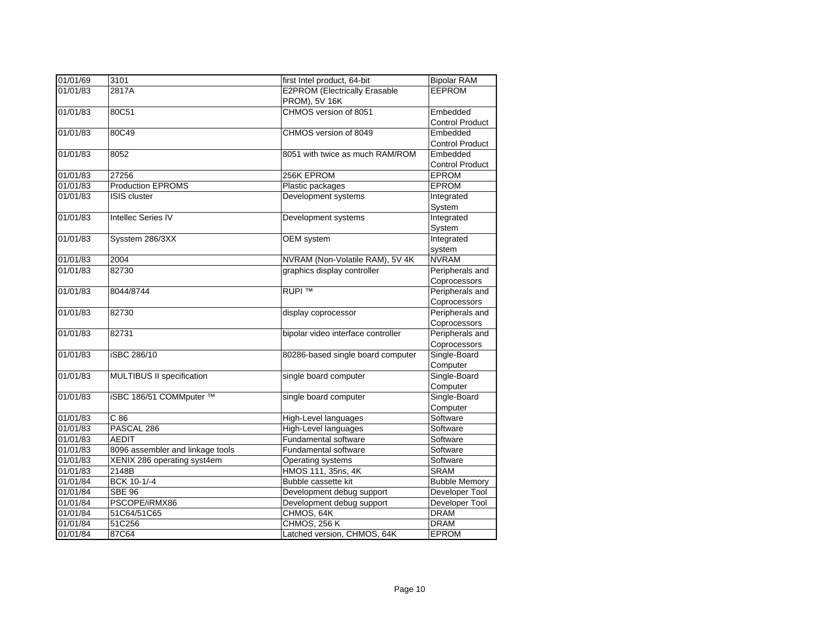| 01/01/69 | 3101                             | first Intel product, 64-bit          | <b>Bipolar RAM</b>     |
|----------|----------------------------------|--------------------------------------|------------------------|
| 01/01/83 | 2817A                            | <b>E2PROM (Electrically Erasable</b> | <b>EEPROM</b>          |
|          |                                  | PROM), 5V 16K                        |                        |
| 01/01/83 | 80C51                            | CHMOS version of 8051                | Embedded               |
|          |                                  |                                      | Control Product        |
| 01/01/83 | 80C49                            | CHMOS version of 8049                | Embedded               |
|          |                                  |                                      | <b>Control Product</b> |
| 01/01/83 | 8052                             | 8051 with twice as much RAM/ROM      | Embedded               |
|          |                                  |                                      | <b>Control Product</b> |
| 01/01/83 | 27256                            | 256K EPROM                           | <b>EPROM</b>           |
| 01/01/83 | <b>Production EPROMS</b>         | Plastic packages                     | <b>EPROM</b>           |
| 01/01/83 | <b>ISIS</b> cluster              | Development systems                  | Integrated             |
|          |                                  |                                      | System                 |
| 01/01/83 | <b>Intellec Series IV</b>        | Development systems                  | Integrated             |
|          |                                  |                                      | System                 |
| 01/01/83 | Sysstem 286/3XX                  | OEM system                           | Integrated             |
|          |                                  |                                      | system                 |
| 01/01/83 | 2004                             | NVRAM (Non-Volatile RAM), 5V 4K      | <b>NVRAM</b>           |
| 01/01/83 | 82730                            | graphics display controller          | Peripherals and        |
|          |                                  |                                      | Coprocessors           |
| 01/01/83 | 8044/8744                        | <b>RUPI ™</b>                        | Peripherals and        |
|          |                                  |                                      | Coprocessors           |
| 01/01/83 | 82730                            | display coprocessor                  | Peripherals and        |
|          |                                  |                                      | Coprocessors           |
| 01/01/83 | 82731                            | bipolar video interface controller   | Peripherals and        |
|          |                                  |                                      | Coprocessors           |
| 01/01/83 | iSBC 286/10                      | 80286-based single board computer    | Single-Board           |
|          |                                  |                                      | Computer               |
| 01/01/83 | MULTIBUS II specification        | single board computer                | Single-Board           |
|          |                                  |                                      | Computer               |
| 01/01/83 | iSBC 186/51 COMMputer ™          | single board computer                | Single-Board           |
|          |                                  |                                      | Computer               |
| 01/01/83 | C86                              | High-Level languages                 | Software               |
| 01/01/83 | PASCAL <sub>286</sub>            | <b>High-Level languages</b>          | Software               |
| 01/01/83 | <b>AEDIT</b>                     | <b>Fundamental software</b>          | Software               |
| 01/01/83 | 8096 assembler and linkage tools | <b>Fundamental software</b>          | Software               |
| 01/01/83 | XENIX 286 operating syst4em      | Operating systems                    | Software               |
| 01/01/83 | 2148B                            | HMOS 111, 35ns, 4K                   | <b>SRAM</b>            |
| 01/01/84 | BCK 10-1/-4                      | Bubble cassette kit                  | <b>Bubble Memory</b>   |
| 01/01/84 | <b>SBE 96</b>                    | Development debug support            | Developer Tool         |
| 01/01/84 | PSCOPE/iRMX86                    | Development debug support            | <b>Developer Tool</b>  |
| 01/01/84 | 51C64/51C65                      | CHMOS, 64K                           | <b>DRAM</b>            |
| 01/01/84 | 51C256                           | <b>CHMOS, 256 K</b>                  | <b>DRAM</b>            |
| 01/01/84 | 87C64                            | Latched version, CHMOS, 64K          | <b>EPROM</b>           |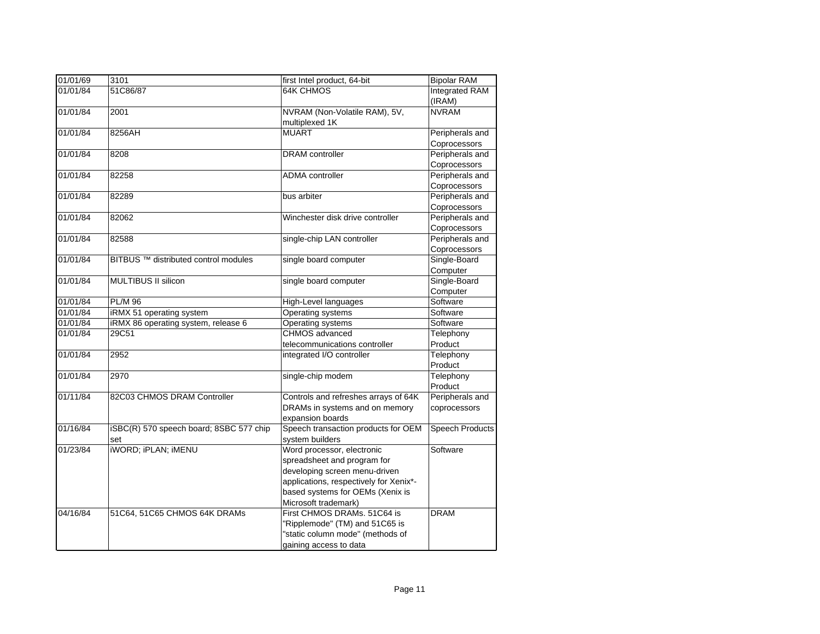| 01/01/69 | 3101                                    | first Intel product, 64-bit            | <b>Bipolar RAM</b>     |
|----------|-----------------------------------------|----------------------------------------|------------------------|
| 01/01/84 | 51C86/87                                | <b>64K CHMOS</b>                       | <b>Integrated RAM</b>  |
|          |                                         |                                        | (IRAM)                 |
| 01/01/84 | 2001                                    | NVRAM (Non-Volatile RAM), 5V,          | <b>NVRAM</b>           |
|          |                                         | multiplexed 1K                         |                        |
| 01/01/84 | 8256AH                                  | <b>MUART</b>                           | Peripherals and        |
|          |                                         |                                        | Coprocessors           |
| 01/01/84 | 8208                                    | <b>DRAM</b> controller                 | Peripherals and        |
|          |                                         |                                        | Coprocessors           |
| 01/01/84 | 82258                                   | <b>ADMA</b> controller                 | Peripherals and        |
|          |                                         |                                        | Coprocessors           |
| 01/01/84 | 82289                                   | bus arbiter                            | Peripherals and        |
|          |                                         |                                        | Coprocessors           |
| 01/01/84 | 82062                                   | Winchester disk drive controller       | Peripherals and        |
|          |                                         |                                        | Coprocessors           |
| 01/01/84 | 82588                                   | single-chip LAN controller             | Peripherals and        |
|          |                                         |                                        | Coprocessors           |
| 01/01/84 | BITBUS ™ distributed control modules    | single board computer                  | Single-Board           |
|          |                                         |                                        | Computer               |
| 01/01/84 | MULTIBUS II silicon                     | single board computer                  | Single-Board           |
|          |                                         |                                        | Computer               |
| 01/01/84 | <b>PL/M 96</b>                          | High-Level languages                   | Software               |
| 01/01/84 | iRMX 51 operating system                | Operating systems                      | Software               |
| 01/01/84 | iRMX 86 operating system, release 6     | <b>Operating systems</b>               | Software               |
| 01/01/84 | 29C51                                   | CHMOS advanced                         | Telephony              |
|          |                                         | telecommunications controller          | Product                |
| 01/01/84 | 2952                                    | integrated I/O controller              | Telephony              |
|          |                                         |                                        | Product                |
| 01/01/84 | 2970                                    | single-chip modem                      | Telephony              |
|          |                                         |                                        | Product                |
| 01/11/84 | 82C03 CHMOS DRAM Controller             | Controls and refreshes arrays of 64K   | Peripherals and        |
|          |                                         | DRAMs in systems and on memory         | coprocessors           |
|          |                                         | expansion boards                       |                        |
| 01/16/84 | iSBC(R) 570 speech board; 8SBC 577 chip | Speech transaction products for OEM    | <b>Speech Products</b> |
|          | set                                     | system builders                        |                        |
| 01/23/84 | <b>iWORD; iPLAN; iMENU</b>              | Word processor, electronic             | Software               |
|          |                                         | spreadsheet and program for            |                        |
|          |                                         | developing screen menu-driven          |                        |
|          |                                         | applications, respectively for Xenix*- |                        |
|          |                                         | based systems for OEMs (Xenix is       |                        |
|          |                                         | Microsoft trademark)                   |                        |
| 04/16/84 | 51C64, 51C65 CHMOS 64K DRAMs            | First CHMOS DRAMs. 51C64 is            | <b>DRAM</b>            |
|          |                                         | "Ripplemode" (TM) and 51C65 is         |                        |
|          |                                         | "static column mode" (methods of       |                        |
|          |                                         | gaining access to data                 |                        |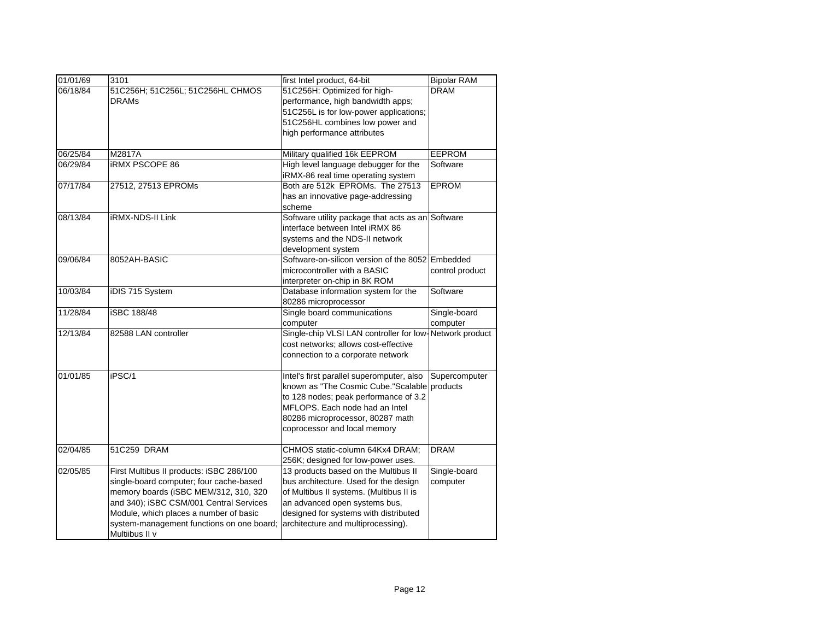| 01/01/69 | 3101                                      | first Intel product, 64-bit                                            | <b>Bipolar RAM</b> |
|----------|-------------------------------------------|------------------------------------------------------------------------|--------------------|
| 06/18/84 | 51C256H; 51C256L; 51C256HL CHMOS          | 51C256H: Optimized for high-                                           | <b>DRAM</b>        |
|          | <b>DRAMs</b>                              | performance, high bandwidth apps;                                      |                    |
|          |                                           | 51C256L is for low-power applications;                                 |                    |
|          |                                           | 51C256HL combines low power and                                        |                    |
|          |                                           | high performance attributes                                            |                    |
|          |                                           |                                                                        |                    |
| 06/25/84 | M2817A                                    | Military qualified 16k EEPROM                                          | EEPROM             |
| 06/29/84 | <b>IRMX PSCOPE 86</b>                     | High level language debugger for the                                   | Software           |
|          |                                           | iRMX-86 real time operating system                                     |                    |
| 07/17/84 | 27512, 27513 EPROMs                       | Both are 512k EPROMs. The 27513                                        | <b>EPROM</b>       |
|          |                                           | has an innovative page-addressing                                      |                    |
|          |                                           | scheme                                                                 |                    |
| 08/13/84 | iRMX-NDS-II Link                          | Software utility package that acts as an Software                      |                    |
|          |                                           | interface between Intel iRMX 86                                        |                    |
|          |                                           | systems and the NDS-II network                                         |                    |
| 09/06/84 | 8052AH-BASIC                              | development system<br>Software-on-silicon version of the 8052 Embedded |                    |
|          |                                           | microcontroller with a BASIC                                           | control product    |
|          |                                           | interpreter on-chip in 8K ROM                                          |                    |
| 10/03/84 | iDIS 715 System                           | Database information system for the                                    | Software           |
|          |                                           | 80286 microprocessor                                                   |                    |
| 11/28/84 | <b>iSBC 188/48</b>                        | Single board communications                                            | Single-board       |
|          |                                           | computer                                                               | computer           |
| 12/13/84 | 82588 LAN controller                      | Single-chip VLSI LAN controller for low-Network product                |                    |
|          |                                           | cost networks; allows cost-effective                                   |                    |
|          |                                           | connection to a corporate network                                      |                    |
|          |                                           |                                                                        |                    |
| 01/01/85 | iPSC/1                                    | Intel's first parallel superomputer, also                              | Supercomputer      |
|          |                                           | known as "The Cosmic Cube."Scalable                                    | products           |
|          |                                           | to 128 nodes; peak performance of 3.2                                  |                    |
|          |                                           | MFLOPS. Each node had an Intel                                         |                    |
|          |                                           | 80286 microprocessor, 80287 math                                       |                    |
|          |                                           | coprocessor and local memory                                           |                    |
| 02/04/85 | 51C259 DRAM                               | CHMOS static-column 64Kx4 DRAM;                                        | <b>DRAM</b>        |
|          |                                           | 256K; designed for low-power uses.                                     |                    |
| 02/05/85 | First Multibus II products: iSBC 286/100  | 13 products based on the Multibus II                                   | Single-board       |
|          | single-board computer; four cache-based   | bus architecture. Used for the design                                  | computer           |
|          | memory boards (iSBC MEM/312, 310, 320     | of Multibus II systems. (Multibus II is                                |                    |
|          | and 340); iSBC CSM/001 Central Services   | an advanced open systems bus,                                          |                    |
|          | Module, which places a number of basic    | designed for systems with distributed                                  |                    |
|          | system-management functions on one board; | architecture and multiprocessing).                                     |                    |
|          | Multiibus II v                            |                                                                        |                    |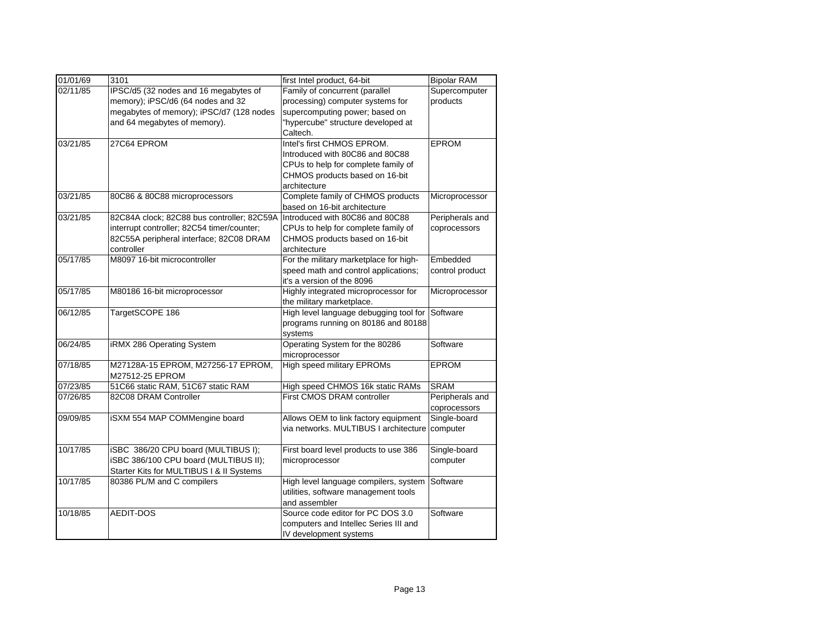| 01/01/69 | 3101                                       | first Intel product, 64-bit            | <b>Bipolar RAM</b> |
|----------|--------------------------------------------|----------------------------------------|--------------------|
| 02/11/85 | IPSC/d5 (32 nodes and 16 megabytes of      | Family of concurrent (parallel         | Supercomputer      |
|          | memory); iPSC/d6 (64 nodes and 32          | processing) computer systems for       | products           |
|          | megabytes of memory); iPSC/d7 (128 nodes   | supercomputing power; based on         |                    |
|          | and 64 megabytes of memory).               | "hypercube" structure developed at     |                    |
|          |                                            | Caltech.                               |                    |
| 03/21/85 | 27C64 EPROM                                | Intel's first CHMOS EPROM.             | <b>EPROM</b>       |
|          |                                            | Introduced with 80C86 and 80C88        |                    |
|          |                                            | CPUs to help for complete family of    |                    |
|          |                                            | CHMOS products based on 16-bit         |                    |
|          |                                            | architecture                           |                    |
| 03/21/85 | 80C86 & 80C88 microprocessors              | Complete family of CHMOS products      | Microprocessor     |
|          |                                            | based on 16-bit architecture           |                    |
| 03/21/85 | 82C84A clock; 82C88 bus controller; 82C59A | Introduced with 80C86 and 80C88        | Peripherals and    |
|          | interrupt controller; 82C54 timer/counter; | CPUs to help for complete family of    | coprocessors       |
|          | 82C55A peripheral interface; 82C08 DRAM    | CHMOS products based on 16-bit         |                    |
|          | controller                                 | architecture                           |                    |
| 05/17/85 | M8097 16-bit microcontroller               | For the military marketplace for high- | Embedded           |
|          |                                            | speed math and control applications;   | control product    |
|          |                                            | it's a version of the 8096             |                    |
| 05/17/85 | M80186 16-bit microprocessor               | Highly integrated microprocessor for   | Microprocessor     |
|          |                                            | the military marketplace.              |                    |
| 06/12/85 | TargetSCOPE 186                            | High level language debugging tool for | Software           |
|          |                                            | programs running on 80186 and 80188    |                    |
|          |                                            | systems                                |                    |
| 06/24/85 | iRMX 286 Operating System                  | Operating System for the 80286         | Software           |
|          |                                            | microprocessor                         |                    |
| 07/18/85 | M27128A-15 EPROM, M27256-17 EPROM,         | High speed military EPROMs             | EPROM              |
|          | M27512-25 EPROM                            |                                        |                    |
| 07/23/85 | 51C66 static RAM, 51C67 static RAM         | High speed CHMOS 16k static RAMs       | <b>SRAM</b>        |
| 07/26/85 | 82C08 DRAM Controller                      | First CMOS DRAM controller             | Peripherals and    |
|          |                                            |                                        | coprocessors       |
| 09/09/85 | iSXM 554 MAP COMMengine board              | Allows OEM to link factory equipment   | Single-board       |
|          |                                            | via networks. MULTIBUS I architecture  | computer           |
|          |                                            |                                        |                    |
| 10/17/85 | iSBC 386/20 CPU board (MULTIBUS I);        | First board level products to use 386  | Single-board       |
|          | iSBC 386/100 CPU board (MULTIBUS II);      | microprocessor                         | computer           |
|          | Starter Kits for MULTIBUS I & II Systems   |                                        |                    |
| 10/17/85 | 80386 PL/M and C compilers                 | High level language compilers, system  | Software           |
|          |                                            | utilities, software management tools   |                    |
|          |                                            | and assembler                          |                    |
| 10/18/85 | <b>AEDIT-DOS</b>                           | Source code editor for PC DOS 3.0      | Software           |
|          |                                            | computers and Intellec Series III and  |                    |
|          |                                            | IV development systems                 |                    |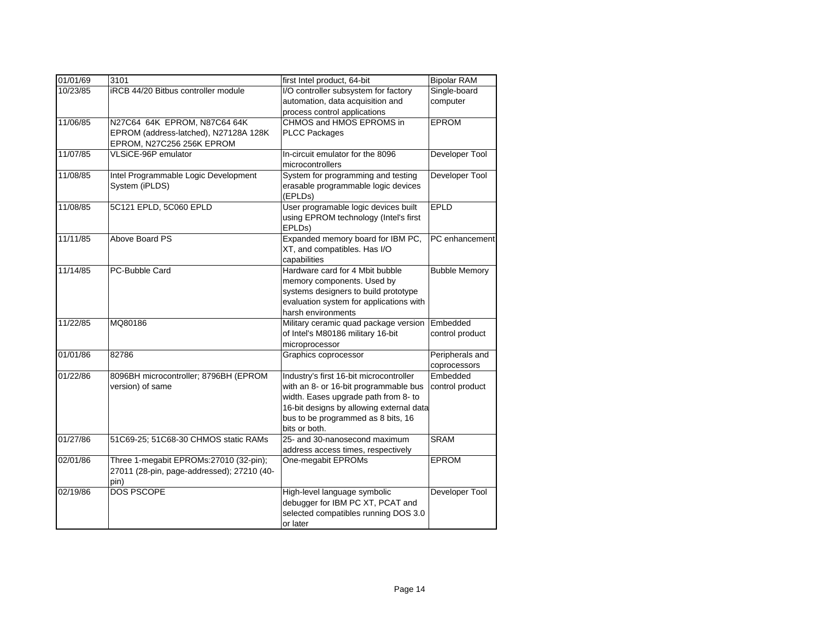| 01/01/69 | 3101                                                                                               | first Intel product, 64-bit                                                                                                                                                                                                 | <b>Bipolar RAM</b>              |
|----------|----------------------------------------------------------------------------------------------------|-----------------------------------------------------------------------------------------------------------------------------------------------------------------------------------------------------------------------------|---------------------------------|
| 10/23/85 | iRCB 44/20 Bitbus controller module                                                                | I/O controller subsystem for factory<br>automation, data acquisition and<br>process control applications                                                                                                                    | Single-board<br>computer        |
| 11/06/85 | N27C64 64K EPROM, N87C64 64K<br>EPROM (address-latched), N27128A 128K<br>EPROM, N27C256 256K EPROM | CHMOS and HMOS EPROMS in<br><b>PLCC Packages</b>                                                                                                                                                                            | <b>EPROM</b>                    |
| 11/07/85 | VLSiCE-96P emulator                                                                                | In-circuit emulator for the 8096<br>microcontrollers                                                                                                                                                                        | Developer Tool                  |
| 11/08/85 | Intel Programmable Logic Development<br>System (iPLDS)                                             | System for programming and testing<br>erasable programmable logic devices<br>(EPLDs)                                                                                                                                        | Developer Tool                  |
| 11/08/85 | 5C121 EPLD, 5C060 EPLD                                                                             | User programable logic devices built<br>using EPROM technology (Intel's first<br>EPLD <sub>s</sub> )                                                                                                                        | <b>EPLD</b>                     |
| 11/11/85 | Above Board PS                                                                                     | Expanded memory board for IBM PC,<br>XT, and compatibles. Has I/O<br>capabilities                                                                                                                                           | PC enhancement                  |
| 11/14/85 | PC-Bubble Card                                                                                     | Hardware card for 4 Mbit bubble<br>memory components. Used by<br>systems designers to build prototype<br>evaluation system for applications with<br>harsh environments                                                      | <b>Bubble Memory</b>            |
| 11/22/85 | MQ80186                                                                                            | Military ceramic quad package version<br>of Intel's M80186 military 16-bit<br>microprocessor                                                                                                                                | Embedded<br>control product     |
| 01/01/86 | 82786                                                                                              | Graphics coprocessor                                                                                                                                                                                                        | Peripherals and<br>coprocessors |
| 01/22/86 | 8096BH microcontroller; 8796BH (EPROM<br>version) of same                                          | Industry's first 16-bit microcontroller<br>with an 8- or 16-bit programmable bus<br>width. Eases upgrade path from 8- to<br>16-bit designs by allowing external data<br>bus to be programmed as 8 bits, 16<br>bits or both. | Embedded<br>control product     |
| 01/27/86 | 51C69-25; 51C68-30 CHMOS static RAMs                                                               | 25- and 30-nanosecond maximum<br>address access times, respectively                                                                                                                                                         | <b>SRAM</b>                     |
| 02/01/86 | Three 1-megabit EPROMs:27010 (32-pin);<br>27011 (28-pin, page-addressed); 27210 (40-<br>pin)       | One-megabit EPROMs                                                                                                                                                                                                          | <b>EPROM</b>                    |
| 02/19/86 | <b>DOS PSCOPE</b>                                                                                  | High-level language symbolic<br>debugger for IBM PC XT, PCAT and<br>selected compatibles running DOS 3.0<br>or later                                                                                                        | Developer Tool                  |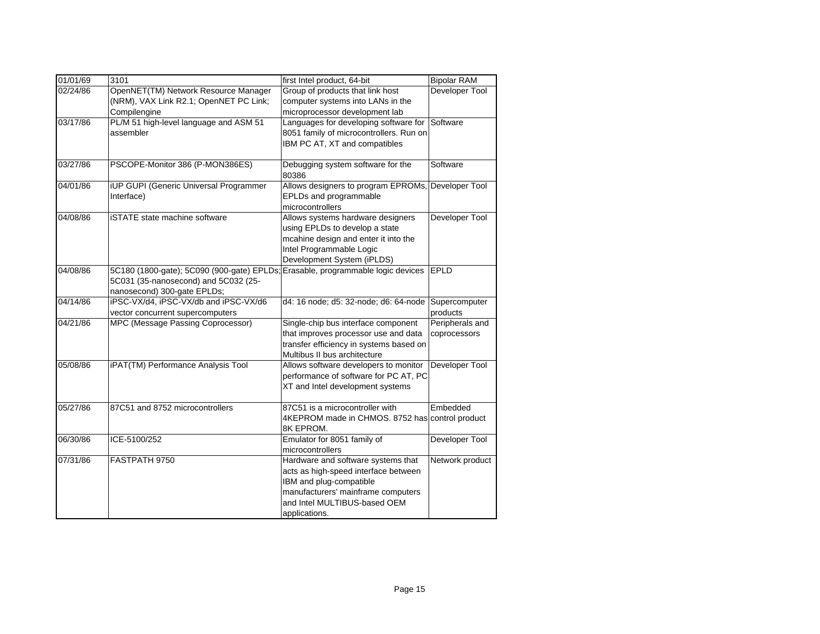| 01/01/69 | 3101                                       | first Intel product, 64-bit                     | <b>Bipolar RAM</b> |
|----------|--------------------------------------------|-------------------------------------------------|--------------------|
| 02/24/86 | OpenNET(TM) Network Resource Manager       | Group of products that link host                | Developer Tool     |
|          | (NRM), VAX Link R2.1; OpenNET PC Link;     | computer systems into LANs in the               |                    |
|          | Compilengine                               | microprocessor development lab                  |                    |
| 03/17/86 | PL/M 51 high-level language and ASM 51     | Languages for developing software for           | Software           |
|          | assembler                                  | 8051 family of microcontrollers. Run on         |                    |
|          |                                            | IBM PC AT, XT and compatibles                   |                    |
|          |                                            |                                                 |                    |
| 03/27/86 | PSCOPE-Monitor 386 (P-MON386ES)            | Debugging system software for the               | Software           |
|          |                                            | 80386                                           |                    |
| 04/01/86 | iUP GUPI (Generic Universal Programmer     | Allows designers to program EPROMs,             | Developer Tool     |
|          | Interface)                                 | EPLDs and programmable                          |                    |
|          |                                            | microcontrollers                                |                    |
| 04/08/86 | <b>iSTATE</b> state machine software       | Allows systems hardware designers               | Developer Tool     |
|          |                                            | using EPLDs to develop a state                  |                    |
|          |                                            | mcahine design and enter it into the            |                    |
|          |                                            | Intel Programmable Logic                        |                    |
|          |                                            | Development System (iPLDS)                      |                    |
| 04/08/86 | 5C180 (1800-gate); 5C090 (900-gate) EPLDs; | Erasable, programmable logic devices            | EPLD               |
|          | 5C031 (35-nanosecond) and 5C032 (25-       |                                                 |                    |
|          | nanosecond) 300-gate EPLDs;                |                                                 |                    |
| 04/14/86 | iPSC-VX/d4, iPSC-VX/db and iPSC-VX/d6      | d4: 16 node; d5: 32-node; d6: 64-node           | Supercomputer      |
|          | vector concurrent supercomputers           |                                                 | products           |
| 04/21/86 | MPC (Message Passing Coprocessor)          | Single-chip bus interface component             | Peripherals and    |
|          |                                            | that improves processor use and data            | coprocessors       |
|          |                                            | transfer efficiency in systems based on         |                    |
|          |                                            | Multibus II bus architecture                    |                    |
| 05/08/86 | iPAT(TM) Performance Analysis Tool         | Allows software developers to monitor           | Developer Tool     |
|          |                                            | performance of software for PC AT, PC           |                    |
|          |                                            | XT and Intel development systems                |                    |
|          |                                            |                                                 |                    |
| 05/27/86 | 87C51 and 8752 microcontrollers            | 87C51 is a microcontroller with                 | Embedded           |
|          |                                            | 4KEPROM made in CHMOS. 8752 has control product |                    |
|          |                                            | 8K EPROM.                                       |                    |
| 06/30/86 | ICE-5100/252                               | Emulator for 8051 family of                     | Developer Tool     |
|          |                                            | microcontrollers                                |                    |
| 07/31/86 | FASTPATH 9750                              | Hardware and software systems that              | Network product    |
|          |                                            | acts as high-speed interface between            |                    |
|          |                                            | IBM and plug-compatible                         |                    |
|          |                                            | manufacturers' mainframe computers              |                    |
|          |                                            | and Intel MULTIBUS-based OEM                    |                    |
|          |                                            | applications.                                   |                    |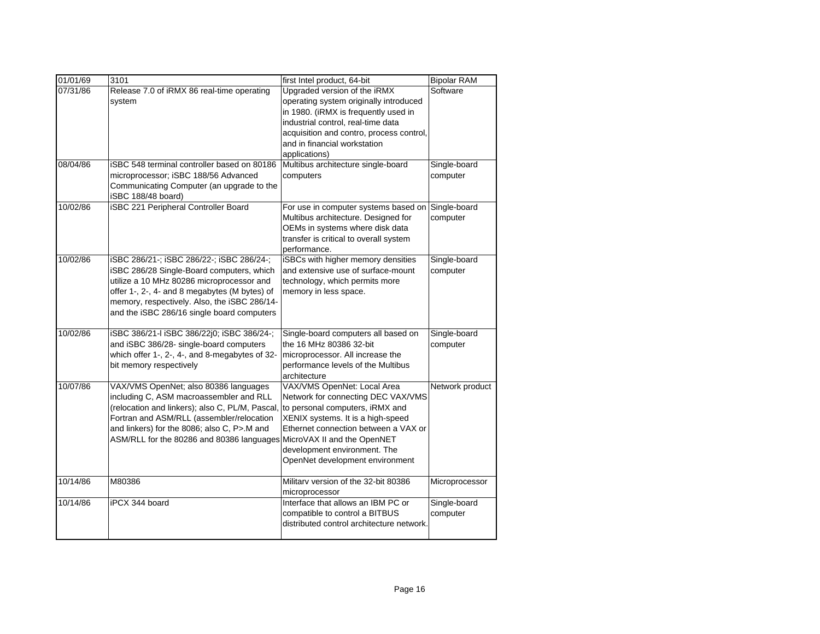| 01/01/69 | 3101                                            | first Intel product, 64-bit               | <b>Bipolar RAM</b> |
|----------|-------------------------------------------------|-------------------------------------------|--------------------|
| 07/31/86 | Release 7.0 of iRMX 86 real-time operating      | Upgraded version of the iRMX              | Software           |
|          | system                                          | operating system originally introduced    |                    |
|          |                                                 | in 1980. (iRMX is frequently used in      |                    |
|          |                                                 | industrial control, real-time data        |                    |
|          |                                                 | acquisition and contro, process control,  |                    |
|          |                                                 | and in financial workstation              |                    |
|          |                                                 | applications)                             |                    |
| 08/04/86 | iSBC 548 terminal controller based on 80186     | Multibus architecture single-board        | Single-board       |
|          | microprocessor; iSBC 188/56 Advanced            | computers                                 | computer           |
|          | Communicating Computer (an upgrade to the       |                                           |                    |
|          | iSBC 188/48 board)                              |                                           |                    |
| 10/02/86 | iSBC 221 Peripheral Controller Board            | For use in computer systems based on      | Single-board       |
|          |                                                 | Multibus architecture. Designed for       | computer           |
|          |                                                 | OEMs in systems where disk data           |                    |
|          |                                                 | transfer is critical to overall system    |                    |
|          |                                                 | performance.                              |                    |
| 10/02/86 | iSBC 286/21-; iSBC 286/22-; iSBC 286/24-;       | iSBCs with higher memory densities        | Single-board       |
|          | iSBC 286/28 Single-Board computers, which       | and extensive use of surface-mount        | computer           |
|          | utilize a 10 MHz 80286 microprocessor and       | technology, which permits more            |                    |
|          | offer 1-, 2-, 4- and 8 megabytes (M bytes) of   | memory in less space.                     |                    |
|          | memory, respectively. Also, the iSBC 286/14-    |                                           |                    |
|          | and the iSBC 286/16 single board computers      |                                           |                    |
| 10/02/86 | iSBC 386/21-I iSBC 386/22j0; iSBC 386/24-;      | Single-board computers all based on       | Single-board       |
|          | and iSBC 386/28- single-board computers         | the 16 MHz 80386 32-bit                   | computer           |
|          | which offer 1-, 2-, 4-, and 8-megabytes of 32-  | microprocessor. All increase the          |                    |
|          | bit memory respectively                         | performance levels of the Multibus        |                    |
|          |                                                 | architecture                              |                    |
| 10/07/86 | VAX/VMS OpenNet; also 80386 languages           | VAX/VMS OpenNet: Local Area               | Network product    |
|          | including C, ASM macroassembler and RLL         | Network for connecting DEC VAX/VMS        |                    |
|          | (relocation and linkers); also C, PL/M, Pascal, | to personal computers, iRMX and           |                    |
|          | Fortran and ASM/RLL (assembler/relocation       | XENIX systems. It is a high-speed         |                    |
|          | and linkers) for the 8086; also C, P>.M and     | Ethernet connection between a VAX or      |                    |
|          | ASM/RLL for the 80286 and 80386 languages       | MicroVAX II and the OpenNET               |                    |
|          |                                                 | development environment. The              |                    |
|          |                                                 | OpenNet development environment           |                    |
| 10/14/86 | M80386                                          | Military version of the 32-bit 80386      | Microprocessor     |
|          |                                                 | microprocessor                            |                    |
| 10/14/86 | iPCX 344 board                                  | Interface that allows an IBM PC or        | Single-board       |
|          |                                                 | compatible to control a BITBUS            | computer           |
|          |                                                 | distributed control architecture network. |                    |
|          |                                                 |                                           |                    |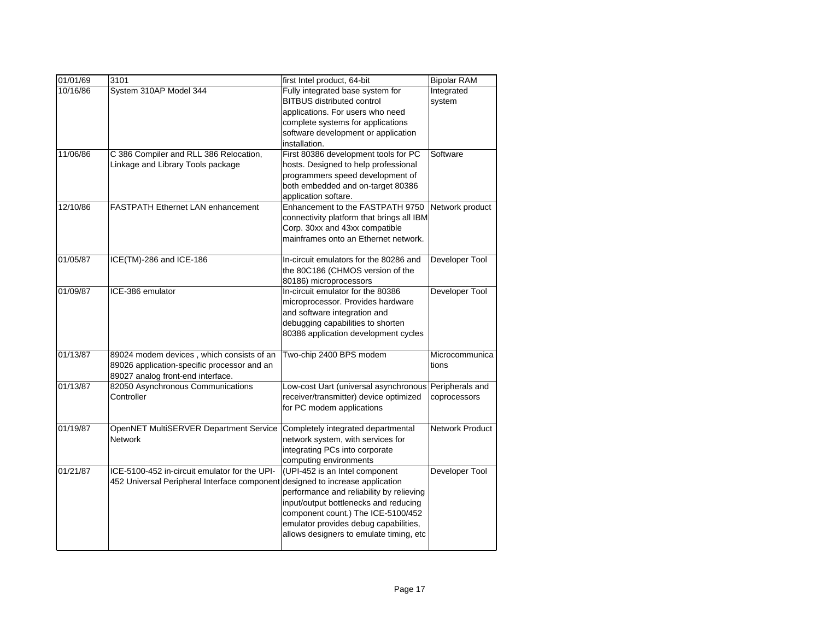| 01/01/69 | 3101                                          | first Intel product, 64-bit               | <b>Bipolar RAM</b>     |
|----------|-----------------------------------------------|-------------------------------------------|------------------------|
| 10/16/86 | System 310AP Model 344                        | Fully integrated base system for          | Integrated             |
|          |                                               | <b>BITBUS distributed control</b>         | system                 |
|          |                                               | applications. For users who need          |                        |
|          |                                               | complete systems for applications         |                        |
|          |                                               | software development or application       |                        |
|          |                                               | installation.                             |                        |
| 11/06/86 | C 386 Compiler and RLL 386 Relocation,        | First 80386 development tools for PC      | Software               |
|          | Linkage and Library Tools package             | hosts. Designed to help professional      |                        |
|          |                                               | programmers speed development of          |                        |
|          |                                               | both embedded and on-target 80386         |                        |
|          |                                               | application softare.                      |                        |
| 12/10/86 | FASTPATH Ethernet LAN enhancement             | Enhancement to the FASTPATH 9750          | Network product        |
|          |                                               | connectivity platform that brings all IBM |                        |
|          |                                               | Corp. 30xx and 43xx compatible            |                        |
|          |                                               | mainframes onto an Ethernet network.      |                        |
| 01/05/87 | ICE(TM)-286 and ICE-186                       | In-circuit emulators for the 80286 and    | Developer Tool         |
|          |                                               | the 80C186 (CHMOS version of the          |                        |
|          |                                               | 80186) microprocessors                    |                        |
| 01/09/87 | ICE-386 emulator                              | In-circuit emulator for the 80386         | Developer Tool         |
|          |                                               | microprocessor. Provides hardware         |                        |
|          |                                               | and software integration and              |                        |
|          |                                               | debugging capabilities to shorten         |                        |
|          |                                               | 80386 application development cycles      |                        |
| 01/13/87 | 89024 modem devices, which consists of an     | Two-chip 2400 BPS modem                   | Microcommunica         |
|          | 89026 application-specific processor and an   |                                           | tions                  |
|          | 89027 analog front-end interface.             |                                           |                        |
| 01/13/87 | 82050 Asynchronous Communications             | Low-cost Uart (universal asynchronous     | Peripherals and        |
|          | Controller                                    | receiver/transmitter) device optimized    | coprocessors           |
|          |                                               | for PC modem applications                 |                        |
| 01/19/87 | OpenNET MultiSERVER Department Service        | Completely integrated departmental        | <b>Network Product</b> |
|          | <b>Network</b>                                | network system, with services for         |                        |
|          |                                               | integrating PCs into corporate            |                        |
|          |                                               | computing environments                    |                        |
| 01/21/87 | ICE-5100-452 in-circuit emulator for the UPI- | (UPI-452 is an Intel component            | Developer Tool         |
|          | 452 Universal Peripheral Interface component  | designed to increase application          |                        |
|          |                                               | performance and reliability by relieving  |                        |
|          |                                               | input/output bottlenecks and reducing     |                        |
|          |                                               | component count.) The ICE-5100/452        |                        |
|          |                                               | emulator provides debug capabilities,     |                        |
|          |                                               | allows designers to emulate timing, etc   |                        |
|          |                                               |                                           |                        |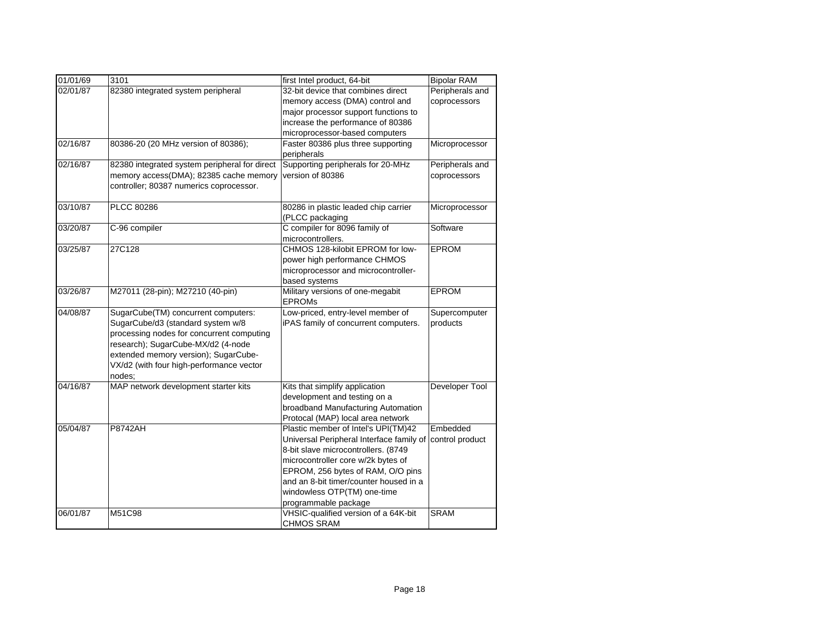| 01/01/69 | 3101                                                                                                                                                                                                                                                      | first Intel product, 64-bit                                                                                                                                                                                                                                                                        | <b>Bipolar RAM</b>              |
|----------|-----------------------------------------------------------------------------------------------------------------------------------------------------------------------------------------------------------------------------------------------------------|----------------------------------------------------------------------------------------------------------------------------------------------------------------------------------------------------------------------------------------------------------------------------------------------------|---------------------------------|
| 02/01/87 | 82380 integrated system peripheral                                                                                                                                                                                                                        | 32-bit device that combines direct<br>memory access (DMA) control and<br>major processor support functions to<br>increase the performance of 80386<br>microprocessor-based computers                                                                                                               | Peripherals and<br>coprocessors |
| 02/16/87 | 80386-20 (20 MHz version of 80386);                                                                                                                                                                                                                       | Faster 80386 plus three supporting<br>peripherals                                                                                                                                                                                                                                                  | Microprocessor                  |
| 02/16/87 | 82380 integrated system peripheral for direct<br>memory access(DMA); 82385 cache memory<br>controller; 80387 numerics coprocessor.                                                                                                                        | Supporting peripherals for 20-MHz<br>version of 80386                                                                                                                                                                                                                                              | Peripherals and<br>coprocessors |
| 03/10/87 | PLCC 80286                                                                                                                                                                                                                                                | 80286 in plastic leaded chip carrier<br>(PLCC packaging                                                                                                                                                                                                                                            | Microprocessor                  |
| 03/20/87 | C-96 compiler                                                                                                                                                                                                                                             | C compiler for 8096 family of<br>microcontrollers.                                                                                                                                                                                                                                                 | Software                        |
| 03/25/87 | 27C128                                                                                                                                                                                                                                                    | CHMOS 128-kilobit EPROM for low-<br>power high performance CHMOS<br>microprocessor and microcontroller-<br>based systems                                                                                                                                                                           | <b>EPROM</b>                    |
| 03/26/87 | M27011 (28-pin); M27210 (40-pin)                                                                                                                                                                                                                          | Military versions of one-megabit<br><b>EPROMs</b>                                                                                                                                                                                                                                                  | <b>EPROM</b>                    |
| 04/08/87 | SugarCube(TM) concurrent computers:<br>SugarCube/d3 (standard system w/8<br>processing nodes for concurrent computing<br>research); SugarCube-MX/d2 (4-node<br>extended memory version); SugarCube-<br>VX/d2 (with four high-performance vector<br>nodes: | Low-priced, entry-level member of<br>iPAS family of concurrent computers.                                                                                                                                                                                                                          | Supercomputer<br>products       |
| 04/16/87 | MAP network development starter kits                                                                                                                                                                                                                      | Kits that simplify application<br>development and testing on a<br>broadband Manufacturing Automation<br>Protocal (MAP) local area network                                                                                                                                                          | Developer Tool                  |
| 05/04/87 | <b>P8742AH</b>                                                                                                                                                                                                                                            | Plastic member of Intel's UPI(TM)42<br>Universal Peripheral Interface family of<br>8-bit slave microcontrollers. (8749<br>microcontroller core w/2k bytes of<br>EPROM, 256 bytes of RAM, O/O pins<br>and an 8-bit timer/counter housed in a<br>windowless OTP(TM) one-time<br>programmable package | Embedded<br>control product     |
| 06/01/87 | M51C98                                                                                                                                                                                                                                                    | VHSIC-qualified version of a 64K-bit<br><b>CHMOS SRAM</b>                                                                                                                                                                                                                                          | <b>SRAM</b>                     |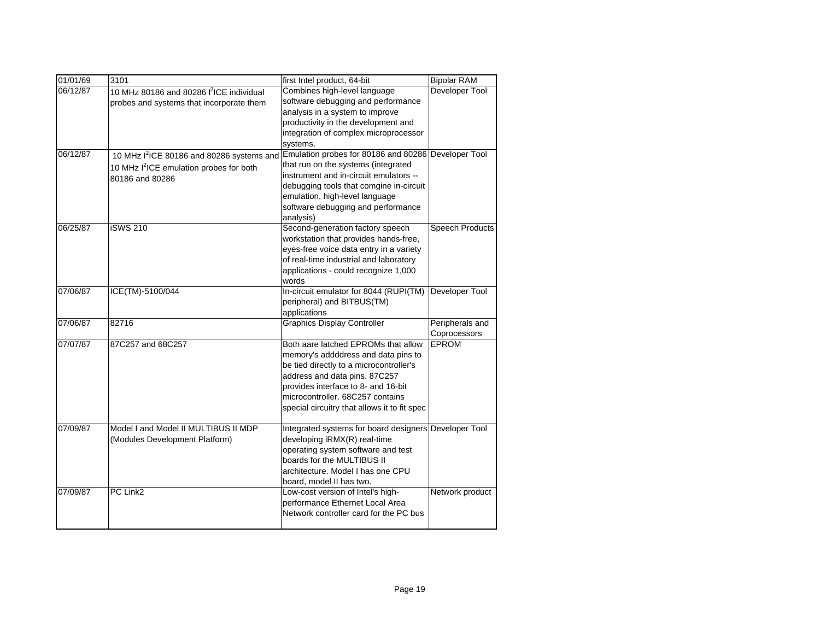| 01/01/69 | 3101                                                  | first Intel product, 64-bit                           | <b>Bipolar RAM</b>     |
|----------|-------------------------------------------------------|-------------------------------------------------------|------------------------|
| 06/12/87 | 10 MHz 80186 and 80286 l <sup>2</sup> ICE individual  | Combines high-level language                          | Developer Tool         |
|          | probes and systems that incorporate them              | software debugging and performance                    |                        |
|          |                                                       | analysis in a system to improve                       |                        |
|          |                                                       | productivity in the development and                   |                        |
|          |                                                       | integration of complex microprocessor                 |                        |
|          |                                                       | systems.                                              |                        |
| 06/12/87 | 10 MHz I <sup>2</sup> ICE 80186 and 80286 systems and | Emulation probes for 80186 and 80286 Developer Tool   |                        |
|          | 10 MHz I <sup>2</sup> ICE emulation probes for both   | that run on the systems (integrated                   |                        |
|          | 80186 and 80286                                       | instrument and in-circuit emulators --                |                        |
|          |                                                       | debugging tools that comgine in-circuit               |                        |
|          |                                                       | emulation, high-level language                        |                        |
|          |                                                       | software debugging and performance                    |                        |
|          |                                                       | analysis)                                             |                        |
| 06/25/87 | <b>iSWS 210</b>                                       | Second-generation factory speech                      | <b>Speech Products</b> |
|          |                                                       | workstation that provides hands-free,                 |                        |
|          |                                                       | eyes-free voice data entry in a variety               |                        |
|          |                                                       | of real-time industrial and laboratory                |                        |
|          |                                                       | applications - could recognize 1,000                  |                        |
|          |                                                       | words                                                 |                        |
| 07/06/87 | ICE(TM)-5100/044                                      | In-circuit emulator for 8044 (RUPI(TM)                | Developer Tool         |
|          |                                                       | peripheral) and BITBUS(TM)                            |                        |
|          |                                                       | applications                                          |                        |
| 07/06/87 | 82716                                                 | <b>Graphics Display Controller</b>                    | Peripherals and        |
|          |                                                       |                                                       | Coprocessors           |
| 07/07/87 | 87C257 and 68C257                                     | Both aare latched EPROMs that allow                   | <b>EPROM</b>           |
|          |                                                       | memory's addddress and data pins to                   |                        |
|          |                                                       | be tied directly to a microcontroller's               |                        |
|          |                                                       | address and data pins. 87C257                         |                        |
|          |                                                       | provides interface to 8- and 16-bit                   |                        |
|          |                                                       | microcontroller. 68C257 contains                      |                        |
|          |                                                       | special circuitry that allows it to fit spec          |                        |
| 07/09/87 | Model I and Model II MULTIBUS II MDP                  | Integrated systems for board designers Developer Tool |                        |
|          | (Modules Development Platform)                        | developing iRMX(R) real-time                          |                        |
|          |                                                       | operating system software and test                    |                        |
|          |                                                       | boards for the MULTIBUS II                            |                        |
|          |                                                       | architecture. Model I has one CPU                     |                        |
|          |                                                       | board, model II has two.                              |                        |
| 07/09/87 | PC Link2                                              | Low-cost version of Intel's high-                     | Network product        |
|          |                                                       | performance Ethernet Local Area                       |                        |
|          |                                                       | Network controller card for the PC bus                |                        |
|          |                                                       |                                                       |                        |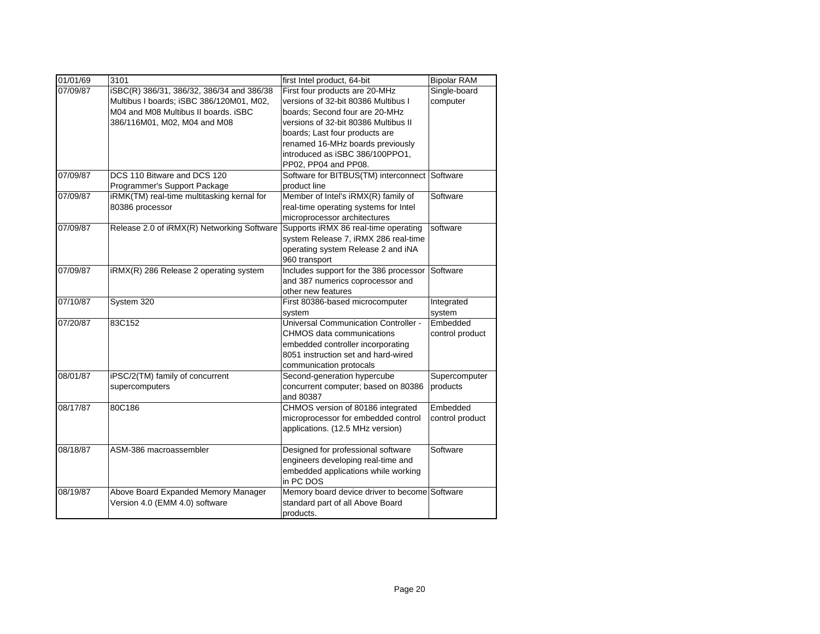| 01/01/69 | 3101                                       | first Intel product, 64-bit                   | <b>Bipolar RAM</b> |
|----------|--------------------------------------------|-----------------------------------------------|--------------------|
| 07/09/87 | iSBC(R) 386/31, 386/32, 386/34 and 386/38  | First four products are 20-MHz                | Single-board       |
|          | Multibus I boards; iSBC 386/120M01, M02,   | versions of 32-bit 80386 Multibus I           | computer           |
|          | M04 and M08 Multibus II boards. iSBC       | boards; Second four are 20-MHz                |                    |
|          | 386/116M01, M02, M04 and M08               | versions of 32-bit 80386 Multibus II          |                    |
|          |                                            | boards; Last four products are                |                    |
|          |                                            | renamed 16-MHz boards previously              |                    |
|          |                                            | introduced as iSBC 386/100PPO1,               |                    |
|          |                                            | PP02, PP04 and PP08.                          |                    |
| 07/09/87 | DCS 110 Bitware and DCS 120                | Software for BITBUS(TM) interconnect Software |                    |
|          | Programmer's Support Package               | product line                                  |                    |
| 07/09/87 | iRMK(TM) real-time multitasking kernal for | Member of Intel's iRMX(R) family of           | Software           |
|          | 80386 processor                            | real-time operating systems for Intel         |                    |
|          |                                            | microprocessor architectures                  |                    |
| 07/09/87 | Release 2.0 of iRMX(R) Networking Software | Supports iRMX 86 real-time operating          | software           |
|          |                                            | system Release 7, iRMX 286 real-time          |                    |
|          |                                            | operating system Release 2 and iNA            |                    |
|          |                                            | 960 transport                                 |                    |
| 07/09/87 | iRMX(R) 286 Release 2 operating system     | Includes support for the 386 processor        | Software           |
|          |                                            | and 387 numerics coprocessor and              |                    |
|          |                                            | other new features                            |                    |
| 07/10/87 | System 320                                 | First 80386-based microcomputer               | Integrated         |
|          |                                            | system                                        | system             |
| 07/20/87 | 83C152                                     | <b>Universal Communication Controller -</b>   | Embedded           |
|          |                                            | CHMOS data communications                     | control product    |
|          |                                            | embedded controller incorporating             |                    |
|          |                                            | 8051 instruction set and hard-wired           |                    |
|          |                                            | communication protocals                       |                    |
| 08/01/87 | iPSC/2(TM) family of concurrent            | Second-generation hypercube                   | Supercomputer      |
|          | supercomputers                             | concurrent computer; based on 80386           | products           |
|          |                                            | and 80387                                     |                    |
| 08/17/87 | 80C186                                     | CHMOS version of 80186 integrated             | Embedded           |
|          |                                            | microprocessor for embedded control           | control product    |
|          |                                            | applications. (12.5 MHz version)              |                    |
| 08/18/87 | ASM-386 macroassembler                     | Designed for professional software            | Software           |
|          |                                            | engineers developing real-time and            |                    |
|          |                                            | embedded applications while working           |                    |
|          |                                            | in PC DOS                                     |                    |
| 08/19/87 | Above Board Expanded Memory Manager        | Memory board device driver to become Software |                    |
|          | Version 4.0 (EMM 4.0) software             | standard part of all Above Board              |                    |
|          |                                            | products.                                     |                    |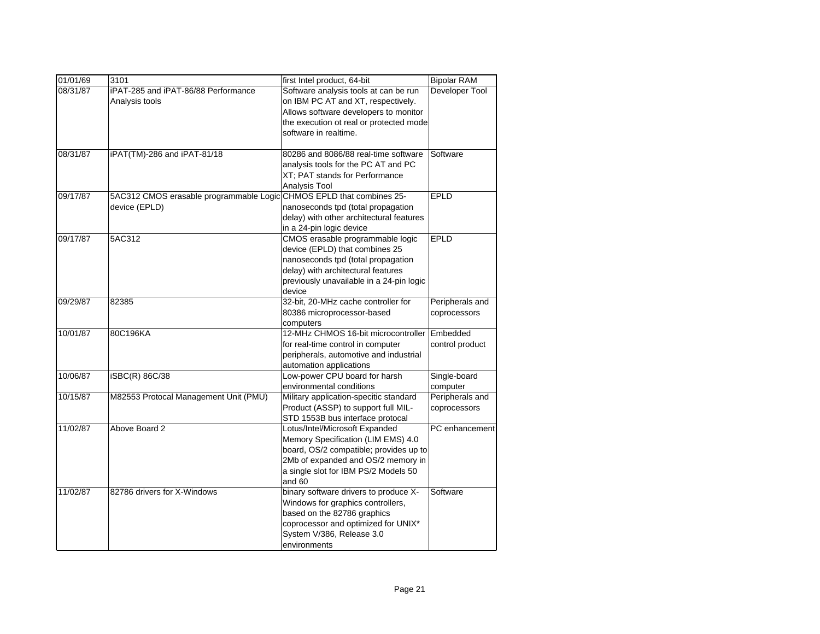| 01/01/69 | 3101                                    | first Intel product, 64-bit              | <b>Bipolar RAM</b> |
|----------|-----------------------------------------|------------------------------------------|--------------------|
| 08/31/87 | iPAT-285 and iPAT-86/88 Performance     | Software analysis tools at can be run    | Developer Tool     |
|          | Analysis tools                          | on IBM PC AT and XT, respectively.       |                    |
|          |                                         | Allows software developers to monitor    |                    |
|          |                                         | the execution ot real or protected mode  |                    |
|          |                                         | software in realtime.                    |                    |
|          |                                         |                                          |                    |
| 08/31/87 | iPAT(TM)-286 and iPAT-81/18             | 80286 and 8086/88 real-time software     | Software           |
|          |                                         | analysis tools for the PC AT and PC      |                    |
|          |                                         | XT; PAT stands for Performance           |                    |
|          |                                         | Analysis Tool                            |                    |
| 09/17/87 | 5AC312 CMOS erasable programmable Logic | CHMOS EPLD that combines 25-             | EPLD               |
|          | device (EPLD)                           | nanoseconds tpd (total propagation       |                    |
|          |                                         | delay) with other architectural features |                    |
|          |                                         | in a 24-pin logic device                 |                    |
| 09/17/87 | 5AC312                                  | CMOS erasable programmable logic         | EPLD               |
|          |                                         | device (EPLD) that combines 25           |                    |
|          |                                         | nanoseconds tpd (total propagation       |                    |
|          |                                         | delay) with architectural features       |                    |
|          |                                         | previously unavailable in a 24-pin logic |                    |
|          |                                         | device                                   |                    |
| 09/29/87 | 82385                                   | 32-bit, 20-MHz cache controller for      | Peripherals and    |
|          |                                         | 80386 microprocessor-based               | coprocessors       |
|          |                                         | computers                                |                    |
| 10/01/87 | 80C196KA                                | 12-MHz CHMOS 16-bit microcontroller      | Embedded           |
|          |                                         | for real-time control in computer        | control product    |
|          |                                         | peripherals, automotive and industrial   |                    |
|          |                                         | automation applications                  |                    |
| 10/06/87 | iSBC(R) 86C/38                          | Low-power CPU board for harsh            | Single-board       |
|          |                                         | environmental conditions                 | computer           |
| 10/15/87 | M82553 Protocal Management Unit (PMU)   | Military application-specitic standard   | Peripherals and    |
|          |                                         | Product (ASSP) to support full MIL-      | coprocessors       |
|          |                                         | STD 1553B bus interface protocal         |                    |
| 11/02/87 | Above Board 2                           | Lotus/Intel/Microsoft Expanded           | PC enhancement     |
|          |                                         | Memory Specification (LIM EMS) 4.0       |                    |
|          |                                         | board, OS/2 compatible; provides up to   |                    |
|          |                                         | 2Mb of expanded and OS/2 memory in       |                    |
|          |                                         | a single slot for IBM PS/2 Models 50     |                    |
|          |                                         | and 60                                   |                    |
| 11/02/87 | 82786 drivers for X-Windows             | binary software drivers to produce X-    | Software           |
|          |                                         | Windows for graphics controllers,        |                    |
|          |                                         | based on the 82786 graphics              |                    |
|          |                                         | coprocessor and optimized for UNIX*      |                    |
|          |                                         | System V/386, Release 3.0                |                    |
|          |                                         | environments                             |                    |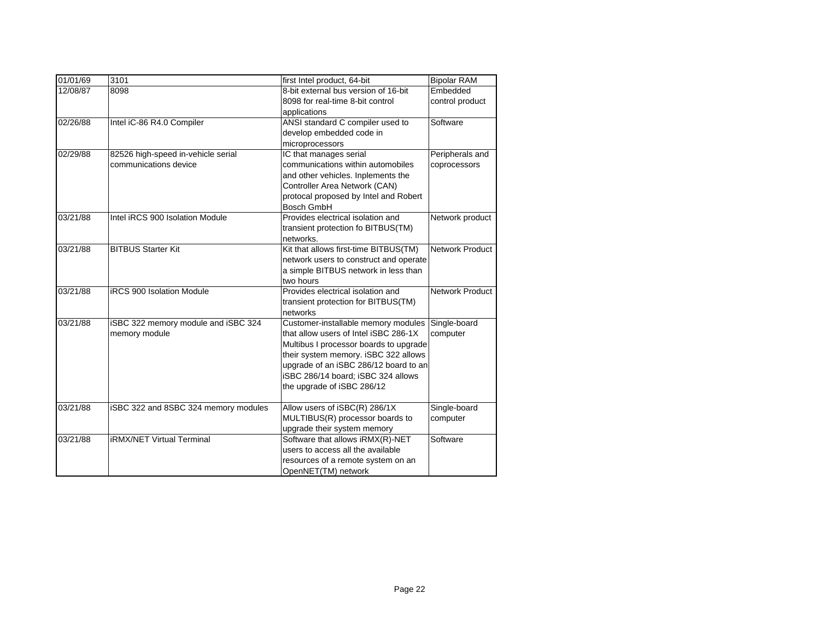| 01/01/69 | 3101                                                        | first Intel product, 64-bit                                                                                                                                                                                                                                                 | <b>Bipolar RAM</b>              |
|----------|-------------------------------------------------------------|-----------------------------------------------------------------------------------------------------------------------------------------------------------------------------------------------------------------------------------------------------------------------------|---------------------------------|
| 12/08/87 | 8098                                                        | 8-bit external bus version of 16-bit<br>8098 for real-time 8-bit control<br>applications                                                                                                                                                                                    | Embedded<br>control product     |
| 02/26/88 | Intel iC-86 R4.0 Compiler                                   | ANSI standard C compiler used to<br>develop embedded code in<br>microprocessors                                                                                                                                                                                             | Software                        |
| 02/29/88 | 82526 high-speed in-vehicle serial<br>communications device | IC that manages serial<br>communications within automobiles<br>and other vehicles. Inplements the<br>Controller Area Network (CAN)<br>protocal proposed by Intel and Robert<br><b>Bosch GmbH</b>                                                                            | Peripherals and<br>coprocessors |
| 03/21/88 | Intel iRCS 900 Isolation Module                             | Provides electrical isolation and<br>transient protection fo BITBUS(TM)<br>networks.                                                                                                                                                                                        | Network product                 |
| 03/21/88 | <b>BITBUS Starter Kit</b>                                   | Kit that allows first-time BITBUS(TM)<br>network users to construct and operate<br>a simple BITBUS network in less than<br>two hours                                                                                                                                        | <b>Network Product</b>          |
| 03/21/88 | <b>iRCS 900 Isolation Module</b>                            | Provides electrical isolation and<br>transient protection for BITBUS(TM)<br>networks                                                                                                                                                                                        | <b>Network Product</b>          |
| 03/21/88 | iSBC 322 memory module and iSBC 324<br>memory module        | Customer-installable memory modules<br>that allow users of Intel iSBC 286-1X<br>Multibus I processor boards to upgrade<br>their system memory. iSBC 322 allows<br>upgrade of an iSBC 286/12 board to an<br>iSBC 286/14 board; iSBC 324 allows<br>the upgrade of iSBC 286/12 | Single-board<br>computer        |
| 03/21/88 | iSBC 322 and 8SBC 324 memory modules                        | Allow users of iSBC(R) 286/1X<br>MULTIBUS(R) processor boards to<br>upgrade their system memory                                                                                                                                                                             | Single-board<br>computer        |
| 03/21/88 | <b>iRMX/NET Virtual Terminal</b>                            | Software that allows iRMX(R)-NET<br>users to access all the available<br>resources of a remote system on an<br>OpenNET(TM) network                                                                                                                                          | Software                        |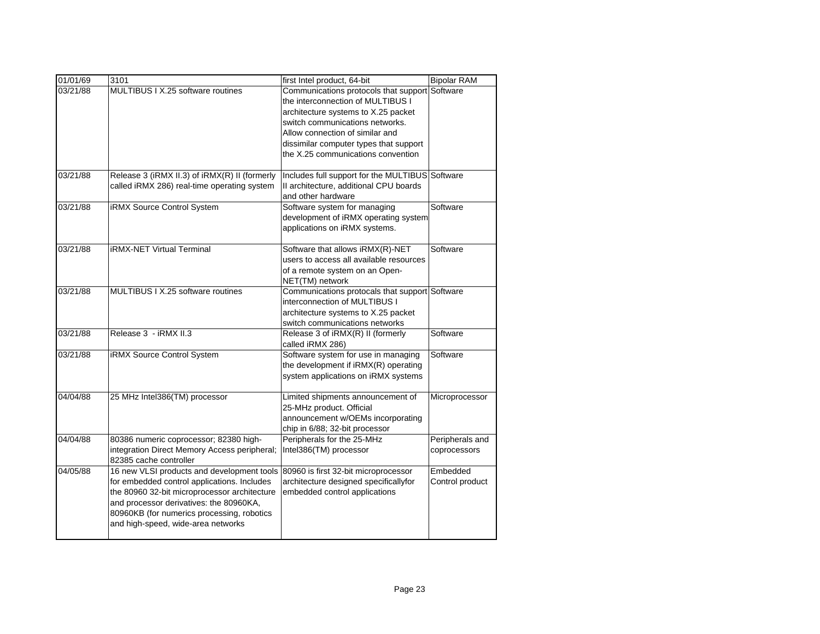| 01/01/69 | 3101                                          | first Intel product, 64-bit                     | <b>Bipolar RAM</b> |
|----------|-----------------------------------------------|-------------------------------------------------|--------------------|
| 03/21/88 | MULTIBUS I X.25 software routines             | Communications protocols that support Software  |                    |
|          |                                               | the interconnection of MULTIBUS I               |                    |
|          |                                               | architecture systems to X.25 packet             |                    |
|          |                                               | switch communications networks.                 |                    |
|          |                                               | Allow connection of similar and                 |                    |
|          |                                               | dissimilar computer types that support          |                    |
|          |                                               | the X.25 communications convention              |                    |
| 03/21/88 | Release 3 (iRMX II.3) of iRMX(R) II (formerly | Includes full support for the MULTIBUS Software |                    |
|          | called iRMX 286) real-time operating system   | Il architecture, additional CPU boards          |                    |
|          |                                               | and other hardware                              |                    |
| 03/21/88 | iRMX Source Control System                    | Software system for managing                    | Software           |
|          |                                               | development of iRMX operating system            |                    |
|          |                                               | applications on iRMX systems.                   |                    |
| 03/21/88 | <b>iRMX-NET Virtual Terminal</b>              | Software that allows iRMX(R)-NET                | Software           |
|          |                                               | users to access all available resources         |                    |
|          |                                               | of a remote system on an Open-                  |                    |
|          |                                               | NET(TM) network                                 |                    |
| 03/21/88 | MULTIBUS I X.25 software routines             | Communications protocals that support Software  |                    |
|          |                                               | interconnection of MULTIBUS I                   |                    |
|          |                                               | architecture systems to X.25 packet             |                    |
|          |                                               | switch communications networks                  |                    |
| 03/21/88 | Release 3 - iRMX II.3                         | Release 3 of iRMX(R) II (formerly               | Software           |
|          |                                               | called iRMX 286)                                |                    |
| 03/21/88 | iRMX Source Control System                    | Software system for use in managing             | Software           |
|          |                                               | the development if iRMX(R) operating            |                    |
|          |                                               | system applications on iRMX systems             |                    |
| 04/04/88 | 25 MHz Intel386(TM) processor                 | Limited shipments announcement of               | Microprocessor     |
|          |                                               | 25-MHz product. Official                        |                    |
|          |                                               | announcement w/OEMs incorporating               |                    |
|          |                                               | chip in 6/88; 32-bit processor                  |                    |
| 04/04/88 | 80386 numeric coprocessor; 82380 high-        | Peripherals for the 25-MHz                      | Peripherals and    |
|          | integration Direct Memory Access peripheral;  | Intel386(TM) processor                          | coprocessors       |
|          | 82385 cache controller                        |                                                 |                    |
| 04/05/88 | 16 new VLSI products and development tools    | 80960 is first 32-bit microprocessor            | Embedded           |
|          | for embedded control applications. Includes   | architecture designed specificallyfor           | Control product    |
|          | the 80960 32-bit microprocessor architecture  | embedded control applications                   |                    |
|          | and processor derivatives: the 80960KA,       |                                                 |                    |
|          | 80960KB (for numerics processing, robotics    |                                                 |                    |
|          | and high-speed, wide-area networks            |                                                 |                    |
|          |                                               |                                                 |                    |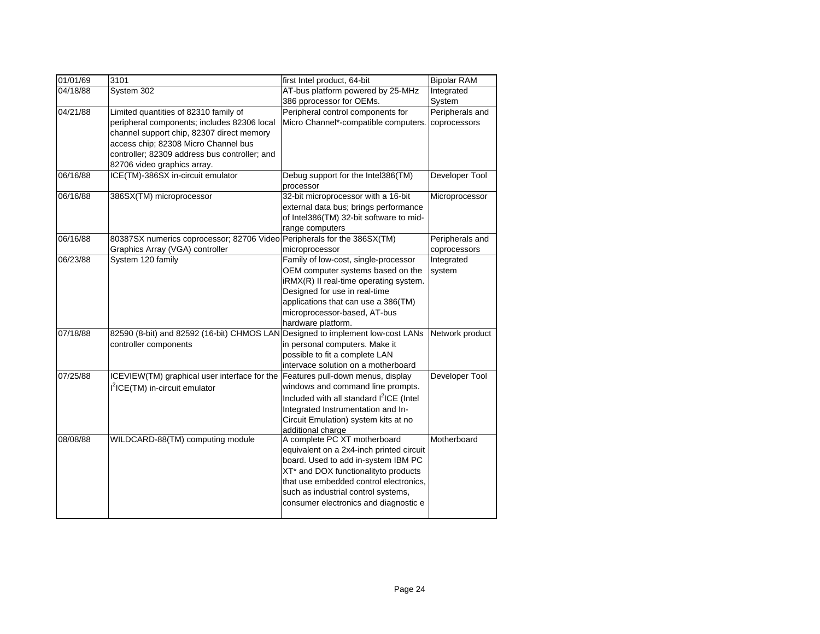| 01/01/69 | 3101                                          | first Intel product, 64-bit                                             | <b>Bipolar RAM</b> |
|----------|-----------------------------------------------|-------------------------------------------------------------------------|--------------------|
| 04/18/88 | System 302                                    | AT-bus platform powered by 25-MHz                                       | Integrated         |
|          |                                               | 386 pprocessor for OEMs.                                                | System             |
| 04/21/88 | Limited quantities of 82310 family of         | Peripheral control components for                                       | Peripherals and    |
|          | peripheral components; includes 82306 local   | Micro Channel*-compatible computers.                                    | coprocessors       |
|          | channel support chip, 82307 direct memory     |                                                                         |                    |
|          | access chip; 82308 Micro Channel bus          |                                                                         |                    |
|          | controller; 82309 address bus controller; and |                                                                         |                    |
|          | 82706 video graphics array.                   |                                                                         |                    |
| 06/16/88 | ICE(TM)-386SX in-circuit emulator             | Debug support for the Intel386(TM)                                      | Developer Tool     |
|          |                                               | processor                                                               |                    |
| 06/16/88 | 386SX(TM) microprocessor                      | 32-bit microprocessor with a 16-bit                                     | Microprocessor     |
|          |                                               | external data bus; brings performance                                   |                    |
|          |                                               | of Intel386(TM) 32-bit software to mid-                                 |                    |
| 06/16/88 |                                               | range computers                                                         |                    |
|          | 80387SX numerics coprocessor; 82706 Video     | Peripherals for the 386SX(TM)                                           | Peripherals and    |
|          | Graphics Array (VGA) controller               | microprocessor<br>Family of low-cost, single-processor                  | coprocessors       |
| 06/23/88 | System 120 family                             |                                                                         | Integrated         |
|          |                                               | OEM computer systems based on the                                       | system             |
|          |                                               | iRMX(R) II real-time operating system.<br>Designed for use in real-time |                    |
|          |                                               | applications that can use a 386(TM)                                     |                    |
|          |                                               | microprocessor-based, AT-bus                                            |                    |
|          |                                               | hardware platform.                                                      |                    |
| 07/18/88 | 82590 (8-bit) and 82592 (16-bit) CHMOS LAN    | Designed to implement low-cost LANs                                     | Network product    |
|          | controller components                         | in personal computers. Make it                                          |                    |
|          |                                               | possible to fit a complete LAN                                          |                    |
|          |                                               | intervace solution on a motherboard                                     |                    |
| 07/25/88 | ICEVIEW(TM) graphical user interface for the  | Features pull-down menus, display                                       | Developer Tool     |
|          | I <sup>2</sup> ICE(TM) in-circuit emulator    | windows and command line prompts.                                       |                    |
|          |                                               | Included with all standard l <sup>2</sup> ICE (Intel                    |                    |
|          |                                               | Integrated Instrumentation and In-                                      |                    |
|          |                                               | Circuit Emulation) system kits at no                                    |                    |
|          |                                               | additional charge                                                       |                    |
| 08/08/88 | WILDCARD-88(TM) computing module              | A complete PC XT motherboard                                            | Motherboard        |
|          |                                               | equivalent on a 2x4-inch printed circuit                                |                    |
|          |                                               | board. Used to add in-system IBM PC                                     |                    |
|          |                                               | XT* and DOX functionalityto products                                    |                    |
|          |                                               | that use embedded control electronics,                                  |                    |
|          |                                               | such as industrial control systems,                                     |                    |
|          |                                               | consumer electronics and diagnostic e                                   |                    |
|          |                                               |                                                                         |                    |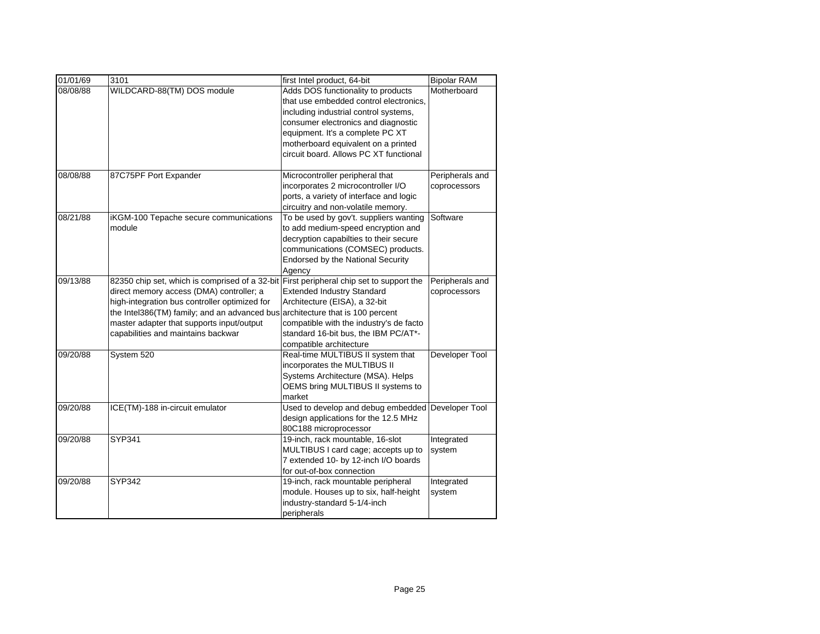| 01/01/69 | 3101                                                                                    | first Intel product, 64-bit                       | <b>Bipolar RAM</b> |
|----------|-----------------------------------------------------------------------------------------|---------------------------------------------------|--------------------|
| 08/08/88 | WILDCARD-88(TM) DOS module                                                              | Adds DOS functionality to products                | Motherboard        |
|          |                                                                                         | that use embedded control electronics,            |                    |
|          |                                                                                         | including industrial control systems,             |                    |
|          |                                                                                         | consumer electronics and diagnostic               |                    |
|          |                                                                                         | equipment. It's a complete PC XT                  |                    |
|          |                                                                                         | motherboard equivalent on a printed               |                    |
|          |                                                                                         | circuit board. Allows PC XT functional            |                    |
|          |                                                                                         |                                                   |                    |
| 08/08/88 | 87C75PF Port Expander                                                                   | Microcontroller peripheral that                   | Peripherals and    |
|          |                                                                                         | incorporates 2 microcontroller I/O                | coprocessors       |
|          |                                                                                         | ports, a variety of interface and logic           |                    |
|          |                                                                                         | circuitry and non-volatile memory.                |                    |
| 08/21/88 | iKGM-100 Tepache secure communications                                                  | To be used by gov't. suppliers wanting            | Software           |
|          | module                                                                                  | to add medium-speed encryption and                |                    |
|          |                                                                                         | decryption capabilties to their secure            |                    |
|          |                                                                                         | communications (COMSEC) products.                 |                    |
|          |                                                                                         | <b>Endorsed by the National Security</b>          |                    |
|          |                                                                                         | Agency                                            |                    |
| 09/13/88 | 82350 chip set, which is comprised of a 32-bit First peripheral chip set to support the |                                                   | Peripherals and    |
|          | direct memory access (DMA) controller; a                                                | <b>Extended Industry Standard</b>                 | coprocessors       |
|          | high-integration bus controller optimized for                                           | Architecture (EISA), a 32-bit                     |                    |
|          | the Intel386(TM) family; and an advanced bus                                            | architecture that is 100 percent                  |                    |
|          | master adapter that supports input/output                                               | compatible with the industry's de facto           |                    |
|          | capabilities and maintains backwar                                                      | standard 16-bit bus, the IBM PC/AT*-              |                    |
|          |                                                                                         | compatible architecture                           |                    |
| 09/20/88 | System 520                                                                              | Real-time MULTIBUS II system that                 | Developer Tool     |
|          |                                                                                         | incorporates the MULTIBUS II                      |                    |
|          |                                                                                         | Systems Architecture (MSA). Helps                 |                    |
|          |                                                                                         | OEMS bring MULTIBUS II systems to                 |                    |
|          |                                                                                         | market                                            |                    |
| 09/20/88 | ICE(TM)-188 in-circuit emulator                                                         | Used to develop and debug embedded Developer Tool |                    |
|          |                                                                                         | design applications for the 12.5 MHz              |                    |
|          |                                                                                         | 80C188 microprocessor                             |                    |
| 09/20/88 | <b>SYP341</b>                                                                           | 19-inch, rack mountable, 16-slot                  | Integrated         |
|          |                                                                                         | MULTIBUS I card cage; accepts up to               | system             |
|          |                                                                                         | 7 extended 10- by 12-inch I/O boards              |                    |
|          |                                                                                         | for out-of-box connection                         |                    |
| 09/20/88 | <b>SYP342</b>                                                                           | 19-inch, rack mountable peripheral                | Integrated         |
|          |                                                                                         | module. Houses up to six, half-height             | system             |
|          |                                                                                         | industry-standard 5-1/4-inch                      |                    |
|          |                                                                                         | peripherals                                       |                    |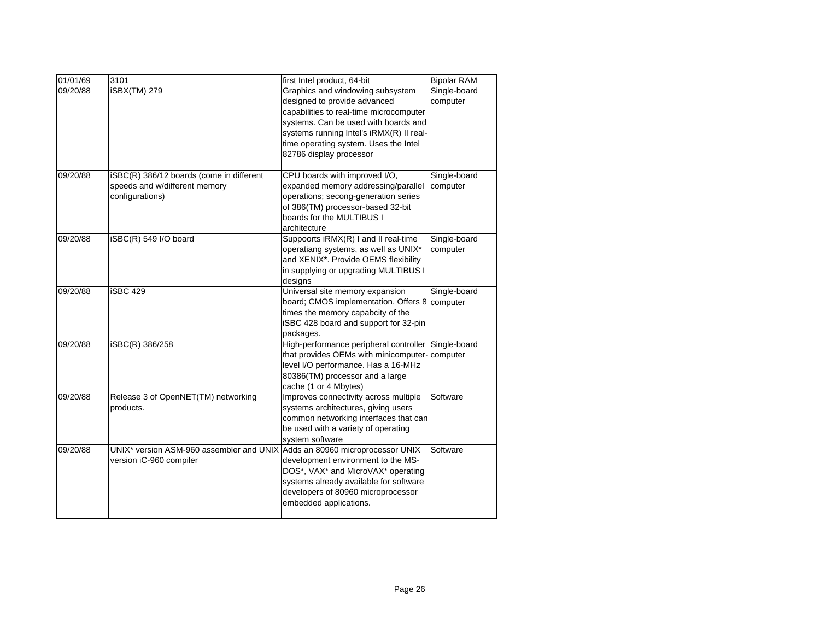| 01/01/69 | 3101                                     | first Intel product, 64-bit              | <b>Bipolar RAM</b> |
|----------|------------------------------------------|------------------------------------------|--------------------|
| 09/20/88 | <b>iSBX(TM) 279</b>                      | Graphics and windowing subsystem         | Single-board       |
|          |                                          | designed to provide advanced             | computer           |
|          |                                          | capabilities to real-time microcomputer  |                    |
|          |                                          | systems. Can be used with boards and     |                    |
|          |                                          | systems running Intel's iRMX(R) II real- |                    |
|          |                                          | time operating system. Uses the Intel    |                    |
|          |                                          | 82786 display processor                  |                    |
| 09/20/88 | iSBC(R) 386/12 boards (come in different | CPU boards with improved I/O,            | Single-board       |
|          | speeds and w/different memory            | expanded memory addressing/parallel      | computer           |
|          | configurations)                          | operations; secong-generation series     |                    |
|          |                                          | of 386(TM) processor-based 32-bit        |                    |
|          |                                          | boards for the MULTIBUS I                |                    |
|          |                                          | architecture                             |                    |
| 09/20/88 | iSBC(R) 549 I/O board                    | Suppoorts iRMX(R) I and II real-time     | Single-board       |
|          |                                          | operatiang systems, as well as UNIX*     | computer           |
|          |                                          | and XENIX*. Provide OEMS flexibility     |                    |
|          |                                          | in supplying or upgrading MULTIBUS I     |                    |
|          |                                          | designs                                  |                    |
| 09/20/88 | iSBC 429                                 | Universal site memory expansion          | Single-board       |
|          |                                          | board; CMOS implementation. Offers 8     | computer           |
|          |                                          | times the memory capabcity of the        |                    |
|          |                                          | iSBC 428 board and support for 32-pin    |                    |
|          |                                          | packages.                                |                    |
| 09/20/88 | iSBC(R) 386/258                          | High-performance peripheral controller   | Single-board       |
|          |                                          | that provides OEMs with minicomputer-    | computer           |
|          |                                          | level I/O performance. Has a 16-MHz      |                    |
|          |                                          | 80386(TM) processor and a large          |                    |
|          |                                          | cache (1 or 4 Mbytes)                    |                    |
| 09/20/88 | Release 3 of OpenNET(TM) networking      | Improves connectivity across multiple    | Software           |
|          | products.                                | systems architectures, giving users      |                    |
|          |                                          | common networking interfaces that can    |                    |
|          |                                          | be used with a variety of operating      |                    |
|          |                                          | system software                          |                    |
| 09/20/88 | UNIX* version ASM-960 assembler and UNIX | Adds an 80960 microprocessor UNIX        | Software           |
|          | version iC-960 compiler                  | development environment to the MS-       |                    |
|          |                                          | DOS*, VAX* and MicroVAX* operating       |                    |
|          |                                          | systems already available for software   |                    |
|          |                                          | developers of 80960 microprocessor       |                    |
|          |                                          | embedded applications.                   |                    |
|          |                                          |                                          |                    |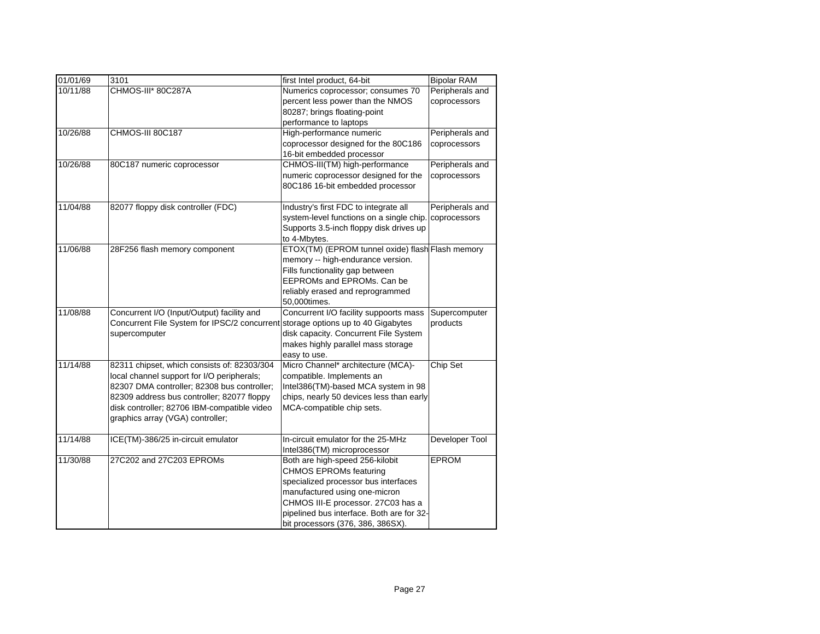| 01/01/69 | 3101                                         | first Intel product, 64-bit                      | <b>Bipolar RAM</b> |
|----------|----------------------------------------------|--------------------------------------------------|--------------------|
| 10/11/88 | CHMOS-III* 80C287A                           | Numerics coprocessor; consumes 70                | Peripherals and    |
|          |                                              | percent less power than the NMOS                 | coprocessors       |
|          |                                              | 80287; brings floating-point                     |                    |
|          |                                              | performance to laptops                           |                    |
| 10/26/88 | CHMOS-III 80C187                             | High-performance numeric                         | Peripherals and    |
|          |                                              | coprocessor designed for the 80C186              | coprocessors       |
|          |                                              | 16-bit embedded processor                        |                    |
| 10/26/88 | 80C187 numeric coprocessor                   | CHMOS-III(TM) high-performance                   | Peripherals and    |
|          |                                              | numeric coprocessor designed for the             | coprocessors       |
|          |                                              | 80C186 16-bit embedded processor                 |                    |
|          |                                              |                                                  |                    |
| 11/04/88 | 82077 floppy disk controller (FDC)           | Industry's first FDC to integrate all            | Peripherals and    |
|          |                                              | system-level functions on a single chip.         | coprocessors       |
|          |                                              | Supports 3.5-inch floppy disk drives up          |                    |
|          |                                              | to 4-Mbytes.                                     |                    |
| 11/06/88 | 28F256 flash memory component                | ETOX(TM) (EPROM tunnel oxide) flash Flash memory |                    |
|          |                                              | memory -- high-endurance version.                |                    |
|          |                                              | Fills functionality gap between                  |                    |
|          |                                              | EEPROMs and EPROMs. Can be                       |                    |
|          |                                              | reliably erased and reprogrammed                 |                    |
|          |                                              | 50,000times.                                     |                    |
| 11/08/88 | Concurrent I/O (Input/Output) facility and   | Concurrent I/O facility suppoorts mass           | Supercomputer      |
|          | Concurrent File System for IPSC/2 concurrent | storage options up to 40 Gigabytes               | products           |
|          | supercomputer                                | disk capacity. Concurrent File System            |                    |
|          |                                              | makes highly parallel mass storage               |                    |
|          |                                              | easy to use.                                     |                    |
| 11/14/88 | 82311 chipset, which consists of: 82303/304  | Micro Channel* architecture (MCA)-               | Chip Set           |
|          | local channel support for I/O peripherals;   | compatible. Implements an                        |                    |
|          | 82307 DMA controller; 82308 bus controller;  | Intel386(TM)-based MCA system in 98              |                    |
|          | 82309 address bus controller; 82077 floppy   | chips, nearly 50 devices less than early         |                    |
|          | disk controller; 82706 IBM-compatible video  | MCA-compatible chip sets.                        |                    |
|          | graphics array (VGA) controller;             |                                                  |                    |
|          |                                              |                                                  |                    |
| 11/14/88 | ICE(TM)-386/25 in-circuit emulator           | In-circuit emulator for the 25-MHz               | Developer Tool     |
|          |                                              | Intel386(TM) microprocessor                      |                    |
| 11/30/88 | 27C202 and 27C203 EPROMs                     | Both are high-speed 256-kilobit                  | <b>EPROM</b>       |
|          |                                              | <b>CHMOS EPROMs featuring</b>                    |                    |
|          |                                              | specialized processor bus interfaces             |                    |
|          |                                              | manufactured using one-micron                    |                    |
|          |                                              | CHMOS III-E processor. 27C03 has a               |                    |
|          |                                              | pipelined bus interface. Both are for 32-        |                    |
|          |                                              | bit processors (376, 386, 386SX).                |                    |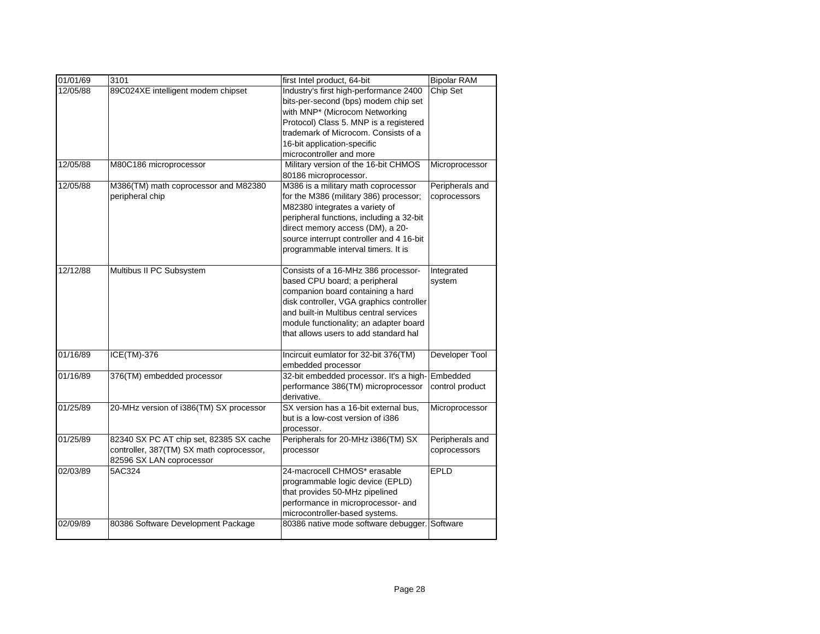| 01/01/69 | 3101                                     | first Intel product, 64-bit                   | <b>Bipolar RAM</b> |
|----------|------------------------------------------|-----------------------------------------------|--------------------|
| 12/05/88 | 89C024XE intelligent modem chipset       | Industry's first high-performance 2400        | Chip Set           |
|          |                                          | bits-per-second (bps) modem chip set          |                    |
|          |                                          | with MNP* (Microcom Networking                |                    |
|          |                                          | Protocol) Class 5. MNP is a registered        |                    |
|          |                                          | trademark of Microcom. Consists of a          |                    |
|          |                                          |                                               |                    |
|          |                                          | 16-bit application-specific                   |                    |
|          |                                          | microcontroller and more                      |                    |
| 12/05/88 | M80C186 microprocessor                   | Military version of the 16-bit CHMOS          | Microprocessor     |
|          |                                          | 80186 microprocessor.                         |                    |
| 12/05/88 | M386(TM) math coprocessor and M82380     | M386 is a military math coprocessor           | Peripherals and    |
|          | peripheral chip                          | for the M386 (military 386) processor;        | coprocessors       |
|          |                                          | M82380 integrates a variety of                |                    |
|          |                                          | peripheral functions, including a 32-bit      |                    |
|          |                                          | direct memory access (DM), a 20-              |                    |
|          |                                          | source interrupt controller and 4 16-bit      |                    |
|          |                                          | programmable interval timers. It is           |                    |
| 12/12/88 | Multibus II PC Subsystem                 | Consists of a 16-MHz 386 processor-           | Integrated         |
|          |                                          | based CPU board; a peripheral                 | system             |
|          |                                          | companion board containing a hard             |                    |
|          |                                          | disk controller, VGA graphics controller      |                    |
|          |                                          | and built-in Multibus central services        |                    |
|          |                                          | module functionality; an adapter board        |                    |
|          |                                          | that allows users to add standard hal         |                    |
|          |                                          |                                               |                    |
| 01/16/89 | ICE(TM)-376                              | Incircuit eumlator for 32-bit 376(TM)         | Developer Tool     |
|          |                                          | embedded processor                            |                    |
| 01/16/89 | 376(TM) embedded processor               | 32-bit embedded processor. It's a high-       | Embedded           |
|          |                                          | performance 386(TM) microprocessor            | control product    |
|          |                                          | derivative.                                   |                    |
| 01/25/89 | 20-MHz version of i386(TM) SX processor  | SX version has a 16-bit external bus,         | Microprocessor     |
|          |                                          | but is a low-cost version of i386             |                    |
|          |                                          | processor.                                    |                    |
| 01/25/89 | 82340 SX PC AT chip set, 82385 SX cache  | Peripherals for 20-MHz i386(TM) SX            | Peripherals and    |
|          | controller, 387(TM) SX math coprocessor, | processor                                     | coprocessors       |
|          | 82596 SX LAN coprocessor                 |                                               |                    |
| 02/03/89 | 5AC324                                   | 24-macrocell CHMOS* erasable                  | <b>EPLD</b>        |
|          |                                          | programmable logic device (EPLD)              |                    |
|          |                                          | that provides 50-MHz pipelined                |                    |
|          |                                          | performance in microprocessor- and            |                    |
|          |                                          | microcontroller-based systems.                |                    |
| 02/09/89 | 80386 Software Development Package       | 80386 native mode software debugger. Software |                    |
|          |                                          |                                               |                    |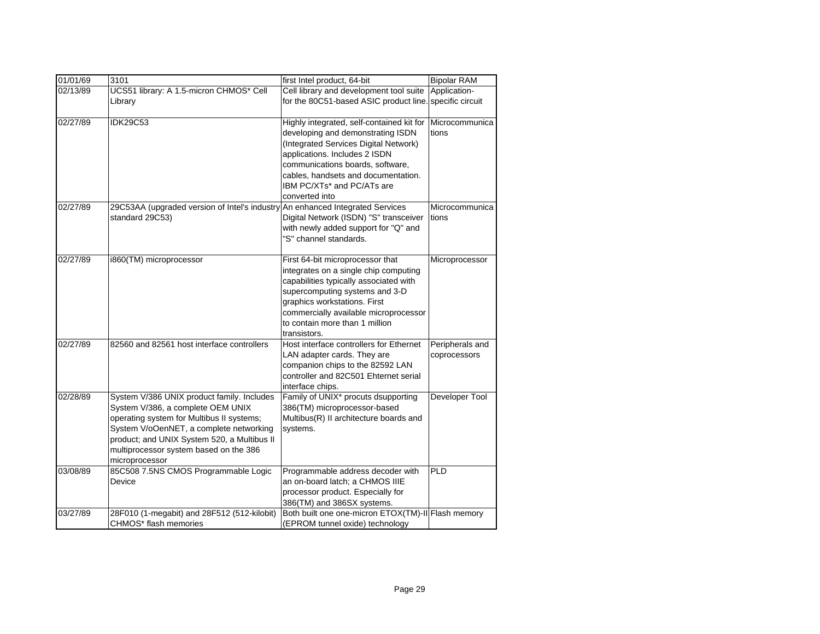| 01/01/69 | 3101                                                                                                                                                                                                                                                                               | first Intel product, 64-bit                                                                                                                                                                                                                                                         | <b>Bipolar RAM</b>              |
|----------|------------------------------------------------------------------------------------------------------------------------------------------------------------------------------------------------------------------------------------------------------------------------------------|-------------------------------------------------------------------------------------------------------------------------------------------------------------------------------------------------------------------------------------------------------------------------------------|---------------------------------|
| 02/13/89 | UCS51 library: A 1.5-micron CHMOS* Cell                                                                                                                                                                                                                                            | Cell library and development tool suite                                                                                                                                                                                                                                             | Application-                    |
|          | Library                                                                                                                                                                                                                                                                            | for the 80C51-based ASIC product line.                                                                                                                                                                                                                                              | specific circuit                |
| 02/27/89 | <b>IDK29C53</b>                                                                                                                                                                                                                                                                    | Highly integrated, self-contained kit for<br>developing and demonstrating ISDN<br>(Integrated Services Digital Network)<br>applications. Includes 2 ISDN<br>communications boards, software,<br>cables, handsets and documentation.<br>IBM PC/XTs* and PC/ATs are<br>converted into | Microcommunica<br>tions         |
| 02/27/89 | 29C53AA (upgraded version of Intel's industry<br>standard 29C53)                                                                                                                                                                                                                   | An enhanced Integrated Services<br>Digital Network (ISDN) "S" transceiver<br>with newly added support for "Q" and<br>"S" channel standards.                                                                                                                                         | Microcommunica<br>tions         |
| 02/27/89 | i860(TM) microprocessor                                                                                                                                                                                                                                                            | First 64-bit microprocessor that<br>integrates on a single chip computing<br>capabilities typically associated with<br>supercomputing systems and 3-D<br>graphics workstations. First<br>commercially available microprocessor<br>to contain more than 1 million<br>transistors.    | Microprocessor                  |
| 02/27/89 | 82560 and 82561 host interface controllers                                                                                                                                                                                                                                         | Host interface controllers for Ethernet<br>LAN adapter cards. They are<br>companion chips to the 82592 LAN<br>controller and 82C501 Ehternet serial<br>interface chips.                                                                                                             | Peripherals and<br>coprocessors |
| 02/28/89 | System V/386 UNIX product family. Includes<br>System V/386, a complete OEM UNIX<br>operating system for Multibus II systems;<br>System V/oOenNET, a complete networking<br>product; and UNIX System 520, a Multibus II<br>multiprocessor system based on the 386<br>microprocessor | Family of UNIX* procuts dsupporting<br>386(TM) microprocessor-based<br>Multibus(R) II architecture boards and<br>systems.                                                                                                                                                           | Developer Tool                  |
| 03/08/89 | 85C508 7.5NS CMOS Programmable Logic<br>Device                                                                                                                                                                                                                                     | Programmable address decoder with<br>an on-board latch; a CHMOS IIIE<br>processor product. Especially for<br>386(TM) and 386SX systems.                                                                                                                                             | <b>PLD</b>                      |
| 03/27/89 | 28F010 (1-megabit) and 28F512 (512-kilobit)<br>CHMOS* flash memories                                                                                                                                                                                                               | Both built one one-micron ETOX(TM)-II Flash memory<br>(EPROM tunnel oxide) technology                                                                                                                                                                                               |                                 |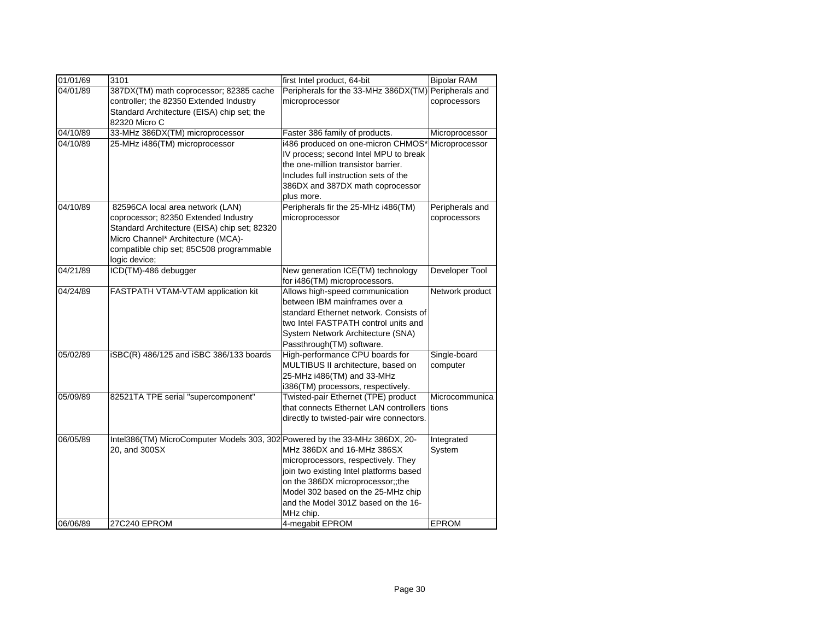| 01/01/69 | 3101                                                                        | first Intel product, 64-bit                          | <b>Bipolar RAM</b> |
|----------|-----------------------------------------------------------------------------|------------------------------------------------------|--------------------|
| 04/01/89 | 387DX(TM) math coprocessor; 82385 cache                                     | Peripherals for the 33-MHz 386DX(TM) Peripherals and |                    |
|          | controller; the 82350 Extended Industry                                     | microprocessor                                       | coprocessors       |
|          | Standard Architecture (EISA) chip set; the                                  |                                                      |                    |
|          | 82320 Micro C                                                               |                                                      |                    |
| 04/10/89 | 33-MHz 386DX(TM) microprocessor                                             | Faster 386 family of products.                       | Microprocessor     |
| 04/10/89 | 25-MHz i486(TM) microprocessor                                              | i486 produced on one-micron CHMOS*                   | Microprocessor     |
|          |                                                                             | IV process; second Intel MPU to break                |                    |
|          |                                                                             | the one-million transistor barrier.                  |                    |
|          |                                                                             | Includes full instruction sets of the                |                    |
|          |                                                                             | 386DX and 387DX math coprocessor                     |                    |
|          |                                                                             | plus more.                                           |                    |
| 04/10/89 | 82596CA local area network (LAN)                                            | Peripherals fir the 25-MHz i486(TM)                  | Peripherals and    |
|          | coprocessor; 82350 Extended Industry                                        | microprocessor                                       | coprocessors       |
|          | Standard Architecture (EISA) chip set; 82320                                |                                                      |                    |
|          | Micro Channel* Architecture (MCA)-                                          |                                                      |                    |
|          | compatible chip set; 85C508 programmable                                    |                                                      |                    |
|          | logic device;                                                               |                                                      |                    |
| 04/21/89 | ICD(TM)-486 debugger                                                        | New generation ICE(TM) technology                    | Developer Tool     |
|          |                                                                             | for i486(TM) microprocessors.                        |                    |
| 04/24/89 | FASTPATH VTAM-VTAM application kit                                          | Allows high-speed communication                      | Network product    |
|          |                                                                             | between IBM mainframes over a                        |                    |
|          |                                                                             | standard Ethernet network. Consists of               |                    |
|          |                                                                             | two Intel FASTPATH control units and                 |                    |
|          |                                                                             | System Network Architecture (SNA)                    |                    |
|          |                                                                             | Passthrough(TM) software.                            |                    |
| 05/02/89 | iSBC(R) 486/125 and iSBC 386/133 boards                                     | High-performance CPU boards for                      | Single-board       |
|          |                                                                             | MULTIBUS II architecture, based on                   | computer           |
|          |                                                                             | 25-MHz i486(TM) and 33-MHz                           |                    |
|          |                                                                             | i386(TM) processors, respectively.                   |                    |
| 05/09/89 | 82521TA TPE serial "supercomponent"                                         | Twisted-pair Ethernet (TPE) product                  | Microcommunica     |
|          |                                                                             | that connects Ethernet LAN controllers               | tions              |
|          |                                                                             | directly to twisted-pair wire connectors.            |                    |
| 06/05/89 | Intel386(TM) MicroComputer Models 303, 302 Powered by the 33-MHz 386DX, 20- |                                                      | Integrated         |
|          | 20, and 300SX                                                               | MHz 386DX and 16-MHz 386SX                           | System             |
|          |                                                                             | microprocessors, respectively. They                  |                    |
|          |                                                                             | join two existing Intel platforms based              |                    |
|          |                                                                             | on the 386DX microprocessor;;the                     |                    |
|          |                                                                             | Model 302 based on the 25-MHz chip                   |                    |
|          |                                                                             | and the Model 301Z based on the 16-                  |                    |
|          |                                                                             | MHz chip.                                            |                    |
| 06/06/89 | 27C240 EPROM                                                                | 4-megabit EPROM                                      | EPROM              |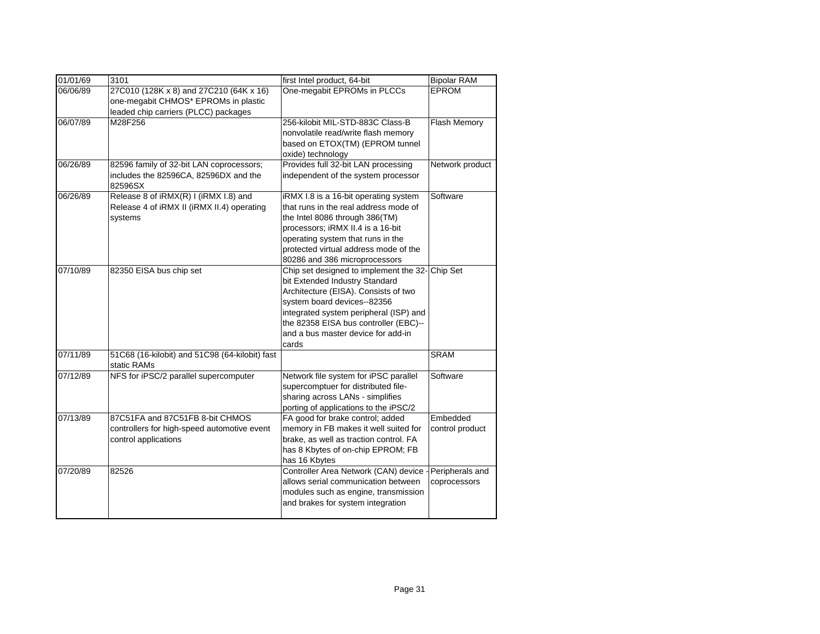| 01/01/69 | 3101                                                                                                                    | first Intel product, 64-bit                                                                                                                                                                                                                                                                | <b>Bipolar RAM</b>              |
|----------|-------------------------------------------------------------------------------------------------------------------------|--------------------------------------------------------------------------------------------------------------------------------------------------------------------------------------------------------------------------------------------------------------------------------------------|---------------------------------|
| 06/06/89 | 27C010 (128K x 8) and 27C210 (64K x 16)<br>one-megabit CHMOS* EPROMs in plastic<br>leaded chip carriers (PLCC) packages | One-megabit EPROMs in PLCCs                                                                                                                                                                                                                                                                | <b>EPROM</b>                    |
| 06/07/89 | M28F256                                                                                                                 | 256-kilobit MIL-STD-883C Class-B<br>nonvolatile read/write flash memory<br>based on ETOX(TM) (EPROM tunnel<br>oxide) technology                                                                                                                                                            | Flash Memory                    |
| 06/26/89 | 82596 family of 32-bit LAN coprocessors;<br>includes the 82596CA, 82596DX and the<br>82596SX                            | Provides full 32-bit LAN processing<br>independent of the system processor                                                                                                                                                                                                                 | Network product                 |
| 06/26/89 | Release 8 of iRMX(R) I (iRMX I.8) and<br>Release 4 of iRMX II (iRMX II.4) operating<br>systems                          | iRMX I.8 is a 16-bit operating system<br>that runs in the real address mode of<br>the Intel 8086 through 386(TM)<br>processors; iRMX II.4 is a 16-bit<br>operating system that runs in the<br>protected virtual address mode of the<br>80286 and 386 microprocessors                       | Software                        |
| 07/10/89 | 82350 EISA bus chip set                                                                                                 | Chip set designed to implement the 32- Chip Set<br>bit Extended Industry Standard<br>Architecture (EISA). Consists of two<br>system board devices--82356<br>integrated system peripheral (ISP) and<br>the 82358 EISA bus controller (EBC)--<br>and a bus master device for add-in<br>cards |                                 |
| 07/11/89 | 51C68 (16-kilobit) and 51C98 (64-kilobit) fast<br>static RAMs                                                           |                                                                                                                                                                                                                                                                                            | <b>SRAM</b>                     |
| 07/12/89 | NFS for iPSC/2 parallel supercomputer                                                                                   | Network file system for iPSC parallel<br>supercomptuer for distributed file-<br>sharing across LANs - simplifies<br>porting of applications to the iPSC/2                                                                                                                                  | Software                        |
| 07/13/89 | 87C51FA and 87C51FB 8-bit CHMOS<br>controllers for high-speed automotive event<br>control applications                  | FA good for brake control; added<br>memory in FB makes it well suited for<br>brake, as well as traction control. FA<br>has 8 Kbytes of on-chip EPROM; FB<br>has 16 Kbytes                                                                                                                  | Embedded<br>control product     |
| 07/20/89 | 82526                                                                                                                   | Controller Area Network (CAN) device -<br>allows serial communication between<br>modules such as engine, transmission<br>and brakes for system integration                                                                                                                                 | Peripherals and<br>coprocessors |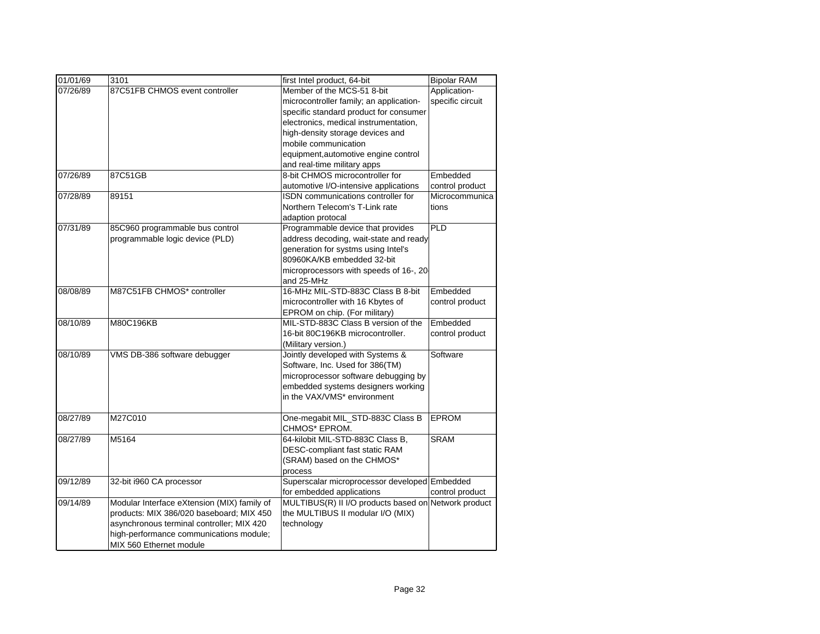| 01/01/69 | 3101                                        | first Intel product, 64-bit                          | <b>Bipolar RAM</b> |
|----------|---------------------------------------------|------------------------------------------------------|--------------------|
| 07/26/89 | 87C51FB CHMOS event controller              | Member of the MCS-51 8-bit                           | Application-       |
|          |                                             | microcontroller family; an application-              | specific circuit   |
|          |                                             | specific standard product for consumer               |                    |
|          |                                             | electronics, medical instrumentation,                |                    |
|          |                                             | high-density storage devices and                     |                    |
|          |                                             | mobile communication                                 |                    |
|          |                                             | equipment, automotive engine control                 |                    |
|          |                                             | and real-time military apps                          |                    |
| 07/26/89 | 87C51GB                                     | 8-bit CHMOS microcontroller for                      | Embedded           |
|          |                                             | automotive I/O-intensive applications                | control product    |
| 07/28/89 | 89151                                       | ISDN communications controller for                   | Microcommunica     |
|          |                                             | Northern Telecom's T-Link rate                       | tions              |
|          |                                             | adaption protocal                                    |                    |
| 07/31/89 | 85C960 programmable bus control             | Programmable device that provides                    | <b>PLD</b>         |
|          | programmable logic device (PLD)             | address decoding, wait-state and ready               |                    |
|          |                                             | generation for systms using Intel's                  |                    |
|          |                                             | 80960KA/KB embedded 32-bit                           |                    |
|          |                                             | microprocessors with speeds of 16-, 20-              |                    |
|          |                                             | and 25-MHz                                           |                    |
| 08/08/89 | M87C51FB CHMOS* controller                  | 16-MHz MIL-STD-883C Class B 8-bit                    | Embedded           |
|          |                                             | microcontroller with 16 Kbytes of                    | control product    |
|          |                                             | EPROM on chip. (For military)                        |                    |
| 08/10/89 | M80C196KB                                   | MIL-STD-883C Class B version of the                  | Embedded           |
|          |                                             | 16-bit 80C196KB microcontroller.                     | control product    |
|          |                                             | (Military version.)                                  |                    |
| 08/10/89 | VMS DB-386 software debugger                | Jointly developed with Systems &                     | Software           |
|          |                                             | Software, Inc. Used for 386(TM)                      |                    |
|          |                                             | microprocessor software debugging by                 |                    |
|          |                                             | embedded systems designers working                   |                    |
|          |                                             | in the VAX/VMS* environment                          |                    |
|          |                                             |                                                      |                    |
| 08/27/89 | M27C010                                     | One-megabit MIL_STD-883C Class B                     | <b>EPROM</b>       |
|          |                                             | CHMOS* EPROM.                                        |                    |
| 08/27/89 | M5164                                       | 64-kilobit MIL-STD-883C Class B,                     | <b>SRAM</b>        |
|          |                                             | DESC-compliant fast static RAM                       |                    |
|          |                                             | (SRAM) based on the CHMOS*                           |                    |
|          |                                             | process                                              |                    |
| 09/12/89 | 32-bit i960 CA processor                    | Superscalar microprocessor developed Embedded        |                    |
|          |                                             | for embedded applications                            | control product    |
| 09/14/89 | Modular Interface eXtension (MIX) family of | MULTIBUS(R) II I/O products based on Network product |                    |
|          | products: MIX 386/020 baseboard; MIX 450    | the MULTIBUS II modular I/O (MIX)                    |                    |
|          | asynchronous terminal controller; MIX 420   | technology                                           |                    |
|          | high-performance communications module;     |                                                      |                    |
|          | MIX 560 Ethernet module                     |                                                      |                    |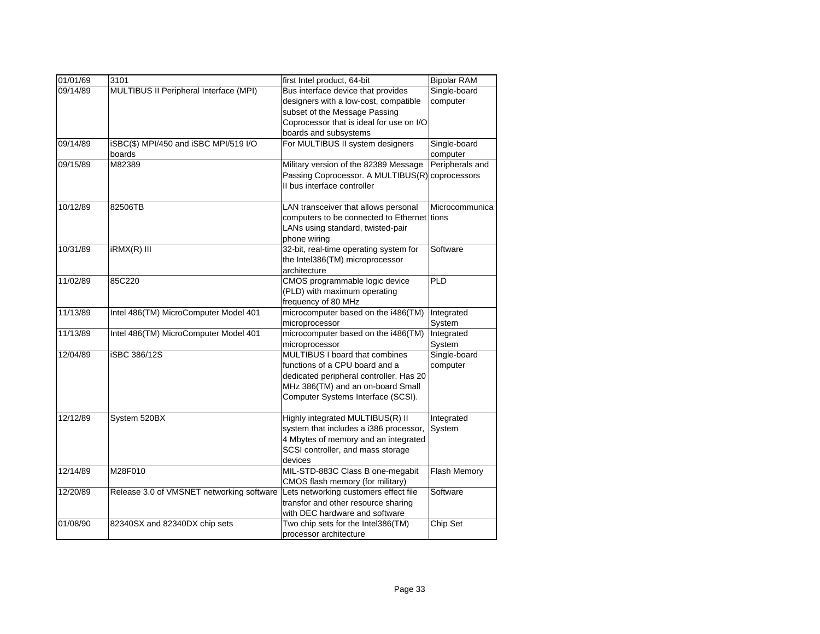| 01/01/69 | 3101                                      | first Intel product, 64-bit                     | <b>Bipolar RAM</b> |
|----------|-------------------------------------------|-------------------------------------------------|--------------------|
| 09/14/89 | MULTIBUS II Peripheral Interface (MPI)    | Bus interface device that provides              | Single-board       |
|          |                                           | designers with a low-cost, compatible           | computer           |
|          |                                           | subset of the Message Passing                   |                    |
|          |                                           | Coprocessor that is ideal for use on I/O        |                    |
|          |                                           | boards and subsystems                           |                    |
| 09/14/89 | iSBC(\$) MPI/450 and iSBC MPI/519 I/O     | For MULTIBUS II system designers                | Single-board       |
|          | boards                                    |                                                 | computer           |
| 09/15/89 | M82389                                    | Military version of the 82389 Message           | Peripherals and    |
|          |                                           | Passing Coprocessor. A MULTIBUS(R) coprocessors |                    |
|          |                                           | Il bus interface controller                     |                    |
| 10/12/89 | 82506TB                                   | LAN transceiver that allows personal            | Microcommunica     |
|          |                                           | computers to be connected to Ethernet tions     |                    |
|          |                                           | LANs using standard, twisted-pair               |                    |
|          |                                           | phone wiring                                    |                    |
| 10/31/89 | iRMX(R) III                               | 32-bit, real-time operating system for          | Software           |
|          |                                           | the Intel386(TM) microprocessor                 |                    |
|          |                                           | architecture                                    |                    |
| 11/02/89 | 85C220                                    | CMOS programmable logic device                  | PLD                |
|          |                                           | (PLD) with maximum operating                    |                    |
|          |                                           | frequency of 80 MHz                             |                    |
| 11/13/89 | Intel 486(TM) MicroComputer Model 401     | microcomputer based on the i486(TM)             | Integrated         |
|          |                                           | microprocessor                                  | System             |
| 11/13/89 | Intel 486(TM) MicroComputer Model 401     | microcomputer based on the i486(TM)             | Integrated         |
|          |                                           | microprocessor                                  | System             |
| 12/04/89 | <b>iSBC 386/12S</b>                       | MULTIBUS I board that combines                  | Single-board       |
|          |                                           | functions of a CPU board and a                  | computer           |
|          |                                           | dedicated peripheral controller. Has 20         |                    |
|          |                                           | MHz 386(TM) and an on-board Small               |                    |
|          |                                           | Computer Systems Interface (SCSI).              |                    |
|          |                                           |                                                 |                    |
| 12/12/89 | System 520BX                              | Highly integrated MULTIBUS(R) II                | Integrated         |
|          |                                           | system that includes a i386 processor,          | System             |
|          |                                           | 4 Mbytes of memory and an integrated            |                    |
|          |                                           | SCSI controller, and mass storage               |                    |
|          |                                           | devices                                         |                    |
| 12/14/89 | M28F010                                   | MIL-STD-883C Class B one-megabit                | Flash Memory       |
|          |                                           | CMOS flash memory (for military)                |                    |
| 12/20/89 | Release 3.0 of VMSNET networking software | Lets networking customers effect file           | Software           |
|          |                                           | transfor and other resource sharing             |                    |
|          |                                           | with DEC hardware and software                  |                    |
| 01/08/90 | 82340SX and 82340DX chip sets             | Two chip sets for the Intel386(TM)              | Chip Set           |
|          |                                           | processor architecture                          |                    |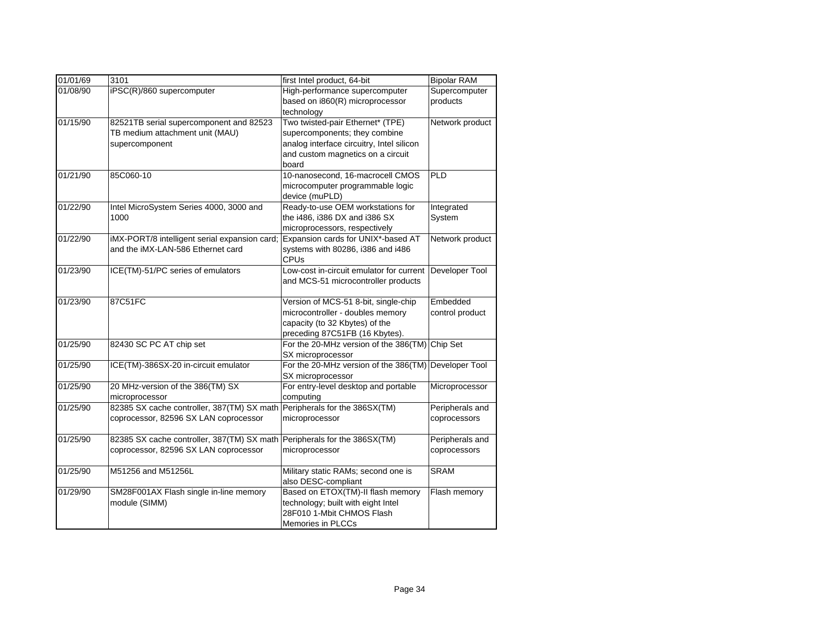| 01/01/69 | 3101                                                                                         | first Intel product, 64-bit                                                                                                                                  | <b>Bipolar RAM</b>              |
|----------|----------------------------------------------------------------------------------------------|--------------------------------------------------------------------------------------------------------------------------------------------------------------|---------------------------------|
| 01/08/90 | iPSC(R)/860 supercomputer                                                                    | High-performance supercomputer<br>based on i860(R) microprocessor<br>technology                                                                              | Supercomputer<br>products       |
| 01/15/90 | 82521TB serial supercomponent and 82523<br>TB medium attachment unit (MAU)<br>supercomponent | Two twisted-pair Ethernet* (TPE)<br>supercomponents; they combine<br>analog interface circuitry, Intel silicon<br>and custom magnetics on a circuit<br>board | Network product                 |
| 01/21/90 | 85C060-10                                                                                    | 10-nanosecond. 16-macrocell CMOS<br>microcomputer programmable logic<br>device (muPLD)                                                                       | PLD                             |
| 01/22/90 | Intel MicroSystem Series 4000, 3000 and<br>1000                                              | Ready-to-use OEM workstations for<br>the i486, i386 DX and i386 SX<br>microprocessors, respectively                                                          | Integrated<br>System            |
| 01/22/90 | iMX-PORT/8 intelligent serial expansion card;<br>and the iMX-LAN-586 Ethernet card           | Expansion cards for UNIX*-based AT<br>systems with 80286, i386 and i486<br><b>CPUs</b>                                                                       | Network product                 |
| 01/23/90 | ICE(TM)-51/PC series of emulators                                                            | Low-cost in-circuit emulator for current<br>and MCS-51 microcontroller products                                                                              | Developer Tool                  |
| 01/23/90 | 87C51FC                                                                                      | Version of MCS-51 8-bit, single-chip<br>microcontroller - doubles memory<br>capacity (to 32 Kbytes) of the<br>preceding 87C51FB (16 Kbytes).                 | Embedded<br>control product     |
| 01/25/90 | 82430 SC PC AT chip set                                                                      | For the 20-MHz version of the 386(TM)<br>SX microprocessor                                                                                                   | Chip Set                        |
| 01/25/90 | ICE(TM)-386SX-20 in-circuit emulator                                                         | For the 20-MHz version of the 386(TM) Developer Tool<br>SX microprocessor                                                                                    |                                 |
| 01/25/90 | 20 MHz-version of the 386(TM) SX<br>microprocessor                                           | For entry-level desktop and portable<br>computing                                                                                                            | Microprocessor                  |
| 01/25/90 | 82385 SX cache controller, 387(TM) SX math<br>coprocessor, 82596 SX LAN coprocessor          | Peripherals for the 386SX(TM)<br>microprocessor                                                                                                              | Peripherals and<br>coprocessors |
| 01/25/90 | 82385 SX cache controller, 387(TM) SX math<br>coprocessor, 82596 SX LAN coprocessor          | Peripherals for the 386SX(TM)<br>microprocessor                                                                                                              | Peripherals and<br>coprocessors |
| 01/25/90 | M51256 and M51256L                                                                           | Military static RAMs; second one is<br>also DESC-compliant                                                                                                   | <b>SRAM</b>                     |
| 01/29/90 | SM28F001AX Flash single in-line memory<br>module (SIMM)                                      | Based on ETOX(TM)-II flash memory<br>technology; built with eight Intel<br>28F010 1-Mbit CHMOS Flash<br>Memories in PLCCs                                    | Flash memory                    |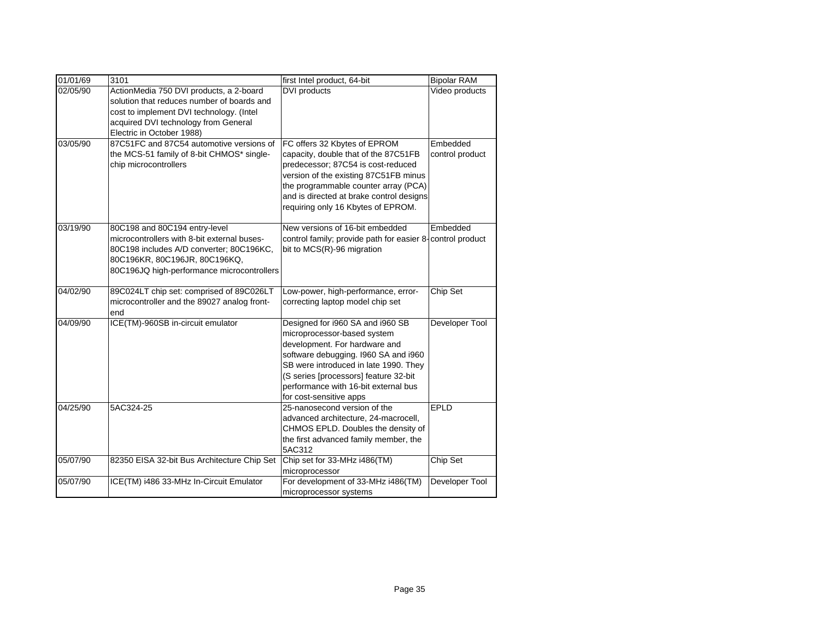| 01/01/69 | 3101                                                                                                                                                                                                    | first Intel product, 64-bit                                                                                                                                                                                                                                                                   | <b>Bipolar RAM</b>          |
|----------|---------------------------------------------------------------------------------------------------------------------------------------------------------------------------------------------------------|-----------------------------------------------------------------------------------------------------------------------------------------------------------------------------------------------------------------------------------------------------------------------------------------------|-----------------------------|
| 02/05/90 | ActionMedia 750 DVI products, a 2-board<br>solution that reduces number of boards and<br>cost to implement DVI technology. (Intel<br>acquired DVI technology from General<br>Electric in October 1988)  | DVI products                                                                                                                                                                                                                                                                                  | Video products              |
| 03/05/90 | 87C51FC and 87C54 automotive versions of<br>the MCS-51 family of 8-bit CHMOS* single-<br>chip microcontrollers                                                                                          | FC offers 32 Kbytes of EPROM<br>capacity, double that of the 87C51FB<br>predecessor; 87C54 is cost-reduced<br>version of the existing 87C51FB minus<br>the programmable counter array (PCA)<br>and is directed at brake control designs<br>requiring only 16 Kbytes of EPROM.                 | Embedded<br>control product |
| 03/19/90 | 80C198 and 80C194 entry-level<br>microcontrollers with 8-bit external buses-<br>80C198 includes A/D converter; 80C196KC,<br>80C196KR, 80C196JR, 80C196KQ,<br>80C196JQ high-performance microcontrollers | New versions of 16-bit embedded<br>control family; provide path for easier 8-control product<br>bit to MCS(R)-96 migration                                                                                                                                                                    | Embedded                    |
| 04/02/90 | 89C024LT chip set: comprised of 89C026LT<br>microcontroller and the 89027 analog front-<br>end                                                                                                          | Low-power, high-performance, error-<br>correcting laptop model chip set                                                                                                                                                                                                                       | Chip Set                    |
| 04/09/90 | ICE(TM)-960SB in-circuit emulator                                                                                                                                                                       | Designed for i960 SA and i960 SB<br>microprocessor-based system<br>development. For hardware and<br>software debugging. I960 SA and i960<br>SB were introduced in late 1990. They<br>(S series [processors] feature 32-bit<br>performance with 16-bit external bus<br>for cost-sensitive apps | Developer Tool              |
| 04/25/90 | 5AC324-25                                                                                                                                                                                               | 25-nanosecond version of the<br>advanced architecture, 24-macrocell,<br>CHMOS EPLD. Doubles the density of<br>the first advanced family member, the<br>5AC312                                                                                                                                 | EPLD                        |
| 05/07/90 | 82350 EISA 32-bit Bus Architecture Chip Set                                                                                                                                                             | Chip set for 33-MHz i486(TM)<br>microprocessor                                                                                                                                                                                                                                                | Chip Set                    |
| 05/07/90 | ICE(TM) i486 33-MHz In-Circuit Emulator                                                                                                                                                                 | For development of 33-MHz i486(TM)<br>microprocessor systems                                                                                                                                                                                                                                  | Developer Tool              |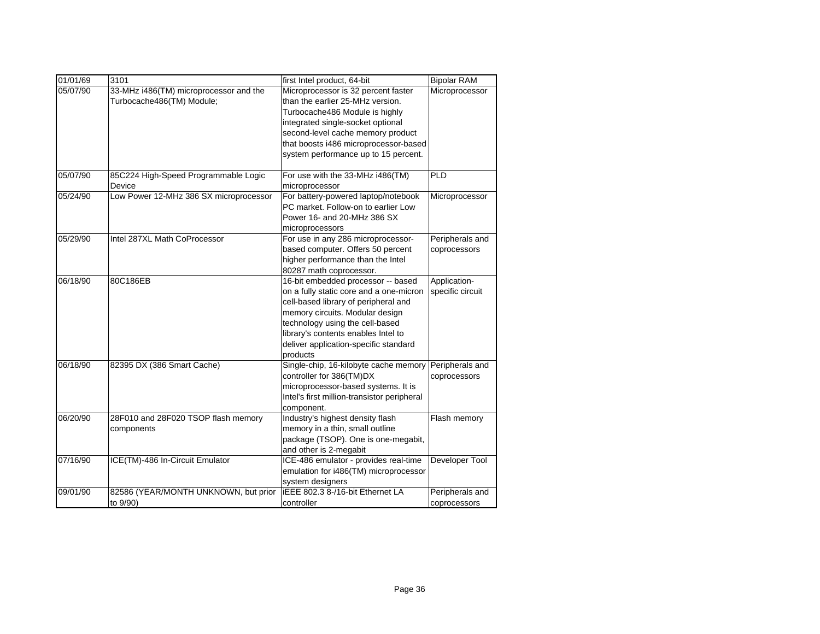| 01/01/69 | 3101                                                                | first Intel product, 64-bit                                                                                                                                                                                                                                                             | <b>Bipolar RAM</b>               |
|----------|---------------------------------------------------------------------|-----------------------------------------------------------------------------------------------------------------------------------------------------------------------------------------------------------------------------------------------------------------------------------------|----------------------------------|
| 05/07/90 | 33-MHz i486(TM) microprocessor and the<br>Turbocache486(TM) Module; | Microprocessor is 32 percent faster<br>than the earlier 25-MHz version.<br>Turbocache486 Module is highly<br>integrated single-socket optional<br>second-level cache memory product<br>that boosts i486 microprocessor-based<br>system performance up to 15 percent.                    | Microprocessor                   |
| 05/07/90 | 85C224 High-Speed Programmable Logic<br>Device                      | For use with the 33-MHz i486(TM)<br>microprocessor                                                                                                                                                                                                                                      | PLD                              |
| 05/24/90 | Low Power 12-MHz 386 SX microprocessor                              | For battery-powered laptop/notebook<br>PC market. Follow-on to earlier Low<br>Power 16- and 20-MHz 386 SX<br>microprocessors                                                                                                                                                            | Microprocessor                   |
| 05/29/90 | Intel 287XL Math CoProcessor                                        | For use in any 286 microprocessor-<br>based computer. Offers 50 percent<br>higher performance than the Intel<br>80287 math coprocessor.                                                                                                                                                 | Peripherals and<br>coprocessors  |
| 06/18/90 | 80C186EB                                                            | 16-bit embedded processor -- based<br>on a fully static core and a one-micron<br>cell-based library of peripheral and<br>memory circuits. Modular design<br>technology using the cell-based<br>library's contents enables Intel to<br>deliver application-specific standard<br>products | Application-<br>specific circuit |
| 06/18/90 | 82395 DX (386 Smart Cache)                                          | Single-chip, 16-kilobyte cache memory<br>controller for 386(TM)DX<br>microprocessor-based systems. It is<br>Intel's first million-transistor peripheral<br>component.                                                                                                                   | Peripherals and<br>coprocessors  |
| 06/20/90 | 28F010 and 28F020 TSOP flash memory<br>components                   | Industry's highest density flash<br>memory in a thin, small outline<br>package (TSOP). One is one-megabit,<br>and other is 2-megabit                                                                                                                                                    | Flash memory                     |
| 07/16/90 | ICE(TM)-486 In-Circuit Emulator                                     | ICE-486 emulator - provides real-time<br>emulation for i486(TM) microprocessor<br>system designers                                                                                                                                                                                      | Developer Tool                   |
| 09/01/90 | 82586 (YEAR/MONTH UNKNOWN, but prior<br>to 9/90)                    | iEEE 802.3 8-/16-bit Ethernet LA<br>controller                                                                                                                                                                                                                                          | Peripherals and<br>coprocessors  |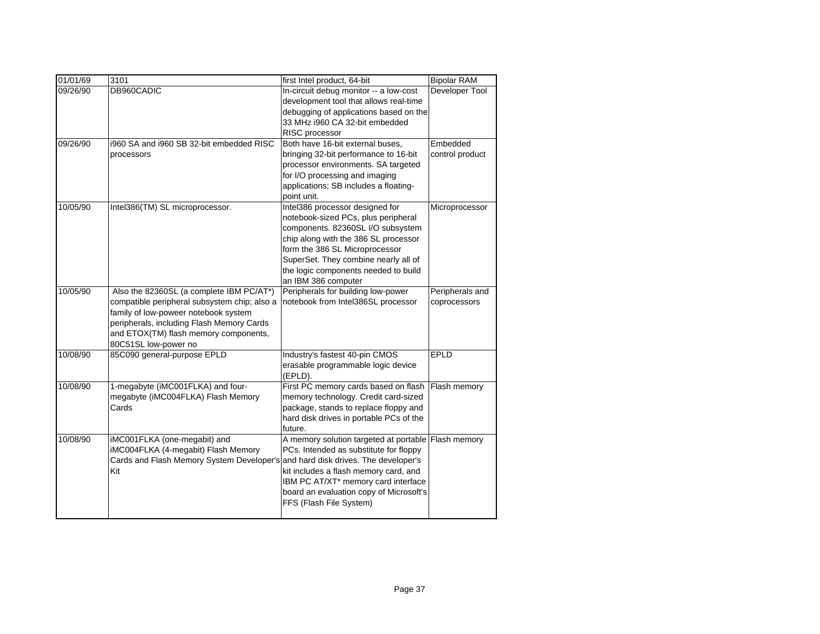| 01/01/69 | 3101                                         | first Intel product, 64-bit             | <b>Bipolar RAM</b> |
|----------|----------------------------------------------|-----------------------------------------|--------------------|
| 09/26/90 | DB960CADIC                                   | In-circuit debug monitor -- a low-cost  | Developer Tool     |
|          |                                              | development tool that allows real-time  |                    |
|          |                                              | debugging of applications based on the  |                    |
|          |                                              | 33 MHz i960 CA 32-bit embedded          |                    |
|          |                                              | RISC processor                          |                    |
| 09/26/90 | i960 SA and i960 SB 32-bit embedded RISC     | Both have 16-bit external buses,        | Embedded           |
|          | processors                                   | bringing 32-bit performance to 16-bit   | control product    |
|          |                                              | processor environments. SA targeted     |                    |
|          |                                              | for I/O processing and imaging          |                    |
|          |                                              | applications; SB includes a floating-   |                    |
|          |                                              | point unit.                             |                    |
| 10/05/90 | Intel386(TM) SL microprocessor.              | Intel386 processor designed for         | Microprocessor     |
|          |                                              | notebook-sized PCs, plus peripheral     |                    |
|          |                                              | components. 82360SL I/O subsystem       |                    |
|          |                                              | chip along with the 386 SL processor    |                    |
|          |                                              | form the 386 SL Microprocessor          |                    |
|          |                                              | SuperSet. They combine nearly all of    |                    |
|          |                                              | the logic components needed to build    |                    |
|          |                                              | an IBM 386 computer                     |                    |
| 10/05/90 | Also the 82360SL (a complete IBM PC/AT*)     | Peripherals for building low-power      | Peripherals and    |
|          | compatible peripheral subsystem chip; also a | notebook from Intel386SL processor      | coprocessors       |
|          | family of low-poweer notebook system         |                                         |                    |
|          | peripherals, including Flash Memory Cards    |                                         |                    |
|          | and ETOX(TM) flash memory components,        |                                         |                    |
|          | 80C51SL low-power no                         |                                         |                    |
| 10/08/90 | 85C090 general-purpose EPLD                  | Industry's fastest 40-pin CMOS          | <b>EPLD</b>        |
|          |                                              | erasable programmable logic device      |                    |
|          |                                              | (EPLD).                                 |                    |
| 10/08/90 | 1-megabyte (iMC001FLKA) and four-            | First PC memory cards based on flash    | Flash memory       |
|          | megabyte (iMC004FLKA) Flash Memory           | memory technology. Credit card-sized    |                    |
|          | Cards                                        | package, stands to replace floppy and   |                    |
|          |                                              | hard disk drives in portable PCs of the |                    |
|          |                                              | future.                                 |                    |
| 10/08/90 | iMC001FLKA (one-megabit) and                 | A memory solution targeted at portable  | Flash memory       |
|          | iMC004FLKA (4-megabit) Flash Memory          | PCs. Intended as substitute for floppy  |                    |
|          | Cards and Flash Memory System Developer's    | and hard disk drives. The developer's   |                    |
|          | Kit                                          | kit includes a flash memory card, and   |                    |
|          |                                              | IBM PC AT/XT* memory card interface     |                    |
|          |                                              | board an evaluation copy of Microsoft's |                    |
|          |                                              | FFS (Flash File System)                 |                    |
|          |                                              |                                         |                    |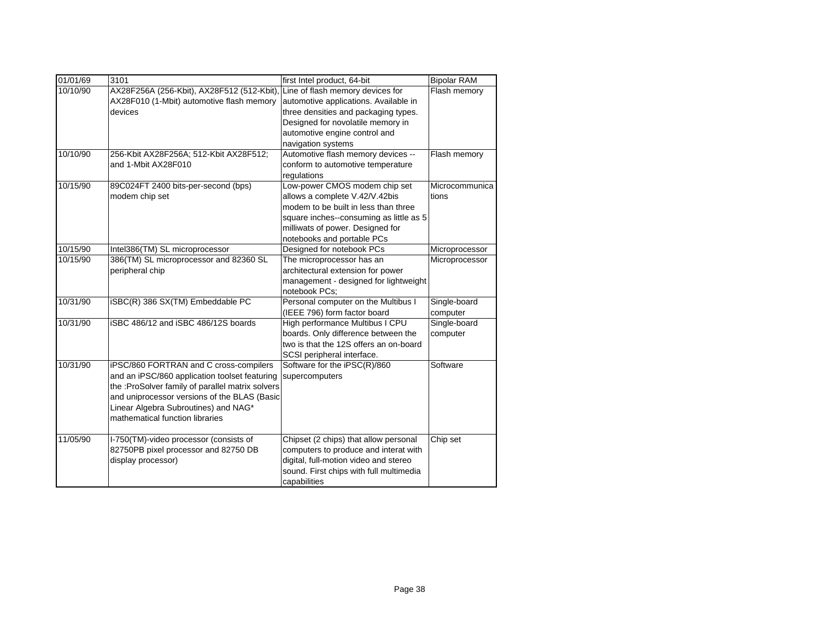| Line of flash memory devices for<br>10/10/90<br>AX28F256A (256-Kbit), AX28F512 (512-Kbit),<br>Flash memory<br>AX28F010 (1-Mbit) automotive flash memory<br>automotive applications. Available in<br>three densities and packaging types.<br>devices<br>Designed for novolatile memory in<br>automotive engine control and<br>navigation systems<br>10/10/90<br>Automotive flash memory devices --<br>256-Kbit AX28F256A; 512-Kbit AX28F512;<br>Flash memory<br>and 1-Mbit AX28F010<br>conform to automotive temperature<br>regulations<br>Low-power CMOS modem chip set<br>10/15/90<br>89C024FT 2400 bits-per-second (bps) |                |
|----------------------------------------------------------------------------------------------------------------------------------------------------------------------------------------------------------------------------------------------------------------------------------------------------------------------------------------------------------------------------------------------------------------------------------------------------------------------------------------------------------------------------------------------------------------------------------------------------------------------------|----------------|
|                                                                                                                                                                                                                                                                                                                                                                                                                                                                                                                                                                                                                            |                |
|                                                                                                                                                                                                                                                                                                                                                                                                                                                                                                                                                                                                                            |                |
|                                                                                                                                                                                                                                                                                                                                                                                                                                                                                                                                                                                                                            | Microcommunica |
|                                                                                                                                                                                                                                                                                                                                                                                                                                                                                                                                                                                                                            |                |
|                                                                                                                                                                                                                                                                                                                                                                                                                                                                                                                                                                                                                            |                |
|                                                                                                                                                                                                                                                                                                                                                                                                                                                                                                                                                                                                                            |                |
|                                                                                                                                                                                                                                                                                                                                                                                                                                                                                                                                                                                                                            |                |
|                                                                                                                                                                                                                                                                                                                                                                                                                                                                                                                                                                                                                            |                |
| allows a complete V.42/V.42bis<br>modem chip set<br>tions                                                                                                                                                                                                                                                                                                                                                                                                                                                                                                                                                                  |                |
| modem to be built in less than three                                                                                                                                                                                                                                                                                                                                                                                                                                                                                                                                                                                       |                |
| square inches--consuming as little as 5                                                                                                                                                                                                                                                                                                                                                                                                                                                                                                                                                                                    |                |
| milliwats of power. Designed for                                                                                                                                                                                                                                                                                                                                                                                                                                                                                                                                                                                           |                |
| notebooks and portable PCs                                                                                                                                                                                                                                                                                                                                                                                                                                                                                                                                                                                                 |                |
| 10/15/90<br>Intel386(TM) SL microprocessor<br>Designed for notebook PCs                                                                                                                                                                                                                                                                                                                                                                                                                                                                                                                                                    | Microprocessor |
| 386(TM) SL microprocessor and 82360 SL<br>10/15/90<br>The microprocessor has an                                                                                                                                                                                                                                                                                                                                                                                                                                                                                                                                            | Microprocessor |
| peripheral chip<br>architectural extension for power                                                                                                                                                                                                                                                                                                                                                                                                                                                                                                                                                                       |                |
| management - designed for lightweight                                                                                                                                                                                                                                                                                                                                                                                                                                                                                                                                                                                      |                |
| notebook PCs;                                                                                                                                                                                                                                                                                                                                                                                                                                                                                                                                                                                                              |                |
| 10/31/90<br>Personal computer on the Multibus I<br>iSBC(R) 386 SX(TM) Embeddable PC<br>Single-board                                                                                                                                                                                                                                                                                                                                                                                                                                                                                                                        |                |
| (IEEE 796) form factor board<br>computer                                                                                                                                                                                                                                                                                                                                                                                                                                                                                                                                                                                   |                |
| High performance Multibus I CPU<br>Single-board<br>10/31/90<br>iSBC 486/12 and iSBC 486/12S boards                                                                                                                                                                                                                                                                                                                                                                                                                                                                                                                         |                |
| boards. Only difference between the<br>computer                                                                                                                                                                                                                                                                                                                                                                                                                                                                                                                                                                            |                |
| two is that the 12S offers an on-board                                                                                                                                                                                                                                                                                                                                                                                                                                                                                                                                                                                     |                |
| SCSI peripheral interface.                                                                                                                                                                                                                                                                                                                                                                                                                                                                                                                                                                                                 |                |
| 10/31/90<br>iPSC/860 FORTRAN and C cross-compilers<br>Software<br>Software for the iPSC(R)/860                                                                                                                                                                                                                                                                                                                                                                                                                                                                                                                             |                |
| and an iPSC/860 application toolset featuring<br>supercomputers                                                                                                                                                                                                                                                                                                                                                                                                                                                                                                                                                            |                |
| the :ProSolver family of parallel matrix solvers                                                                                                                                                                                                                                                                                                                                                                                                                                                                                                                                                                           |                |
| and uniprocessor versions of the BLAS (Basic                                                                                                                                                                                                                                                                                                                                                                                                                                                                                                                                                                               |                |
| Linear Algebra Subroutines) and NAG*<br>mathematical function libraries                                                                                                                                                                                                                                                                                                                                                                                                                                                                                                                                                    |                |
|                                                                                                                                                                                                                                                                                                                                                                                                                                                                                                                                                                                                                            |                |
| 11/05/90<br>I-750(TM)-video processor (consists of<br>Chipset (2 chips) that allow personal<br>Chip set                                                                                                                                                                                                                                                                                                                                                                                                                                                                                                                    |                |
| 82750PB pixel processor and 82750 DB<br>computers to produce and interat with                                                                                                                                                                                                                                                                                                                                                                                                                                                                                                                                              |                |
| digital, full-motion video and stereo<br>display processor)                                                                                                                                                                                                                                                                                                                                                                                                                                                                                                                                                                |                |
| sound. First chips with full multimedia                                                                                                                                                                                                                                                                                                                                                                                                                                                                                                                                                                                    |                |
| capabilities                                                                                                                                                                                                                                                                                                                                                                                                                                                                                                                                                                                                               |                |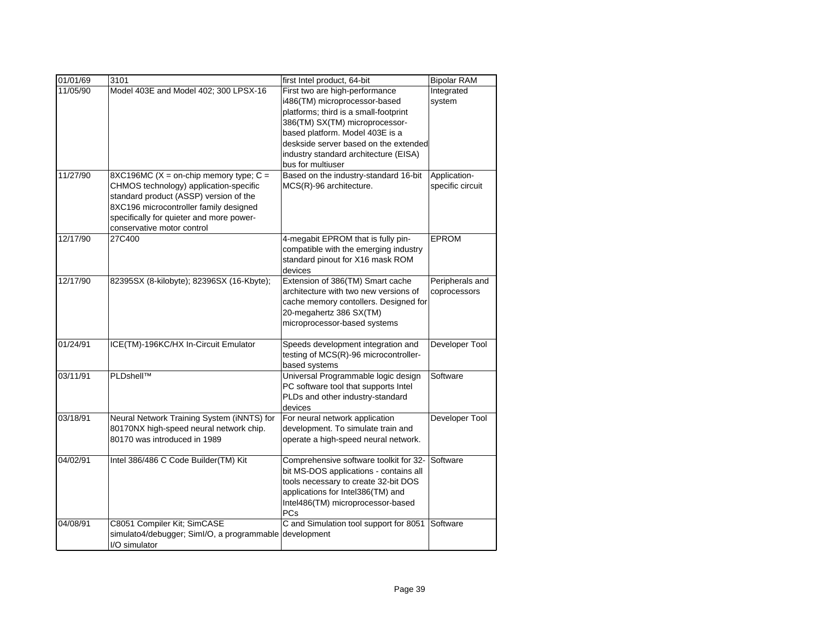| 11/05/90<br>Model 403E and Model 402; 300 LPSX-16<br>First two are high-performance<br>Integrated<br>i486(TM) microprocessor-based<br>system<br>platforms; third is a small-footprint<br>386(TM) SX(TM) microprocessor-<br>based platform. Model 403E is a |                 |
|------------------------------------------------------------------------------------------------------------------------------------------------------------------------------------------------------------------------------------------------------------|-----------------|
|                                                                                                                                                                                                                                                            |                 |
|                                                                                                                                                                                                                                                            |                 |
|                                                                                                                                                                                                                                                            |                 |
|                                                                                                                                                                                                                                                            |                 |
| deskside server based on the extended                                                                                                                                                                                                                      |                 |
| industry standard architecture (EISA)<br>bus for multiuser                                                                                                                                                                                                 |                 |
| 8XC196MC ( $X =$ on-chip memory type; $C =$<br>Based on the industry-standard 16-bit<br>11/27/90<br>Application-                                                                                                                                           |                 |
| CHMOS technology) application-specific<br>MCS(R)-96 architecture.<br>specific circuit                                                                                                                                                                      |                 |
| standard product (ASSP) version of the                                                                                                                                                                                                                     |                 |
| 8XC196 microcontroller family designed                                                                                                                                                                                                                     |                 |
| specifically for quieter and more power-                                                                                                                                                                                                                   |                 |
| conservative motor control<br>12/17/90<br>27C400<br>4-megabit EPROM that is fully pin-<br><b>EPROM</b>                                                                                                                                                     |                 |
| compatible with the emerging industry                                                                                                                                                                                                                      |                 |
| standard pinout for X16 mask ROM                                                                                                                                                                                                                           |                 |
| devices                                                                                                                                                                                                                                                    |                 |
| 12/17/90<br>82395SX (8-kilobyte); 82396SX (16-Kbyte);<br>Extension of 386(TM) Smart cache                                                                                                                                                                  | Peripherals and |
| architecture with two new versions of<br>coprocessors                                                                                                                                                                                                      |                 |
| cache memory contollers. Designed for                                                                                                                                                                                                                      |                 |
| 20-megahertz 386 SX(TM)                                                                                                                                                                                                                                    |                 |
| microprocessor-based systems                                                                                                                                                                                                                               |                 |
| 01/24/91<br>ICE(TM)-196KC/HX In-Circuit Emulator<br>Speeds development integration and                                                                                                                                                                     | Developer Tool  |
| testing of MCS(R)-96 microcontroller-                                                                                                                                                                                                                      |                 |
| based systems                                                                                                                                                                                                                                              |                 |
| PLDshell™<br>03/11/91<br>Universal Programmable logic design<br>Software                                                                                                                                                                                   |                 |
| PC software tool that supports Intel                                                                                                                                                                                                                       |                 |
| PLDs and other industry-standard<br>devices                                                                                                                                                                                                                |                 |
| Neural Network Training System (iNNTS) for<br>03/18/91<br>For neural network application                                                                                                                                                                   | Developer Tool  |
| 80170NX high-speed neural network chip.<br>development. To simulate train and                                                                                                                                                                              |                 |
| 80170 was introduced in 1989<br>operate a high-speed neural network.                                                                                                                                                                                       |                 |
|                                                                                                                                                                                                                                                            |                 |
| 04/02/91<br>Software<br>Intel 386/486 C Code Builder(TM) Kit<br>Comprehensive software toolkit for 32-                                                                                                                                                     |                 |
| bit MS-DOS applications - contains all                                                                                                                                                                                                                     |                 |
| tools necessary to create 32-bit DOS                                                                                                                                                                                                                       |                 |
| applications for Intel386(TM) and                                                                                                                                                                                                                          |                 |
| Intel486(TM) microprocessor-based<br>PCs                                                                                                                                                                                                                   |                 |
| 04/08/91<br>C8051 Compiler Kit; SimCASE<br>C and Simulation tool support for 8051<br>Software                                                                                                                                                              |                 |
| simulato4/debugger; Siml/O, a programmable<br>development                                                                                                                                                                                                  |                 |
| I/O simulator                                                                                                                                                                                                                                              |                 |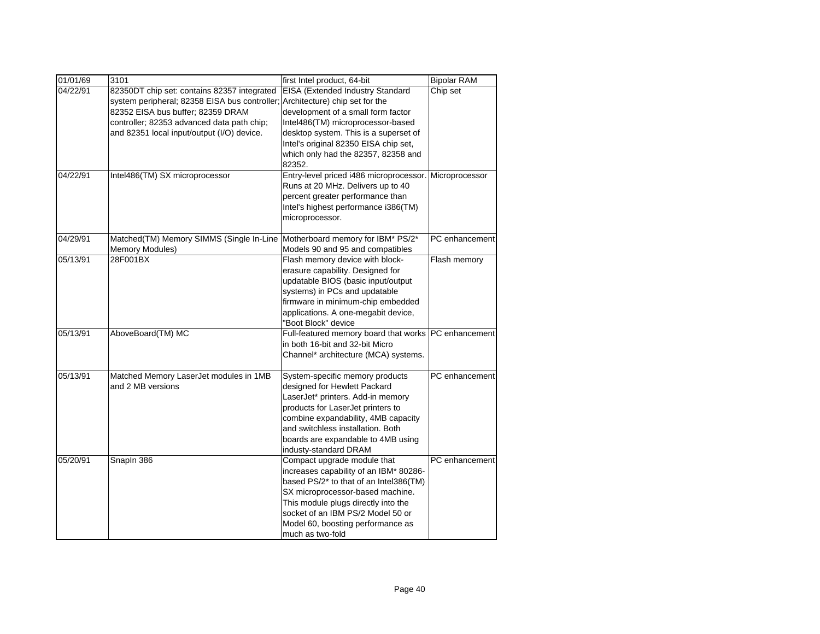| 01/01/69 | 3101                                          | first Intel product, 64-bit                            | <b>Bipolar RAM</b> |
|----------|-----------------------------------------------|--------------------------------------------------------|--------------------|
| 04/22/91 | 82350DT chip set: contains 82357 integrated   | EISA (Extended Industry Standard                       | Chip set           |
|          | system peripheral; 82358 EISA bus controller; | Architecture) chip set for the                         |                    |
|          | 82352 EISA bus buffer; 82359 DRAM             | development of a small form factor                     |                    |
|          | controller; 82353 advanced data path chip;    | Intel486(TM) microprocessor-based                      |                    |
|          | and 82351 local input/output (I/O) device.    | desktop system. This is a superset of                  |                    |
|          |                                               | Intel's original 82350 EISA chip set,                  |                    |
|          |                                               | which only had the 82357, 82358 and                    |                    |
|          |                                               | 82352.                                                 |                    |
| 04/22/91 | Intel486(TM) SX microprocessor                | Entry-level priced i486 microprocessor.                | Microprocessor     |
|          |                                               | Runs at 20 MHz. Delivers up to 40                      |                    |
|          |                                               | percent greater performance than                       |                    |
|          |                                               | Intel's highest performance i386(TM)                   |                    |
|          |                                               | microprocessor.                                        |                    |
| 04/29/91 | Matched(TM) Memory SIMMS (Single In-Line      | Motherboard memory for IBM* PS/2*                      | PC enhancement     |
|          | Memory Modules)                               | Models 90 and 95 and compatibles                       |                    |
| 05/13/91 | 28F001BX                                      | Flash memory device with block-                        | Flash memory       |
|          |                                               | erasure capability. Designed for                       |                    |
|          |                                               | updatable BIOS (basic input/output                     |                    |
|          |                                               | systems) in PCs and updatable                          |                    |
|          |                                               | firmware in minimum-chip embedded                      |                    |
|          |                                               | applications. A one-megabit device,                    |                    |
|          |                                               | "Boot Block" device                                    |                    |
| 05/13/91 | AboveBoard(TM) MC                             | Full-featured memory board that works   PC enhancement |                    |
|          |                                               | in both 16-bit and 32-bit Micro                        |                    |
|          |                                               | Channel* architecture (MCA) systems.                   |                    |
| 05/13/91 | Matched Memory LaserJet modules in 1MB        | System-specific memory products                        | PC enhancement     |
|          | and 2 MB versions                             | designed for Hewlett Packard                           |                    |
|          |                                               | LaserJet* printers. Add-in memory                      |                    |
|          |                                               | products for LaserJet printers to                      |                    |
|          |                                               | combine expandability, 4MB capacity                    |                    |
|          |                                               | and switchless installation. Both                      |                    |
|          |                                               | boards are expandable to 4MB using                     |                    |
|          |                                               | industy-standard DRAM                                  |                    |
| 05/20/91 | Snapln 386                                    | Compact upgrade module that                            | PC enhancement     |
|          |                                               | increases capability of an IBM* 80286-                 |                    |
|          |                                               | based PS/2* to that of an Intel386(TM)                 |                    |
|          |                                               | SX microprocessor-based machine.                       |                    |
|          |                                               | This module plugs directly into the                    |                    |
|          |                                               | socket of an IBM PS/2 Model 50 or                      |                    |
|          |                                               | Model 60, boosting performance as                      |                    |
|          |                                               | much as two-fold                                       |                    |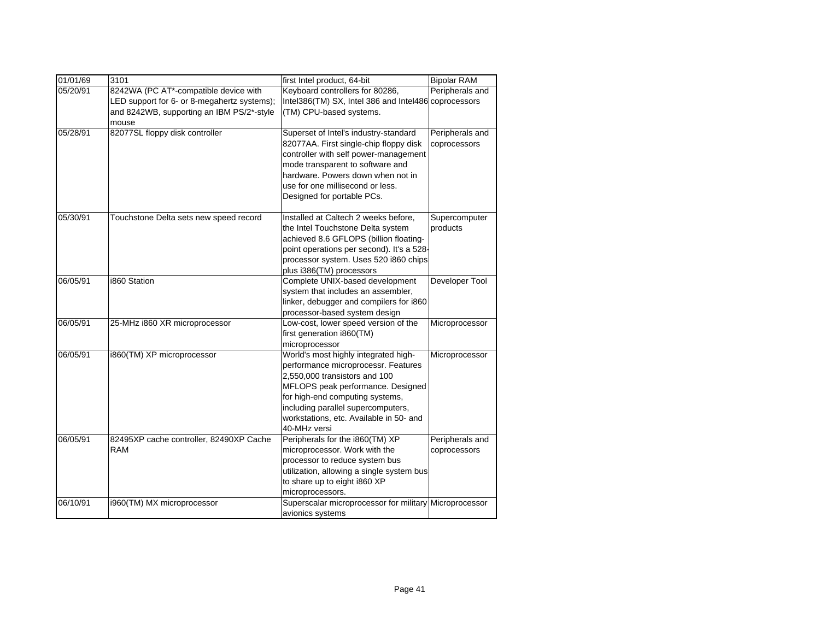| 01/01/69 | 3101                                        | first Intel product, 64-bit                            | <b>Bipolar RAM</b> |
|----------|---------------------------------------------|--------------------------------------------------------|--------------------|
| 05/20/91 | 8242WA (PC AT*-compatible device with       | Keyboard controllers for 80286,                        | Peripherals and    |
|          | LED support for 6- or 8-megahertz systems); | Intel386(TM) SX, Intel 386 and Intel486 coprocessors   |                    |
|          | and 8242WB, supporting an IBM PS/2*-style   | (TM) CPU-based systems.                                |                    |
|          | mouse                                       |                                                        |                    |
| 05/28/91 | 82077SL floppy disk controller              | Superset of Intel's industry-standard                  | Peripherals and    |
|          |                                             | 82077AA. First single-chip floppy disk                 | coprocessors       |
|          |                                             | controller with self power-management                  |                    |
|          |                                             | mode transparent to software and                       |                    |
|          |                                             | hardware. Powers down when not in                      |                    |
|          |                                             | use for one millisecond or less.                       |                    |
|          |                                             | Designed for portable PCs.                             |                    |
| 05/30/91 | Touchstone Delta sets new speed record      | Installed at Caltech 2 weeks before,                   | Supercomputer      |
|          |                                             | the Intel Touchstone Delta system                      | products           |
|          |                                             | achieved 8.6 GFLOPS (billion floating-                 |                    |
|          |                                             | point operations per second). It's a 528-              |                    |
|          |                                             | processor system. Uses 520 i860 chips                  |                    |
|          |                                             | plus i386(TM) processors                               |                    |
| 06/05/91 | i860 Station                                | Complete UNIX-based development                        | Developer Tool     |
|          |                                             | system that includes an assembler,                     |                    |
|          |                                             | linker, debugger and compilers for i860                |                    |
|          |                                             | processor-based system design                          |                    |
| 06/05/91 | 25-MHz i860 XR microprocessor               | Low-cost, lower speed version of the                   | Microprocessor     |
|          |                                             | first generation i860(TM)                              |                    |
|          |                                             | microprocessor                                         |                    |
| 06/05/91 | i860(TM) XP microprocessor                  | World's most highly integrated high-                   | Microprocessor     |
|          |                                             | performance microprocessr. Features                    |                    |
|          |                                             | 2,550,000 transistors and 100                          |                    |
|          |                                             | MFLOPS peak performance. Designed                      |                    |
|          |                                             | for high-end computing systems,                        |                    |
|          |                                             | including parallel supercomputers,                     |                    |
|          |                                             | workstations, etc. Available in 50- and                |                    |
|          |                                             | 40-MHz versi                                           |                    |
| 06/05/91 | 82495XP cache controller, 82490XP Cache     | Peripherals for the i860(TM) XP                        | Peripherals and    |
|          | <b>RAM</b>                                  | microprocessor. Work with the                          | coprocessors       |
|          |                                             | processor to reduce system bus                         |                    |
|          |                                             | utilization, allowing a single system bus              |                    |
|          |                                             | to share up to eight i860 XP                           |                    |
|          |                                             | microprocessors.                                       |                    |
| 06/10/91 | i960(TM) MX microprocessor                  | Superscalar microprocessor for military Microprocessor |                    |
|          |                                             | avionics systems                                       |                    |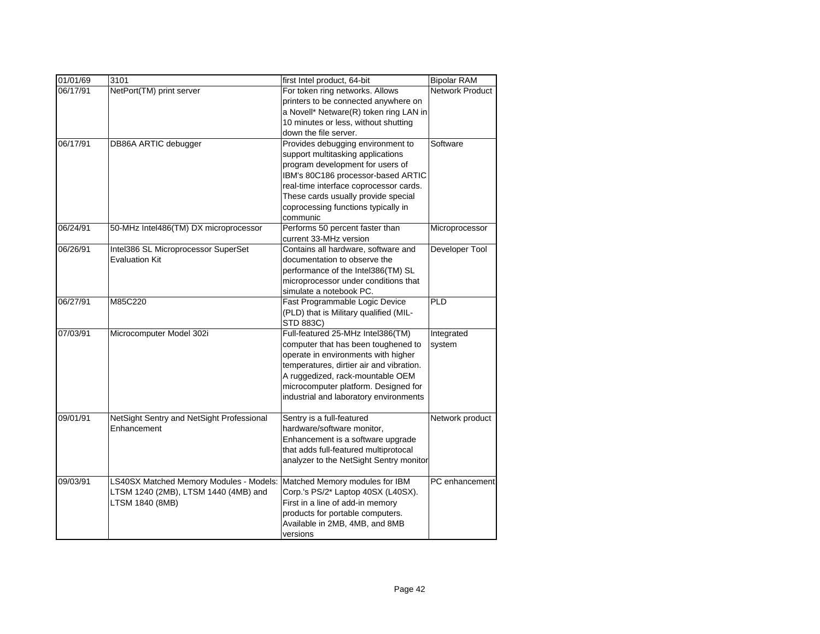| 01/01/69 | 3101                                                     | first Intel product, 64-bit                             | <b>Bipolar RAM</b>     |
|----------|----------------------------------------------------------|---------------------------------------------------------|------------------------|
| 06/17/91 | NetPort(TM) print server                                 | For token ring networks. Allows                         | <b>Network Product</b> |
|          |                                                          | printers to be connected anywhere on                    |                        |
|          |                                                          | a Novell* Netware(R) token ring LAN in                  |                        |
|          |                                                          | 10 minutes or less, without shutting                    |                        |
|          |                                                          | down the file server.                                   |                        |
| 06/17/91 | DB86A ARTIC debugger                                     | Provides debugging environment to                       | Software               |
|          |                                                          | support multitasking applications                       |                        |
|          |                                                          | program development for users of                        |                        |
|          |                                                          | IBM's 80C186 processor-based ARTIC                      |                        |
|          |                                                          | real-time interface coprocessor cards.                  |                        |
|          |                                                          | These cards usually provide special                     |                        |
|          |                                                          | coprocessing functions typically in                     |                        |
|          |                                                          | communic                                                |                        |
| 06/24/91 | 50-MHz Intel486(TM) DX microprocessor                    | Performs 50 percent faster than                         | Microprocessor         |
|          |                                                          | current 33-MHz version                                  |                        |
| 06/26/91 | Intel386 SL Microprocessor SuperSet                      | Contains all hardware, software and                     | Developer Tool         |
|          | <b>Evaluation Kit</b>                                    | documentation to observe the                            |                        |
|          |                                                          | performance of the Intel386(TM) SL                      |                        |
|          |                                                          | microprocessor under conditions that                    |                        |
|          |                                                          | simulate a notebook PC.                                 |                        |
| 06/27/91 | M85C220                                                  | Fast Programmable Logic Device                          | <b>PLD</b>             |
|          |                                                          | (PLD) that is Military qualified (MIL-                  |                        |
|          |                                                          | STD 883C)                                               |                        |
| 07/03/91 | Microcomputer Model 302i                                 | Full-featured 25-MHz Intel386(TM)                       | Integrated             |
|          |                                                          | computer that has been toughened to                     | system                 |
|          |                                                          | operate in environments with higher                     |                        |
|          |                                                          | temperatures, dirtier air and vibration.                |                        |
|          |                                                          | A ruggedized, rack-mountable OEM                        |                        |
|          |                                                          | microcomputer platform. Designed for                    |                        |
|          |                                                          | industrial and laboratory environments                  |                        |
| 09/01/91 |                                                          |                                                         |                        |
|          | NetSight Sentry and NetSight Professional<br>Enhancement | Sentry is a full-featured<br>hardware/software monitor, | Network product        |
|          |                                                          | Enhancement is a software upgrade                       |                        |
|          |                                                          | that adds full-featured multiprotocal                   |                        |
|          |                                                          | analyzer to the NetSight Sentry monitor                 |                        |
|          |                                                          |                                                         |                        |
| 09/03/91 | LS40SX Matched Memory Modules - Models:                  | Matched Memory modules for IBM                          | PC enhancement         |
|          | LTSM 1240 (2MB), LTSM 1440 (4MB) and                     | Corp.'s PS/2* Laptop 40SX (L40SX).                      |                        |
|          | LTSM 1840 (8MB)                                          | First in a line of add-in memory                        |                        |
|          |                                                          | products for portable computers.                        |                        |
|          |                                                          | Available in 2MB, 4MB, and 8MB                          |                        |
|          |                                                          | versions                                                |                        |
|          |                                                          |                                                         |                        |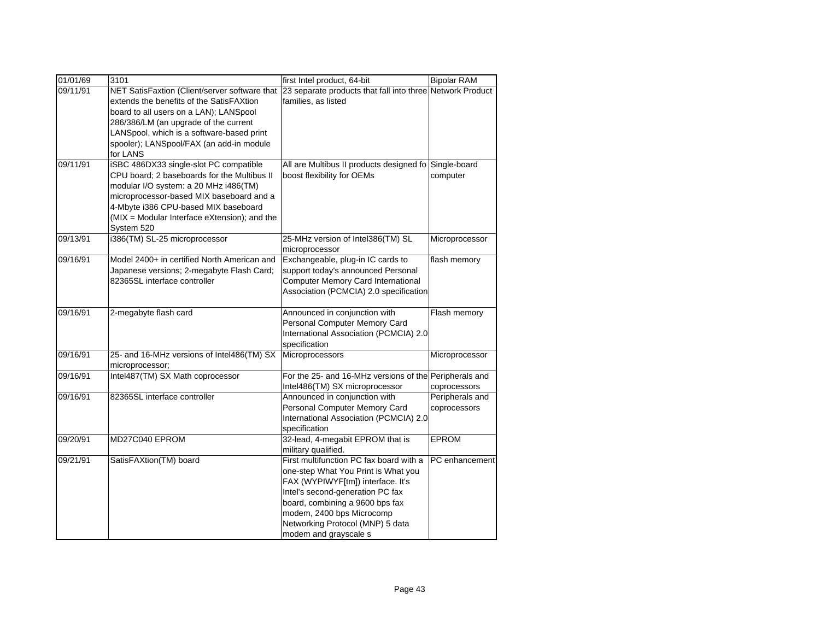| 01/01/69 | 3101                                          | first Intel product, 64-bit                               | <b>Bipolar RAM</b> |
|----------|-----------------------------------------------|-----------------------------------------------------------|--------------------|
| 09/11/91 | NET SatisFaxtion (Client/server software that | 23 separate products that fall into three Network Product |                    |
|          | extends the benefits of the SatisFAXtion      | families, as listed                                       |                    |
|          | board to all users on a LAN); LANSpool        |                                                           |                    |
|          | 286/386/LM (an upgrade of the current         |                                                           |                    |
|          | LANSpool, which is a software-based print     |                                                           |                    |
|          | spooler); LANSpool/FAX (an add-in module      |                                                           |                    |
|          | for LANS                                      |                                                           |                    |
| 09/11/91 | iSBC 486DX33 single-slot PC compatible        | All are Multibus II products designed fo Single-board     |                    |
|          | CPU board; 2 baseboards for the Multibus II   | boost flexibility for OEMs                                | computer           |
|          | modular I/O system: a 20 MHz i486(TM)         |                                                           |                    |
|          | microprocessor-based MIX baseboard and a      |                                                           |                    |
|          | 4-Mbyte i386 CPU-based MIX baseboard          |                                                           |                    |
|          | (MIX = Modular Interface eXtension); and the  |                                                           |                    |
|          | System 520                                    |                                                           |                    |
| 09/13/91 | i386(TM) SL-25 microprocessor                 | 25-MHz version of Intel386(TM) SL                         | Microprocessor     |
|          |                                               | microprocessor                                            |                    |
| 09/16/91 | Model 2400+ in certified North American and   | Exchangeable, plug-in IC cards to                         | flash memory       |
|          | Japanese versions; 2-megabyte Flash Card;     | support today's announced Personal                        |                    |
|          | 82365SL interface controller                  | <b>Computer Memory Card International</b>                 |                    |
|          |                                               | Association (PCMCIA) 2.0 specification                    |                    |
|          |                                               |                                                           |                    |
| 09/16/91 | 2-megabyte flash card                         | Announced in conjunction with                             | Flash memory       |
|          |                                               | Personal Computer Memory Card                             |                    |
|          |                                               | International Association (PCMCIA) 2.0<br>specification   |                    |
| 09/16/91 | 25- and 16-MHz versions of Intel486(TM) SX    | Microprocessors                                           | Microprocessor     |
|          | microprocessor;                               |                                                           |                    |
| 09/16/91 | Intel487(TM) SX Math coprocessor              | For the 25- and 16-MHz versions of the Peripherals and    |                    |
|          |                                               | Intel486(TM) SX microprocessor                            | coprocessors       |
| 09/16/91 | 82365SL interface controller                  | Announced in conjunction with                             | Peripherals and    |
|          |                                               | Personal Computer Memory Card                             | coprocessors       |
|          |                                               | International Association (PCMCIA) 2.0                    |                    |
|          |                                               | specification                                             |                    |
| 09/20/91 | MD27C040 EPROM                                | 32-lead, 4-megabit EPROM that is                          | <b>EPROM</b>       |
|          |                                               | military qualified.                                       |                    |
| 09/21/91 | SatisFAXtion(TM) board                        | First multifunction PC fax board with a                   | PC enhancement     |
|          |                                               | one-step What You Print is What you                       |                    |
|          |                                               | FAX (WYPIWYF[tm]) interface. It's                         |                    |
|          |                                               | Intel's second-generation PC fax                          |                    |
|          |                                               | board, combining a 9600 bps fax                           |                    |
|          |                                               | modem, 2400 bps Microcomp                                 |                    |
|          |                                               | Networking Protocol (MNP) 5 data                          |                    |
|          |                                               | modem and grayscale s                                     |                    |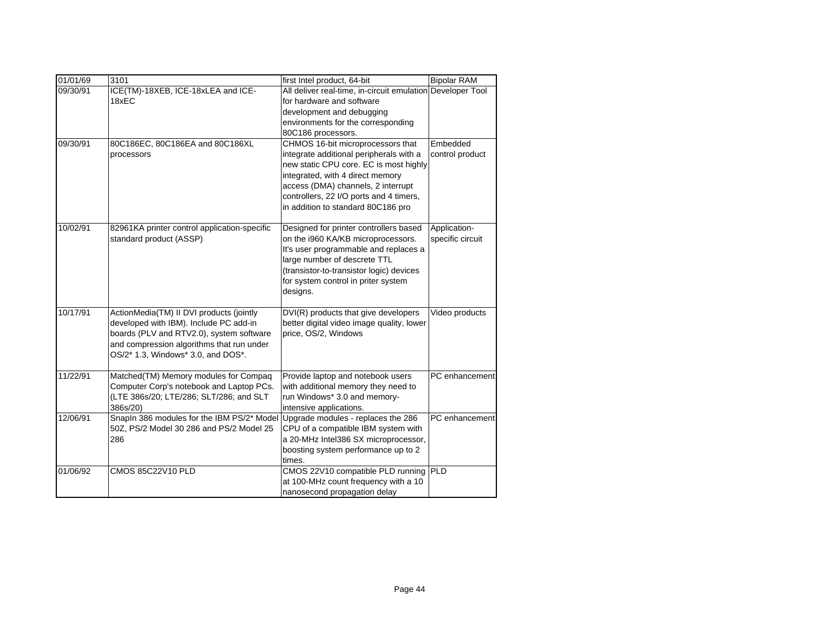| 01/01/69 | 3101                                                                                                                                                                                                              | first Intel product, 64-bit                                                                                                                                                                                                                                                       | <b>Bipolar RAM</b>               |
|----------|-------------------------------------------------------------------------------------------------------------------------------------------------------------------------------------------------------------------|-----------------------------------------------------------------------------------------------------------------------------------------------------------------------------------------------------------------------------------------------------------------------------------|----------------------------------|
| 09/30/91 | ICE(TM)-18XEB, ICE-18xLEA and ICE-<br>18xEC                                                                                                                                                                       | All deliver real-time, in-circuit emulation Developer Tool<br>for hardware and software<br>development and debugging<br>environments for the corresponding<br>80C186 processors.                                                                                                  |                                  |
| 09/30/91 | 80C186EC, 80C186EA and 80C186XL<br>processors                                                                                                                                                                     | CHMOS 16-bit microprocessors that<br>integrate additional peripherals with a<br>new static CPU core. EC is most highly<br>integrated, with 4 direct memory<br>access (DMA) channels, 2 interrupt<br>controllers, 22 I/O ports and 4 timers,<br>in addition to standard 80C186 pro | Embedded<br>control product      |
| 10/02/91 | 82961KA printer control application-specific<br>standard product (ASSP)                                                                                                                                           | Designed for printer controllers based<br>on the i960 KA/KB microprocessors.<br>It's user programmable and replaces a<br>large number of descrete TTL<br>(transistor-to-transistor logic) devices<br>for system control in priter system<br>designs.                              | Application-<br>specific circuit |
| 10/17/91 | ActionMedia(TM) II DVI products (jointly<br>developed with IBM). Include PC add-in<br>boards (PLV and RTV2.0), system software<br>and compression algorithms that run under<br>OS/2* 1.3, Windows* 3.0, and DOS*. | DVI(R) products that give developers<br>better digital video image quality, lower<br>price, OS/2, Windows                                                                                                                                                                         | Video products                   |
| 11/22/91 | Matched(TM) Memory modules for Compaq<br>Computer Corp's notebook and Laptop PCs.<br>(LTE 386s/20; LTE/286; SLT/286; and SLT<br>386s/20)                                                                          | Provide laptop and notebook users<br>with additional memory they need to<br>run Windows* 3.0 and memory-<br>intensive applications.                                                                                                                                               | PC enhancement                   |
| 12/06/91 | Snapln 386 modules for the IBM PS/2* Model<br>50Z, PS/2 Model 30 286 and PS/2 Model 25<br>286                                                                                                                     | Upgrade modules - replaces the 286<br>CPU of a compatible IBM system with<br>a 20-MHz Intel386 SX microprocessor,<br>boosting system performance up to 2<br>times.                                                                                                                | PC enhancement                   |
| 01/06/92 | CMOS 85C22V10 PLD                                                                                                                                                                                                 | CMOS 22V10 compatible PLD running<br>at 100-MHz count frequency with a 10<br>nanosecond propagation delay                                                                                                                                                                         | <b>PLD</b>                       |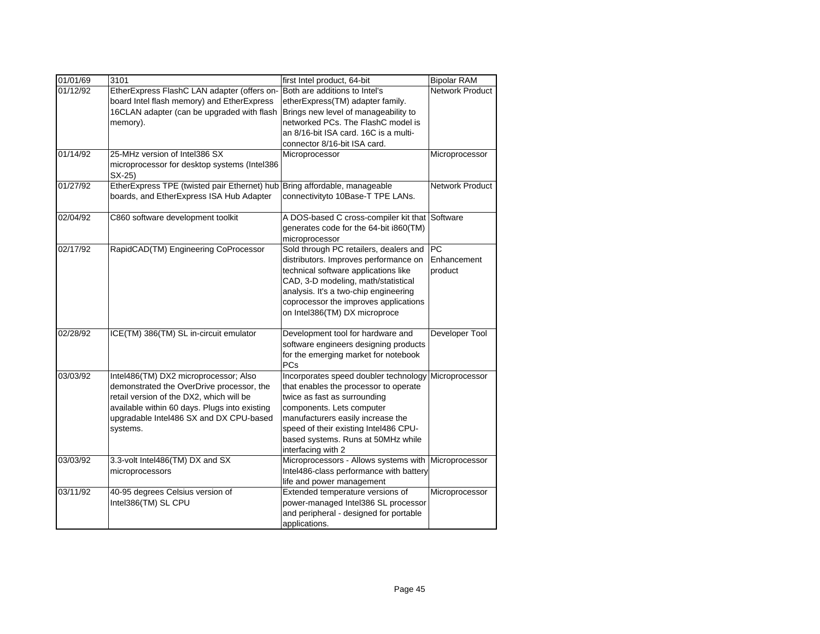| 01/01/69 | 3101                                                                                                                                                                                                                                   | first Intel product, 64-bit                                                                                                                                                                                                                                                           | <b>Bipolar RAM</b>                  |
|----------|----------------------------------------------------------------------------------------------------------------------------------------------------------------------------------------------------------------------------------------|---------------------------------------------------------------------------------------------------------------------------------------------------------------------------------------------------------------------------------------------------------------------------------------|-------------------------------------|
| 01/12/92 | EtherExpress FlashC LAN adapter (offers on-<br>board Intel flash memory) and EtherExpress<br>16CLAN adapter (can be upgraded with flash<br>memory).                                                                                    | Both are additions to Intel's<br>etherExpress(TM) adapter family.<br>Brings new level of manageability to<br>networked PCs. The FlashC model is<br>an 8/16-bit ISA card. 16C is a multi-<br>connector 8/16-bit ISA card.                                                              | <b>Network Product</b>              |
| 01/14/92 | 25-MHz version of Intel386 SX<br>microprocessor for desktop systems (Intel386<br>$SX-25$                                                                                                                                               | Microprocessor                                                                                                                                                                                                                                                                        | Microprocessor                      |
| 01/27/92 | EtherExpress TPE (twisted pair Ethernet) hub<br>boards, and EtherExpress ISA Hub Adapter                                                                                                                                               | Bring affordable, manageable<br>connectivityto 10Base-T TPE LANs.                                                                                                                                                                                                                     | <b>Network Product</b>              |
| 02/04/92 | C860 software development toolkit                                                                                                                                                                                                      | A DOS-based C cross-compiler kit that<br>generates code for the 64-bit i860(TM)<br>microprocessor                                                                                                                                                                                     | Software                            |
| 02/17/92 | RapidCAD(TM) Engineering CoProcessor                                                                                                                                                                                                   | Sold through PC retailers, dealers and<br>distributors. Improves performance on<br>technical software applications like<br>CAD, 3-D modeling, math/statistical<br>analysis. It's a two-chip engineering<br>coprocessor the improves applications<br>on Intel386(TM) DX microproce     | <b>PC</b><br>Enhancement<br>product |
| 02/28/92 | ICE(TM) 386(TM) SL in-circuit emulator                                                                                                                                                                                                 | Development tool for hardware and<br>software engineers designing products<br>for the emerging market for notebook<br><b>PCs</b>                                                                                                                                                      | Developer Tool                      |
| 03/03/92 | Intel486(TM) DX2 microprocessor; Also<br>demonstrated the OverDrive processor, the<br>retail version of the DX2, which will be<br>available within 60 days. Plugs into existing<br>upgradable Intel486 SX and DX CPU-based<br>systems. | Incorporates speed doubler technology<br>that enables the processor to operate<br>twice as fast as surrounding<br>components. Lets computer<br>manufacturers easily increase the<br>speed of their existing Intel486 CPU-<br>based systems. Runs at 50MHz while<br>interfacing with 2 | Microprocessor                      |
| 03/03/92 | 3.3-volt Intel486(TM) DX and SX<br>microprocessors                                                                                                                                                                                     | Microprocessors - Allows systems with<br>Intel486-class performance with battery<br>life and power management                                                                                                                                                                         | Microprocessor                      |
| 03/11/92 | 40-95 degrees Celsius version of<br>Intel386(TM) SL CPU                                                                                                                                                                                | Extended temperature versions of<br>power-managed Intel386 SL processor<br>and peripheral - designed for portable<br>applications.                                                                                                                                                    | Microprocessor                      |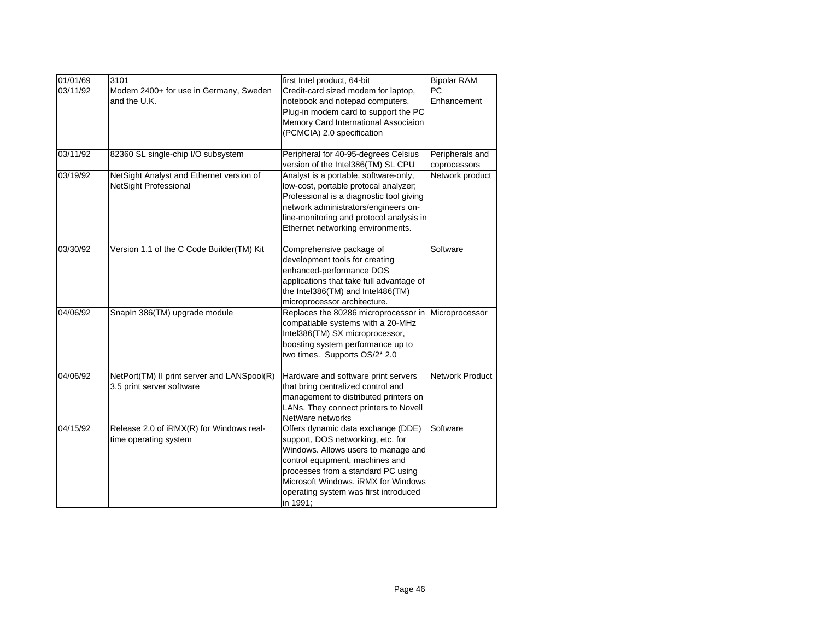| 01/01/69 | 3101                                                                     | first Intel product, 64-bit                                                                                                                                                                                                                                                         | <b>Bipolar RAM</b>              |
|----------|--------------------------------------------------------------------------|-------------------------------------------------------------------------------------------------------------------------------------------------------------------------------------------------------------------------------------------------------------------------------------|---------------------------------|
| 03/11/92 | Modem 2400+ for use in Germany, Sweden<br>and the U.K.                   | Credit-card sized modem for laptop,<br>notebook and notepad computers.<br>Plug-in modem card to support the PC<br>Memory Card International Associaion<br>(PCMCIA) 2.0 specification                                                                                                | <b>PC</b><br>Enhancement        |
| 03/11/92 | 82360 SL single-chip I/O subsystem                                       | Peripheral for 40-95-degrees Celsius<br>version of the Intel386(TM) SL CPU                                                                                                                                                                                                          | Peripherals and<br>coprocessors |
| 03/19/92 | NetSight Analyst and Ethernet version of<br>NetSight Professional        | Analyst is a portable, software-only,<br>low-cost, portable protocal analyzer;<br>Professional is a diagnostic tool giving<br>network administrators/engineers on-<br>line-monitoring and protocol analysis in<br>Ethernet networking environments.                                 | Network product                 |
| 03/30/92 | Version 1.1 of the C Code Builder(TM) Kit                                | Comprehensive package of<br>development tools for creating<br>enhanced-performance DOS<br>applications that take full advantage of<br>the Intel386(TM) and Intel486(TM)<br>microprocessor architecture.                                                                             | Software                        |
| 04/06/92 | Snapln 386(TM) upgrade module                                            | Replaces the 80286 microprocessor in<br>compatiable systems with a 20-MHz<br>Intel386(TM) SX microprocessor,<br>boosting system performance up to<br>two times. Supports OS/2* 2.0                                                                                                  | Microprocessor                  |
| 04/06/92 | NetPort(TM) II print server and LANSpool(R)<br>3.5 print server software | Hardware and software print servers<br>that bring centralized control and<br>management to distributed printers on<br>LANs. They connect printers to Novell<br>NetWare networks                                                                                                     | Network Product                 |
| 04/15/92 | Release 2.0 of iRMX(R) for Windows real-<br>time operating system        | Offers dynamic data exchange (DDE)<br>support, DOS networking, etc. for<br>Windows. Allows users to manage and<br>control equipment, machines and<br>processes from a standard PC using<br>Microsoft Windows. iRMX for Windows<br>operating system was first introduced<br>in 1991; | Software                        |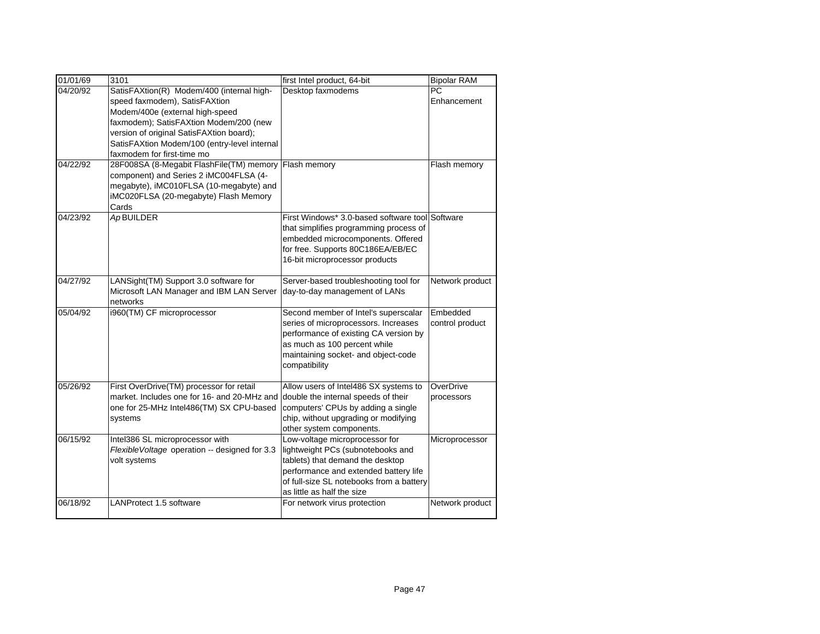| 01/01/69 | 3101                                                                                                                                                                                                                                                | first Intel product, 64-bit                                                                                                                                                                                                | <b>Bipolar RAM</b>          |
|----------|-----------------------------------------------------------------------------------------------------------------------------------------------------------------------------------------------------------------------------------------------------|----------------------------------------------------------------------------------------------------------------------------------------------------------------------------------------------------------------------------|-----------------------------|
| 04/20/92 | SatisFAXtion(R) Modem/400 (internal high-<br>speed faxmodem), SatisFAXtion<br>Modem/400e (external high-speed<br>faxmodem); SatisFAXtion Modem/200 (new<br>version of original SatisFAXtion board);<br>SatisFAXtion Modem/100 (entry-level internal | Desktop faxmodems                                                                                                                                                                                                          | <b>PC</b><br>Enhancement    |
| 04/22/92 | faxmodem for first-time mo<br>28F008SA (8-Megabit FlashFile(TM) memory<br>component) and Series 2 iMC004FLSA (4-<br>megabyte), iMC010FLSA (10-megabyte) and<br>iMC020FLSA (20-megabyte) Flash Memory<br>Cards                                       | Flash memory                                                                                                                                                                                                               | Flash memory                |
| 04/23/92 | $\overline{Ap}$ BUILDER                                                                                                                                                                                                                             | First Windows* 3.0-based software tool Software<br>that simplifies programming process of<br>embedded microcomponents. Offered<br>for free. Supports 80C186EA/EB/EC<br>16-bit microprocessor products                      |                             |
| 04/27/92 | LANSight(TM) Support 3.0 software for<br>Microsoft LAN Manager and IBM LAN Server<br>networks                                                                                                                                                       | Server-based troubleshooting tool for<br>day-to-day management of LANs                                                                                                                                                     | Network product             |
| 05/04/92 | i960(TM) CF microprocessor                                                                                                                                                                                                                          | Second member of Intel's superscalar<br>series of microprocessors. Increases<br>performance of existing CA version by<br>as much as 100 percent while<br>maintaining socket- and object-code<br>compatibility              | Embedded<br>control product |
| 05/26/92 | First OverDrive(TM) processor for retail<br>market. Includes one for 16- and 20-MHz and<br>one for 25-MHz Intel486(TM) SX CPU-based<br>systems                                                                                                      | Allow users of Intel486 SX systems to<br>double the internal speeds of their<br>computers' CPUs by adding a single<br>chip, without upgrading or modifying<br>other system components.                                     | OverDrive<br>processors     |
| 06/15/92 | Intel386 SL microprocessor with<br>Flexible Voltage operation -- designed for 3.3<br>volt systems                                                                                                                                                   | Low-voltage microprocessor for<br>lightweight PCs (subnotebooks and<br>tablets) that demand the desktop<br>performance and extended battery life<br>of full-size SL notebooks from a battery<br>as little as half the size | Microprocessor              |
| 06/18/92 | LANProtect 1.5 software                                                                                                                                                                                                                             | For network virus protection                                                                                                                                                                                               | Network product             |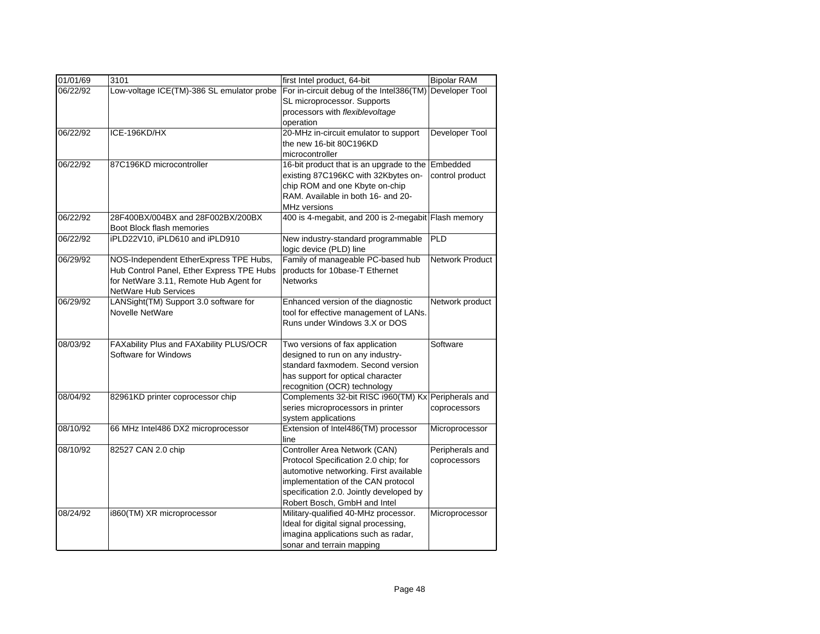| 01/01/69 | 3101                                                                                | first Intel product, 64-bit                                         | <b>Bipolar RAM</b>     |
|----------|-------------------------------------------------------------------------------------|---------------------------------------------------------------------|------------------------|
| 06/22/92 | Low-voltage ICE(TM)-386 SL emulator probe                                           | For in-circuit debug of the Intel386(TM)                            | Developer Tool         |
|          |                                                                                     | SL microprocessor. Supports                                         |                        |
|          |                                                                                     | processors with flexiblevoltage                                     |                        |
|          |                                                                                     | operation                                                           |                        |
| 06/22/92 | ICE-196KD/HX                                                                        | 20-MHz in-circuit emulator to support                               | Developer Tool         |
|          |                                                                                     | the new 16-bit 80C196KD                                             |                        |
|          |                                                                                     | microcontroller                                                     |                        |
| 06/22/92 | 87C196KD microcontroller                                                            | 16-bit product that is an upgrade to the                            | Embedded               |
|          |                                                                                     | existing 87C196KC with 32Kbytes on-                                 | control product        |
|          |                                                                                     | chip ROM and one Kbyte on-chip                                      |                        |
|          |                                                                                     | RAM. Available in both 16- and 20-                                  |                        |
|          |                                                                                     | MHz versions                                                        |                        |
| 06/22/92 | 28F400BX/004BX and 28F002BX/200BX                                                   | 400 is 4-megabit, and 200 is 2-megabit Flash memory                 |                        |
|          | Boot Block flash memories                                                           |                                                                     |                        |
| 06/22/92 | iPLD22V10, iPLD610 and iPLD910                                                      | New industry-standard programmable                                  | PLD                    |
|          |                                                                                     | logic device (PLD) line                                             |                        |
| 06/29/92 | NOS-Independent EtherExpress TPE Hubs,                                              | Family of manageable PC-based hub<br>products for 10base-T Ethernet | <b>Network Product</b> |
|          | Hub Control Panel, Ether Express TPE Hubs<br>for NetWare 3.11, Remote Hub Agent for | <b>Networks</b>                                                     |                        |
|          | NetWare Hub Services                                                                |                                                                     |                        |
| 06/29/92 | LANSight(TM) Support 3.0 software for                                               | Enhanced version of the diagnostic                                  | Network product        |
|          | <b>Novelle NetWare</b>                                                              | tool for effective management of LANs.                              |                        |
|          |                                                                                     | Runs under Windows 3.X or DOS                                       |                        |
|          |                                                                                     |                                                                     |                        |
| 08/03/92 | FAXability Plus and FAXability PLUS/OCR                                             | Two versions of fax application                                     | Software               |
|          | Software for Windows                                                                | designed to run on any industry-                                    |                        |
|          |                                                                                     | standard faxmodem. Second version                                   |                        |
|          |                                                                                     | has support for optical character                                   |                        |
|          |                                                                                     | recognition (OCR) technology                                        |                        |
| 08/04/92 | 82961KD printer coprocessor chip                                                    | Complements 32-bit RISC i960(TM) Kx Peripherals and                 |                        |
|          |                                                                                     | series microprocessors in printer                                   | coprocessors           |
|          |                                                                                     | system applications                                                 |                        |
| 08/10/92 | 66 MHz Intel486 DX2 microprocessor                                                  | Extension of Intel486(TM) processor                                 | Microprocessor         |
|          |                                                                                     | line                                                                |                        |
| 08/10/92 | 82527 CAN 2.0 chip                                                                  | Controller Area Network (CAN)                                       | Peripherals and        |
|          |                                                                                     | Protocol Specification 2.0 chip; for                                | coprocessors           |
|          |                                                                                     | automotive networking. First available                              |                        |
|          |                                                                                     | implementation of the CAN protocol                                  |                        |
|          |                                                                                     | specification 2.0. Jointly developed by                             |                        |
|          |                                                                                     | Robert Bosch, GmbH and Intel                                        |                        |
| 08/24/92 | i860(TM) XR microprocessor                                                          | Military-qualified 40-MHz processor.                                | Microprocessor         |
|          |                                                                                     | Ideal for digital signal processing,                                |                        |
|          |                                                                                     | imagina applications such as radar,                                 |                        |
|          |                                                                                     | sonar and terrain mapping                                           |                        |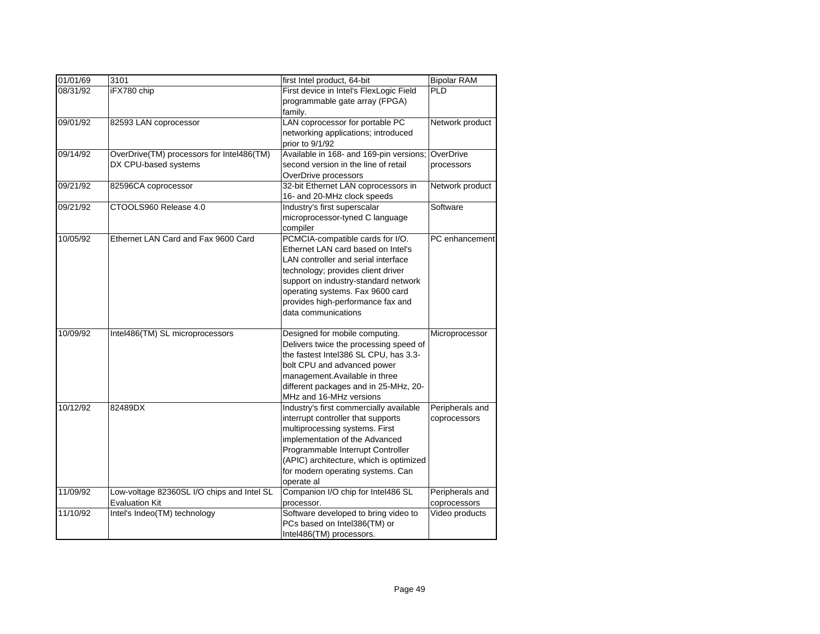| 01/01/69 | 3101                                       | first Intel product, 64-bit                       | <b>Bipolar RAM</b> |
|----------|--------------------------------------------|---------------------------------------------------|--------------------|
| 08/31/92 | iFX780 chip                                | First device in Intel's FlexLogic Field           | <b>PLD</b>         |
|          |                                            | programmable gate array (FPGA)                    |                    |
|          |                                            | family.                                           |                    |
| 09/01/92 | 82593 LAN coprocessor                      | LAN coprocessor for portable PC                   | Network product    |
|          |                                            | networking applications; introduced               |                    |
|          |                                            | prior to 9/1/92                                   |                    |
| 09/14/92 | OverDrive(TM) processors for Intel486(TM)  | Available in 168- and 169-pin versions; OverDrive |                    |
|          | DX CPU-based systems                       | second version in the line of retail              | processors         |
|          |                                            | OverDrive processors                              |                    |
| 09/21/92 | 82596CA coprocessor                        | 32-bit Ethernet LAN coprocessors in               | Network product    |
|          |                                            | 16- and 20-MHz clock speeds                       |                    |
| 09/21/92 | CTOOLS960 Release 4.0                      | Industry's first superscalar                      | Software           |
|          |                                            | microprocessor-tyned C language                   |                    |
|          |                                            | compiler                                          |                    |
| 10/05/92 | Ethernet LAN Card and Fax 9600 Card        | PCMCIA-compatible cards for I/O.                  | PC enhancement     |
|          |                                            | Ethernet LAN card based on Intel's                |                    |
|          |                                            | LAN controller and serial interface               |                    |
|          |                                            | technology; provides client driver                |                    |
|          |                                            | support on industry-standard network              |                    |
|          |                                            | operating systems. Fax 9600 card                  |                    |
|          |                                            | provides high-performance fax and                 |                    |
|          |                                            | data communications                               |                    |
| 10/09/92 | Intel486(TM) SL microprocessors            | Designed for mobile computing.                    | Microprocessor     |
|          |                                            | Delivers twice the processing speed of            |                    |
|          |                                            | the fastest Intel386 SL CPU, has 3.3-             |                    |
|          |                                            | bolt CPU and advanced power                       |                    |
|          |                                            | management.Available in three                     |                    |
|          |                                            | different packages and in 25-MHz, 20-             |                    |
|          |                                            | MHz and 16-MHz versions                           |                    |
| 10/12/92 | 82489DX                                    | Industry's first commercially available           | Peripherals and    |
|          |                                            | interrupt controller that supports                | coprocessors       |
|          |                                            | multiprocessing systems. First                    |                    |
|          |                                            | implementation of the Advanced                    |                    |
|          |                                            | Programmable Interrupt Controller                 |                    |
|          |                                            | (APIC) architecture, which is optimized           |                    |
|          |                                            | for modern operating systems. Can                 |                    |
|          |                                            | operate al                                        |                    |
| 11/09/92 | Low-voltage 82360SL I/O chips and Intel SL | Companion I/O chip for Intel486 SL                | Peripherals and    |
|          | <b>Evaluation Kit</b>                      | processor.                                        | coprocessors       |
| 11/10/92 | Intel's Indeo(TM) technology               | Software developed to bring video to              | Video products     |
|          |                                            | PCs based on Intel386(TM) or                      |                    |
|          |                                            | Intel486(TM) processors.                          |                    |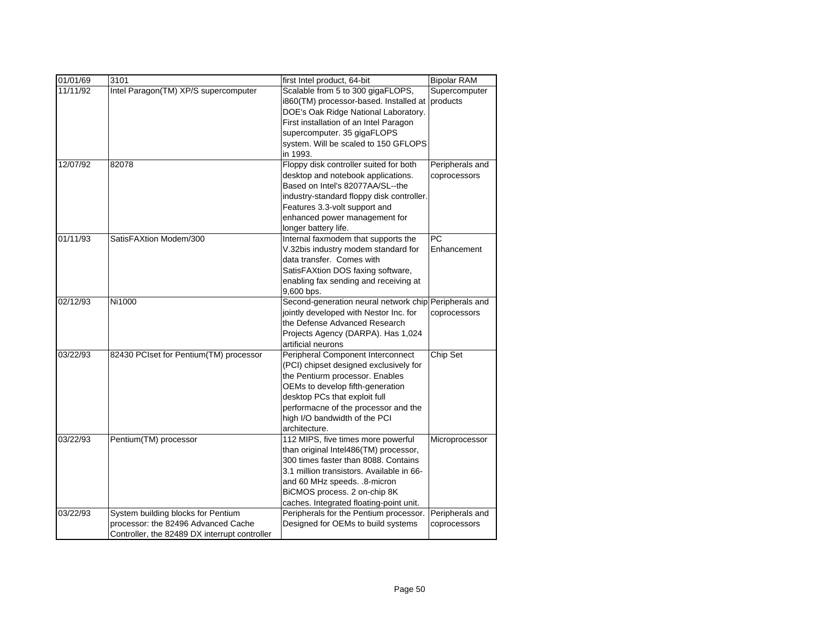| 01/01/69 | 3101                                          | first Intel product, 64-bit                           | <b>Bipolar RAM</b> |
|----------|-----------------------------------------------|-------------------------------------------------------|--------------------|
| 11/11/92 | Intel Paragon(TM) XP/S supercomputer          | Scalable from 5 to 300 gigaFLOPS,                     | Supercomputer      |
|          |                                               | i860(TM) processor-based. Installed at                | products           |
|          |                                               | DOE's Oak Ridge National Laboratory.                  |                    |
|          |                                               | First installation of an Intel Paragon                |                    |
|          |                                               | supercomputer. 35 gigaFLOPS                           |                    |
|          |                                               | system. Will be scaled to 150 GFLOPS                  |                    |
|          |                                               | in 1993.                                              |                    |
| 12/07/92 | 82078                                         | Floppy disk controller suited for both                | Peripherals and    |
|          |                                               | desktop and notebook applications.                    | coprocessors       |
|          |                                               | Based on Intel's 82077AA/SL--the                      |                    |
|          |                                               | industry-standard floppy disk controller.             |                    |
|          |                                               | Features 3.3-volt support and                         |                    |
|          |                                               | enhanced power management for                         |                    |
|          |                                               | longer battery life.                                  |                    |
| 01/11/93 | SatisFAXtion Modem/300                        | Internal faxmodem that supports the                   | <b>PC</b>          |
|          |                                               | V.32bis industry modem standard for                   | Enhancement        |
|          |                                               | data transfer. Comes with                             |                    |
|          |                                               | SatisFAXtion DOS faxing software,                     |                    |
|          |                                               | enabling fax sending and receiving at                 |                    |
|          |                                               | 9,600 bps.                                            |                    |
| 02/12/93 | Ni1000                                        | Second-generation neural network chip Peripherals and |                    |
|          |                                               | jointly developed with Nestor Inc. for                | coprocessors       |
|          |                                               | the Defense Advanced Research                         |                    |
|          |                                               | Projects Agency (DARPA). Has 1,024                    |                    |
|          |                                               | artificial neurons                                    |                    |
| 03/22/93 | 82430 PCIset for Pentium(TM) processor        | Peripheral Component Interconnect                     | Chip Set           |
|          |                                               | (PCI) chipset designed exclusively for                |                    |
|          |                                               | the Pentiurm processor. Enables                       |                    |
|          |                                               | OEMs to develop fifth-generation                      |                    |
|          |                                               | desktop PCs that exploit full                         |                    |
|          |                                               | performacne of the processor and the                  |                    |
|          |                                               | high I/O bandwidth of the PCI                         |                    |
| 03/22/93 | Pentium(TM) processor                         | architecture.<br>112 MIPS, five times more powerful   | Microprocessor     |
|          |                                               | than original Intel486(TM) processor,                 |                    |
|          |                                               | 300 times faster than 8088. Contains                  |                    |
|          |                                               | 3.1 million transistors. Available in 66-             |                    |
|          |                                               | and 60 MHz speeds. .8-micron                          |                    |
|          |                                               | BiCMOS process. 2 on-chip 8K                          |                    |
|          |                                               | caches. Integrated floating-point unit.               |                    |
| 03/22/93 | System building blocks for Pentium            | Peripherals for the Pentium processor.                | Peripherals and    |
|          | processor: the 82496 Advanced Cache           | Designed for OEMs to build systems                    | coprocessors       |
|          | Controller, the 82489 DX interrupt controller |                                                       |                    |
|          |                                               |                                                       |                    |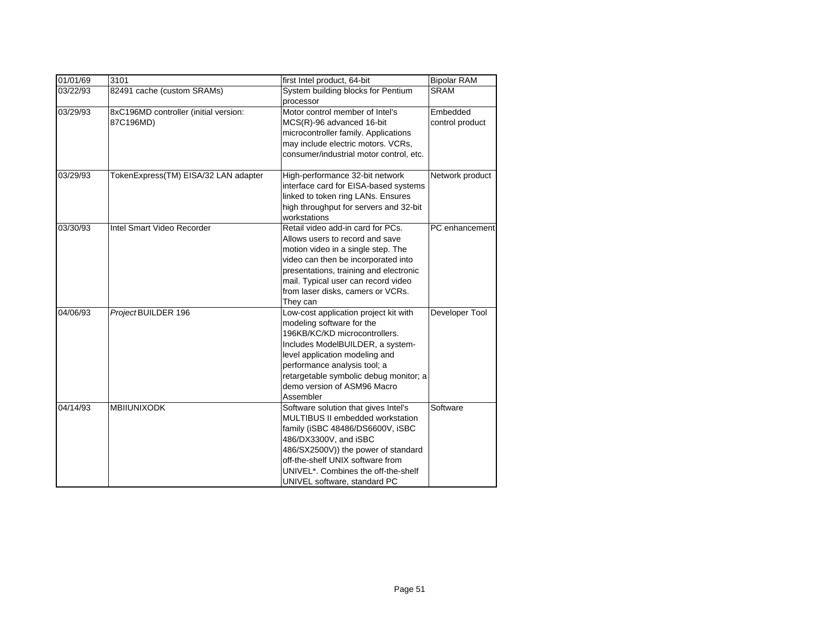| 01/01/69 | 3101                                               | first Intel product, 64-bit                                                                                                                                                                                                                                                                     | <b>Bipolar RAM</b>          |
|----------|----------------------------------------------------|-------------------------------------------------------------------------------------------------------------------------------------------------------------------------------------------------------------------------------------------------------------------------------------------------|-----------------------------|
| 03/22/93 | 82491 cache (custom SRAMs)                         | System building blocks for Pentium<br>processor                                                                                                                                                                                                                                                 | <b>SRAM</b>                 |
| 03/29/93 | 8xC196MD controller (initial version:<br>87C196MD) | Motor control member of Intel's<br>MCS(R)-96 advanced 16-bit<br>microcontroller family. Applications<br>may include electric motors. VCRs,<br>consumer/industrial motor control, etc.                                                                                                           | Embedded<br>control product |
| 03/29/93 | TokenExpress(TM) EISA/32 LAN adapter               | High-performance 32-bit network<br>interface card for EISA-based systems<br>linked to token ring LANs. Ensures<br>high throughput for servers and 32-bit<br>workstations                                                                                                                        | Network product             |
| 03/30/93 | Intel Smart Video Recorder                         | Retail video add-in card for PCs.<br>Allows users to record and save<br>motion video in a single step. The<br>video can then be incorporated into<br>presentations, training and electronic<br>mail. Typical user can record video<br>from laser disks, camers or VCRs.<br>They can             | PC enhancement              |
| 04/06/93 | ProjectBUILDER 196                                 | Low-cost application project kit with<br>modeling software for the<br>196KB/KC/KD microcontrollers.<br>Includes ModelBUILDER, a system-<br>level application modeling and<br>performance analysis tool; a<br>retargetable symbolic debug monitor; a<br>demo version of ASM96 Macro<br>Assembler | Developer Tool              |
| 04/14/93 | <b>MBIIUNIXODK</b>                                 | Software solution that gives Intel's<br>MULTIBUS II embedded workstation<br>family (iSBC 48486/DS6600V, iSBC<br>486/DX3300V, and iSBC<br>486/SX2500V)) the power of standard<br>off-the-shelf UNIX software from<br>UNIVEL*, Combines the off-the-shelf<br>UNIVEL software, standard PC         | Software                    |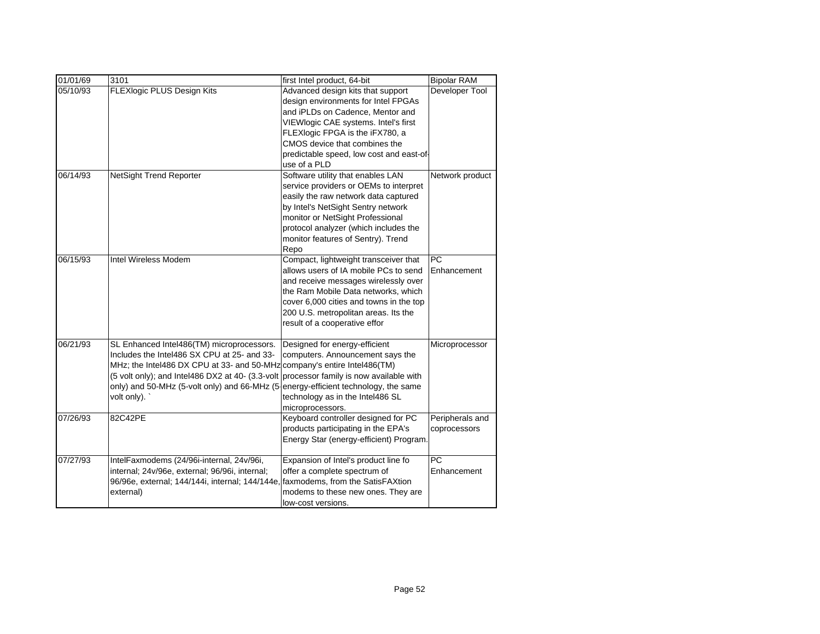| 01/01/69 | 3101                                                                                                                                                                                                                                                      | first Intel product, 64-bit                                                                                                                                                                                                                                                          | <b>Bipolar RAM</b>              |
|----------|-----------------------------------------------------------------------------------------------------------------------------------------------------------------------------------------------------------------------------------------------------------|--------------------------------------------------------------------------------------------------------------------------------------------------------------------------------------------------------------------------------------------------------------------------------------|---------------------------------|
| 05/10/93 | FLEXlogic PLUS Design Kits                                                                                                                                                                                                                                | Advanced design kits that support<br>design environments for Intel FPGAs<br>and iPLDs on Cadence, Mentor and<br>VIEWlogic CAE systems. Intel's first<br>FLEXlogic FPGA is the iFX780, a<br>CMOS device that combines the<br>predictable speed, low cost and east-of-<br>use of a PLD | Developer Tool                  |
| 06/14/93 | NetSight Trend Reporter                                                                                                                                                                                                                                   | Software utility that enables LAN<br>service providers or OEMs to interpret<br>easily the raw network data captured<br>by Intel's NetSight Sentry network<br>monitor or NetSight Professional<br>protocol analyzer (which includes the<br>monitor features of Sentry). Trend<br>Repo | Network product                 |
| 06/15/93 | Intel Wireless Modem                                                                                                                                                                                                                                      | Compact, lightweight transceiver that<br>allows users of IA mobile PCs to send<br>and receive messages wirelessly over<br>the Ram Mobile Data networks, which<br>cover 6,000 cities and towns in the top<br>200 U.S. metropolitan areas. Its the<br>result of a cooperative effor    | PC<br>Enhancement               |
| 06/21/93 | SL Enhanced Intel486(TM) microprocessors.<br>Includes the Intel486 SX CPU at 25- and 33-<br>MHz; the Intel486 DX CPU at 33- and 50-MHz<br>(5 volt only); and Intel486 DX2 at 40- (3.3-volt<br>only) and 50-MHz (5-volt only) and 66-MHz (5<br>volt only). | Designed for energy-efficient<br>computers. Announcement says the<br>company's entire Intel486(TM)<br>processor family is now available with<br>energy-efficient technology, the same<br>technology as in the Intel486 SL<br>microprocessors.                                        | Microprocessor                  |
| 07/26/93 | 82C42PE                                                                                                                                                                                                                                                   | Keyboard controller designed for PC<br>products participating in the EPA's<br>Energy Star (energy-efficient) Program.                                                                                                                                                                | Peripherals and<br>coprocessors |
| 07/27/93 | IntelFaxmodems (24/96i-internal, 24v/96i,<br>internal; 24v/96e, external; 96/96i, internal;<br>96/96e, external; 144/144i, internal; 144/144e,<br>external)                                                                                               | Expansion of Intel's product line fo<br>offer a complete spectrum of<br>faxmodems, from the SatisFAXtion<br>modems to these new ones. They are<br>low-cost versions.                                                                                                                 | <b>PC</b><br>Enhancement        |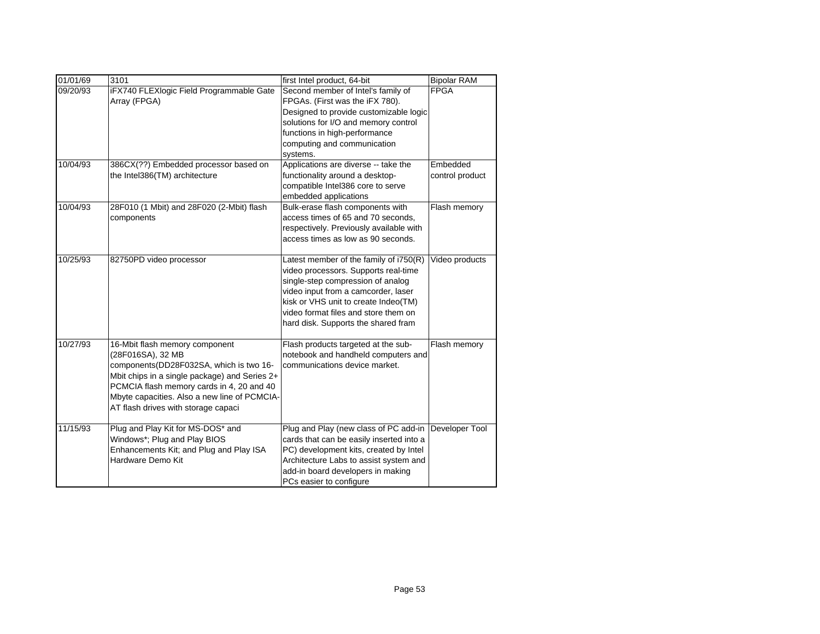| 01/01/69 | 3101                                                                                                                                                                                                                                                                                 | first Intel product, 64-bit                                                                                                                                                                                                                                                       | <b>Bipolar RAM</b>          |
|----------|--------------------------------------------------------------------------------------------------------------------------------------------------------------------------------------------------------------------------------------------------------------------------------------|-----------------------------------------------------------------------------------------------------------------------------------------------------------------------------------------------------------------------------------------------------------------------------------|-----------------------------|
| 09/20/93 | iFX740 FLEXlogic Field Programmable Gate<br>Array (FPGA)                                                                                                                                                                                                                             | Second member of Intel's family of<br>FPGAs. (First was the iFX 780).<br>Designed to provide customizable logic<br>solutions for I/O and memory control<br>functions in high-performance<br>computing and communication<br>systems.                                               | <b>FPGA</b>                 |
| 10/04/93 | 386CX(??) Embedded processor based on<br>the Intel386(TM) architecture                                                                                                                                                                                                               | Applications are diverse -- take the<br>functionality around a desktop-<br>compatible Intel386 core to serve<br>embedded applications                                                                                                                                             | Embedded<br>control product |
| 10/04/93 | 28F010 (1 Mbit) and 28F020 (2-Mbit) flash<br>components                                                                                                                                                                                                                              | Bulk-erase flash components with<br>access times of 65 and 70 seconds,<br>respectively. Previously available with<br>access times as low as 90 seconds.                                                                                                                           | Flash memory                |
| 10/25/93 | 82750PD video processor                                                                                                                                                                                                                                                              | Latest member of the family of i750(R)<br>video processors. Supports real-time<br>single-step compression of analog<br>video input from a camcorder, laser<br>kisk or VHS unit to create Indeo(TM)<br>video format files and store them on<br>hard disk. Supports the shared fram | Video products              |
| 10/27/93 | 16-Mbit flash memory component<br>(28F016SA), 32 MB<br>components (DD28F032SA, which is two 16-<br>Mbit chips in a single package) and Series 2+<br>PCMCIA flash memory cards in 4, 20 and 40<br>Mbyte capacities. Also a new line of PCMCIA-<br>AT flash drives with storage capaci | Flash products targeted at the sub-<br>notebook and handheld computers and<br>communications device market.                                                                                                                                                                       | Flash memory                |
| 11/15/93 | Plug and Play Kit for MS-DOS* and<br>Windows*; Plug and Play BIOS<br>Enhancements Kit; and Plug and Play ISA<br>Hardware Demo Kit                                                                                                                                                    | Plug and Play (new class of PC add-in<br>cards that can be easily inserted into a<br>PC) development kits, created by Intel<br>Architecture Labs to assist system and<br>add-in board developers in making<br>PCs easier to configure                                             | Developer Tool              |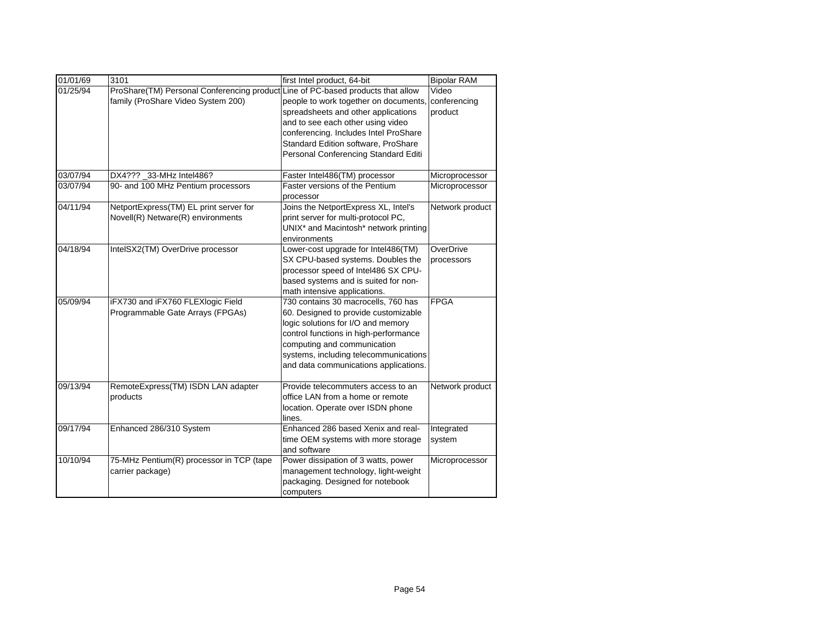| 01/01/69 | 3101                                                                             | first Intel product, 64-bit                                                   | <b>Bipolar RAM</b>    |
|----------|----------------------------------------------------------------------------------|-------------------------------------------------------------------------------|-----------------------|
| 01/25/94 | ProShare(TM) Personal Conferencing product<br>family (ProShare Video System 200) | Line of PC-based products that allow<br>people to work together on documents, | Video<br>conferencing |
|          |                                                                                  | spreadsheets and other applications                                           | product               |
|          |                                                                                  | and to see each other using video                                             |                       |
|          |                                                                                  | conferencing. Includes Intel ProShare                                         |                       |
|          |                                                                                  | Standard Edition software, ProShare                                           |                       |
|          |                                                                                  | Personal Conferencing Standard Editi                                          |                       |
| 03/07/94 | DX4??? 33-MHz Intel486?                                                          | Faster Intel486(TM) processor                                                 | Microprocessor        |
| 03/07/94 | 90- and 100 MHz Pentium processors                                               | Faster versions of the Pentium                                                | Microprocessor        |
|          |                                                                                  | processor                                                                     |                       |
| 04/11/94 | NetportExpress(TM) EL print server for                                           | Joins the NetportExpress XL, Intel's                                          | Network product       |
|          | Novell(R) Netware(R) environments                                                | print server for multi-protocol PC,                                           |                       |
|          |                                                                                  | UNIX* and Macintosh* network printing                                         |                       |
|          |                                                                                  | environments                                                                  |                       |
| 04/18/94 | IntelSX2(TM) OverDrive processor                                                 | Lower-cost upgrade for Intel486(TM)                                           | OverDrive             |
|          |                                                                                  | SX CPU-based systems. Doubles the                                             | processors            |
|          |                                                                                  | processor speed of Intel486 SX CPU-                                           |                       |
|          |                                                                                  | based systems and is suited for non-                                          |                       |
|          |                                                                                  | math intensive applications.                                                  |                       |
| 05/09/94 | iFX730 and iFX760 FLEXlogic Field                                                | 730 contains 30 macrocells, 760 has                                           | <b>FPGA</b>           |
|          | Programmable Gate Arrays (FPGAs)                                                 | 60. Designed to provide customizable                                          |                       |
|          |                                                                                  | logic solutions for I/O and memory                                            |                       |
|          |                                                                                  | control functions in high-performance                                         |                       |
|          |                                                                                  | computing and communication                                                   |                       |
|          |                                                                                  | systems, including telecommunications                                         |                       |
|          |                                                                                  | and data communications applications.                                         |                       |
| 09/13/94 | RemoteExpress(TM) ISDN LAN adapter                                               | Provide telecommuters access to an                                            | Network product       |
|          | products                                                                         | office LAN from a home or remote                                              |                       |
|          |                                                                                  | location. Operate over ISDN phone                                             |                       |
|          |                                                                                  | lines.                                                                        |                       |
| 09/17/94 | Enhanced 286/310 System                                                          | Enhanced 286 based Xenix and real-                                            | Integrated            |
|          |                                                                                  | time OEM systems with more storage                                            | system                |
|          |                                                                                  | and software                                                                  |                       |
| 10/10/94 | 75-MHz Pentium(R) processor in TCP (tape                                         | Power dissipation of 3 watts, power                                           | Microprocessor        |
|          | carrier package)                                                                 | management technology, light-weight                                           |                       |
|          |                                                                                  | packaging. Designed for notebook                                              |                       |
|          |                                                                                  | computers                                                                     |                       |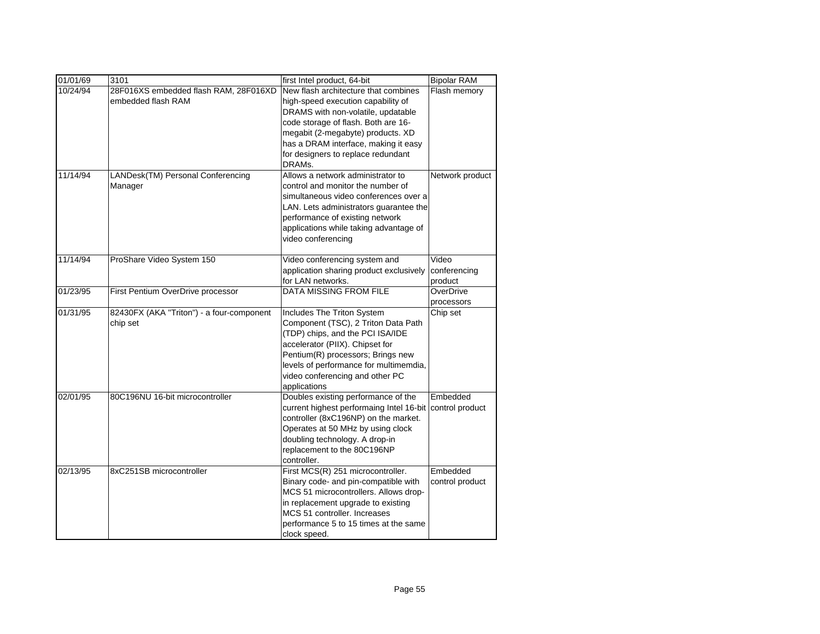| 01/01/69 | 3101                                      | first Intel product, 64-bit              | <b>Bipolar RAM</b> |
|----------|-------------------------------------------|------------------------------------------|--------------------|
| 10/24/94 | 28F016XS embedded flash RAM, 28F016XD     | New flash architecture that combines     | Flash memory       |
|          | embedded flash RAM                        | high-speed execution capability of       |                    |
|          |                                           | DRAMS with non-volatile, updatable       |                    |
|          |                                           | code storage of flash. Both are 16-      |                    |
|          |                                           | megabit (2-megabyte) products. XD        |                    |
|          |                                           | has a DRAM interface, making it easy     |                    |
|          |                                           | for designers to replace redundant       |                    |
|          |                                           | DRAMs.                                   |                    |
| 11/14/94 | LANDesk(TM) Personal Conferencing         | Allows a network administrator to        | Network product    |
|          | Manager                                   | control and monitor the number of        |                    |
|          |                                           | simultaneous video conferences over a    |                    |
|          |                                           | LAN. Lets administrators guarantee the   |                    |
|          |                                           | performance of existing network          |                    |
|          |                                           | applications while taking advantage of   |                    |
|          |                                           | video conferencing                       |                    |
| 11/14/94 | ProShare Video System 150                 | Video conferencing system and            | Video              |
|          |                                           | application sharing product exclusively  | conferencing       |
|          |                                           | for LAN networks.                        | product            |
| 01/23/95 | First Pentium OverDrive processor         | <b>DATA MISSING FROM FILE</b>            | OverDrive          |
|          |                                           |                                          | processors         |
| 01/31/95 | 82430FX (AKA "Triton") - a four-component | Includes The Triton System               | Chip set           |
|          | chip set                                  | Component (TSC), 2 Triton Data Path      |                    |
|          |                                           | (TDP) chips, and the PCI ISA/IDE         |                    |
|          |                                           | accelerator (PIIX). Chipset for          |                    |
|          |                                           | Pentium(R) processors; Brings new        |                    |
|          |                                           | levels of performance for multimemdia,   |                    |
|          |                                           | video conferencing and other PC          |                    |
|          |                                           | applications                             |                    |
| 02/01/95 | 80C196NU 16-bit microcontroller           | Doubles existing performance of the      | Embedded           |
|          |                                           | current highest performaing Intel 16-bit | control product    |
|          |                                           | controller (8xC196NP) on the market.     |                    |
|          |                                           | Operates at 50 MHz by using clock        |                    |
|          |                                           | doubling technology. A drop-in           |                    |
|          |                                           | replacement to the 80C196NP              |                    |
|          |                                           | controller.                              |                    |
| 02/13/95 | 8xC251SB microcontroller                  | First MCS(R) 251 microcontroller.        | Embedded           |
|          |                                           | Binary code- and pin-compatible with     | control product    |
|          |                                           | MCS 51 microcontrollers. Allows drop-    |                    |
|          |                                           | in replacement upgrade to existing       |                    |
|          |                                           | MCS 51 controller. Increases             |                    |
|          |                                           | performance 5 to 15 times at the same    |                    |
|          |                                           | clock speed.                             |                    |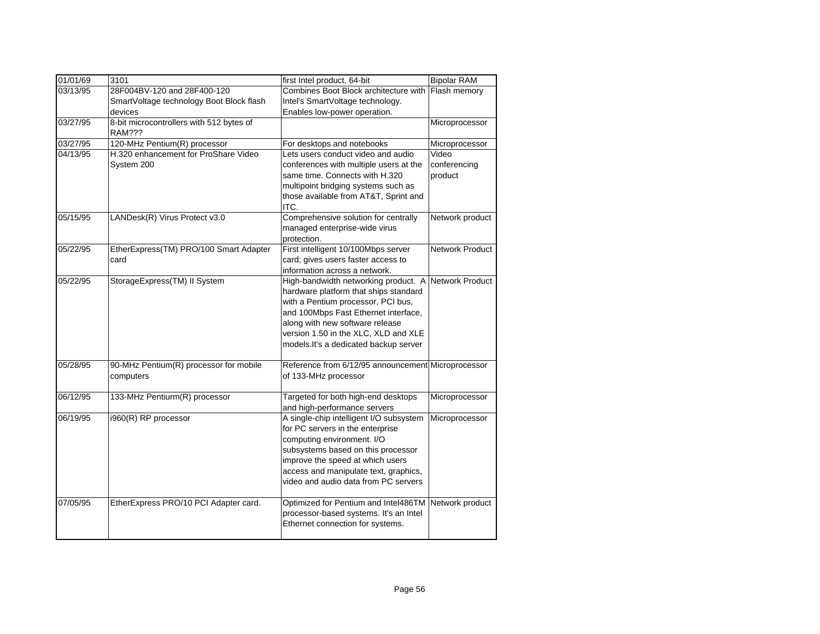| 01/01/69 | 3101                                               | first Intel product, 64-bit                                                 | <b>Bipolar RAM</b>     |
|----------|----------------------------------------------------|-----------------------------------------------------------------------------|------------------------|
| 03/13/95 | 28F004BV-120 and 28F400-120                        | Combines Boot Block architecture with                                       | Flash memory           |
|          | SmartVoltage technology Boot Block flash           | Intel's SmartVoltage technology.                                            |                        |
|          | devices                                            | Enables low-power operation.                                                |                        |
| 03/27/95 | 8-bit microcontrollers with 512 bytes of<br>RAM??? |                                                                             | Microprocessor         |
| 03/27/95 | 120-MHz Pentium(R) processor                       | For desktops and notebooks                                                  | Microprocessor         |
| 04/13/95 | H.320 enhancement for ProShare Video               | Lets users conduct video and audio                                          | Video                  |
|          | System 200                                         | conferences with multiple users at the                                      | conferencing           |
|          |                                                    | same time. Connects with H.320                                              | product                |
|          |                                                    | multipoint bridging systems such as                                         |                        |
|          |                                                    | those available from AT&T, Sprint and                                       |                        |
|          |                                                    | ITC.                                                                        |                        |
| 05/15/95 | LANDesk(R) Virus Protect v3.0                      | Comprehensive solution for centrally                                        | Network product        |
|          |                                                    | managed enterprise-wide virus                                               |                        |
|          |                                                    | protection.                                                                 |                        |
| 05/22/95 | EtherExpress(TM) PRO/100 Smart Adapter             | First intelligent 10/100Mbps server                                         | <b>Network Product</b> |
|          | card                                               | card; gives users faster access to                                          |                        |
|          |                                                    | information across a network.                                               | <b>Network Product</b> |
| 05/22/95 | StorageExpress(TM) II System                       | High-bandwidth networking product. A                                        |                        |
|          |                                                    | hardware platform that ships standard<br>with a Pentium processor, PCI bus, |                        |
|          |                                                    | and 100Mbps Fast Ethernet interface,                                        |                        |
|          |                                                    | along with new software release                                             |                        |
|          |                                                    | version 1.50 in the XLC, XLD and XLE                                        |                        |
|          |                                                    | models. It's a dedicated backup server                                      |                        |
|          |                                                    |                                                                             |                        |
| 05/28/95 | 90-MHz Pentium(R) processor for mobile             | Reference from 6/12/95 announcement Microprocessor                          |                        |
|          | computers                                          | of 133-MHz processor                                                        |                        |
|          |                                                    |                                                                             |                        |
| 06/12/95 | 133-MHz Pentiurm(R) processor                      | Targeted for both high-end desktops                                         | Microprocessor         |
|          |                                                    | and high-performance servers                                                |                        |
| 06/19/95 | i960(R) RP processor                               | A single-chip intelligent I/O subsystem                                     | Microprocessor         |
|          |                                                    | for PC servers in the enterprise                                            |                        |
|          |                                                    | computing environment. I/O                                                  |                        |
|          |                                                    | subsystems based on this processor                                          |                        |
|          |                                                    | improve the speed at which users                                            |                        |
|          |                                                    | access and manipulate text, graphics,                                       |                        |
|          |                                                    | video and audio data from PC servers                                        |                        |
| 07/05/95 | EtherExpress PRO/10 PCI Adapter card.              | Optimized for Pentium and Intel486TM                                        | Network product        |
|          |                                                    | processor-based systems. It's an Intel                                      |                        |
|          |                                                    | Ethernet connection for systems.                                            |                        |
|          |                                                    |                                                                             |                        |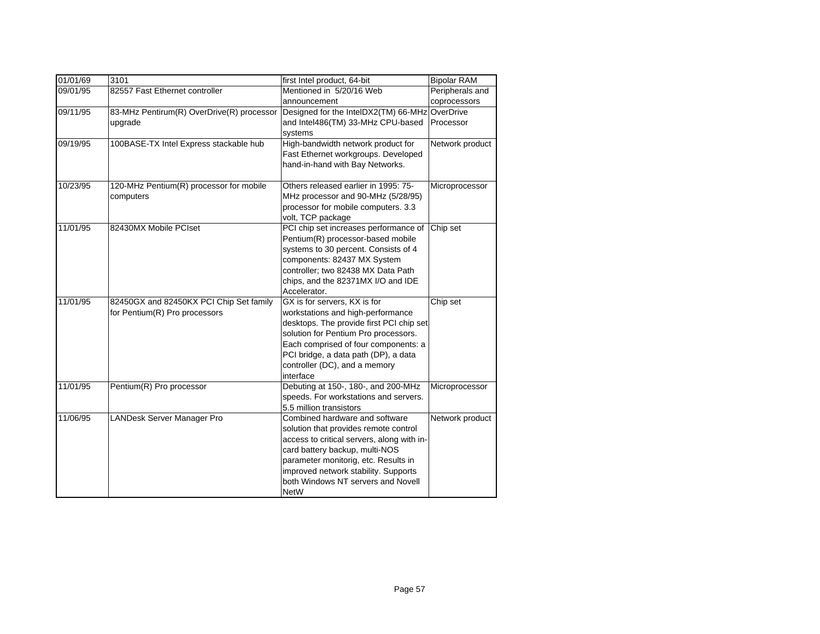| 01/01/69 | 3101                                      | first Intel product, 64-bit                    | <b>Bipolar RAM</b> |
|----------|-------------------------------------------|------------------------------------------------|--------------------|
| 09/01/95 | 82557 Fast Ethernet controller            | Mentioned in 5/20/16 Web                       | Peripherals and    |
|          |                                           | announcement                                   | coprocessors       |
| 09/11/95 | 83-MHz Pentirum(R) OverDrive(R) processor | Designed for the IntelDX2(TM) 66-MHz OverDrive |                    |
|          | upgrade                                   | and Intel486(TM) 33-MHz CPU-based              | Processor          |
|          |                                           | systems                                        |                    |
| 09/19/95 | 100BASE-TX Intel Express stackable hub    | High-bandwidth network product for             | Network product    |
|          |                                           | Fast Ethernet workgroups. Developed            |                    |
|          |                                           | hand-in-hand with Bay Networks.                |                    |
|          |                                           |                                                |                    |
| 10/23/95 | 120-MHz Pentium(R) processor for mobile   | Others released earlier in 1995: 75-           | Microprocessor     |
|          | computers                                 | MHz processor and 90-MHz (5/28/95)             |                    |
|          |                                           | processor for mobile computers. 3.3            |                    |
|          |                                           | volt, TCP package                              |                    |
| 11/01/95 | 82430MX Mobile PCIset                     | PCI chip set increases performance of          | Chip set           |
|          |                                           | Pentium(R) processor-based mobile              |                    |
|          |                                           | systems to 30 percent. Consists of 4           |                    |
|          |                                           | components: 82437 MX System                    |                    |
|          |                                           | controller; two 82438 MX Data Path             |                    |
|          |                                           | chips, and the 82371MX I/O and IDE             |                    |
|          |                                           | Accelerator.                                   |                    |
| 11/01/95 | 82450GX and 82450KX PCI Chip Set family   | GX is for servers, KX is for                   | Chip set           |
|          | for Pentium(R) Pro processors             | workstations and high-performance              |                    |
|          |                                           | desktops. The provide first PCI chip set       |                    |
|          |                                           | solution for Pentium Pro processors.           |                    |
|          |                                           | Each comprised of four components: a           |                    |
|          |                                           | PCI bridge, a data path (DP), a data           |                    |
|          |                                           | controller (DC), and a memory                  |                    |
|          |                                           | interface                                      |                    |
| 11/01/95 | Pentium(R) Pro processor                  | Debuting at 150-, 180-, and 200-MHz            | Microprocessor     |
|          |                                           | speeds. For workstations and servers.          |                    |
|          |                                           | 5.5 million transistors                        |                    |
| 11/06/95 | LANDesk Server Manager Pro                | Combined hardware and software                 | Network product    |
|          |                                           | solution that provides remote control          |                    |
|          |                                           | access to critical servers, along with in-     |                    |
|          |                                           | card battery backup, multi-NOS                 |                    |
|          |                                           | parameter monitorig, etc. Results in           |                    |
|          |                                           | improved network stability. Supports           |                    |
|          |                                           | both Windows NT servers and Novell             |                    |
|          |                                           | <b>NetW</b>                                    |                    |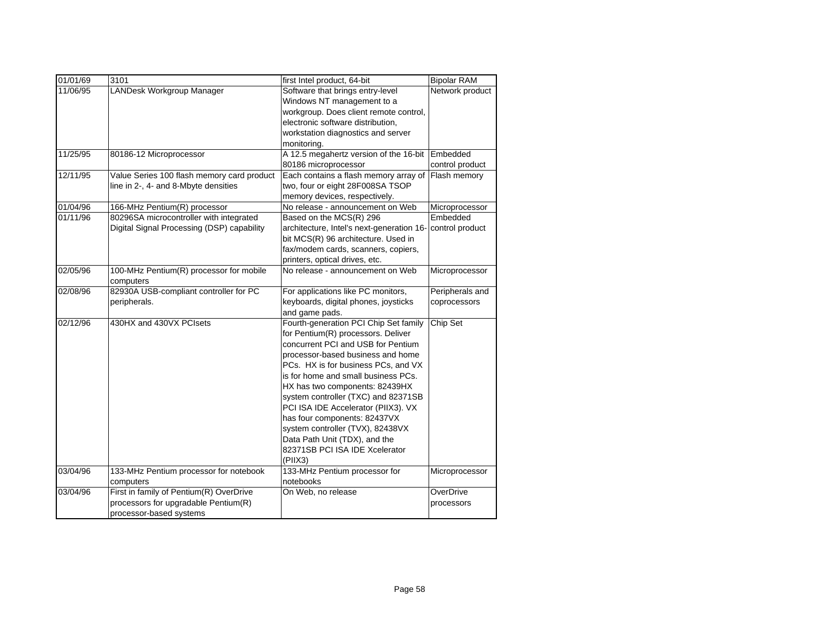| 01/01/69 | 3101                                                 | first Intel product, 64-bit               | <b>Bipolar RAM</b> |
|----------|------------------------------------------------------|-------------------------------------------|--------------------|
| 11/06/95 | LANDesk Workgroup Manager                            | Software that brings entry-level          | Network product    |
|          |                                                      | Windows NT management to a                |                    |
|          |                                                      | workgroup. Does client remote control,    |                    |
|          |                                                      | electronic software distribution,         |                    |
|          |                                                      | workstation diagnostics and server        |                    |
|          |                                                      | monitoring.                               |                    |
| 11/25/95 | 80186-12 Microprocessor                              | A 12.5 megahertz version of the 16-bit    | Embedded           |
|          |                                                      | 80186 microprocessor                      | control product    |
| 12/11/95 | Value Series 100 flash memory card product           | Each contains a flash memory array of     | Flash memory       |
|          | line in 2-, 4- and 8-Mbyte densities                 | two, four or eight 28F008SA TSOP          |                    |
|          |                                                      | memory devices, respectively.             |                    |
| 01/04/96 | 166-MHz Pentium(R) processor                         | No release - announcement on Web          | Microprocessor     |
| 01/11/96 | 80296SA microcontroller with integrated              | Based on the MCS(R) 296                   | Embedded           |
|          | Digital Signal Processing (DSP) capability           | architecture, Intel's next-generation 16- | control product    |
|          |                                                      | bit MCS(R) 96 architecture. Used in       |                    |
|          |                                                      | fax/modem cards, scanners, copiers,       |                    |
|          |                                                      | printers, optical drives, etc.            |                    |
| 02/05/96 | 100-MHz Pentium(R) processor for mobile<br>computers | No release - announcement on Web          | Microprocessor     |
| 02/08/96 | 82930A USB-compliant controller for PC               | For applications like PC monitors,        | Peripherals and    |
|          | peripherals.                                         | keyboards, digital phones, joysticks      | coprocessors       |
|          |                                                      | and game pads.                            |                    |
| 02/12/96 | 430HX and 430VX PCIsets                              | Fourth-generation PCI Chip Set family     | Chip Set           |
|          |                                                      | for Pentium(R) processors. Deliver        |                    |
|          |                                                      | concurrent PCI and USB for Pentium        |                    |
|          |                                                      | processor-based business and home         |                    |
|          |                                                      | PCs. HX is for business PCs, and VX       |                    |
|          |                                                      | is for home and small business PCs.       |                    |
|          |                                                      | HX has two components: 82439HX            |                    |
|          |                                                      | system controller (TXC) and 82371SB       |                    |
|          |                                                      | PCI ISA IDE Accelerator (PIIX3). VX       |                    |
|          |                                                      | has four components: 82437VX              |                    |
|          |                                                      | system controller (TVX), 82438VX          |                    |
|          |                                                      | Data Path Unit (TDX), and the             |                    |
|          |                                                      | 82371SB PCI ISA IDE Xcelerator            |                    |
|          |                                                      | (PIIX3)                                   |                    |
| 03/04/96 | 133-MHz Pentium processor for notebook               | 133-MHz Pentium processor for             | Microprocessor     |
|          | computers                                            | notebooks                                 |                    |
| 03/04/96 | First in family of Pentium(R) OverDrive              | On Web, no release                        | OverDrive          |
|          | processors for upgradable Pentium(R)                 |                                           | processors         |
|          | processor-based systems                              |                                           |                    |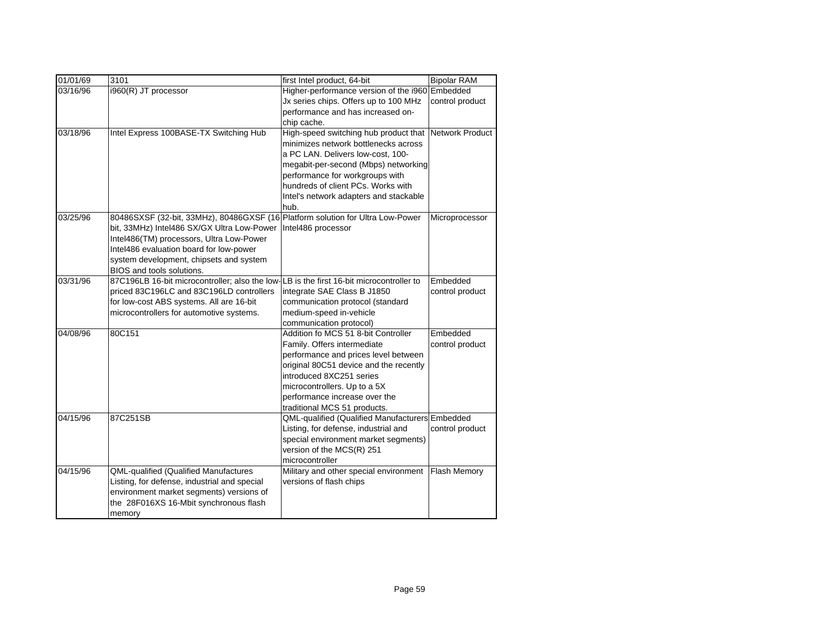| 01/01/69 | 3101                                                                           | first Intel product, 64-bit                                                   | <b>Bipolar RAM</b>  |
|----------|--------------------------------------------------------------------------------|-------------------------------------------------------------------------------|---------------------|
| 03/16/96 | i960(R) JT processor                                                           | Higher-performance version of the i960 Embedded                               |                     |
|          |                                                                                | Jx series chips. Offers up to 100 MHz                                         | control product     |
|          |                                                                                | performance and has increased on-                                             |                     |
| 03/18/96 | Intel Express 100BASE-TX Switching Hub                                         | chip cache.                                                                   | Network Product     |
|          |                                                                                | High-speed switching hub product that<br>minimizes network bottlenecks across |                     |
|          |                                                                                | a PC LAN. Delivers low-cost, 100-                                             |                     |
|          |                                                                                | megabit-per-second (Mbps) networking                                          |                     |
|          |                                                                                | performance for workgroups with                                               |                     |
|          |                                                                                | hundreds of client PCs. Works with                                            |                     |
|          |                                                                                | Intel's network adapters and stackable                                        |                     |
|          |                                                                                | hub.                                                                          |                     |
| 03/25/96 | 80486SXSF (32-bit, 33MHz), 80486GXSF (16 Platform solution for Ultra Low-Power |                                                                               | Microprocessor      |
|          | bit, 33MHz) Intel486 SX/GX Ultra Low-Power                                     | Intel486 processor                                                            |                     |
|          | Intel486(TM) processors, Ultra Low-Power                                       |                                                                               |                     |
|          | Intel486 evaluation board for low-power                                        |                                                                               |                     |
|          | system development, chipsets and system                                        |                                                                               |                     |
|          | BIOS and tools solutions.                                                      |                                                                               |                     |
| 03/31/96 | 87C196LB 16-bit microcontroller; also the low-                                 | LB is the first 16-bit microcontroller to                                     | Embedded            |
|          | priced 83C196LC and 83C196LD controllers                                       | integrate SAE Class B J1850                                                   | control product     |
|          | for low-cost ABS systems. All are 16-bit                                       | communication protocol (standard                                              |                     |
|          | microcontrollers for automotive systems.                                       | medium-speed in-vehicle                                                       |                     |
|          |                                                                                | communication protocol)                                                       |                     |
| 04/08/96 | 80C151                                                                         | Addition fo MCS 51 8-bit Controller                                           | Embedded            |
|          |                                                                                | Family. Offers intermediate                                                   | control product     |
|          |                                                                                | performance and prices level between                                          |                     |
|          |                                                                                | original 80C51 device and the recently                                        |                     |
|          |                                                                                | introduced 8XC251 series                                                      |                     |
|          |                                                                                | microcontrollers. Up to a 5X<br>performance increase over the                 |                     |
|          |                                                                                | traditional MCS 51 products.                                                  |                     |
| 04/15/96 | 87C251SB                                                                       | QML-qualified (Qualified Manufacturers Embedded                               |                     |
|          |                                                                                | Listing, for defense, industrial and                                          | control product     |
|          |                                                                                | special environment market segments)                                          |                     |
|          |                                                                                | version of the MCS(R) 251                                                     |                     |
|          |                                                                                | microcontroller                                                               |                     |
| 04/15/96 | <b>QML-qualified (Qualified Manufactures</b>                                   | Military and other special environment                                        | <b>Flash Memory</b> |
|          | Listing, for defense, industrial and special                                   | versions of flash chips                                                       |                     |
|          | environment market segments) versions of                                       |                                                                               |                     |
|          | the 28F016XS 16-Mbit synchronous flash                                         |                                                                               |                     |
|          | memory                                                                         |                                                                               |                     |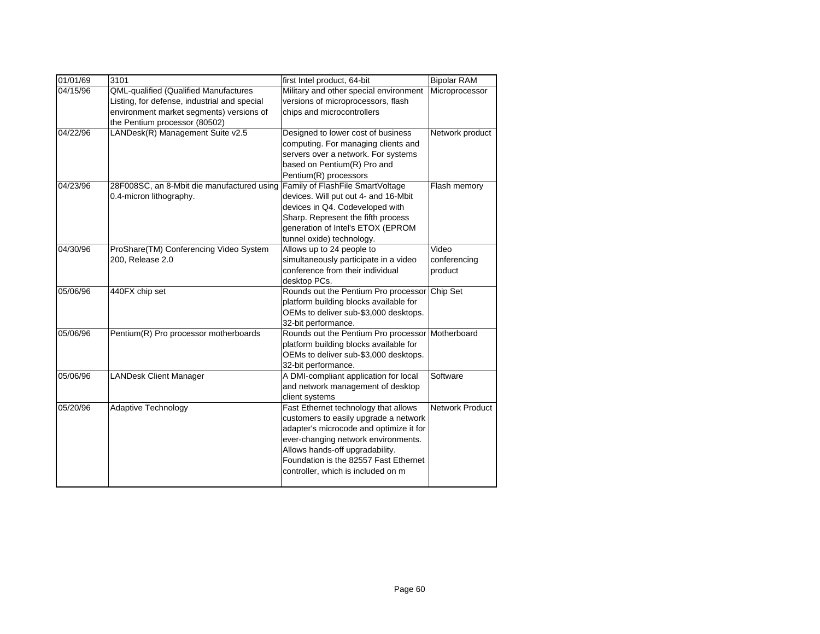| 01/01/69 | 3101                                                                                                                                                               | first Intel product, 64-bit                                                                                                                                                                                                                                                       | <b>Bipolar RAM</b>               |
|----------|--------------------------------------------------------------------------------------------------------------------------------------------------------------------|-----------------------------------------------------------------------------------------------------------------------------------------------------------------------------------------------------------------------------------------------------------------------------------|----------------------------------|
| 04/15/96 | QML-qualified (Qualified Manufactures<br>Listing, for defense, industrial and special<br>environment market segments) versions of<br>the Pentium processor (80502) | Military and other special environment<br>versions of microprocessors, flash<br>chips and microcontrollers                                                                                                                                                                        | Microprocessor                   |
| 04/22/96 | LANDesk(R) Management Suite v2.5                                                                                                                                   | Designed to lower cost of business<br>computing. For managing clients and<br>servers over a network. For systems<br>based on Pentium(R) Pro and<br>Pentium(R) processors                                                                                                          | Network product                  |
| 04/23/96 | 28F008SC, an 8-Mbit die manufactured using<br>0.4-micron lithography.                                                                                              | Family of FlashFile SmartVoltage<br>devices. Will put out 4- and 16-Mbit<br>devices in Q4. Codeveloped with<br>Sharp. Represent the fifth process<br>generation of Intel's ETOX (EPROM<br>tunnel oxide) technology.                                                               | Flash memory                     |
| 04/30/96 | ProShare(TM) Conferencing Video System<br>200, Release 2.0                                                                                                         | Allows up to 24 people to<br>simultaneously participate in a video<br>conference from their individual<br>desktop PCs.                                                                                                                                                            | Video<br>conferencing<br>product |
| 05/06/96 | 440FX chip set                                                                                                                                                     | Rounds out the Pentium Pro processor<br>platform building blocks available for<br>OEMs to deliver sub-\$3,000 desktops.<br>32-bit performance.                                                                                                                                    | Chip Set                         |
| 05/06/96 | Pentium(R) Pro processor motherboards                                                                                                                              | Rounds out the Pentium Pro processor<br>platform building blocks available for<br>OEMs to deliver sub-\$3,000 desktops.<br>32-bit performance.                                                                                                                                    | Motherboard                      |
| 05/06/96 | <b>LANDesk Client Manager</b>                                                                                                                                      | A DMI-compliant application for local<br>and network management of desktop<br>client systems                                                                                                                                                                                      | Software                         |
| 05/20/96 | <b>Adaptive Technology</b>                                                                                                                                         | Fast Ethernet technology that allows<br>customers to easily upgrade a network<br>adapter's microcode and optimize it for<br>ever-changing network environments.<br>Allows hands-off upgradability.<br>Foundation is the 82557 Fast Ethernet<br>controller, which is included on m | <b>Network Product</b>           |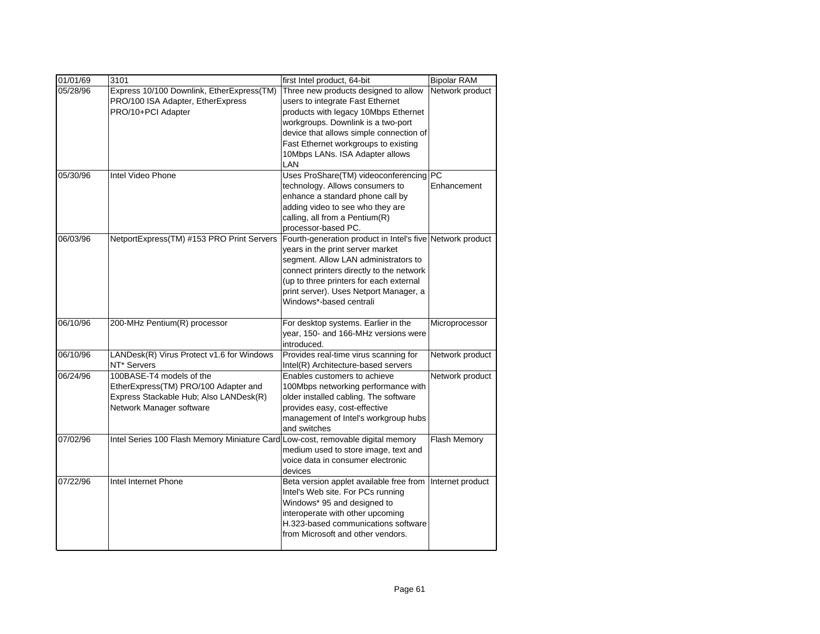| 01/01/69 | 3101                                         | first Intel product, 64-bit                                                      | <b>Bipolar RAM</b> |
|----------|----------------------------------------------|----------------------------------------------------------------------------------|--------------------|
| 05/28/96 | Express 10/100 Downlink, EtherExpress(TM)    | Three new products designed to allow                                             | Network product    |
|          | PRO/100 ISA Adapter, EtherExpress            | users to integrate Fast Ethernet                                                 |                    |
|          | PRO/10+PCI Adapter                           | products with legacy 10Mbps Ethernet                                             |                    |
|          |                                              | workgroups. Downlink is a two-port                                               |                    |
|          |                                              | device that allows simple connection of                                          |                    |
|          |                                              | Fast Ethernet workgroups to existing                                             |                    |
|          |                                              | 10Mbps LANs. ISA Adapter allows                                                  |                    |
|          |                                              | LAN                                                                              |                    |
| 05/30/96 | Intel Video Phone                            | Uses ProShare(TM) videoconferencing PC                                           |                    |
|          |                                              | technology. Allows consumers to                                                  | Enhancement        |
|          |                                              | enhance a standard phone call by                                                 |                    |
|          |                                              | adding video to see who they are                                                 |                    |
|          |                                              | calling, all from a Pentium(R)                                                   |                    |
| 06/03/96 | NetportExpress(TM) #153 PRO Print Servers    | processor-based PC.<br>Fourth-generation product in Intel's five Network product |                    |
|          |                                              | years in the print server market                                                 |                    |
|          |                                              | segment. Allow LAN administrators to                                             |                    |
|          |                                              | connect printers directly to the network                                         |                    |
|          |                                              | (up to three printers for each external                                          |                    |
|          |                                              | print server). Uses Netport Manager, a                                           |                    |
|          |                                              | Windows*-based centrali                                                          |                    |
|          |                                              |                                                                                  |                    |
| 06/10/96 | 200-MHz Pentium(R) processor                 | For desktop systems. Earlier in the                                              | Microprocessor     |
|          |                                              | year, 150- and 166-MHz versions were                                             |                    |
|          |                                              | introduced.                                                                      |                    |
| 06/10/96 | LANDesk(R) Virus Protect v1.6 for Windows    | Provides real-time virus scanning for                                            | Network product    |
|          | NT* Servers                                  | Intel(R) Architecture-based servers                                              |                    |
| 06/24/96 | 100BASE-T4 models of the                     | Enables customers to achieve                                                     | Network product    |
|          | EtherExpress(TM) PRO/100 Adapter and         | 100Mbps networking performance with                                              |                    |
|          | Express Stackable Hub; Also LANDesk(R)       | older installed cabling. The software                                            |                    |
|          | Network Manager software                     | provides easy, cost-effective                                                    |                    |
|          |                                              | management of Intel's workgroup hubs                                             |                    |
|          |                                              | and switches                                                                     |                    |
| 07/02/96 | Intel Series 100 Flash Memory Miniature Card | Low-cost, removable digital memory<br>medium used to store image, text and       | Flash Memory       |
|          |                                              | voice data in consumer electronic                                                |                    |
|          |                                              | devices                                                                          |                    |
| 07/22/96 | Intel Internet Phone                         | Beta version applet available free from Internet product                         |                    |
|          |                                              | Intel's Web site. For PCs running                                                |                    |
|          |                                              | Windows* 95 and designed to                                                      |                    |
|          |                                              | interoperate with other upcoming                                                 |                    |
|          |                                              | H.323-based communications software                                              |                    |
|          |                                              | from Microsoft and other vendors.                                                |                    |
|          |                                              |                                                                                  |                    |
|          |                                              |                                                                                  |                    |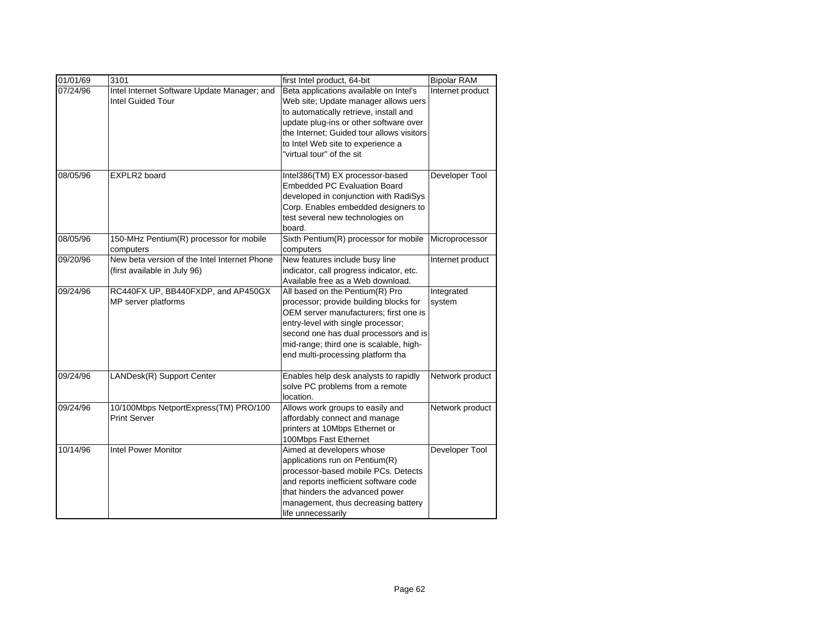| 01/01/69 | 3101                                                                         | first Intel product, 64-bit                                                                                                                                                                                                                                                        | <b>Bipolar RAM</b>   |
|----------|------------------------------------------------------------------------------|------------------------------------------------------------------------------------------------------------------------------------------------------------------------------------------------------------------------------------------------------------------------------------|----------------------|
| 07/24/96 | Intel Internet Software Update Manager; and<br><b>Intel Guided Tour</b>      | Beta applications available on Intel's<br>Web site; Update manager allows uers<br>to automatically retrieve, install and<br>update plug-ins or other software over<br>the Internet; Guided tour allows visitors<br>to Intel Web site to experience a<br>"virtual tour" of the sit  | Internet product     |
| 08/05/96 | EXPLR2 board                                                                 | Intel386(TM) EX processor-based<br><b>Embedded PC Evaluation Board</b><br>developed in conjunction with RadiSys<br>Corp. Enables embedded designers to<br>test several new technologies on<br>board.                                                                               | Developer Tool       |
| 08/05/96 | 150-MHz Pentium(R) processor for mobile<br>computers                         | Sixth Pentium(R) processor for mobile<br>computers                                                                                                                                                                                                                                 | Microprocessor       |
| 09/20/96 | New beta version of the Intel Internet Phone<br>(first available in July 96) | New features include busy line<br>indicator, call progress indicator, etc.<br>Available free as a Web download.                                                                                                                                                                    | Internet product     |
| 09/24/96 | RC440FX UP, BB440FXDP, and AP450GX<br>MP server platforms                    | All based on the Pentium(R) Pro<br>processor; provide building blocks for<br>OEM server manufacturers; first one is<br>entry-level with single processor;<br>second one has dual processors and is<br>mid-range; third one is scalable, high-<br>end multi-processing platform tha | Integrated<br>system |
| 09/24/96 | LANDesk(R) Support Center                                                    | Enables help desk analysts to rapidly<br>solve PC problems from a remote<br>location.                                                                                                                                                                                              | Network product      |
| 09/24/96 | 10/100Mbps NetportExpress(TM) PRO/100<br><b>Print Server</b>                 | Allows work groups to easily and<br>affordably connect and manage<br>printers at 10Mbps Ethernet or<br>100Mbps Fast Ethernet                                                                                                                                                       | Network product      |
| 10/14/96 | <b>Intel Power Monitor</b>                                                   | Aimed at developers whose<br>applications run on Pentium(R)<br>processor-based mobile PCs. Detects<br>and reports inefficient software code<br>that hinders the advanced power<br>management, thus decreasing battery<br>life unnecessarily                                        | Developer Tool       |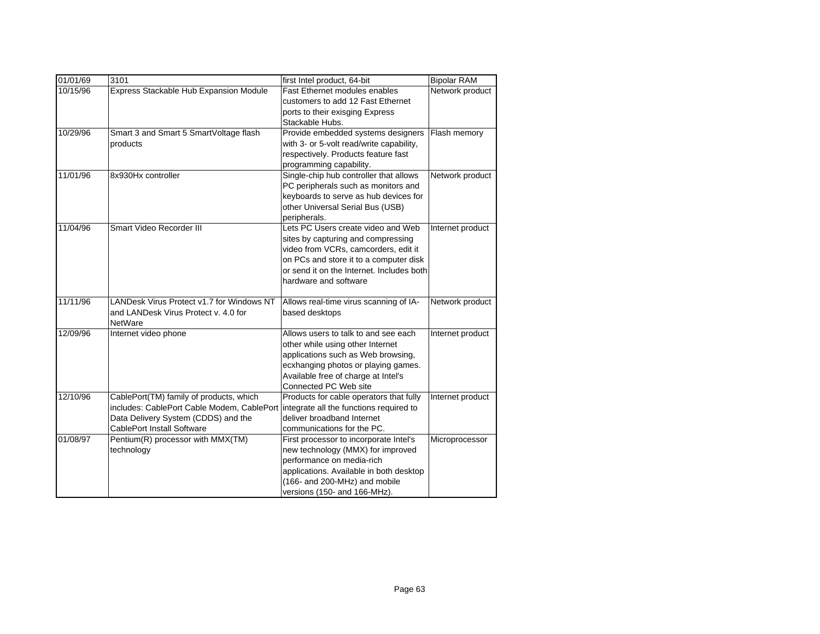| 01/01/69 | 3101                                       | first Intel product, 64-bit                                                         | <b>Bipolar RAM</b> |
|----------|--------------------------------------------|-------------------------------------------------------------------------------------|--------------------|
| 10/15/96 | Express Stackable Hub Expansion Module     | Fast Ethernet modules enables                                                       | Network product    |
|          |                                            | customers to add 12 Fast Ethernet                                                   |                    |
|          |                                            | ports to their exisging Express                                                     |                    |
|          |                                            | Stackable Hubs.                                                                     |                    |
| 10/29/96 | Smart 3 and Smart 5 SmartVoltage flash     | Provide embedded systems designers                                                  | Flash memory       |
|          | products                                   | with 3- or 5-volt read/write capability,                                            |                    |
|          |                                            | respectively. Products feature fast                                                 |                    |
|          |                                            | programming capability.                                                             |                    |
| 11/01/96 | 8x930Hx controller                         | Single-chip hub controller that allows                                              | Network product    |
|          |                                            | PC peripherals such as monitors and                                                 |                    |
|          |                                            | keyboards to serve as hub devices for                                               |                    |
|          |                                            | other Universal Serial Bus (USB)                                                    |                    |
| 11/04/96 | Smart Video Recorder III                   | peripherals.<br>Lets PC Users create video and Web                                  |                    |
|          |                                            |                                                                                     | Internet product   |
|          |                                            | sites by capturing and compressing                                                  |                    |
|          |                                            | video from VCRs, camcorders, edit it                                                |                    |
|          |                                            | on PCs and store it to a computer disk<br>or send it on the Internet. Includes both |                    |
|          |                                            | hardware and software                                                               |                    |
|          |                                            |                                                                                     |                    |
| 11/11/96 | LANDesk Virus Protect v1.7 for Windows NT  | Allows real-time virus scanning of IA-                                              | Network product    |
|          | and LANDesk Virus Protect v. 4.0 for       | based desktops                                                                      |                    |
|          | NetWare                                    |                                                                                     |                    |
| 12/09/96 | Internet video phone                       | Allows users to talk to and see each                                                | Internet product   |
|          |                                            | other while using other Internet                                                    |                    |
|          |                                            | applications such as Web browsing,                                                  |                    |
|          |                                            | ecxhanging photos or playing games.                                                 |                    |
|          |                                            | Available free of charge at Intel's                                                 |                    |
|          |                                            | Connected PC Web site                                                               |                    |
| 12/10/96 | CablePort(TM) family of products, which    | Products for cable operators that fully                                             | Internet product   |
|          | includes: CablePort Cable Modem, CablePort | integrate all the functions required to                                             |                    |
|          | Data Delivery System (CDDS) and the        | deliver broadband Internet                                                          |                    |
|          | <b>CablePort Install Software</b>          | communications for the PC.                                                          |                    |
| 01/08/97 | Pentium(R) processor with MMX(TM)          | First processor to incorporate Intel's                                              | Microprocessor     |
|          | technology                                 | new technology (MMX) for improved                                                   |                    |
|          |                                            | performance on media-rich                                                           |                    |
|          |                                            | applications. Available in both desktop                                             |                    |
|          |                                            | (166- and 200-MHz) and mobile                                                       |                    |
|          |                                            | versions (150- and 166-MHz).                                                        |                    |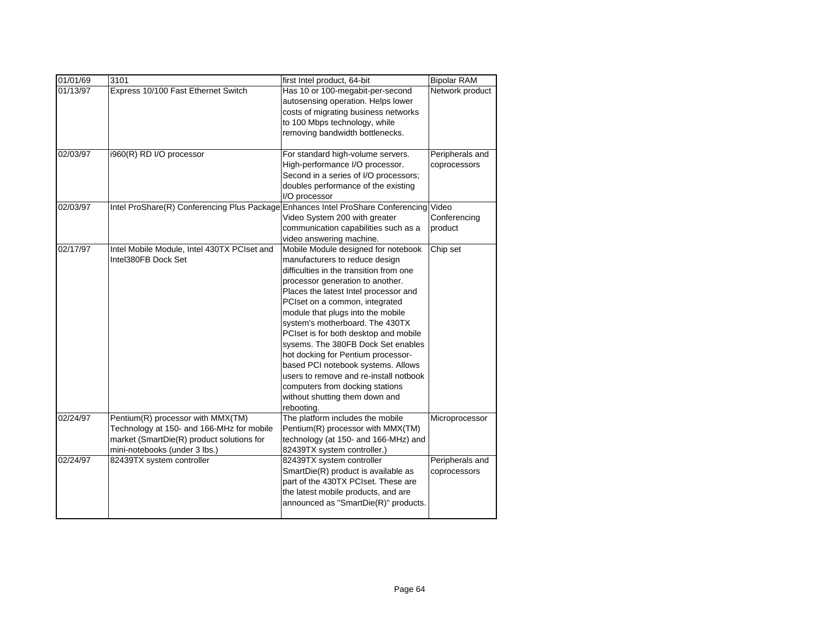| 01/01/69 | 3101                                                                                                                                                         | first Intel product, 64-bit                                                                                                                                                                                                                                                                                                                                                                                                                                                                                                                                                                     | <b>Bipolar RAM</b>               |
|----------|--------------------------------------------------------------------------------------------------------------------------------------------------------------|-------------------------------------------------------------------------------------------------------------------------------------------------------------------------------------------------------------------------------------------------------------------------------------------------------------------------------------------------------------------------------------------------------------------------------------------------------------------------------------------------------------------------------------------------------------------------------------------------|----------------------------------|
| 01/13/97 | Express 10/100 Fast Ethernet Switch                                                                                                                          | Has 10 or 100-megabit-per-second<br>autosensing operation. Helps lower<br>costs of migrating business networks<br>to 100 Mbps technology, while<br>removing bandwidth bottlenecks.                                                                                                                                                                                                                                                                                                                                                                                                              | Network product                  |
| 02/03/97 | i960(R) RD I/O processor                                                                                                                                     | For standard high-volume servers.<br>High-performance I/O processor.<br>Second in a series of I/O processors;<br>doubles performance of the existing<br>I/O processor                                                                                                                                                                                                                                                                                                                                                                                                                           | Peripherals and<br>coprocessors  |
| 02/03/97 | Intel ProShare(R) Conferencing Plus Package                                                                                                                  | <b>Enhances Intel ProShare Conferencing</b><br>Video System 200 with greater<br>communication capabilities such as a<br>video answering machine.                                                                                                                                                                                                                                                                                                                                                                                                                                                | Video<br>Conferencing<br>product |
| 02/17/97 | Intel Mobile Module, Intel 430TX PCIset and<br>Intel380FB Dock Set                                                                                           | Mobile Module designed for notebook<br>manufacturers to reduce design<br>difficulties in the transition from one<br>processor generation to another.<br>Places the latest Intel processor and<br>PCIset on a common, integrated<br>module that plugs into the mobile<br>system's motherboard. The 430TX<br>PCIset is for both desktop and mobile<br>sysems. The 380FB Dock Set enables<br>hot docking for Pentium processor-<br>based PCI notebook systems. Allows<br>users to remove and re-install notbook<br>computers from docking stations<br>without shutting them down and<br>rebooting. | Chip set                         |
| 02/24/97 | Pentium(R) processor with MMX(TM)<br>Technology at 150- and 166-MHz for mobile<br>market (SmartDie(R) product solutions for<br>mini-notebooks (under 3 lbs.) | The platform includes the mobile<br>Pentium(R) processor with MMX(TM)<br>technology (at 150- and 166-MHz) and<br>82439TX system controller.)                                                                                                                                                                                                                                                                                                                                                                                                                                                    | Microprocessor                   |
| 02/24/97 | 82439TX system controller                                                                                                                                    | 82439TX system controller<br>SmartDie(R) product is available as<br>part of the 430TX PCIset. These are<br>the latest mobile products, and are<br>announced as "SmartDie(R)" products.                                                                                                                                                                                                                                                                                                                                                                                                          | Peripherals and<br>coprocessors  |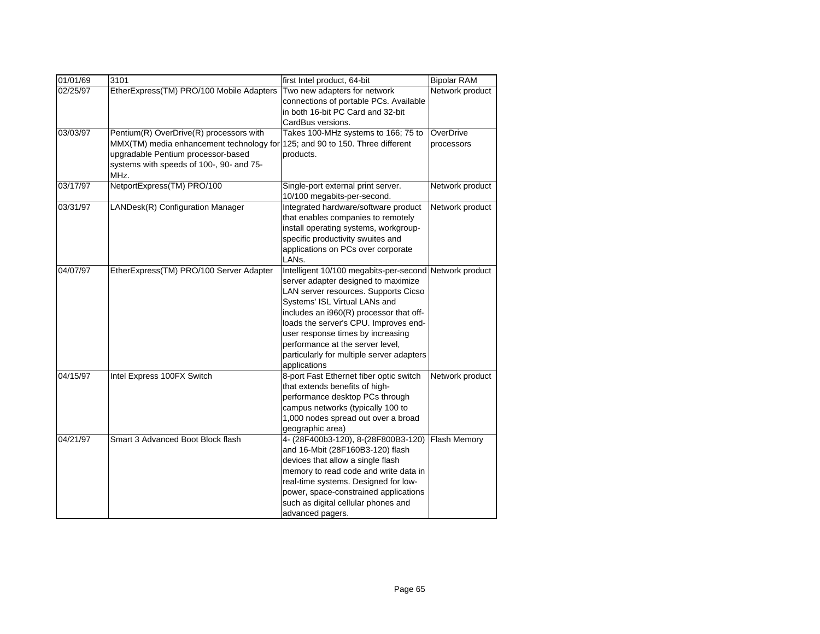| 01/01/69 | 3101                                     | first Intel product, 64-bit                            | <b>Bipolar RAM</b> |
|----------|------------------------------------------|--------------------------------------------------------|--------------------|
| 02/25/97 | EtherExpress(TM) PRO/100 Mobile Adapters | Two new adapters for network                           | Network product    |
|          |                                          | connections of portable PCs. Available                 |                    |
|          |                                          | in both 16-bit PC Card and 32-bit                      |                    |
|          |                                          | CardBus versions.                                      |                    |
| 03/03/97 | Pentium(R) OverDrive(R) processors with  | Takes 100-MHz systems to 166; 75 to                    | OverDrive          |
|          | MMX(TM) media enhancement technology for | 125; and 90 to 150. Three different                    | processors         |
|          | upgradable Pentium processor-based       | products.                                              |                    |
|          | systems with speeds of 100-, 90- and 75- |                                                        |                    |
|          | MHz.                                     |                                                        |                    |
| 03/17/97 | NetportExpress(TM) PRO/100               | Single-port external print server.                     | Network product    |
|          |                                          | 10/100 megabits-per-second.                            |                    |
| 03/31/97 | LANDesk(R) Configuration Manager         | Integrated hardware/software product                   | Network product    |
|          |                                          | that enables companies to remotely                     |                    |
|          |                                          | install operating systems, workgroup-                  |                    |
|          |                                          | specific productivity swuites and                      |                    |
|          |                                          | applications on PCs over corporate                     |                    |
|          |                                          | LANs.                                                  |                    |
| 04/07/97 | EtherExpress(TM) PRO/100 Server Adapter  | Intelligent 10/100 megabits-per-second Network product |                    |
|          |                                          | server adapter designed to maximize                    |                    |
|          |                                          | LAN server resources. Supports Cicso                   |                    |
|          |                                          | Systems' ISL Virtual LANs and                          |                    |
|          |                                          | includes an i960(R) processor that off-                |                    |
|          |                                          | loads the server's CPU. Improves end-                  |                    |
|          |                                          | user response times by increasing                      |                    |
|          |                                          | performance at the server level,                       |                    |
|          |                                          | particularly for multiple server adapters              |                    |
|          |                                          | applications                                           |                    |
| 04/15/97 | Intel Express 100FX Switch               | 8-port Fast Ethernet fiber optic switch                | Network product    |
|          |                                          | that extends benefits of high-                         |                    |
|          |                                          | performance desktop PCs through                        |                    |
|          |                                          | campus networks (typically 100 to                      |                    |
|          |                                          | 1,000 nodes spread out over a broad                    |                    |
|          |                                          | geographic area)                                       |                    |
| 04/21/97 | Smart 3 Advanced Boot Block flash        | 4- (28F400b3-120), 8-(28F800B3-120)                    | Flash Memory       |
|          |                                          | and 16-Mbit (28F160B3-120) flash                       |                    |
|          |                                          | devices that allow a single flash                      |                    |
|          |                                          | memory to read code and write data in                  |                    |
|          |                                          | real-time systems. Designed for low-                   |                    |
|          |                                          | power, space-constrained applications                  |                    |
|          |                                          | such as digital cellular phones and                    |                    |
|          |                                          | advanced pagers.                                       |                    |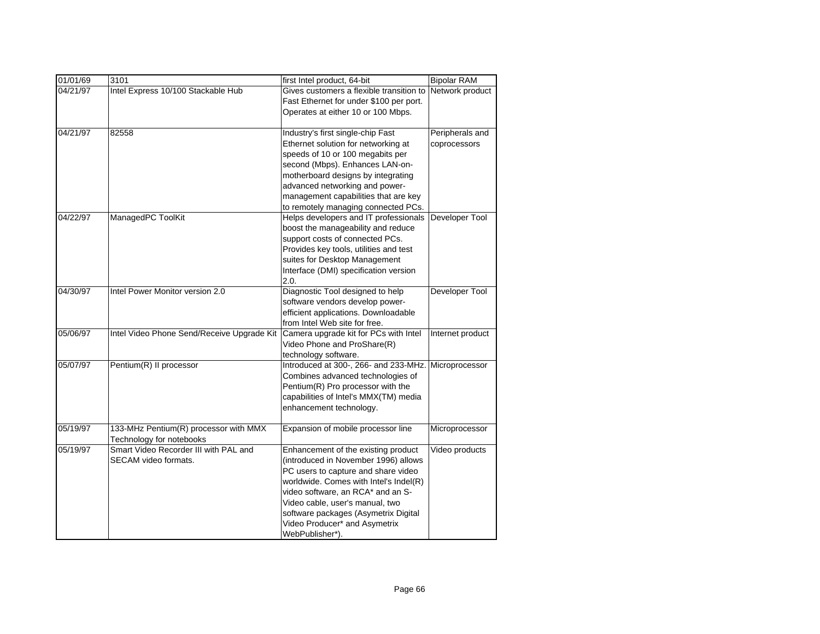| 01/01/69 | 3101                                       | first Intel product, 64-bit                   | <b>Bipolar RAM</b> |
|----------|--------------------------------------------|-----------------------------------------------|--------------------|
| 04/21/97 | Intel Express 10/100 Stackable Hub         | Gives customers a flexible transition to      | Network product    |
|          |                                            | Fast Ethernet for under \$100 per port.       |                    |
|          |                                            | Operates at either 10 or 100 Mbps.            |                    |
|          |                                            |                                               |                    |
| 04/21/97 | 82558                                      | Industry's first single-chip Fast             | Peripherals and    |
|          |                                            | Ethernet solution for networking at           | coprocessors       |
|          |                                            | speeds of 10 or 100 megabits per              |                    |
|          |                                            | second (Mbps). Enhances LAN-on-               |                    |
|          |                                            | motherboard designs by integrating            |                    |
|          |                                            | advanced networking and power-                |                    |
|          |                                            | management capabilities that are key          |                    |
|          |                                            | to remotely managing connected PCs.           |                    |
| 04/22/97 | ManagedPC ToolKit                          | Helps developers and IT professionals         | Developer Tool     |
|          |                                            | boost the manageability and reduce            |                    |
|          |                                            | support costs of connected PCs.               |                    |
|          |                                            | Provides key tools, utilities and test        |                    |
|          |                                            | suites for Desktop Management                 |                    |
|          |                                            | Interface (DMI) specification version<br>2.0. |                    |
| 04/30/97 | Intel Power Monitor version 2.0            | Diagnostic Tool designed to help              | Developer Tool     |
|          |                                            | software vendors develop power-               |                    |
|          |                                            | efficient applications. Downloadable          |                    |
|          |                                            | from Intel Web site for free.                 |                    |
| 05/06/97 | Intel Video Phone Send/Receive Upgrade Kit | Camera upgrade kit for PCs with Intel         | Internet product   |
|          |                                            | Video Phone and ProShare(R)                   |                    |
|          |                                            | technology software.                          |                    |
| 05/07/97 | Pentium(R) II processor                    | Introduced at 300-, 266- and 233-MHz.         | Microprocessor     |
|          |                                            | Combines advanced technologies of             |                    |
|          |                                            | Pentium(R) Pro processor with the             |                    |
|          |                                            | capabilities of Intel's MMX(TM) media         |                    |
|          |                                            | enhancement technology.                       |                    |
|          |                                            |                                               |                    |
| 05/19/97 | 133-MHz Pentium(R) processor with MMX      | Expansion of mobile processor line            | Microprocessor     |
|          | Technology for notebooks                   |                                               |                    |
| 05/19/97 | Smart Video Recorder III with PAL and      | Enhancement of the existing product           | Video products     |
|          | SECAM video formats.                       | (introduced in November 1996) allows          |                    |
|          |                                            | PC users to capture and share video           |                    |
|          |                                            | worldwide. Comes with Intel's Indel(R)        |                    |
|          |                                            | video software, an RCA* and an S-             |                    |
|          |                                            | Video cable, user's manual, two               |                    |
|          |                                            | software packages (Asymetrix Digital          |                    |
|          |                                            | Video Producer* and Asymetrix                 |                    |
|          |                                            | WebPublisher*).                               |                    |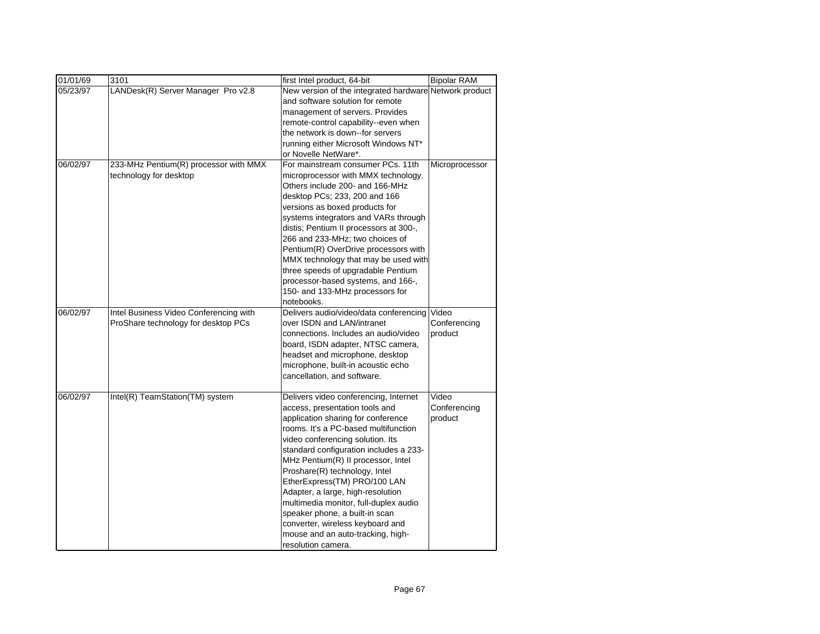| 01/01/69 | 3101                                   | first Intel product, 64-bit                            | <b>Bipolar RAM</b> |
|----------|----------------------------------------|--------------------------------------------------------|--------------------|
| 05/23/97 | LANDesk(R) Server Manager Pro v2.8     | New version of the integrated hardware Network product |                    |
|          |                                        | and software solution for remote                       |                    |
|          |                                        | management of servers. Provides                        |                    |
|          |                                        | remote-control capability--even when                   |                    |
|          |                                        | the network is down--for servers                       |                    |
|          |                                        | running either Microsoft Windows NT*                   |                    |
|          |                                        | or Novelle NetWare*.                                   |                    |
| 06/02/97 | 233-MHz Pentium(R) processor with MMX  | For mainstream consumer PCs, 11th                      | Microprocessor     |
|          | technology for desktop                 | microprocessor with MMX technology.                    |                    |
|          |                                        | Others include 200- and 166-MHz                        |                    |
|          |                                        | desktop PCs; 233, 200 and 166                          |                    |
|          |                                        | versions as boxed products for                         |                    |
|          |                                        | systems integrators and VARs through                   |                    |
|          |                                        | distis; Pentium II processors at 300-,                 |                    |
|          |                                        | 266 and 233-MHz; two choices of                        |                    |
|          |                                        | Pentium(R) OverDrive processors with                   |                    |
|          |                                        | MMX technology that may be used with                   |                    |
|          |                                        | three speeds of upgradable Pentium                     |                    |
|          |                                        | processor-based systems, and 166-,                     |                    |
|          |                                        | 150- and 133-MHz processors for                        |                    |
|          |                                        | notebooks.                                             |                    |
| 06/02/97 | Intel Business Video Conferencing with | Delivers audio/video/data conferencing                 | Video              |
|          | ProShare technology for desktop PCs    | over ISDN and LAN/intranet                             | Conferencing       |
|          |                                        | connections. Includes an audio/video                   | product            |
|          |                                        | board, ISDN adapter, NTSC camera,                      |                    |
|          |                                        | headset and microphone, desktop                        |                    |
|          |                                        | microphone, built-in acoustic echo                     |                    |
|          |                                        | cancellation, and software.                            |                    |
| 06/02/97 | Intel(R) TeamStation(TM) system        | Delivers video conferencing, Internet                  | Video              |
|          |                                        | access, presentation tools and                         | Conferencing       |
|          |                                        | application sharing for conference                     | product            |
|          |                                        | rooms. It's a PC-based multifunction                   |                    |
|          |                                        | video conferencing solution. Its                       |                    |
|          |                                        | standard configuration includes a 233-                 |                    |
|          |                                        | MHz Pentium(R) II processor, Intel                     |                    |
|          |                                        | Proshare(R) technology, Intel                          |                    |
|          |                                        | EtherExpress(TM) PRO/100 LAN                           |                    |
|          |                                        | Adapter, a large, high-resolution                      |                    |
|          |                                        | multimedia monitor, full-duplex audio                  |                    |
|          |                                        | speaker phone, a built-in scan                         |                    |
|          |                                        | converter, wireless keyboard and                       |                    |
|          |                                        | mouse and an auto-tracking, high-                      |                    |
|          |                                        | resolution camera.                                     |                    |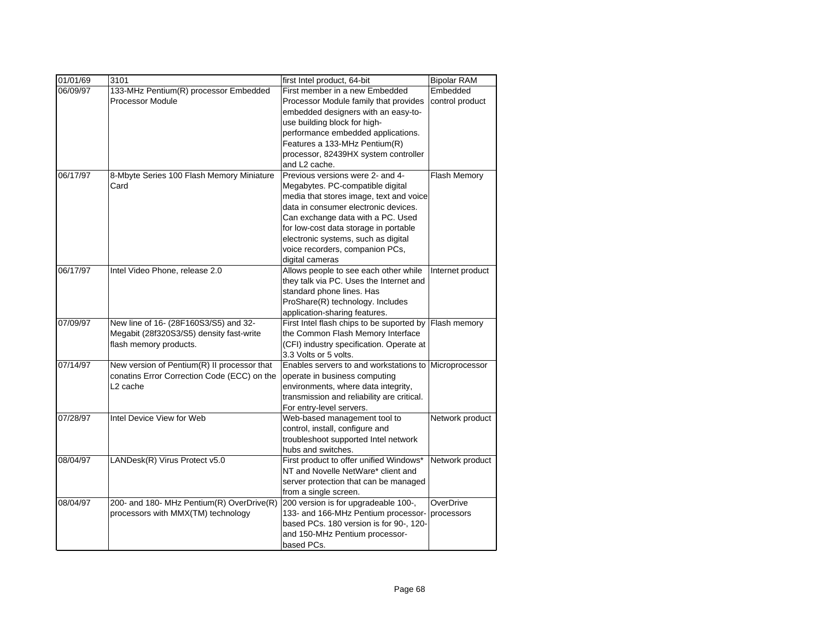| 01/01/69 | 3101                                        | first Intel product, 64-bit                                       | <b>Bipolar RAM</b> |
|----------|---------------------------------------------|-------------------------------------------------------------------|--------------------|
| 06/09/97 | 133-MHz Pentium(R) processor Embedded       | First member in a new Embedded                                    | Embedded           |
|          | <b>Processor Module</b>                     | Processor Module family that provides                             | control product    |
|          |                                             | embedded designers with an easy-to-                               |                    |
|          |                                             | use building block for high-                                      |                    |
|          |                                             | performance embedded applications.                                |                    |
|          |                                             | Features a 133-MHz Pentium(R)                                     |                    |
|          |                                             | processor, 82439HX system controller                              |                    |
|          |                                             | and L2 cache.                                                     |                    |
| 06/17/97 | 8-Mbyte Series 100 Flash Memory Miniature   | Previous versions were 2- and 4-                                  | Flash Memory       |
|          | Card                                        | Megabytes. PC-compatible digital                                  |                    |
|          |                                             | media that stores image, text and voice                           |                    |
|          |                                             | data in consumer electronic devices.                              |                    |
|          |                                             | Can exchange data with a PC. Used                                 |                    |
|          |                                             | for low-cost data storage in portable                             |                    |
|          |                                             | electronic systems, such as digital                               |                    |
|          |                                             | voice recorders, companion PCs,                                   |                    |
|          |                                             | digital cameras                                                   |                    |
| 06/17/97 | Intel Video Phone, release 2.0              | Allows people to see each other while                             | Internet product   |
|          |                                             | they talk via PC. Uses the Internet and                           |                    |
|          |                                             | standard phone lines. Has                                         |                    |
|          |                                             | ProShare(R) technology. Includes                                  |                    |
|          |                                             | application-sharing features.                                     |                    |
| 07/09/97 | New line of 16- (28F160S3/S5) and 32-       | First Intel flash chips to be suported by Flash memory            |                    |
|          | Megabit (28f320S3/S5) density fast-write    | the Common Flash Memory Interface                                 |                    |
|          | flash memory products.                      | (CFI) industry specification. Operate at<br>3.3 Volts or 5 volts. |                    |
| 07/14/97 | New version of Pentium(R) II processor that | Enables servers to and workstations to Microprocessor             |                    |
|          | conatins Error Correction Code (ECC) on the | operate in business computing                                     |                    |
|          | L <sub>2</sub> cache                        | environments, where data integrity,                               |                    |
|          |                                             | transmission and reliability are critical.                        |                    |
|          |                                             | For entry-level servers.                                          |                    |
| 07/28/97 | Intel Device View for Web                   | Web-based management tool to                                      | Network product    |
|          |                                             | control, install, configure and                                   |                    |
|          |                                             | troubleshoot supported Intel network                              |                    |
|          |                                             | hubs and switches.                                                |                    |
| 08/04/97 | LANDesk(R) Virus Protect v5.0               | First product to offer unified Windows*                           | Network product    |
|          |                                             | NT and Novelle NetWare* client and                                |                    |
|          |                                             | server protection that can be managed                             |                    |
|          |                                             | from a single screen.                                             |                    |
| 08/04/97 | 200- and 180- MHz Pentium(R) OverDrive(R)   | 200 version is for upgradeable 100-,                              | OverDrive          |
|          | processors with MMX(TM) technology          | 133- and 166-MHz Pentium processor-                               | processors         |
|          |                                             | based PCs. 180 version is for 90-, 120-                           |                    |
|          |                                             | and 150-MHz Pentium processor-                                    |                    |
|          |                                             | based PCs.                                                        |                    |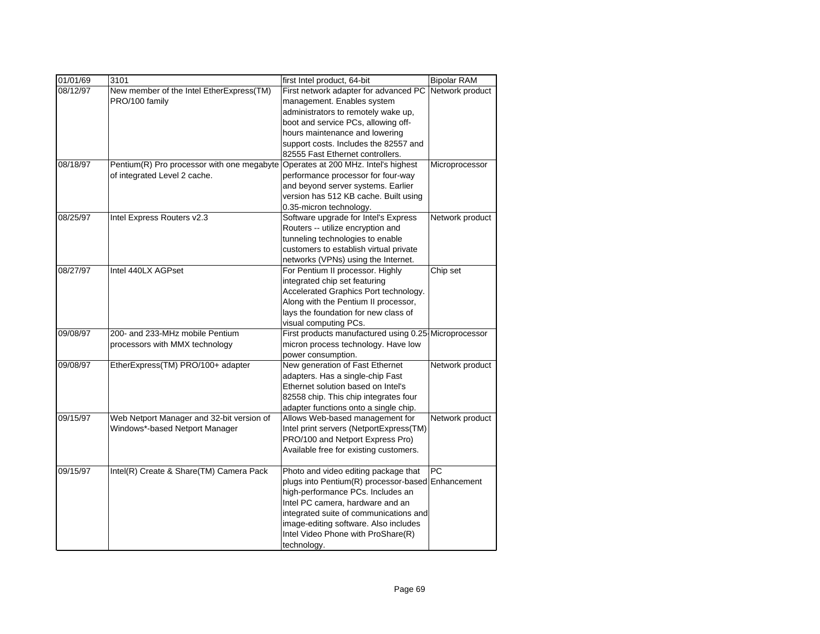| 01/01/69 | 3101                                       | first Intel product, 64-bit                           | <b>Bipolar RAM</b> |
|----------|--------------------------------------------|-------------------------------------------------------|--------------------|
| 08/12/97 | New member of the Intel EtherExpress(TM)   | First network adapter for advanced PC                 | Network product    |
|          | PRO/100 family                             | management. Enables system                            |                    |
|          |                                            | administrators to remotely wake up,                   |                    |
|          |                                            | boot and service PCs, allowing off-                   |                    |
|          |                                            | hours maintenance and lowering                        |                    |
|          |                                            | support costs. Includes the 82557 and                 |                    |
|          |                                            | 82555 Fast Ethernet controllers.                      |                    |
| 08/18/97 | Pentium(R) Pro processor with one megabyte | Operates at 200 MHz. Intel's highest                  | Microprocessor     |
|          | of integrated Level 2 cache.               | performance processor for four-way                    |                    |
|          |                                            | and beyond server systems. Earlier                    |                    |
|          |                                            | version has 512 KB cache. Built using                 |                    |
|          |                                            | 0.35-micron technology.                               |                    |
| 08/25/97 | Intel Express Routers v2.3                 | Software upgrade for Intel's Express                  | Network product    |
|          |                                            | Routers -- utilize encryption and                     |                    |
|          |                                            | tunneling technologies to enable                      |                    |
|          |                                            | customers to establish virtual private                |                    |
|          |                                            | networks (VPNs) using the Internet.                   |                    |
| 08/27/97 | Intel 440LX AGPset                         | For Pentium II processor. Highly                      | Chip set           |
|          |                                            | integrated chip set featuring                         |                    |
|          |                                            | Accelerated Graphics Port technology.                 |                    |
|          |                                            | Along with the Pentium II processor,                  |                    |
|          |                                            | lays the foundation for new class of                  |                    |
|          |                                            | visual computing PCs.                                 |                    |
| 09/08/97 | 200- and 233-MHz mobile Pentium            | First products manufactured using 0.25 Microprocessor |                    |
|          | processors with MMX technology             | micron process technology. Have low                   |                    |
|          |                                            | power consumption.                                    |                    |
| 09/08/97 | EtherExpress(TM) PRO/100+ adapter          | New generation of Fast Ethernet                       | Network product    |
|          |                                            | adapters. Has a single-chip Fast                      |                    |
|          |                                            | Ethernet solution based on Intel's                    |                    |
|          |                                            | 82558 chip. This chip integrates four                 |                    |
|          |                                            | adapter functions onto a single chip.                 |                    |
| 09/15/97 | Web Netport Manager and 32-bit version of  | Allows Web-based management for                       | Network product    |
|          | Windows*-based Netport Manager             | Intel print servers (NetportExpress(TM)               |                    |
|          |                                            | PRO/100 and Netport Express Pro)                      |                    |
|          |                                            | Available free for existing customers.                |                    |
| 09/15/97 | Intel(R) Create & Share(TM) Camera Pack    | Photo and video editing package that                  | <b>PC</b>          |
|          |                                            | plugs into Pentium(R) processor-based                 | Enhancement        |
|          |                                            | high-performance PCs. Includes an                     |                    |
|          |                                            | Intel PC camera, hardware and an                      |                    |
|          |                                            | integrated suite of communications and                |                    |
|          |                                            | image-editing software. Also includes                 |                    |
|          |                                            | Intel Video Phone with ProShare(R)                    |                    |
|          |                                            | technology.                                           |                    |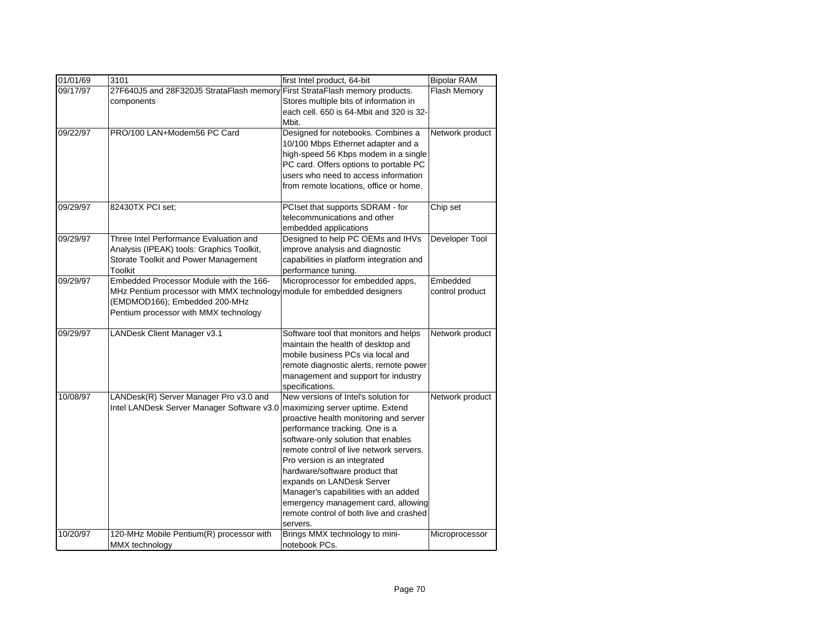| 01/01/69 | 3101                                                                    | first Intel product, 64-bit              | <b>Bipolar RAM</b> |
|----------|-------------------------------------------------------------------------|------------------------------------------|--------------------|
| 09/17/97 | 27F640J5 and 28F320J5 StrataFlash memory                                | First StrataFlash memory products.       | Flash Memory       |
|          | components                                                              | Stores multiple bits of information in   |                    |
|          |                                                                         | each cell, 650 is 64-Mbit and 320 is 32- |                    |
|          |                                                                         | Mbit.                                    |                    |
| 09/22/97 | PRO/100 LAN+Modem56 PC Card                                             | Designed for notebooks. Combines a       | Network product    |
|          |                                                                         | 10/100 Mbps Ethernet adapter and a       |                    |
|          |                                                                         | high-speed 56 Kbps modem in a single     |                    |
|          |                                                                         | PC card. Offers options to portable PC   |                    |
|          |                                                                         | users who need to access information     |                    |
|          |                                                                         | from remote locations, office or home.   |                    |
| 09/29/97 | 82430TX PCI set;                                                        | PCIset that supports SDRAM - for         | Chip set           |
|          |                                                                         | telecommunications and other             |                    |
|          |                                                                         | embedded applications                    |                    |
| 09/29/97 | Three Intel Performance Evaluation and                                  | Designed to help PC OEMs and IHVs        | Developer Tool     |
|          | Analysis (IPEAK) tools: Graphics Toolkit,                               | improve analysis and diagnostic          |                    |
|          | Storate Toolkit and Power Management                                    | capabilities in platform integration and |                    |
|          | Toolkit                                                                 | performance tuning.                      |                    |
| 09/29/97 | Embedded Processor Module with the 166-                                 | Microprocessor for embedded apps,        | Embedded           |
|          | MHz Pentium processor with MMX technology module for embedded designers |                                          | control product    |
|          | (EMDMOD166); Embedded 200-MHz                                           |                                          |                    |
|          | Pentium processor with MMX technology                                   |                                          |                    |
| 09/29/97 | LANDesk Client Manager v3.1                                             | Software tool that monitors and helps    | Network product    |
|          |                                                                         | maintain the health of desktop and       |                    |
|          |                                                                         | mobile business PCs via local and        |                    |
|          |                                                                         | remote diagnostic alerts, remote power   |                    |
|          |                                                                         | management and support for industry      |                    |
|          |                                                                         | specifications.                          |                    |
| 10/08/97 | LANDesk(R) Server Manager Pro v3.0 and                                  | New versions of Intel's solution for     | Network product    |
|          | Intel LANDesk Server Manager Software v3.0                              | maximizing server uptime. Extend         |                    |
|          |                                                                         | proactive health monitoring and server   |                    |
|          |                                                                         | performance tracking. One is a           |                    |
|          |                                                                         | software-only solution that enables      |                    |
|          |                                                                         | remote control of live network servers.  |                    |
|          |                                                                         | Pro version is an integrated             |                    |
|          |                                                                         | hardware/software product that           |                    |
|          |                                                                         | expands on LANDesk Server                |                    |
|          |                                                                         | Manager's capabilities with an added     |                    |
|          |                                                                         | emergency management card, allowing      |                    |
|          |                                                                         | remote control of both live and crashed  |                    |
|          |                                                                         | servers.                                 |                    |
| 10/20/97 | 120-MHz Mobile Pentium(R) processor with                                | Brings MMX technology to mini-           | Microprocessor     |
|          | MMX technology                                                          | notebook PCs.                            |                    |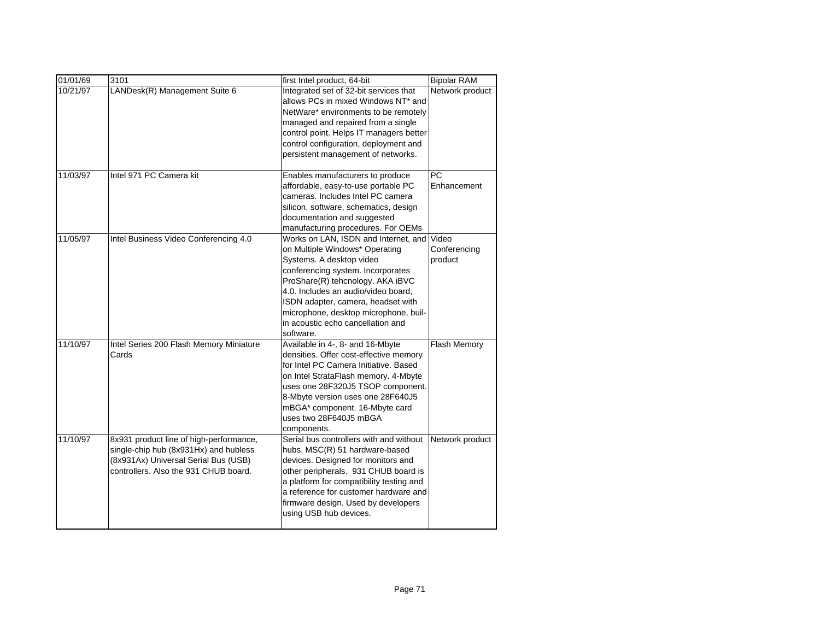| 01/01/69 | 3101                                    | first Intel product, 64-bit              | <b>Bipolar RAM</b>  |
|----------|-----------------------------------------|------------------------------------------|---------------------|
| 10/21/97 | LANDesk(R) Management Suite 6           | Integrated set of 32-bit services that   | Network product     |
|          |                                         | allows PCs in mixed Windows NT* and      |                     |
|          |                                         | NetWare* environments to be remotely     |                     |
|          |                                         | managed and repaired from a single       |                     |
|          |                                         | control point. Helps IT managers better  |                     |
|          |                                         | control configuration, deployment and    |                     |
|          |                                         | persistent management of networks.       |                     |
| 11/03/97 | Intel 971 PC Camera kit                 | Enables manufacturers to produce         | <b>PC</b>           |
|          |                                         | affordable, easy-to-use portable PC      | Enhancement         |
|          |                                         | cameras. Includes Intel PC camera        |                     |
|          |                                         | silicon, software, schematics, design    |                     |
|          |                                         | documentation and suggested              |                     |
|          |                                         | manufacturing procedures. For OEMs       |                     |
| 11/05/97 | Intel Business Video Conferencing 4.0   | Works on LAN, ISDN and Internet, and     | Video               |
|          |                                         | on Multiple Windows* Operating           | Conferencing        |
|          |                                         | Systems. A desktop video                 | product             |
|          |                                         | conferencing system. Incorporates        |                     |
|          |                                         | ProShare(R) tehcnology. AKA iBVC         |                     |
|          |                                         | 4.0. Includes an audio/video board.      |                     |
|          |                                         | ISDN adapter, camera, headset with       |                     |
|          |                                         | microphone, desktop microphone, buil-    |                     |
|          |                                         | in acoustic echo cancellation and        |                     |
|          |                                         | software.                                |                     |
| 11/10/97 | Intel Series 200 Flash Memory Miniature | Available in 4-, 8- and 16-Mbyte         | <b>Flash Memory</b> |
|          | Cards                                   | densities. Offer cost-effective memory   |                     |
|          |                                         | for Intel PC Camera Initiative. Based    |                     |
|          |                                         | on Intel StrataFlash memory. 4-Mbyte     |                     |
|          |                                         | uses one 28F320J5 TSOP component.        |                     |
|          |                                         | 8-Mbyte version uses one 28F640J5        |                     |
|          |                                         | mBGA* component. 16-Mbyte card           |                     |
|          |                                         | uses two 28F640J5 mBGA                   |                     |
|          |                                         | components.                              |                     |
| 11/10/97 | 8x931 product line of high-performance, | Serial bus controllers with and without  | Network product     |
|          | single-chip hub (8x931Hx) and hubless   | hubs. MSC(R) 51 hardware-based           |                     |
|          | (8x931Ax) Universal Serial Bus (USB)    | devices. Designed for monitors and       |                     |
|          | controllers. Also the 931 CHUB board.   | other peripherals. 931 CHUB board is     |                     |
|          |                                         | a platform for compatibility testing and |                     |
|          |                                         | a reference for customer hardware and    |                     |
|          |                                         | firmware design. Used by developers      |                     |
|          |                                         | using USB hub devices.                   |                     |
|          |                                         |                                          |                     |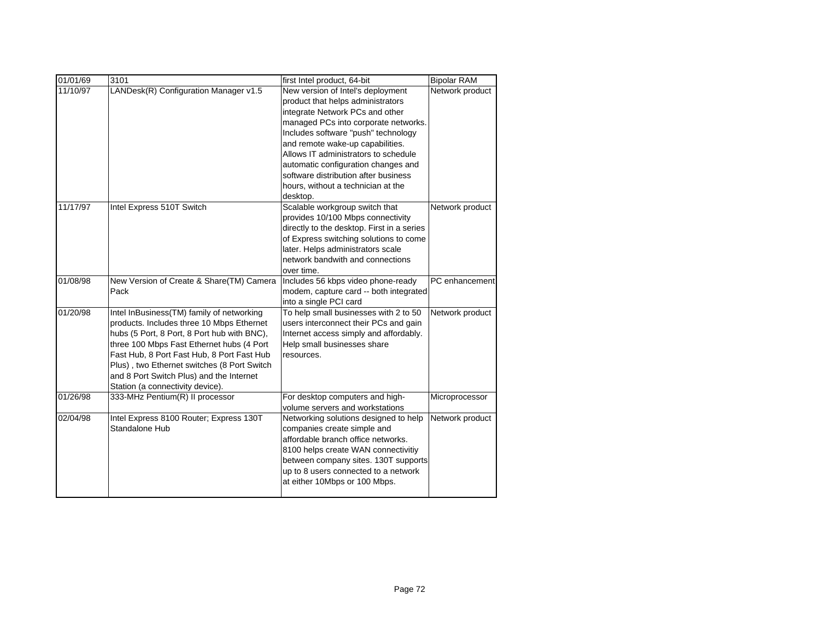| 01/01/69 | 3101                                                                                                                                                                                                                                                                                                                                                            | first Intel product, 64-bit                                                                                                                                                                                                                                                                                                                         | <b>Bipolar RAM</b> |
|----------|-----------------------------------------------------------------------------------------------------------------------------------------------------------------------------------------------------------------------------------------------------------------------------------------------------------------------------------------------------------------|-----------------------------------------------------------------------------------------------------------------------------------------------------------------------------------------------------------------------------------------------------------------------------------------------------------------------------------------------------|--------------------|
| 11/10/97 | LANDesk(R) Configuration Manager v1.5                                                                                                                                                                                                                                                                                                                           | New version of Intel's deployment<br>product that helps administrators<br>integrate Network PCs and other<br>managed PCs into corporate networks.<br>Includes software "push" technology<br>and remote wake-up capabilities.<br>Allows IT administrators to schedule<br>automatic configuration changes and<br>software distribution after business | Network product    |
|          |                                                                                                                                                                                                                                                                                                                                                                 | hours, without a technician at the<br>desktop.                                                                                                                                                                                                                                                                                                      |                    |
| 11/17/97 | Intel Express 510T Switch                                                                                                                                                                                                                                                                                                                                       | Scalable workgroup switch that<br>provides 10/100 Mbps connectivity<br>directly to the desktop. First in a series<br>of Express switching solutions to come<br>later. Helps administrators scale<br>network bandwith and connections<br>over time.                                                                                                  | Network product    |
| 01/08/98 | New Version of Create & Share(TM) Camera<br>Pack                                                                                                                                                                                                                                                                                                                | Includes 56 kbps video phone-ready<br>modem, capture card -- both integrated<br>into a single PCI card                                                                                                                                                                                                                                              | PC enhancement     |
| 01/20/98 | Intel InBusiness(TM) family of networking<br>products. Includes three 10 Mbps Ethernet<br>hubs (5 Port, 8 Port, 8 Port hub with BNC),<br>three 100 Mbps Fast Ethernet hubs (4 Port<br>Fast Hub, 8 Port Fast Hub, 8 Port Fast Hub<br>Plus), two Ethernet switches (8 Port Switch<br>and 8 Port Switch Plus) and the Internet<br>Station (a connectivity device). | To help small businesses with 2 to 50<br>users interconnect their PCs and gain<br>Internet access simply and affordably.<br>Help small businesses share<br>resources.                                                                                                                                                                               | Network product    |
| 01/26/98 | 333-MHz Pentium(R) II processor                                                                                                                                                                                                                                                                                                                                 | For desktop computers and high-<br>volume servers and workstations                                                                                                                                                                                                                                                                                  | Microprocessor     |
| 02/04/98 | Intel Express 8100 Router; Express 130T<br>Standalone Hub                                                                                                                                                                                                                                                                                                       | Networking solutions designed to help<br>companies create simple and<br>affordable branch office networks.<br>8100 helps create WAN connectivitiy<br>between company sites. 130T supports<br>up to 8 users connected to a network<br>at either 10Mbps or 100 Mbps.                                                                                  | Network product    |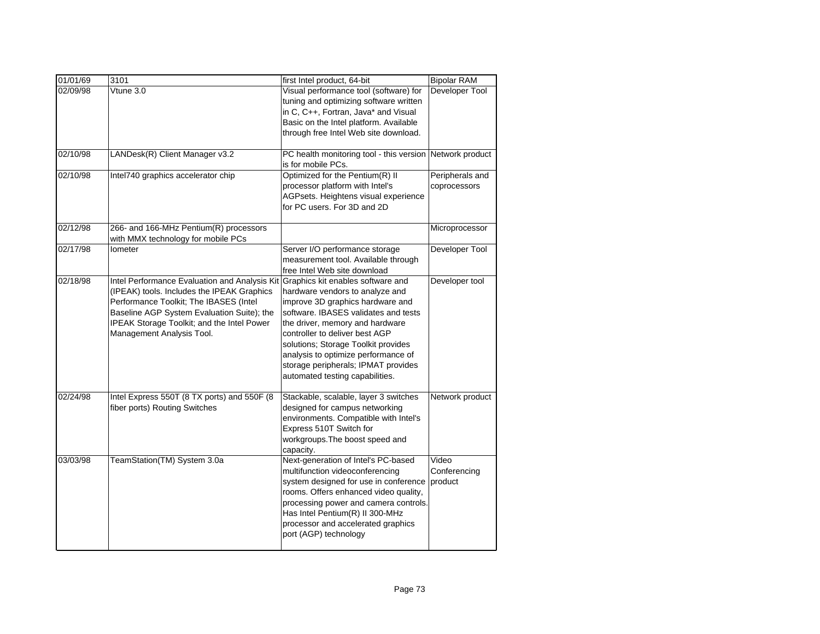| 01/01/69 | 3101                                          | first Intel product, 64-bit                              | <b>Bipolar RAM</b> |
|----------|-----------------------------------------------|----------------------------------------------------------|--------------------|
| 02/09/98 | Vtune 3.0                                     | Visual performance tool (software) for                   | Developer Tool     |
|          |                                               | tuning and optimizing software written                   |                    |
|          |                                               | in C, C++, Fortran, Java* and Visual                     |                    |
|          |                                               | Basic on the Intel platform. Available                   |                    |
|          |                                               | through free Intel Web site download.                    |                    |
|          |                                               |                                                          |                    |
| 02/10/98 | LANDesk(R) Client Manager v3.2                | PC health monitoring tool - this version Network product |                    |
|          |                                               | is for mobile PCs.                                       |                    |
| 02/10/98 | Intel740 graphics accelerator chip            | Optimized for the Pentium(R) II                          | Peripherals and    |
|          |                                               | processor platform with Intel's                          | coprocessors       |
|          |                                               | AGPsets. Heightens visual experience                     |                    |
|          |                                               | for PC users. For 3D and 2D                              |                    |
| 02/12/98 | 266- and 166-MHz Pentium(R) processors        |                                                          | Microprocessor     |
|          | with MMX technology for mobile PCs            |                                                          |                    |
| 02/17/98 | Iometer                                       | Server I/O performance storage                           | Developer Tool     |
|          |                                               | measurement tool. Available through                      |                    |
|          |                                               | free Intel Web site download                             |                    |
| 02/18/98 | Intel Performance Evaluation and Analysis Kit | Graphics kit enables software and                        | Developer tool     |
|          | (IPEAK) tools. Includes the IPEAK Graphics    | hardware vendors to analyze and                          |                    |
|          | Performance Toolkit; The IBASES (Intel        | improve 3D graphics hardware and                         |                    |
|          | Baseline AGP System Evaluation Suite); the    | software. IBASES validates and tests                     |                    |
|          | IPEAK Storage Toolkit; and the Intel Power    | the driver, memory and hardware                          |                    |
|          | Management Analysis Tool.                     | controller to deliver best AGP                           |                    |
|          |                                               | solutions; Storage Toolkit provides                      |                    |
|          |                                               | analysis to optimize performance of                      |                    |
|          |                                               | storage peripherals; IPMAT provides                      |                    |
|          |                                               | automated testing capabilities.                          |                    |
| 02/24/98 | Intel Express 550T (8 TX ports) and 550F (8   | Stackable, scalable, layer 3 switches                    | Network product    |
|          | fiber ports) Routing Switches                 | designed for campus networking                           |                    |
|          |                                               | environments. Compatible with Intel's                    |                    |
|          |                                               | Express 510T Switch for                                  |                    |
|          |                                               | workgroups. The boost speed and                          |                    |
|          |                                               | capacity.                                                |                    |
| 03/03/98 | TeamStation(TM) System 3.0a                   | Next-generation of Intel's PC-based                      | Video              |
|          |                                               | multifunction videoconferencing                          | Conferencing       |
|          |                                               | system designed for use in conference                    | product            |
|          |                                               | rooms. Offers enhanced video quality,                    |                    |
|          |                                               | processing power and camera controls.                    |                    |
|          |                                               | Has Intel Pentium(R) II 300-MHz                          |                    |
|          |                                               | processor and accelerated graphics                       |                    |
|          |                                               | port (AGP) technology                                    |                    |
|          |                                               |                                                          |                    |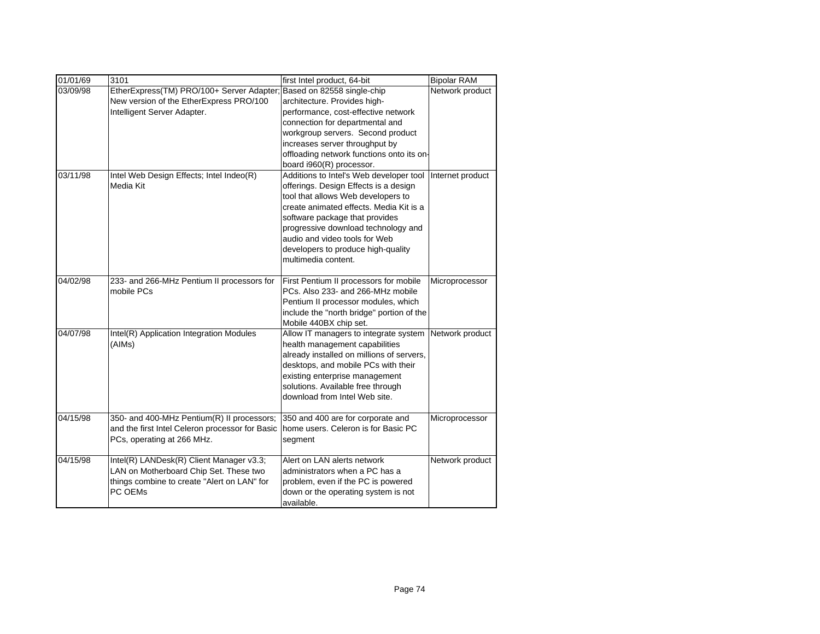| 01/01/69 | 3101                                            | first Intel product, 64-bit               | <b>Bipolar RAM</b> |
|----------|-------------------------------------------------|-------------------------------------------|--------------------|
| 03/09/98 | EtherExpress(TM) PRO/100+ Server Adapter;       | Based on 82558 single-chip                | Network product    |
|          | New version of the EtherExpress PRO/100         | architecture. Provides high-              |                    |
|          | Intelligent Server Adapter.                     | performance, cost-effective network       |                    |
|          |                                                 | connection for departmental and           |                    |
|          |                                                 | workgroup servers. Second product         |                    |
|          |                                                 | increases server throughput by            |                    |
|          |                                                 | offloading network functions onto its on- |                    |
|          |                                                 | board i960(R) processor.                  |                    |
| 03/11/98 | Intel Web Design Effects; Intel Indeo(R)        | Additions to Intel's Web developer tool   | Internet product   |
|          | Media Kit                                       | offerings. Design Effects is a design     |                    |
|          |                                                 | tool that allows Web developers to        |                    |
|          |                                                 | create animated effects. Media Kit is a   |                    |
|          |                                                 | software package that provides            |                    |
|          |                                                 | progressive download technology and       |                    |
|          |                                                 | audio and video tools for Web             |                    |
|          |                                                 | developers to produce high-quality        |                    |
|          |                                                 | multimedia content.                       |                    |
|          |                                                 |                                           |                    |
| 04/02/98 | 233- and 266-MHz Pentium II processors for      | First Pentium II processors for mobile    | Microprocessor     |
|          | mobile PCs                                      | PCs. Also 233- and 266-MHz mobile         |                    |
|          |                                                 | Pentium II processor modules, which       |                    |
|          |                                                 | include the "north bridge" portion of the |                    |
|          |                                                 | Mobile 440BX chip set.                    |                    |
| 04/07/98 | Intel(R) Application Integration Modules        | Allow IT managers to integrate system     | Network product    |
|          | (AIMs)                                          | health management capabilities            |                    |
|          |                                                 | already installed on millions of servers, |                    |
|          |                                                 | desktops, and mobile PCs with their       |                    |
|          |                                                 | existing enterprise management            |                    |
|          |                                                 | solutions. Available free through         |                    |
|          |                                                 | download from Intel Web site.             |                    |
| 04/15/98 | 350- and 400-MHz Pentium(R) II processors;      | 350 and 400 are for corporate and         | Microprocessor     |
|          | and the first Intel Celeron processor for Basic | home users. Celeron is for Basic PC       |                    |
|          | PCs, operating at 266 MHz.                      | segment                                   |                    |
|          |                                                 |                                           |                    |
| 04/15/98 | Intel(R) LANDesk(R) Client Manager v3.3;        | Alert on LAN alerts network               | Network product    |
|          | LAN on Motherboard Chip Set. These two          | administrators when a PC has a            |                    |
|          | things combine to create "Alert on LAN" for     | problem, even if the PC is powered        |                    |
|          | PC OEMs                                         | down or the operating system is not       |                    |
|          |                                                 | available.                                |                    |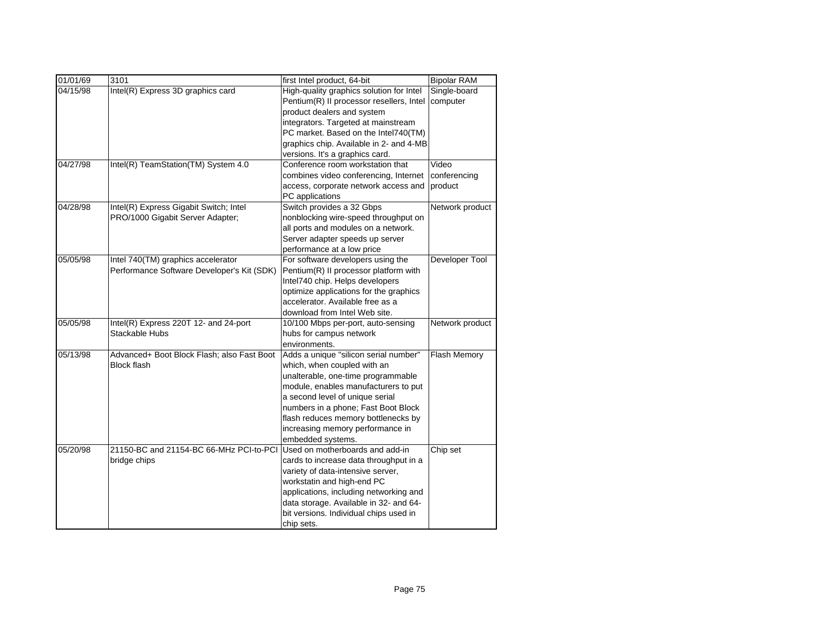| 01/01/69 | 3101                                       | first Intel product, 64-bit              | <b>Bipolar RAM</b> |
|----------|--------------------------------------------|------------------------------------------|--------------------|
| 04/15/98 | Intel(R) Express 3D graphics card          | High-quality graphics solution for Intel | Single-board       |
|          |                                            | Pentium(R) II processor resellers, Intel | computer           |
|          |                                            | product dealers and system               |                    |
|          |                                            | integrators. Targeted at mainstream      |                    |
|          |                                            | PC market. Based on the Intel740(TM)     |                    |
|          |                                            | graphics chip. Available in 2- and 4-MB  |                    |
|          |                                            | versions. It's a graphics card.          |                    |
| 04/27/98 | Intel(R) TeamStation(TM) System 4.0        | Conference room workstation that         | Video              |
|          |                                            | combines video conferencing, Internet    | conferencing       |
|          |                                            | access, corporate network access and     | product            |
|          |                                            | PC applications                          |                    |
| 04/28/98 | Intel(R) Express Gigabit Switch; Intel     | Switch provides a 32 Gbps                | Network product    |
|          | PRO/1000 Gigabit Server Adapter;           | nonblocking wire-speed throughput on     |                    |
|          |                                            | all ports and modules on a network.      |                    |
|          |                                            | Server adapter speeds up server          |                    |
|          |                                            | performance at a low price               |                    |
| 05/05/98 | Intel 740(TM) graphics accelerator         | For software developers using the        | Developer Tool     |
|          | Performance Software Developer's Kit (SDK) | Pentium(R) II processor platform with    |                    |
|          |                                            | Intel740 chip. Helps developers          |                    |
|          |                                            | optimize applications for the graphics   |                    |
|          |                                            | accelerator. Available free as a         |                    |
|          |                                            | download from Intel Web site.            |                    |
| 05/05/98 | Intel(R) Express 220T 12- and 24-port      | 10/100 Mbps per-port, auto-sensing       | Network product    |
|          | Stackable Hubs                             | hubs for campus network                  |                    |
|          |                                            | environments.                            |                    |
| 05/13/98 | Advanced+ Boot Block Flash; also Fast Boot | Adds a unique "silicon serial number"    | Flash Memory       |
|          | <b>Block flash</b>                         | which, when coupled with an              |                    |
|          |                                            | unalterable, one-time programmable       |                    |
|          |                                            | module, enables manufacturers to put     |                    |
|          |                                            | a second level of unique serial          |                    |
|          |                                            | numbers in a phone; Fast Boot Block      |                    |
|          |                                            | flash reduces memory bottlenecks by      |                    |
|          |                                            | increasing memory performance in         |                    |
|          |                                            | embedded systems.                        |                    |
| 05/20/98 | 21150-BC and 21154-BC 66-MHz PCI-to-PCI    | Used on motherboards and add-in          | Chip set           |
|          | bridge chips                               | cards to increase data throughput in a   |                    |
|          |                                            | variety of data-intensive server,        |                    |
|          |                                            | workstatin and high-end PC               |                    |
|          |                                            | applications, including networking and   |                    |
|          |                                            | data storage. Available in 32- and 64-   |                    |
|          |                                            | bit versions. Individual chips used in   |                    |
|          |                                            | chip sets.                               |                    |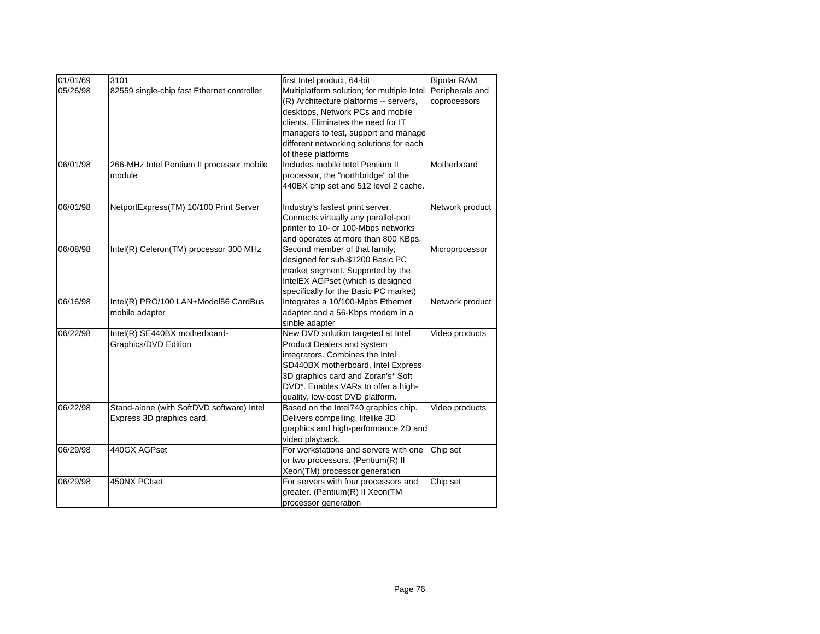| first Intel product, 64-bit<br>Multiplatform solution; for multiple Intel<br>Peripherals and<br>05/26/98<br>82559 single-chip fast Ethernet controller<br>(R) Architecture platforms -- servers,<br>coprocessors<br>desktops, Network PCs and mobile<br>clients. Eliminates the need for IT<br>managers to test, support and manage |
|-------------------------------------------------------------------------------------------------------------------------------------------------------------------------------------------------------------------------------------------------------------------------------------------------------------------------------------|
|                                                                                                                                                                                                                                                                                                                                     |
|                                                                                                                                                                                                                                                                                                                                     |
|                                                                                                                                                                                                                                                                                                                                     |
| different networking solutions for each                                                                                                                                                                                                                                                                                             |
| of these platforms                                                                                                                                                                                                                                                                                                                  |
| 266-MHz Intel Pentium II processor mobile<br>Includes mobile Intel Pentium II<br>Motherboard<br>06/01/98                                                                                                                                                                                                                            |
| processor, the "northbridge" of the<br>module                                                                                                                                                                                                                                                                                       |
| 440BX chip set and 512 level 2 cache.                                                                                                                                                                                                                                                                                               |
| 06/01/98<br>NetportExpress(TM) 10/100 Print Server<br>Industry's fastest print server.<br>Network product                                                                                                                                                                                                                           |
| Connects virtually any parallel-port                                                                                                                                                                                                                                                                                                |
| printer to 10- or 100-Mbps networks                                                                                                                                                                                                                                                                                                 |
| and operates at more than 800 KBps.                                                                                                                                                                                                                                                                                                 |
| 06/08/98<br>Intel(R) Celeron(TM) processor 300 MHz<br>Second member of that family;<br>Microprocessor                                                                                                                                                                                                                               |
| designed for sub-\$1200 Basic PC                                                                                                                                                                                                                                                                                                    |
| market segment. Supported by the                                                                                                                                                                                                                                                                                                    |
| IntelEX AGPset (which is designed                                                                                                                                                                                                                                                                                                   |
| specifically for the Basic PC market)                                                                                                                                                                                                                                                                                               |
| 06/16/98<br>Integrates a 10/100-Mpbs Ethernet<br>Intel(R) PRO/100 LAN+Model56 CardBus<br>Network product                                                                                                                                                                                                                            |
| mobile adapter<br>adapter and a 56-Kbps modem in a                                                                                                                                                                                                                                                                                  |
| sinble adapter                                                                                                                                                                                                                                                                                                                      |
| 06/22/98<br>Intel(R) SE440BX motherboard-<br>New DVD solution targeted at Intel<br>Video products                                                                                                                                                                                                                                   |
| Graphics/DVD Edition<br>Product Dealers and system                                                                                                                                                                                                                                                                                  |
| integrators. Combines the Intel                                                                                                                                                                                                                                                                                                     |
| SD440BX motherboard, Intel Express                                                                                                                                                                                                                                                                                                  |
| 3D graphics card and Zoran's* Soft                                                                                                                                                                                                                                                                                                  |
| DVD*. Enables VARs to offer a high-                                                                                                                                                                                                                                                                                                 |
| quality, low-cost DVD platform.                                                                                                                                                                                                                                                                                                     |
| Based on the Intel740 graphics chip.<br>06/22/98<br>Stand-alone (with SoftDVD software) Intel<br>Video products                                                                                                                                                                                                                     |
| Express 3D graphics card.<br>Delivers compelling, lifelike 3D                                                                                                                                                                                                                                                                       |
| graphics and high-performance 2D and                                                                                                                                                                                                                                                                                                |
| video playback.<br>06/29/98<br>440GX AGPset<br>For workstations and servers with one<br>Chip set                                                                                                                                                                                                                                    |
| or two processors. (Pentium(R) II                                                                                                                                                                                                                                                                                                   |
| Xeon(TM) processor generation                                                                                                                                                                                                                                                                                                       |
| 450NX PCIset<br>06/29/98<br>For servers with four processors and<br>Chip set                                                                                                                                                                                                                                                        |
| greater. (Pentium(R) II Xeon(TM                                                                                                                                                                                                                                                                                                     |
| processor generation                                                                                                                                                                                                                                                                                                                |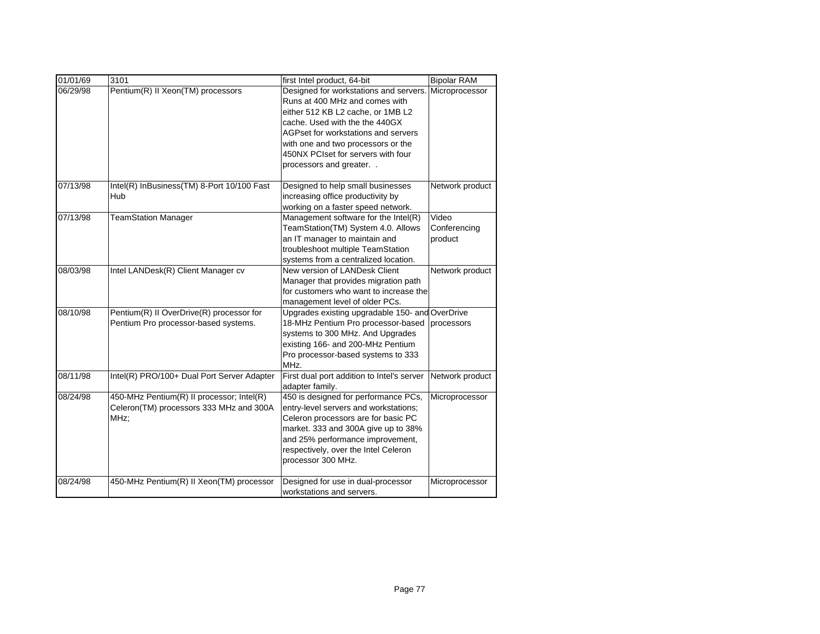| 01/01/69 | 3101                                                                                         | first Intel product, 64-bit                                                                                                                                                                                                                                                                  | <b>Bipolar RAM</b>               |
|----------|----------------------------------------------------------------------------------------------|----------------------------------------------------------------------------------------------------------------------------------------------------------------------------------------------------------------------------------------------------------------------------------------------|----------------------------------|
| 06/29/98 | Pentium(R) II Xeon(TM) processors                                                            | Designed for workstations and servers.<br>Runs at 400 MHz and comes with<br>either 512 KB L2 cache, or 1MB L2<br>cache. Used with the the 440GX<br>AGPset for workstations and servers<br>with one and two processors or the<br>450NX PCIset for servers with four<br>processors and greater | Microprocessor                   |
|          |                                                                                              |                                                                                                                                                                                                                                                                                              |                                  |
| 07/13/98 | Intel(R) InBusiness(TM) 8-Port 10/100 Fast<br>Hub                                            | Designed to help small businesses<br>increasing office productivity by<br>working on a faster speed network.                                                                                                                                                                                 | Network product                  |
| 07/13/98 | <b>TeamStation Manager</b>                                                                   | Management software for the Intel(R)<br>TeamStation(TM) System 4.0. Allows<br>an IT manager to maintain and<br>troubleshoot multiple TeamStation<br>systems from a centralized location.                                                                                                     | Video<br>Conferencing<br>product |
| 08/03/98 | Intel LANDesk(R) Client Manager cv                                                           | New version of LANDesk Client<br>Manager that provides migration path<br>for customers who want to increase the<br>management level of older PCs.                                                                                                                                            | Network product                  |
| 08/10/98 | Pentium(R) II OverDrive(R) processor for<br>Pentium Pro processor-based systems.             | Upgrades existing upgradable 150- and OverDrive<br>18-MHz Pentium Pro processor-based<br>systems to 300 MHz. And Upgrades<br>existing 166- and 200-MHz Pentium<br>Pro processor-based systems to 333<br>MHz.                                                                                 | processors                       |
| 08/11/98 | Intel(R) PRO/100+ Dual Port Server Adapter                                                   | First dual port addition to Intel's server<br>adapter family.                                                                                                                                                                                                                                | Network product                  |
| 08/24/98 | 450-MHz Pentium(R) II processor; Intel(R)<br>Celeron(TM) processors 333 MHz and 300A<br>MHz; | 450 is designed for performance PCs,<br>entry-level servers and workstations;<br>Celeron processors are for basic PC<br>market. 333 and 300A give up to 38%<br>and 25% performance improvement,<br>respectively, over the Intel Celeron<br>processor 300 MHz.                                | Microprocessor                   |
| 08/24/98 | 450-MHz Pentium(R) II Xeon(TM) processor                                                     | Designed for use in dual-processor<br>workstations and servers.                                                                                                                                                                                                                              | Microprocessor                   |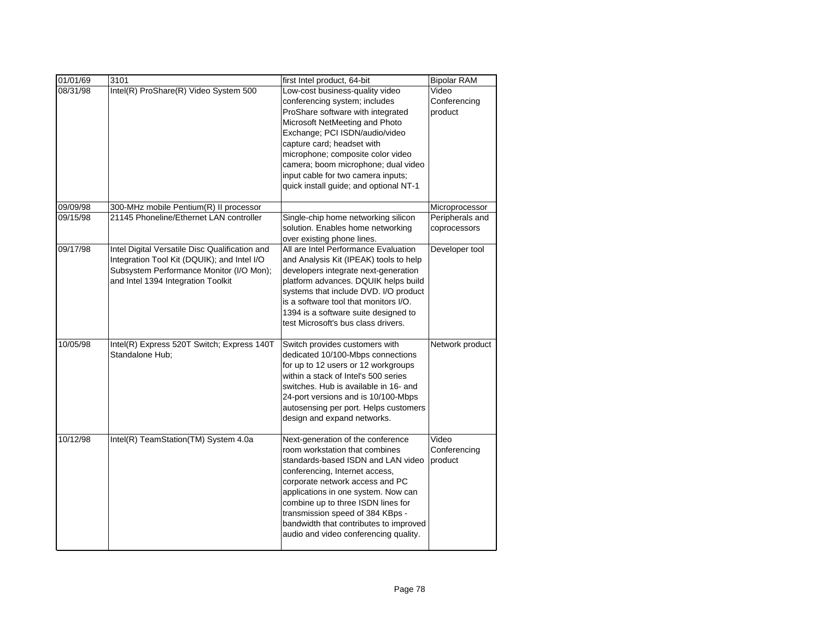| 01/01/69 | 3101                                           | first Intel product, 64-bit                                                 | <b>Bipolar RAM</b> |
|----------|------------------------------------------------|-----------------------------------------------------------------------------|--------------------|
| 08/31/98 | Intel(R) ProShare(R) Video System 500          | Low-cost business-quality video                                             | Video              |
|          |                                                | conferencing system; includes                                               | Conferencing       |
|          |                                                | ProShare software with integrated                                           | product            |
|          |                                                | Microsoft NetMeeting and Photo                                              |                    |
|          |                                                | Exchange; PCI ISDN/audio/video                                              |                    |
|          |                                                | capture card; headset with                                                  |                    |
|          |                                                | microphone; composite color video                                           |                    |
|          |                                                | camera; boom microphone; dual video                                         |                    |
|          |                                                | input cable for two camera inputs;                                          |                    |
|          |                                                | quick install guide; and optional NT-1                                      |                    |
| 09/09/98 | 300-MHz mobile Pentium(R) II processor         |                                                                             | Microprocessor     |
| 09/15/98 | 21145 Phoneline/Ethernet LAN controller        | Single-chip home networking silicon                                         | Peripherals and    |
|          |                                                | solution. Enables home networking                                           | coprocessors       |
|          |                                                | over existing phone lines.                                                  |                    |
| 09/17/98 | Intel Digital Versatile Disc Qualification and | All are Intel Performance Evaluation                                        | Developer tool     |
|          | Integration Tool Kit (DQUIK); and Intel I/O    | and Analysis Kit (IPEAK) tools to help                                      |                    |
|          | Subsystem Performance Monitor (I/O Mon);       | developers integrate next-generation                                        |                    |
|          | and Intel 1394 Integration Toolkit             | platform advances. DQUIK helps build                                        |                    |
|          |                                                | systems that include DVD. I/O product                                       |                    |
|          |                                                | is a software tool that monitors I/O.                                       |                    |
|          |                                                | 1394 is a software suite designed to<br>test Microsoft's bus class drivers. |                    |
|          |                                                |                                                                             |                    |
| 10/05/98 | Intel(R) Express 520T Switch; Express 140T     | Switch provides customers with                                              | Network product    |
|          | Standalone Hub;                                | dedicated 10/100-Mbps connections                                           |                    |
|          |                                                | for up to 12 users or 12 workgroups                                         |                    |
|          |                                                | within a stack of Intel's 500 series                                        |                    |
|          |                                                | switches. Hub is available in 16- and                                       |                    |
|          |                                                | 24-port versions and is 10/100-Mbps                                         |                    |
|          |                                                | autosensing per port. Helps customers                                       |                    |
|          |                                                | design and expand networks.                                                 |                    |
| 10/12/98 | Intel(R) TeamStation(TM) System 4.0a           | Next-generation of the conference                                           | Video              |
|          |                                                | room workstation that combines                                              | Conferencing       |
|          |                                                | standards-based ISDN and LAN video                                          | product            |
|          |                                                | conferencing, Internet access,                                              |                    |
|          |                                                | corporate network access and PC                                             |                    |
|          |                                                | applications in one system. Now can                                         |                    |
|          |                                                | combine up to three ISDN lines for                                          |                    |
|          |                                                | transmission speed of 384 KBps -                                            |                    |
|          |                                                | bandwidth that contributes to improved                                      |                    |
|          |                                                | audio and video conferencing quality.                                       |                    |
|          |                                                |                                                                             |                    |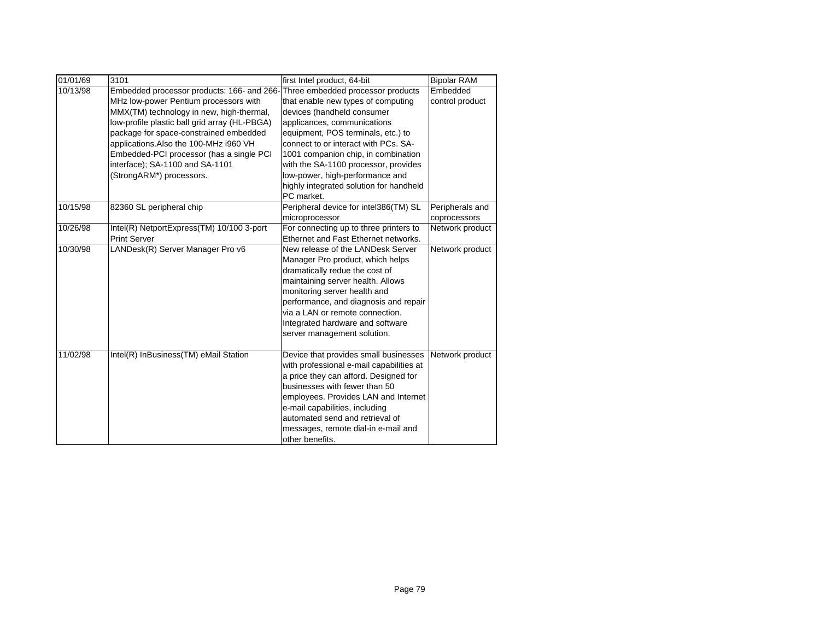| 01/01/69 | 3101                                          | first Intel product, 64-bit              | <b>Bipolar RAM</b> |
|----------|-----------------------------------------------|------------------------------------------|--------------------|
| 10/13/98 | Embedded processor products: 166- and 266-    | Three embedded processor products        | Embedded           |
|          | MHz low-power Pentium processors with         | that enable new types of computing       | control product    |
|          | MMX(TM) technology in new, high-thermal,      | devices (handheld consumer               |                    |
|          | low-profile plastic ball grid array (HL-PBGA) | applicances, communications              |                    |
|          | package for space-constrained embedded        | equipment, POS terminals, etc.) to       |                    |
|          | applications. Also the 100-MHz i960 VH        | connect to or interact with PCs. SA-     |                    |
|          | Embedded-PCI processor (has a single PCI      | 1001 companion chip, in combination      |                    |
|          | interface); SA-1100 and SA-1101               | with the SA-1100 processor, provides     |                    |
|          | (StrongARM*) processors.                      | low-power, high-performance and          |                    |
|          |                                               | highly integrated solution for handheld  |                    |
|          |                                               | PC market.                               |                    |
| 10/15/98 | 82360 SL peripheral chip                      | Peripheral device for intel386(TM) SL    | Peripherals and    |
|          |                                               | microprocessor                           | coprocessors       |
| 10/26/98 | Intel(R) NetportExpress(TM) 10/100 3-port     | For connecting up to three printers to   | Network product    |
|          | <b>Print Server</b>                           | Ethernet and Fast Ethernet networks.     |                    |
| 10/30/98 | LANDesk(R) Server Manager Pro v6              | New release of the LANDesk Server        | Network product    |
|          |                                               | Manager Pro product, which helps         |                    |
|          |                                               | dramatically redue the cost of           |                    |
|          |                                               | maintaining server health. Allows        |                    |
|          |                                               | monitoring server health and             |                    |
|          |                                               | performance, and diagnosis and repair    |                    |
|          |                                               | via a LAN or remote connection.          |                    |
|          |                                               | Integrated hardware and software         |                    |
|          |                                               | server management solution.              |                    |
| 11/02/98 | Intel(R) InBusiness(TM) eMail Station         | Device that provides small businesses    | Network product    |
|          |                                               | with professional e-mail capabilities at |                    |
|          |                                               | a price they can afford. Designed for    |                    |
|          |                                               | businesses with fewer than 50            |                    |
|          |                                               | employees. Provides LAN and Internet     |                    |
|          |                                               | e-mail capabilities, including           |                    |
|          |                                               | automated send and retrieval of          |                    |
|          |                                               | messages, remote dial-in e-mail and      |                    |
|          |                                               | other benefits.                          |                    |
|          |                                               |                                          |                    |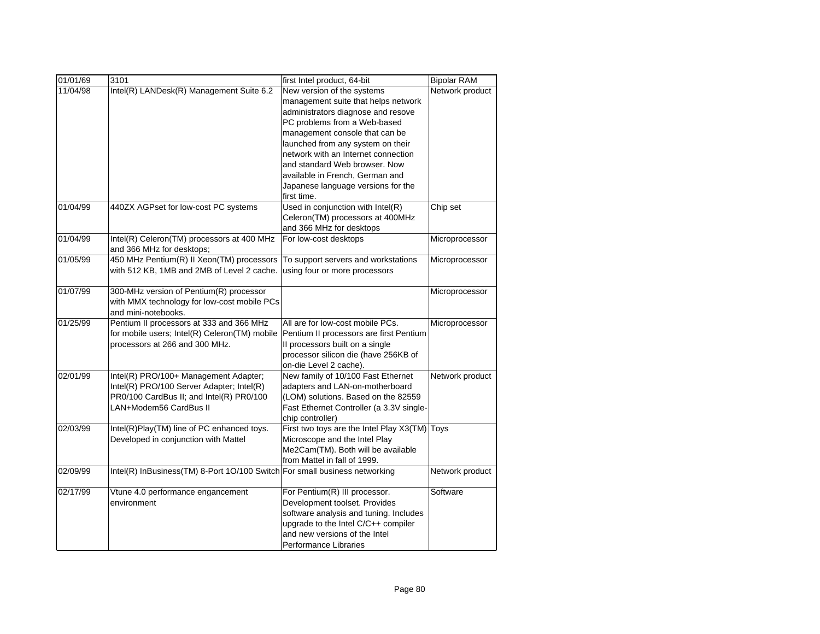| 01/01/69 | 3101                                                                       | first Intel product, 64-bit              | <b>Bipolar RAM</b> |
|----------|----------------------------------------------------------------------------|------------------------------------------|--------------------|
| 11/04/98 | Intel(R) LANDesk(R) Management Suite 6.2                                   | New version of the systems               | Network product    |
|          |                                                                            | management suite that helps network      |                    |
|          |                                                                            | administrators diagnose and resove       |                    |
|          |                                                                            | PC problems from a Web-based             |                    |
|          |                                                                            | management console that can be           |                    |
|          |                                                                            | launched from any system on their        |                    |
|          |                                                                            | network with an Internet connection      |                    |
|          |                                                                            | and standard Web browser. Now            |                    |
|          |                                                                            | available in French, German and          |                    |
|          |                                                                            | Japanese language versions for the       |                    |
|          |                                                                            | first time.                              |                    |
| 01/04/99 | 440ZX AGPset for low-cost PC systems                                       | Used in conjunction with Intel(R)        | Chip set           |
|          |                                                                            | Celeron(TM) processors at 400MHz         |                    |
|          |                                                                            | and 366 MHz for desktops                 |                    |
| 01/04/99 | Intel(R) Celeron(TM) processors at 400 MHz                                 | For low-cost desktops                    | Microprocessor     |
|          | and 366 MHz for desktops;                                                  |                                          |                    |
| 01/05/99 | 450 MHz Pentium(R) II Xeon(TM) processors                                  | To support servers and workstations      | Microprocessor     |
|          | with 512 KB, 1MB and 2MB of Level 2 cache.                                 | using four or more processors            |                    |
|          |                                                                            |                                          |                    |
| 01/07/99 | 300-MHz version of Pentium(R) processor                                    |                                          | Microprocessor     |
|          | with MMX technology for low-cost mobile PCs                                |                                          |                    |
|          | and mini-notebooks.                                                        |                                          |                    |
| 01/25/99 | Pentium II processors at 333 and 366 MHz                                   | All are for low-cost mobile PCs.         | Microprocessor     |
|          | for mobile users; Intel(R) Celeron(TM) mobile                              | Pentium II processors are first Pentium  |                    |
|          | processors at 266 and 300 MHz.                                             | Il processors built on a single          |                    |
|          |                                                                            | processor silicon die (have 256KB of     |                    |
|          |                                                                            | on-die Level 2 cache).                   |                    |
| 02/01/99 | Intel(R) PRO/100+ Management Adapter;                                      | New family of 10/100 Fast Ethernet       | Network product    |
|          | Intel(R) PRO/100 Server Adapter; Intel(R)                                  | adapters and LAN-on-motherboard          |                    |
|          | PR0/100 CardBus II; and Intel(R) PR0/100                                   | (LOM) solutions. Based on the 82559      |                    |
|          | LAN+Modem56 CardBus II                                                     | Fast Ethernet Controller (a 3.3V single- |                    |
|          |                                                                            | chip controller)                         |                    |
| 02/03/99 | Intel(R)Play(TM) line of PC enhanced toys.                                 | First two toys are the Intel Play X3(TM) | Toys               |
|          | Developed in conjunction with Mattel                                       | Microscope and the Intel Play            |                    |
|          |                                                                            | Me2Cam(TM). Both will be available       |                    |
| 02/09/99 |                                                                            | from Mattel in fall of 1999.             |                    |
|          | Intel(R) InBusiness(TM) 8-Port 1O/100 Switch For small business networking |                                          | Network product    |
| 02/17/99 | Vtune 4.0 performance engancement                                          | For Pentium(R) III processor.            | Software           |
|          | environment                                                                | Development toolset. Provides            |                    |
|          |                                                                            | software analysis and tuning. Includes   |                    |
|          |                                                                            | upgrade to the Intel C/C++ compiler      |                    |
|          |                                                                            | and new versions of the Intel            |                    |
|          |                                                                            | Performance Libraries                    |                    |
|          |                                                                            |                                          |                    |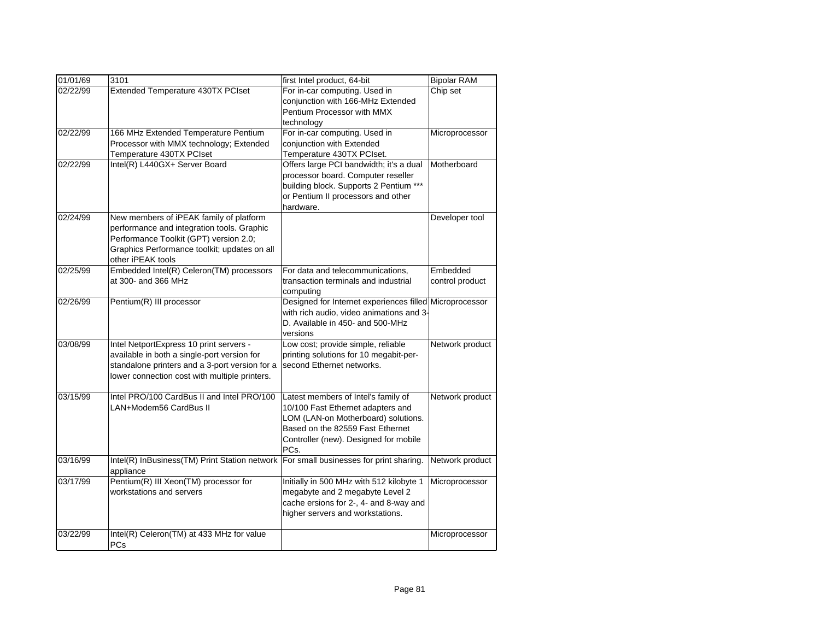| 01/01/69 | 3101                                                       | first Intel product, 64-bit                                                   | <b>Bipolar RAM</b> |
|----------|------------------------------------------------------------|-------------------------------------------------------------------------------|--------------------|
| 02/22/99 | Extended Temperature 430TX PCIset                          | For in-car computing. Used in                                                 | Chip set           |
|          |                                                            | conjunction with 166-MHz Extended                                             |                    |
|          |                                                            | Pentium Processor with MMX                                                    |                    |
|          |                                                            | technology                                                                    |                    |
| 02/22/99 | 166 MHz Extended Temperature Pentium                       | For in-car computing. Used in                                                 | Microprocessor     |
|          | Processor with MMX technology; Extended                    | conjunction with Extended                                                     |                    |
| 02/22/99 | Temperature 430TX PCIset                                   | Temperature 430TX PCIset.                                                     | Motherboard        |
|          | Intel(R) L440GX+ Server Board                              | Offers large PCI bandwidth; it's a dual<br>processor board. Computer reseller |                    |
|          |                                                            | building block. Supports 2 Pentium ***                                        |                    |
|          |                                                            | or Pentium II processors and other                                            |                    |
|          |                                                            | hardware.                                                                     |                    |
| 02/24/99 | New members of iPEAK family of platform                    |                                                                               | Developer tool     |
|          | performance and integration tools. Graphic                 |                                                                               |                    |
|          | Performance Toolkit (GPT) version 2.0;                     |                                                                               |                    |
|          | Graphics Performance toolkit; updates on all               |                                                                               |                    |
|          | other iPEAK tools                                          |                                                                               |                    |
| 02/25/99 | Embedded Intel(R) Celeron(TM) processors                   | For data and telecommunications,                                              | Embedded           |
|          | at 300- and 366 MHz                                        | transaction terminals and industrial                                          | control product    |
|          |                                                            | computing                                                                     |                    |
| 02/26/99 | Pentium(R) III processor                                   | Designed for Internet experiences filled Microprocessor                       |                    |
|          |                                                            | with rich audio, video animations and 3-<br>D. Available in 450- and 500-MHz  |                    |
|          |                                                            | versions                                                                      |                    |
| 03/08/99 | Intel NetportExpress 10 print servers -                    | Low cost; provide simple, reliable                                            | Network product    |
|          | available in both a single-port version for                | printing solutions for 10 megabit-per-                                        |                    |
|          | standalone printers and a 3-port version for a             | second Ethernet networks.                                                     |                    |
|          | lower connection cost with multiple printers.              |                                                                               |                    |
|          |                                                            |                                                                               |                    |
| 03/15/99 | Intel PRO/100 CardBus II and Intel PRO/100                 | Latest members of Intel's family of                                           | Network product    |
|          | LAN+Modem56 CardBus II                                     | 10/100 Fast Ethernet adapters and                                             |                    |
|          |                                                            | LOM (LAN-on Motherboard) solutions.                                           |                    |
|          |                                                            | Based on the 82559 Fast Ethernet                                              |                    |
|          |                                                            | Controller (new). Designed for mobile                                         |                    |
|          |                                                            | PCs.                                                                          |                    |
| 03/16/99 | Intel(R) InBusiness(TM) Print Station network<br>appliance | For small businesses for print sharing.                                       | Network product    |
| 03/17/99 | Pentium(R) III Xeon(TM) processor for                      | Initially in 500 MHz with 512 kilobyte 1                                      | Microprocessor     |
|          | workstations and servers                                   | megabyte and 2 megabyte Level 2                                               |                    |
|          |                                                            | cache ersions for 2-, 4- and 8-way and                                        |                    |
|          |                                                            | higher servers and workstations.                                              |                    |
|          |                                                            |                                                                               |                    |
| 03/22/99 | Intel(R) Celeron(TM) at 433 MHz for value                  |                                                                               | Microprocessor     |
|          | PCs                                                        |                                                                               |                    |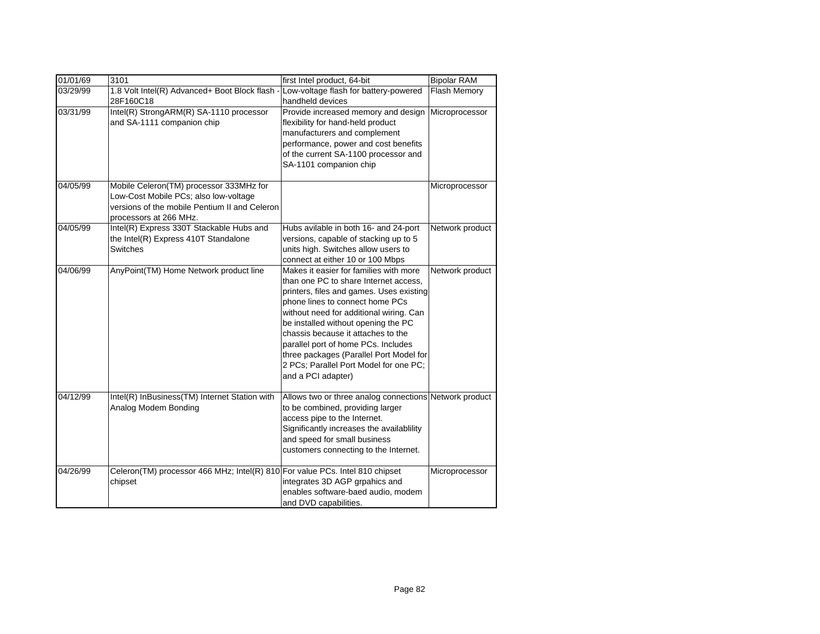| 01/01/69 | 3101                                                                                                                                                        | first Intel product, 64-bit                                                                                                                                                                                                                                                                                                                                                                                                              | <b>Bipolar RAM</b> |
|----------|-------------------------------------------------------------------------------------------------------------------------------------------------------------|------------------------------------------------------------------------------------------------------------------------------------------------------------------------------------------------------------------------------------------------------------------------------------------------------------------------------------------------------------------------------------------------------------------------------------------|--------------------|
| 03/29/99 | 1.8 Volt Intel(R) Advanced+ Boot Block flash<br>28F160C18                                                                                                   | Low-voltage flash for battery-powered<br>handheld devices                                                                                                                                                                                                                                                                                                                                                                                | Flash Memory       |
| 03/31/99 | Intel(R) StrongARM(R) SA-1110 processor<br>and SA-1111 companion chip                                                                                       | Provide increased memory and design<br>flexibility for hand-held product<br>manufacturers and complement<br>performance, power and cost benefits<br>of the current SA-1100 processor and<br>SA-1101 companion chip                                                                                                                                                                                                                       | Microprocessor     |
| 04/05/99 | Mobile Celeron(TM) processor 333MHz for<br>Low-Cost Mobile PCs; also low-voltage<br>versions of the mobile Pentium II and Celeron<br>processors at 266 MHz. |                                                                                                                                                                                                                                                                                                                                                                                                                                          | Microprocessor     |
| 04/05/99 | Intel(R) Express 330T Stackable Hubs and<br>the Intel(R) Express 410T Standalone<br>Switches                                                                | Hubs avilable in both 16- and 24-port<br>versions, capable of stacking up to 5<br>units high. Switches allow users to<br>connect at either 10 or 100 Mbps                                                                                                                                                                                                                                                                                | Network product    |
| 04/06/99 | AnyPoint(TM) Home Network product line                                                                                                                      | Makes it easier for families with more<br>than one PC to share Internet access,<br>printers, files and games. Uses existing<br>phone lines to connect home PCs<br>without need for additional wiring. Can<br>be installed without opening the PC<br>chassis because it attaches to the<br>parallel port of home PCs. Includes<br>three packages (Parallel Port Model for<br>2 PCs; Parallel Port Model for one PC;<br>and a PCI adapter) | Network product    |
| 04/12/99 | Intel(R) InBusiness(TM) Internet Station with<br>Analog Modem Bonding                                                                                       | Allows two or three analog connections Network product<br>to be combined, providing larger<br>access pipe to the Internet.<br>Significantly increases the availablility<br>and speed for small business<br>customers connecting to the Internet.                                                                                                                                                                                         |                    |
| 04/26/99 | Celeron(TM) processor 466 MHz; Intel(R) 810 For value PCs. Intel 810 chipset<br>chipset                                                                     | integrates 3D AGP grpahics and<br>enables software-baed audio, modem<br>and DVD capabilities.                                                                                                                                                                                                                                                                                                                                            | Microprocessor     |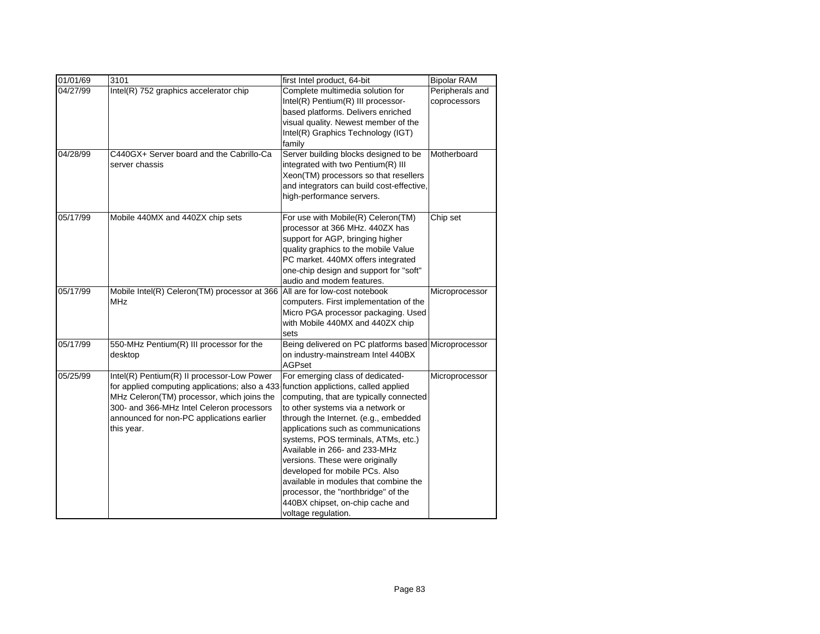| 01/01/69 | 3101                                                                                                                                                                                                                                                                                    | first Intel product, 64-bit                                                                                                                                                                                                                                                                                                                                                                                                                                                              | <b>Bipolar RAM</b>              |
|----------|-----------------------------------------------------------------------------------------------------------------------------------------------------------------------------------------------------------------------------------------------------------------------------------------|------------------------------------------------------------------------------------------------------------------------------------------------------------------------------------------------------------------------------------------------------------------------------------------------------------------------------------------------------------------------------------------------------------------------------------------------------------------------------------------|---------------------------------|
| 04/27/99 | Intel(R) 752 graphics accelerator chip                                                                                                                                                                                                                                                  | Complete multimedia solution for<br>Intel(R) Pentium(R) III processor-<br>based platforms. Delivers enriched<br>visual quality. Newest member of the<br>Intel(R) Graphics Technology (IGT)<br>family                                                                                                                                                                                                                                                                                     | Peripherals and<br>coprocessors |
| 04/28/99 | C440GX+ Server board and the Cabrillo-Ca<br>server chassis                                                                                                                                                                                                                              | Server building blocks designed to be<br>integrated with two Pentium(R) III<br>Xeon(TM) processors so that resellers<br>and integrators can build cost-effective,<br>high-performance servers.                                                                                                                                                                                                                                                                                           | Motherboard                     |
| 05/17/99 | Mobile 440MX and 440ZX chip sets                                                                                                                                                                                                                                                        | For use with Mobile(R) Celeron(TM)<br>processor at 366 MHz. 440ZX has<br>support for AGP, bringing higher<br>quality graphics to the mobile Value<br>PC market. 440MX offers integrated<br>one-chip design and support for "soft"<br>audio and modem features.                                                                                                                                                                                                                           | Chip set                        |
| 05/17/99 | Mobile Intel(R) Celeron(TM) processor at 366<br><b>MHz</b>                                                                                                                                                                                                                              | All are for low-cost notebook<br>computers. First implementation of the<br>Micro PGA processor packaging. Used<br>with Mobile 440MX and 440ZX chip<br>sets                                                                                                                                                                                                                                                                                                                               | Microprocessor                  |
| 05/17/99 | 550-MHz Pentium(R) III processor for the<br>desktop                                                                                                                                                                                                                                     | Being delivered on PC platforms based Microprocessor<br>on industry-mainstream Intel 440BX<br><b>AGPset</b>                                                                                                                                                                                                                                                                                                                                                                              |                                 |
| 05/25/99 | Intel(R) Pentium(R) II processor-Low Power<br>for applied computing applications; also a 433 function applictions, called applied<br>MHz Celeron(TM) processor, which joins the<br>300- and 366-MHz Intel Celeron processors<br>announced for non-PC applications earlier<br>this year. | For emerging class of dedicated-<br>computing, that are typically connected<br>to other systems via a network or<br>through the Internet. (e.g., embedded<br>applications such as communications<br>systems, POS terminals, ATMs, etc.)<br>Available in 266- and 233-MHz<br>versions. These were originally<br>developed for mobile PCs. Also<br>available in modules that combine the<br>processor, the "northbridge" of the<br>440BX chipset, on-chip cache and<br>voltage regulation. | Microprocessor                  |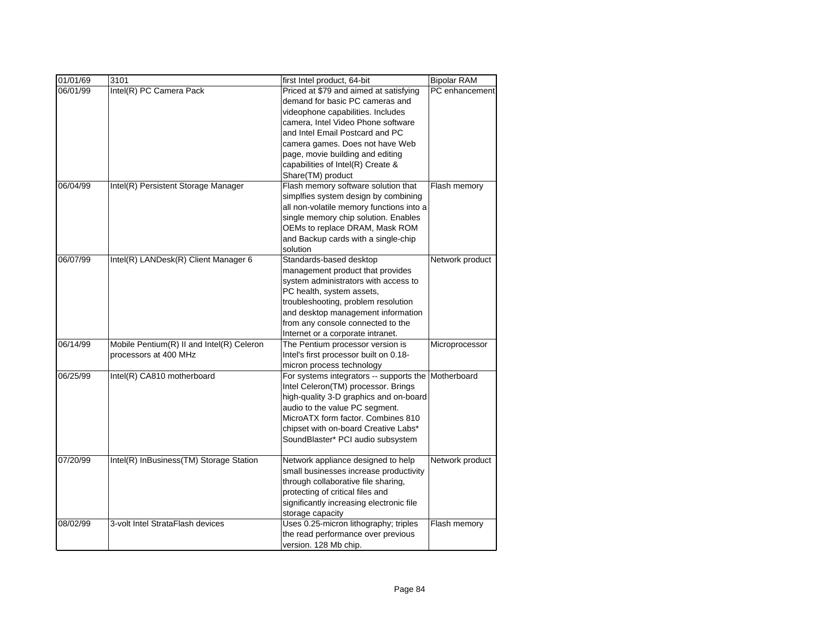| 01/01/69 | 3101                                      | first Intel product, 64-bit                                             | <b>Bipolar RAM</b> |
|----------|-------------------------------------------|-------------------------------------------------------------------------|--------------------|
| 06/01/99 | Intel(R) PC Camera Pack                   | Priced at \$79 and aimed at satisfying                                  | PC enhancement     |
|          |                                           | demand for basic PC cameras and                                         |                    |
|          |                                           | videophone capabilities. Includes                                       |                    |
|          |                                           | camera, Intel Video Phone software                                      |                    |
|          |                                           | and Intel Email Postcard and PC                                         |                    |
|          |                                           | camera games. Does not have Web                                         |                    |
|          |                                           | page, movie building and editing                                        |                    |
|          |                                           | capabilities of Intel(R) Create &                                       |                    |
|          |                                           | Share(TM) product                                                       |                    |
| 06/04/99 | Intel(R) Persistent Storage Manager       | Flash memory software solution that                                     | Flash memory       |
|          |                                           | simplfies system design by combining                                    |                    |
|          |                                           | all non-volatile memory functions into a                                |                    |
|          |                                           | single memory chip solution. Enables                                    |                    |
|          |                                           | OEMs to replace DRAM, Mask ROM                                          |                    |
|          |                                           | and Backup cards with a single-chip                                     |                    |
|          |                                           | solution                                                                |                    |
| 06/07/99 | Intel(R) LANDesk(R) Client Manager 6      | Standards-based desktop                                                 | Network product    |
|          |                                           | management product that provides                                        |                    |
|          |                                           | system administrators with access to                                    |                    |
|          |                                           | PC health, system assets,                                               |                    |
|          |                                           | troubleshooting, problem resolution                                     |                    |
|          |                                           | and desktop management information                                      |                    |
|          |                                           | from any console connected to the                                       |                    |
|          |                                           | Internet or a corporate intranet.                                       |                    |
| 06/14/99 | Mobile Pentium(R) II and Intel(R) Celeron | The Pentium processor version is                                        | Microprocessor     |
|          | processors at 400 MHz                     | Intel's first processor built on 0.18-                                  |                    |
|          |                                           | micron process technology                                               |                    |
| 06/25/99 | Intel(R) CA810 motherboard                | For systems integrators -- supports the                                 | Motherboard        |
|          |                                           | Intel Celeron(TM) processor. Brings                                     |                    |
|          |                                           | high-quality 3-D graphics and on-board                                  |                    |
|          |                                           | audio to the value PC segment.                                          |                    |
|          |                                           | MicroATX form factor. Combines 810                                      |                    |
|          |                                           | chipset with on-board Creative Labs*                                    |                    |
|          |                                           | SoundBlaster* PCI audio subsystem                                       |                    |
|          |                                           |                                                                         |                    |
| 07/20/99 | Intel(R) InBusiness(TM) Storage Station   | Network appliance designed to help                                      | Network product    |
|          |                                           | small businesses increase productivity                                  |                    |
|          |                                           | through collaborative file sharing,<br>protecting of critical files and |                    |
|          |                                           |                                                                         |                    |
|          |                                           | significantly increasing electronic file                                |                    |
| 08/02/99 | 3-volt Intel StrataFlash devices          | storage capacity<br>Uses 0.25-micron lithography; triples               |                    |
|          |                                           | the read performance over previous                                      | Flash memory       |
|          |                                           |                                                                         |                    |
|          |                                           | version. 128 Mb chip.                                                   |                    |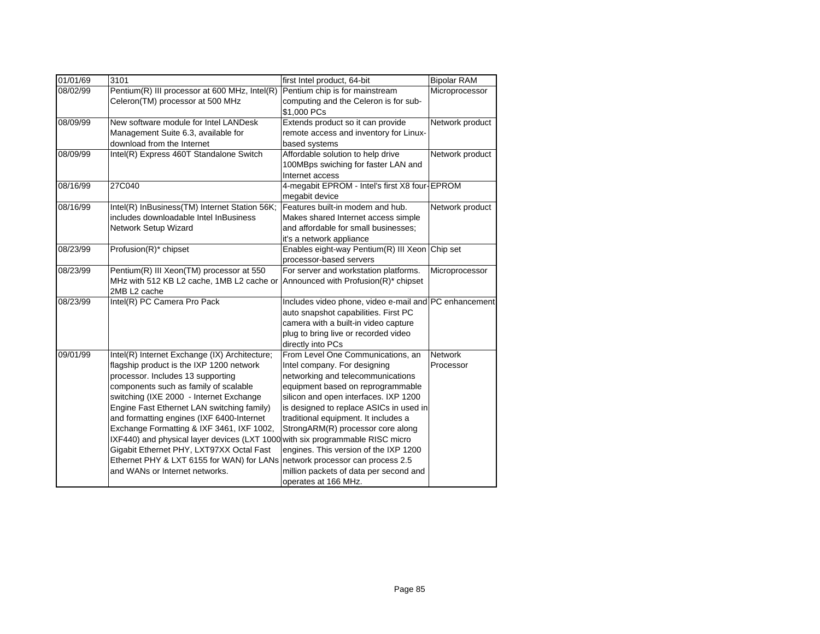| 01/01/69 | 3101                                                                          | first Intel product, 64-bit                           | <b>Bipolar RAM</b> |
|----------|-------------------------------------------------------------------------------|-------------------------------------------------------|--------------------|
| 08/02/99 | Pentium(R) III processor at 600 MHz, Intel(R)                                 | Pentium chip is for mainstream                        | Microprocessor     |
|          | Celeron(TM) processor at 500 MHz                                              | computing and the Celeron is for sub-                 |                    |
|          |                                                                               | \$1,000 PCs                                           |                    |
| 08/09/99 | New software module for Intel LANDesk                                         | Extends product so it can provide                     | Network product    |
|          | Management Suite 6.3, available for                                           | remote access and inventory for Linux-                |                    |
|          | download from the Internet                                                    | based systems                                         |                    |
| 08/09/99 | Intel(R) Express 460T Standalone Switch                                       | Affordable solution to help drive                     | Network product    |
|          |                                                                               | 100MBps swiching for faster LAN and                   |                    |
|          |                                                                               | Internet access                                       |                    |
| 08/16/99 | 27C040                                                                        | 4-megabit EPROM - Intel's first X8 four-EPROM         |                    |
|          |                                                                               | megabit device                                        |                    |
| 08/16/99 | Intel(R) InBusiness(TM) Internet Station 56K;                                 | Features built-in modem and hub.                      | Network product    |
|          | includes downloadable Intel InBusiness                                        | Makes shared Internet access simple                   |                    |
|          | Network Setup Wizard                                                          | and affordable for small businesses;                  |                    |
|          |                                                                               | it's a network appliance                              |                    |
| 08/23/99 | Profusion(R)* chipset                                                         | Enables eight-way Pentium(R) III Xeon Chip set        |                    |
|          |                                                                               | processor-based servers                               |                    |
| 08/23/99 | Pentium(R) III Xeon(TM) processor at 550                                      | For server and workstation platforms.                 | Microprocessor     |
|          | MHz with 512 KB L2 cache, 1MB L2 cache or                                     | Announced with Profusion(R)* chipset                  |                    |
|          | 2MB L2 cache                                                                  |                                                       |                    |
| 08/23/99 | Intel(R) PC Camera Pro Pack                                                   | Includes video phone, video e-mail and PC enhancement |                    |
|          |                                                                               | auto snapshot capabilities. First PC                  |                    |
|          |                                                                               | camera with a built-in video capture                  |                    |
|          |                                                                               | plug to bring live or recorded video                  |                    |
|          |                                                                               | directly into PCs                                     |                    |
| 09/01/99 | Intel(R) Internet Exchange (IX) Architecture;                                 | From Level One Communications, an                     | <b>Network</b>     |
|          | flagship product is the IXP 1200 network                                      | Intel company. For designing                          | Processor          |
|          | processor. Includes 13 supporting                                             | networking and telecommunications                     |                    |
|          | components such as family of scalable                                         | equipment based on reprogrammable                     |                    |
|          | switching (IXE 2000 - Internet Exchange                                       | silicon and open interfaces. IXP 1200                 |                    |
|          | Engine Fast Ethernet LAN switching family)                                    | is designed to replace ASICs in used in               |                    |
|          | and formatting engines (IXF 6400-Internet                                     | traditional equipment. It includes a                  |                    |
|          | Exchange Formatting & IXF 3461, IXF 1002,                                     | StrongARM(R) processor core along                     |                    |
|          | IXF440) and physical layer devices (LXT 1000 with six programmable RISC micro |                                                       |                    |
|          | Gigabit Ethernet PHY, LXT97XX Octal Fast                                      | engines. This version of the IXP 1200                 |                    |
|          | Ethernet PHY & LXT 6155 for WAN) for LANs                                     | network processor can process 2.5                     |                    |
|          | and WANs or Internet networks.                                                | million packets of data per second and                |                    |
|          |                                                                               | operates at 166 MHz.                                  |                    |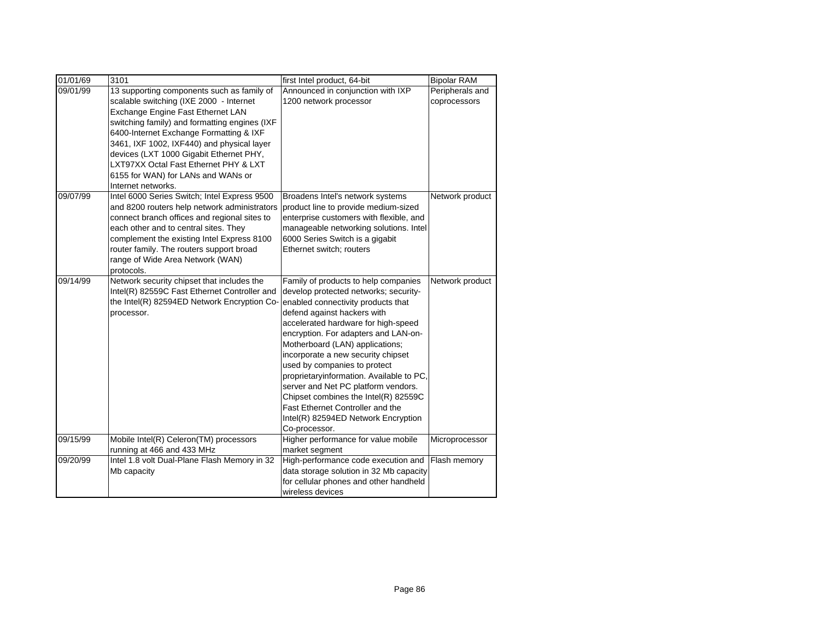| 01/01/69 | 3101                                                                                                                                                                                                                                                                                                                                                                                                                 | first Intel product, 64-bit                                                                                                                                                                                                                                                                                                                                                                                                                                                                                                                                       | <b>Bipolar RAM</b>              |
|----------|----------------------------------------------------------------------------------------------------------------------------------------------------------------------------------------------------------------------------------------------------------------------------------------------------------------------------------------------------------------------------------------------------------------------|-------------------------------------------------------------------------------------------------------------------------------------------------------------------------------------------------------------------------------------------------------------------------------------------------------------------------------------------------------------------------------------------------------------------------------------------------------------------------------------------------------------------------------------------------------------------|---------------------------------|
| 09/01/99 | 13 supporting components such as family of<br>scalable switching (IXE 2000 - Internet<br>Exchange Engine Fast Ethernet LAN<br>switching family) and formatting engines (IXF<br>6400-Internet Exchange Formatting & IXF<br>3461, IXF 1002, IXF440) and physical layer<br>devices (LXT 1000 Gigabit Ethernet PHY,<br>LXT97XX Octal Fast Ethernet PHY & LXT<br>6155 for WAN) for LANs and WANs or<br>Internet networks. | Announced in conjunction with IXP<br>1200 network processor                                                                                                                                                                                                                                                                                                                                                                                                                                                                                                       | Peripherals and<br>coprocessors |
| 09/07/99 | Intel 6000 Series Switch; Intel Express 9500<br>and 8200 routers help network administrators<br>connect branch offices and regional sites to<br>each other and to central sites. They<br>complement the existing Intel Express 8100<br>router family. The routers support broad<br>range of Wide Area Network (WAN)<br>protocols.                                                                                    | Broadens Intel's network systems<br>product line to provide medium-sized<br>enterprise customers with flexible, and<br>manageable networking solutions. Intel<br>6000 Series Switch is a gigabit<br>Ethernet switch; routers                                                                                                                                                                                                                                                                                                                                      | Network product                 |
| 09/14/99 | Network security chipset that includes the<br>Intel(R) 82559C Fast Ethernet Controller and<br>the Intel(R) 82594ED Network Encryption Co-<br>processor.                                                                                                                                                                                                                                                              | Family of products to help companies<br>develop protected networks; security-<br>enabled connectivity products that<br>defend against hackers with<br>accelerated hardware for high-speed<br>encryption. For adapters and LAN-on-<br>Motherboard (LAN) applications;<br>incorporate a new security chipset<br>used by companies to protect<br>proprietaryinformation. Available to PC,<br>server and Net PC platform vendors.<br>Chipset combines the Intel(R) 82559C<br>Fast Ethernet Controller and the<br>Intel(R) 82594ED Network Encryption<br>Co-processor. | Network product                 |
| 09/15/99 | Mobile Intel(R) Celeron(TM) processors<br>running at 466 and 433 MHz                                                                                                                                                                                                                                                                                                                                                 | Higher performance for value mobile<br>market segment                                                                                                                                                                                                                                                                                                                                                                                                                                                                                                             | Microprocessor                  |
| 09/20/99 | Intel 1.8 volt Dual-Plane Flash Memory in 32<br>Mb capacity                                                                                                                                                                                                                                                                                                                                                          | High-performance code execution and<br>data storage solution in 32 Mb capacity<br>for cellular phones and other handheld<br>wireless devices                                                                                                                                                                                                                                                                                                                                                                                                                      | Flash memory                    |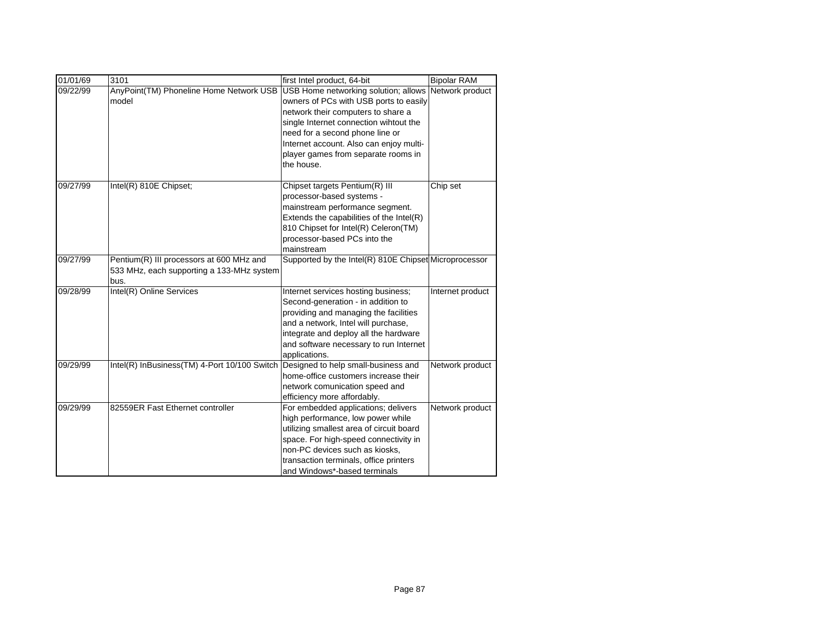| 01/01/69 | 3101                                                                                          | first Intel product, 64-bit                                                                                                                                                                                                                                                                                       | <b>Bipolar RAM</b> |
|----------|-----------------------------------------------------------------------------------------------|-------------------------------------------------------------------------------------------------------------------------------------------------------------------------------------------------------------------------------------------------------------------------------------------------------------------|--------------------|
| 09/22/99 | AnyPoint(TM) Phoneline Home Network USB<br>model                                              | USB Home networking solution; allows Network product<br>owners of PCs with USB ports to easily<br>network their computers to share a<br>single Internet connection wihtout the<br>need for a second phone line or<br>Internet account. Also can enjoy multi-<br>player games from separate rooms in<br>the house. |                    |
| 09/27/99 | Intel(R) 810E Chipset;                                                                        | Chipset targets Pentium(R) III<br>processor-based systems -<br>mainstream performance segment.<br>Extends the capabilities of the Intel(R)<br>810 Chipset for Intel(R) Celeron(TM)<br>processor-based PCs into the<br>mainstream                                                                                  | Chip set           |
| 09/27/99 | Pentium(R) III processors at 600 MHz and<br>533 MHz, each supporting a 133-MHz system<br>bus. | Supported by the Intel(R) 810E Chipset Microprocessor                                                                                                                                                                                                                                                             |                    |
| 09/28/99 | Intel(R) Online Services                                                                      | Internet services hosting business;<br>Second-generation - in addition to<br>providing and managing the facilities<br>and a network, Intel will purchase,<br>integrate and deploy all the hardware<br>and software necessary to run Internet<br>applications.                                                     | Internet product   |
| 09/29/99 | Intel(R) InBusiness(TM) 4-Port 10/100 Switch                                                  | Designed to help small-business and<br>home-office customers increase their<br>network comunication speed and<br>efficiency more affordably.                                                                                                                                                                      | Network product    |
| 09/29/99 | 82559ER Fast Ethernet controller                                                              | For embedded applications; delivers<br>high performance, low power while<br>utilizing smallest area of circuit board<br>space. For high-speed connectivity in<br>non-PC devices such as kiosks,<br>transaction terminals, office printers<br>and Windows*-based terminals                                         | Network product    |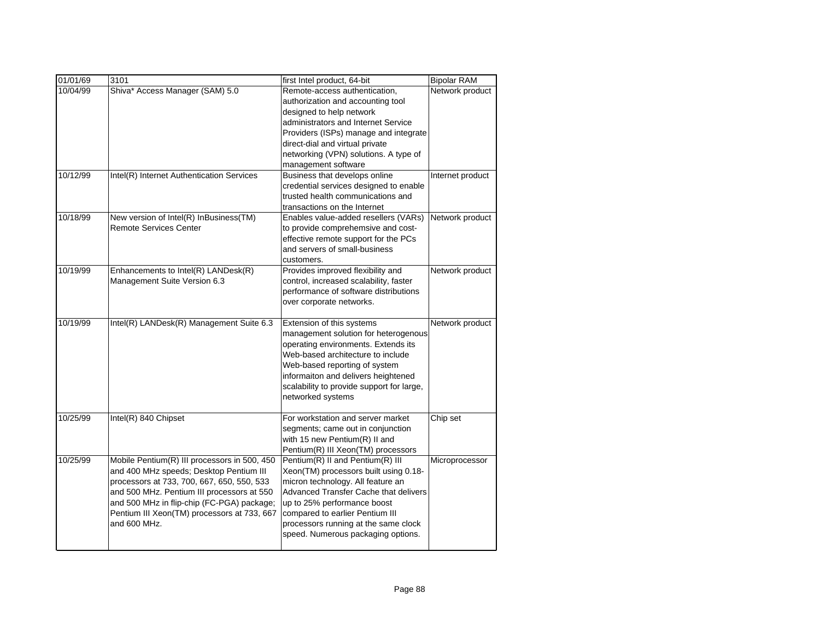| 01/01/69             | 3101                                                                                                                                                                                                                                                                                             | first Intel product, 64-bit                                                                                                                                                                                                                                                                                                                                  | <b>Bipolar RAM</b>                  |
|----------------------|--------------------------------------------------------------------------------------------------------------------------------------------------------------------------------------------------------------------------------------------------------------------------------------------------|--------------------------------------------------------------------------------------------------------------------------------------------------------------------------------------------------------------------------------------------------------------------------------------------------------------------------------------------------------------|-------------------------------------|
| 10/04/99<br>10/12/99 | Shiva* Access Manager (SAM) 5.0<br>Intel(R) Internet Authentication Services                                                                                                                                                                                                                     | Remote-access authentication,<br>authorization and accounting tool<br>designed to help network<br>administrators and Internet Service<br>Providers (ISPs) manage and integrate<br>direct-dial and virtual private<br>networking (VPN) solutions. A type of<br>management software<br>Business that develops online<br>credential services designed to enable | Network product<br>Internet product |
| 10/18/99             | New version of Intel(R) InBusiness(TM)<br><b>Remote Services Center</b>                                                                                                                                                                                                                          | trusted health communications and<br>transactions on the Internet<br>Enables value-added resellers (VARs)<br>to provide comprehemsive and cost-<br>effective remote support for the PCs<br>and servers of small-business<br>customers.                                                                                                                       | Network product                     |
| 10/19/99             | Enhancements to Intel(R) LANDesk(R)<br>Management Suite Version 6.3                                                                                                                                                                                                                              | Provides improved flexibility and<br>control, increased scalability, faster<br>performance of software distributions<br>over corporate networks.                                                                                                                                                                                                             | Network product                     |
| 10/19/99             | Intel(R) LANDesk(R) Management Suite 6.3                                                                                                                                                                                                                                                         | Extension of this systems<br>management solution for heterogenous<br>operating environments. Extends its<br>Web-based architecture to include<br>Web-based reporting of system<br>informaiton and delivers heightened<br>scalability to provide support for large,<br>networked systems                                                                      | Network product                     |
| 10/25/99             | Intel(R) 840 Chipset                                                                                                                                                                                                                                                                             | For workstation and server market<br>segments; came out in conjunction<br>with 15 new Pentium(R) II and<br>Pentium(R) III Xeon(TM) processors                                                                                                                                                                                                                | Chip set                            |
| 10/25/99             | Mobile Pentium(R) III processors in 500, 450<br>and 400 MHz speeds; Desktop Pentium III<br>processors at 733, 700, 667, 650, 550, 533<br>and 500 MHz. Pentium III processors at 550<br>and 500 MHz in flip-chip (FC-PGA) package;<br>Pentium III Xeon(TM) processors at 733, 667<br>and 600 MHz. | Pentium(R) II and Pentium(R) III<br>Xeon(TM) processors built using 0.18-<br>micron technology. All feature an<br>Advanced Transfer Cache that delivers<br>up to 25% performance boost<br>compared to earlier Pentium III<br>processors running at the same clock<br>speed. Numerous packaging options.                                                      | Microprocessor                      |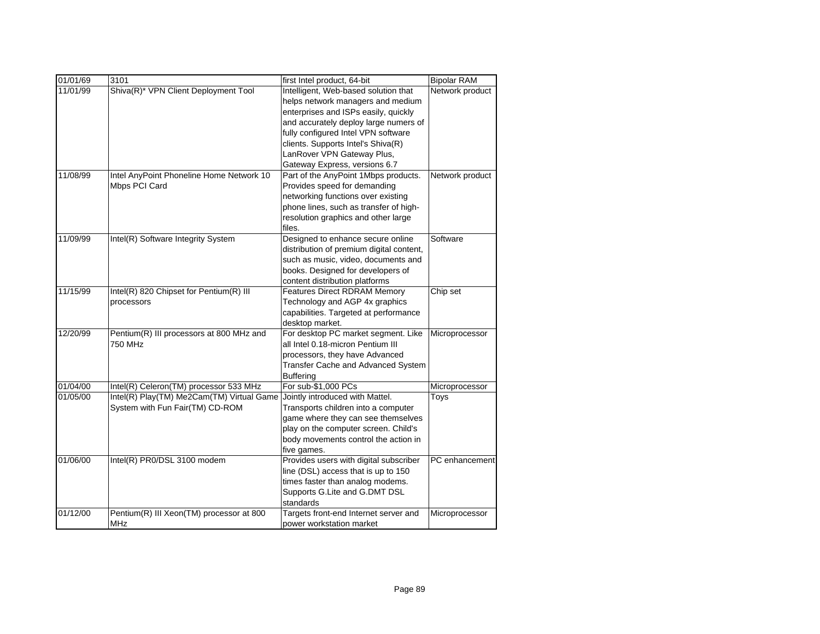| 01/01/69 | 3101                                      | first Intel product, 64-bit              | <b>Bipolar RAM</b> |
|----------|-------------------------------------------|------------------------------------------|--------------------|
| 11/01/99 | Shiva(R)* VPN Client Deployment Tool      | Intelligent, Web-based solution that     | Network product    |
|          |                                           | helps network managers and medium        |                    |
|          |                                           | enterprises and ISPs easily, quickly     |                    |
|          |                                           | and accurately deploy large numers of    |                    |
|          |                                           | fully configured Intel VPN software      |                    |
|          |                                           | clients. Supports Intel's Shiva(R)       |                    |
|          |                                           | LanRover VPN Gateway Plus,               |                    |
|          |                                           | Gateway Express, versions 6.7            |                    |
| 11/08/99 | Intel AnyPoint Phoneline Home Network 10  | Part of the AnyPoint 1Mbps products.     | Network product    |
|          | Mbps PCI Card                             | Provides speed for demanding             |                    |
|          |                                           | networking functions over existing       |                    |
|          |                                           | phone lines, such as transfer of high-   |                    |
|          |                                           | resolution graphics and other large      |                    |
|          |                                           | files.                                   |                    |
| 11/09/99 | Intel(R) Software Integrity System        | Designed to enhance secure online        | Software           |
|          |                                           | distribution of premium digital content, |                    |
|          |                                           | such as music, video, documents and      |                    |
|          |                                           | books. Designed for developers of        |                    |
|          |                                           | content distribution platforms           |                    |
| 11/15/99 | Intel(R) 820 Chipset for Pentium(R) III   | <b>Features Direct RDRAM Memory</b>      | Chip set           |
|          | processors                                | Technology and AGP 4x graphics           |                    |
|          |                                           | capabilities. Targeted at performance    |                    |
|          |                                           | desktop market.                          |                    |
| 12/20/99 | Pentium(R) III processors at 800 MHz and  | For desktop PC market segment. Like      | Microprocessor     |
|          | 750 MHz                                   | all Intel 0.18-micron Pentium III        |                    |
|          |                                           | processors, they have Advanced           |                    |
|          |                                           | Transfer Cache and Advanced System       |                    |
|          |                                           | <b>Buffering</b>                         |                    |
| 01/04/00 | Intel(R) Celeron(TM) processor 533 MHz    | For sub-\$1,000 PCs                      | Microprocessor     |
| 01/05/00 | Intel(R) Play(TM) Me2Cam(TM) Virtual Game | Jointly introduced with Mattel.          | Toys               |
|          | System with Fun Fair(TM) CD-ROM           | Transports children into a computer      |                    |
|          |                                           | game where they can see themselves       |                    |
|          |                                           | play on the computer screen. Child's     |                    |
|          |                                           | body movements control the action in     |                    |
|          |                                           | five games.                              |                    |
| 01/06/00 | Intel(R) PR0/DSL 3100 modem               | Provides users with digital subscriber   | PC enhancement     |
|          |                                           | line (DSL) access that is up to 150      |                    |
|          |                                           | times faster than analog modems.         |                    |
|          |                                           | Supports G.Lite and G.DMT DSL            |                    |
|          |                                           | standards                                |                    |
| 01/12/00 | Pentium(R) III Xeon(TM) processor at 800  | Targets front-end Internet server and    | Microprocessor     |
|          | MHz                                       | power workstation market                 |                    |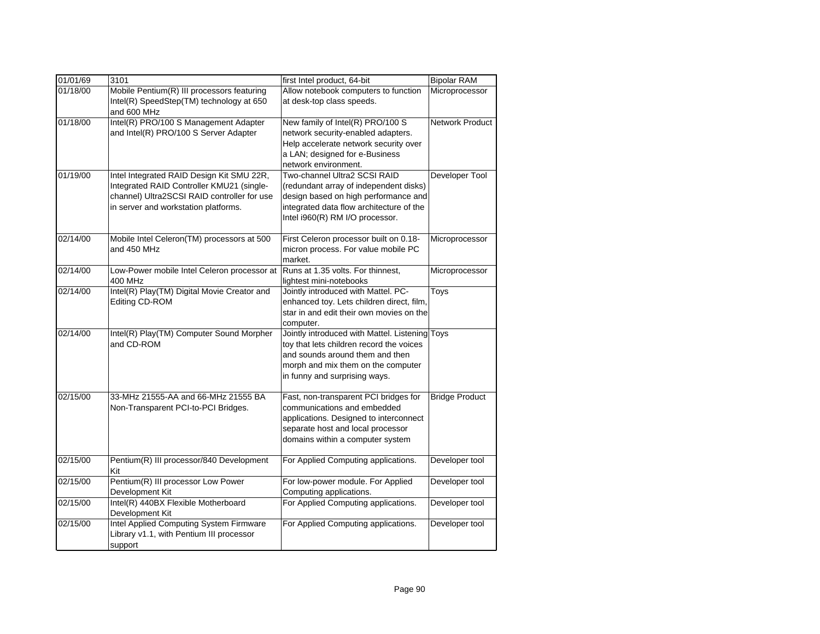| 01/01/69 | 3101                                                    | first Intel product, 64-bit                                                           | <b>Bipolar RAM</b>    |
|----------|---------------------------------------------------------|---------------------------------------------------------------------------------------|-----------------------|
| 01/18/00 | Mobile Pentium(R) III processors featuring              | Allow notebook computers to function                                                  | Microprocessor        |
|          | Intel(R) SpeedStep(TM) technology at 650<br>and 600 MHz | at desk-top class speeds.                                                             |                       |
| 01/18/00 | Intel(R) PRO/100 S Management Adapter                   | New family of Intel(R) PRO/100 S                                                      | Network Product       |
|          | and Intel(R) PRO/100 S Server Adapter                   | network security-enabled adapters.                                                    |                       |
|          |                                                         | Help accelerate network security over                                                 |                       |
|          |                                                         | a LAN; designed for e-Business                                                        |                       |
|          |                                                         | network environment.                                                                  |                       |
| 01/19/00 | Intel Integrated RAID Design Kit SMU 22R,               | Two-channel Ultra2 SCSI RAID                                                          | Developer Tool        |
|          | Integrated RAID Controller KMU21 (single-               | (redundant array of independent disks)                                                |                       |
|          | channel) Ultra2SCSI RAID controller for use             | design based on high performance and                                                  |                       |
|          | in server and workstation platforms.                    | integrated data flow architecture of the                                              |                       |
|          |                                                         | Intel i960(R) RM I/O processor.                                                       |                       |
| 02/14/00 | Mobile Intel Celeron(TM) processors at 500              | First Celeron processor built on 0.18-                                                | Microprocessor        |
|          | and 450 MHz                                             | micron process. For value mobile PC                                                   |                       |
|          |                                                         | market.                                                                               |                       |
| 02/14/00 | Low-Power mobile Intel Celeron processor at             | Runs at 1.35 volts. For thinnest,                                                     | Microprocessor        |
| 02/14/00 | <b>400 MHz</b>                                          | lightest mini-notebooks                                                               |                       |
|          | Intel(R) Play(TM) Digital Movie Creator and             | Jointly introduced with Mattel. PC-                                                   | Toys                  |
|          | Editing CD-ROM                                          | enhanced toy. Lets children direct, film,<br>star in and edit their own movies on the |                       |
|          |                                                         | computer.                                                                             |                       |
| 02/14/00 | Intel(R) Play(TM) Computer Sound Morpher                | Jointly introduced with Mattel. Listening Toys                                        |                       |
|          | and CD-ROM                                              | toy that lets children record the voices                                              |                       |
|          |                                                         | and sounds around them and then                                                       |                       |
|          |                                                         | morph and mix them on the computer                                                    |                       |
|          |                                                         | in funny and surprising ways.                                                         |                       |
| 02/15/00 | 33-MHz 21555-AA and 66-MHz 21555 BA                     | Fast, non-transparent PCI bridges for                                                 | <b>Bridge Product</b> |
|          | Non-Transparent PCI-to-PCI Bridges.                     | communications and embedded                                                           |                       |
|          |                                                         | applications. Designed to interconnect                                                |                       |
|          |                                                         | separate host and local processor                                                     |                       |
|          |                                                         | domains within a computer system                                                      |                       |
| 02/15/00 | Pentium(R) III processor/840 Development                | For Applied Computing applications.                                                   | Developer tool        |
|          | Kit                                                     |                                                                                       |                       |
| 02/15/00 | Pentium(R) III processor Low Power<br>Development Kit   | For low-power module. For Applied<br>Computing applications.                          | Developer tool        |
| 02/15/00 | Intel(R) 440BX Flexible Motherboard                     | For Applied Computing applications.                                                   | Developer tool        |
|          | Development Kit                                         |                                                                                       |                       |
| 02/15/00 | Intel Applied Computing System Firmware                 | For Applied Computing applications.                                                   | Developer tool        |
|          | Library v1.1, with Pentium III processor                |                                                                                       |                       |
|          | support                                                 |                                                                                       |                       |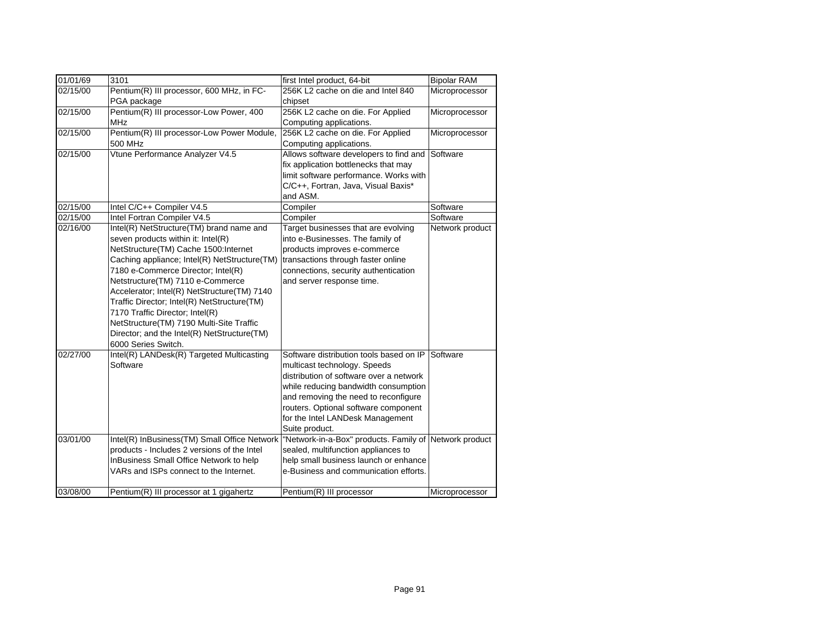| 01/01/69 | 3101                                                                                                                                                                                                                                                                                                                                                                                                                                                                                                | first Intel product, 64-bit                                                                                                                                                                                                                                                                      | <b>Bipolar RAM</b> |
|----------|-----------------------------------------------------------------------------------------------------------------------------------------------------------------------------------------------------------------------------------------------------------------------------------------------------------------------------------------------------------------------------------------------------------------------------------------------------------------------------------------------------|--------------------------------------------------------------------------------------------------------------------------------------------------------------------------------------------------------------------------------------------------------------------------------------------------|--------------------|
| 02/15/00 | Pentium(R) III processor, 600 MHz, in FC-                                                                                                                                                                                                                                                                                                                                                                                                                                                           | 256K L2 cache on die and Intel 840                                                                                                                                                                                                                                                               | Microprocessor     |
| 02/15/00 | PGA package<br>Pentium(R) III processor-Low Power, 400<br><b>MHz</b>                                                                                                                                                                                                                                                                                                                                                                                                                                | chipset<br>256K L2 cache on die. For Applied<br>Computing applications.                                                                                                                                                                                                                          | Microprocessor     |
| 02/15/00 | Pentium(R) III processor-Low Power Module,<br>500 MHz                                                                                                                                                                                                                                                                                                                                                                                                                                               | 256K L2 cache on die. For Applied<br>Computing applications.                                                                                                                                                                                                                                     | Microprocessor     |
| 02/15/00 | Vtune Performance Analyzer V4.5                                                                                                                                                                                                                                                                                                                                                                                                                                                                     | Allows software developers to find and<br>fix application bottlenecks that may<br>limit software performance. Works with<br>C/C++, Fortran, Java, Visual Baxis*<br>and ASM.                                                                                                                      | Software           |
| 02/15/00 | Intel C/C++ Compiler V4.5                                                                                                                                                                                                                                                                                                                                                                                                                                                                           | Compiler                                                                                                                                                                                                                                                                                         | Software           |
| 02/15/00 | Intel Fortran Compiler V4.5                                                                                                                                                                                                                                                                                                                                                                                                                                                                         | Compiler                                                                                                                                                                                                                                                                                         | Software           |
| 02/16/00 | Intel(R) NetStructure(TM) brand name and<br>seven products within it: Intel(R)<br>NetStructure(TM) Cache 1500:Internet<br>Caching appliance; Intel(R) NetStructure(TM)<br>7180 e-Commerce Director; Intel(R)<br>Netstructure(TM) 7110 e-Commerce<br>Accelerator; Intel(R) NetStructure(TM) 7140<br>Traffic Director; Intel(R) NetStructure(TM)<br>7170 Traffic Director; Intel(R)<br>NetStructure(TM) 7190 Multi-Site Traffic<br>Director; and the Intel(R) NetStructure(TM)<br>6000 Series Switch. | Target businesses that are evolving<br>into e-Businesses. The family of<br>products improves e-commerce<br>transactions through faster online<br>connections, security authentication<br>and server response time.                                                                               | Network product    |
| 02/27/00 | Intel(R) LANDesk(R) Targeted Multicasting<br>Software                                                                                                                                                                                                                                                                                                                                                                                                                                               | Software distribution tools based on IP<br>multicast technology. Speeds<br>distribution of software over a network<br>while reducing bandwidth consumption<br>and removing the need to reconfigure<br>routers. Optional software component<br>for the Intel LANDesk Management<br>Suite product. | Software           |
| 03/01/00 | Intel(R) InBusiness(TM) Small Office Network<br>products - Includes 2 versions of the Intel<br>InBusiness Small Office Network to help<br>VARs and ISPs connect to the Internet.                                                                                                                                                                                                                                                                                                                    | "Network-in-a-Box" products. Family of<br>sealed, multifunction appliances to<br>help small business launch or enhance<br>e-Business and communication efforts.                                                                                                                                  | Network product    |
| 03/08/00 | Pentium(R) III processor at 1 gigahertz                                                                                                                                                                                                                                                                                                                                                                                                                                                             | Pentium(R) III processor                                                                                                                                                                                                                                                                         | Microprocessor     |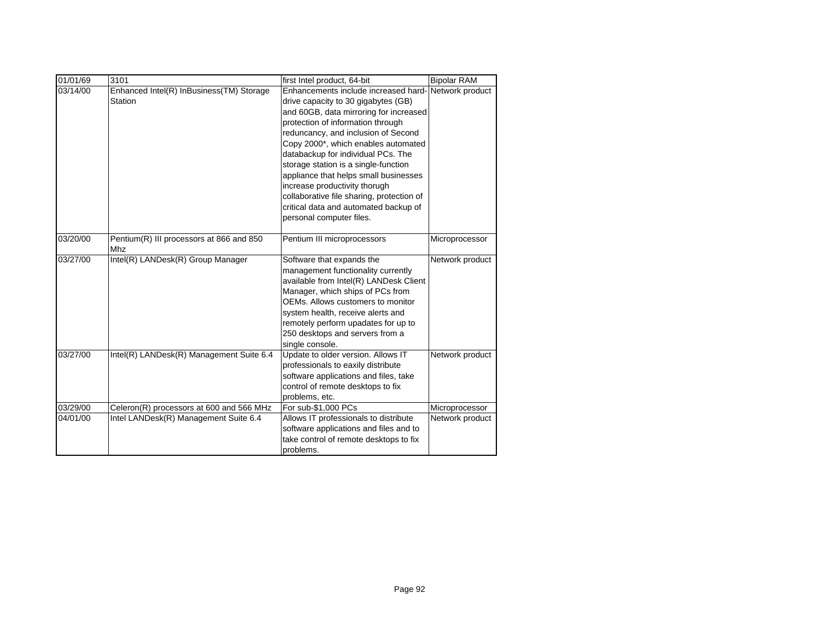| 01/01/69             | 3101                                     | first Intel product, 64-bit                                                     | <b>Bipolar RAM</b> |
|----------------------|------------------------------------------|---------------------------------------------------------------------------------|--------------------|
| 03/14/00             | Enhanced Intel(R) InBusiness(TM) Storage | Enhancements include increased hard-Network product                             |                    |
|                      | Station                                  | drive capacity to 30 gigabytes (GB)                                             |                    |
|                      |                                          | and 60GB, data mirroring for increased                                          |                    |
|                      |                                          | protection of information through                                               |                    |
|                      |                                          | reduncancy, and inclusion of Second                                             |                    |
|                      |                                          | Copy 2000*, which enables automated                                             |                    |
|                      |                                          | databackup for individual PCs. The                                              |                    |
|                      |                                          | storage station is a single-function                                            |                    |
|                      |                                          | appliance that helps small businesses                                           |                    |
|                      |                                          | increase productivity thorugh                                                   |                    |
|                      |                                          | collaborative file sharing, protection of                                       |                    |
|                      |                                          | critical data and automated backup of                                           |                    |
|                      |                                          | personal computer files.                                                        |                    |
| 03/20/00             | Pentium(R) III processors at 866 and 850 | Pentium III microprocessors                                                     | Microprocessor     |
|                      | Mhz                                      |                                                                                 |                    |
| 03/27/00             | Intel(R) LANDesk(R) Group Manager        | Software that expands the                                                       | Network product    |
|                      |                                          | management functionality currently                                              |                    |
|                      |                                          | available from Intel(R) LANDesk Client                                          |                    |
|                      |                                          | Manager, which ships of PCs from                                                |                    |
|                      |                                          | OEMs. Allows customers to monitor                                               |                    |
|                      |                                          | system health, receive alerts and                                               |                    |
|                      |                                          | remotely perform upadates for up to                                             |                    |
|                      |                                          | 250 desktops and servers from a                                                 |                    |
|                      |                                          | single console.                                                                 |                    |
| 03/27/00             | Intel(R) LANDesk(R) Management Suite 6.4 | Update to older version. Allows IT                                              | Network product    |
|                      |                                          | professionals to eaxily distribute                                              |                    |
|                      |                                          | software applications and files, take                                           |                    |
|                      |                                          | control of remote desktops to fix                                               |                    |
|                      |                                          | problems, etc.                                                                  |                    |
| 03/29/00<br>04/01/00 | Celeron(R) processors at 600 and 566 MHz | For sub-\$1,000 PCs                                                             | Microprocessor     |
|                      | Intel LANDesk(R) Management Suite 6.4    | Allows IT professionals to distribute<br>software applications and files and to | Network product    |
|                      |                                          | take control of remote desktops to fix                                          |                    |
|                      |                                          | problems.                                                                       |                    |
|                      |                                          |                                                                                 |                    |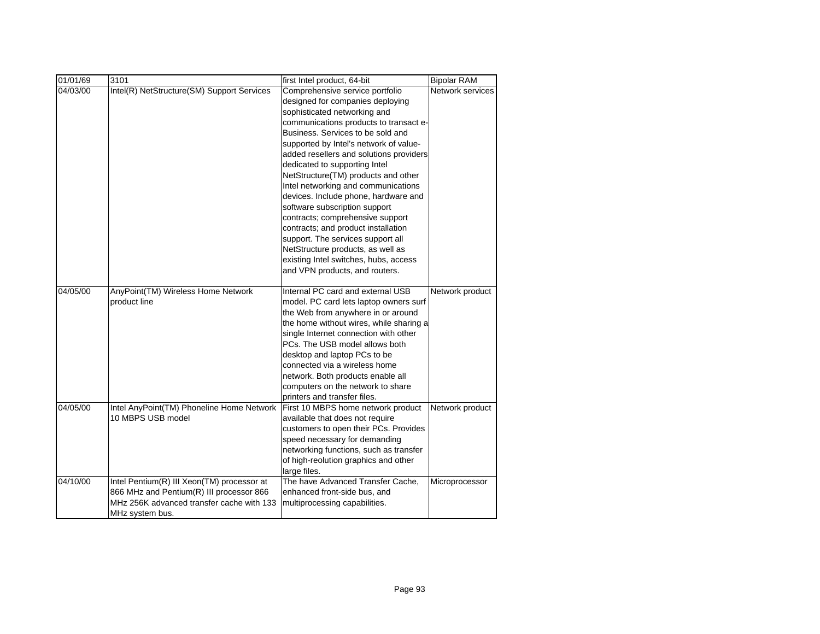| 01/01/69 | 3101                                                                                                                                                   | first Intel product, 64-bit                                                                                                                                                                                                                                                                                                                                                                                                                                                                                                                                                                                                                                                                     | <b>Bipolar RAM</b> |
|----------|--------------------------------------------------------------------------------------------------------------------------------------------------------|-------------------------------------------------------------------------------------------------------------------------------------------------------------------------------------------------------------------------------------------------------------------------------------------------------------------------------------------------------------------------------------------------------------------------------------------------------------------------------------------------------------------------------------------------------------------------------------------------------------------------------------------------------------------------------------------------|--------------------|
| 04/03/00 | Intel(R) NetStructure(SM) Support Services                                                                                                             | Comprehensive service portfolio<br>designed for companies deploying<br>sophisticated networking and<br>communications products to transact e-<br>Business. Services to be sold and<br>supported by Intel's network of value-<br>added resellers and solutions providers<br>dedicated to supporting Intel<br>NetStructure(TM) products and other<br>Intel networking and communications<br>devices. Include phone, hardware and<br>software subscription support<br>contracts; comprehensive support<br>contracts; and product installation<br>support. The services support all<br>NetStructure products, as well as<br>existing Intel switches, hubs, access<br>and VPN products, and routers. | Network services   |
| 04/05/00 | AnyPoint(TM) Wireless Home Network<br>product line                                                                                                     | Internal PC card and external USB<br>model. PC card lets laptop owners surf<br>the Web from anywhere in or around<br>the home without wires, while sharing a<br>single Internet connection with other<br>PCs. The USB model allows both<br>desktop and laptop PCs to be<br>connected via a wireless home<br>network. Both products enable all<br>computers on the network to share<br>printers and transfer files.                                                                                                                                                                                                                                                                              | Network product    |
| 04/05/00 | Intel AnyPoint(TM) Phoneline Home Network<br>10 MBPS USB model                                                                                         | First 10 MBPS home network product<br>available that does not require<br>customers to open their PCs. Provides<br>speed necessary for demanding<br>networking functions, such as transfer<br>of high-reolution graphics and other<br>large files.                                                                                                                                                                                                                                                                                                                                                                                                                                               | Network product    |
| 04/10/00 | Intel Pentium(R) III Xeon(TM) processor at<br>866 MHz and Pentium(R) III processor 866<br>MHz 256K advanced transfer cache with 133<br>MHz system bus. | The have Advanced Transfer Cache,<br>enhanced front-side bus, and<br>multiprocessing capabilities.                                                                                                                                                                                                                                                                                                                                                                                                                                                                                                                                                                                              | Microprocessor     |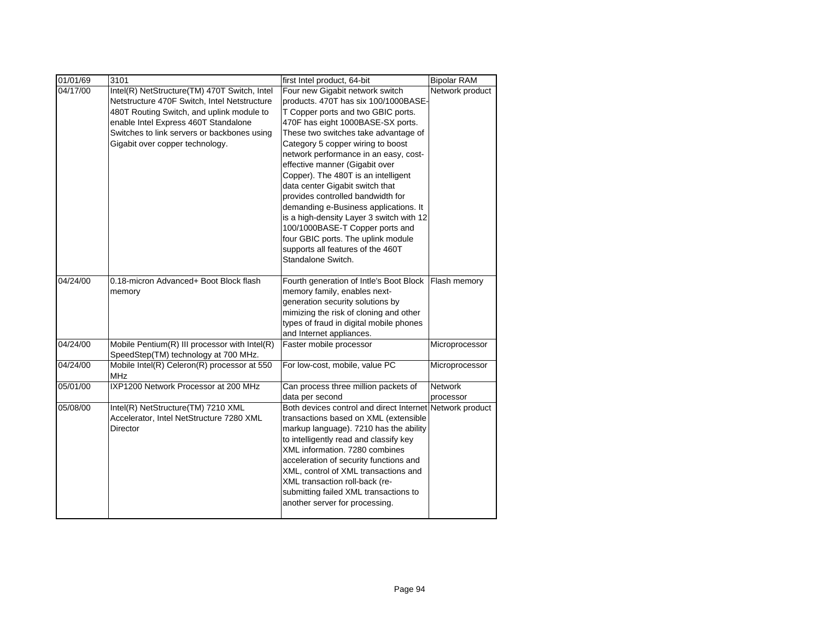| 01/01/69 | 3101                                                                                                                                                                                                                                                                | first Intel product, 64-bit                                                                                                                                                                                                                                                                                                                                                                                                                                                                                                                                                                                                                        | <b>Bipolar RAM</b>          |
|----------|---------------------------------------------------------------------------------------------------------------------------------------------------------------------------------------------------------------------------------------------------------------------|----------------------------------------------------------------------------------------------------------------------------------------------------------------------------------------------------------------------------------------------------------------------------------------------------------------------------------------------------------------------------------------------------------------------------------------------------------------------------------------------------------------------------------------------------------------------------------------------------------------------------------------------------|-----------------------------|
| 04/17/00 | Intel(R) NetStructure(TM) 470T Switch, Intel<br>Netstructure 470F Switch, Intel Netstructure<br>480T Routing Switch, and uplink module to<br>enable Intel Express 460T Standalone<br>Switches to link servers or backbones using<br>Gigabit over copper technology. | Four new Gigabit network switch<br>products. 470T has six 100/1000BASE-<br>T Copper ports and two GBIC ports.<br>470F has eight 1000BASE-SX ports.<br>These two switches take advantage of<br>Category 5 copper wiring to boost<br>network performance in an easy, cost-<br>effective manner (Gigabit over<br>Copper). The 480T is an intelligent<br>data center Gigabit switch that<br>provides controlled bandwidth for<br>demanding e-Business applications. It<br>is a high-density Layer 3 switch with 12<br>100/1000BASE-T Copper ports and<br>four GBIC ports. The uplink module<br>supports all features of the 460T<br>Standalone Switch. | Network product             |
| 04/24/00 | 0.18-micron Advanced+ Boot Block flash<br>memory                                                                                                                                                                                                                    | Fourth generation of Intle's Boot Block<br>memory family, enables next-<br>generation security solutions by<br>mimizing the risk of cloning and other<br>types of fraud in digital mobile phones<br>and Internet appliances.                                                                                                                                                                                                                                                                                                                                                                                                                       | Flash memory                |
| 04/24/00 | Mobile Pentium(R) III processor with Intel(R)<br>SpeedStep(TM) technology at 700 MHz.                                                                                                                                                                               | Faster mobile processor                                                                                                                                                                                                                                                                                                                                                                                                                                                                                                                                                                                                                            | Microprocessor              |
| 04/24/00 | Mobile Intel(R) Celeron(R) processor at 550<br><b>MHz</b>                                                                                                                                                                                                           | For low-cost, mobile, value PC                                                                                                                                                                                                                                                                                                                                                                                                                                                                                                                                                                                                                     | Microprocessor              |
| 05/01/00 | IXP1200 Network Processor at 200 MHz                                                                                                                                                                                                                                | Can process three million packets of<br>data per second                                                                                                                                                                                                                                                                                                                                                                                                                                                                                                                                                                                            | <b>Network</b><br>processor |
| 05/08/00 | Intel(R) NetStructure(TM) 7210 XML<br>Accelerator, Intel NetStructure 7280 XML<br><b>Director</b>                                                                                                                                                                   | Both devices control and direct Internet Network product<br>transactions based on XML (extensible<br>markup language). 7210 has the ability<br>to intelligently read and classify key<br>XML information, 7280 combines<br>acceleration of security functions and<br>XML, control of XML transactions and<br>XML transaction roll-back (re-<br>submitting failed XML transactions to<br>another server for processing.                                                                                                                                                                                                                             |                             |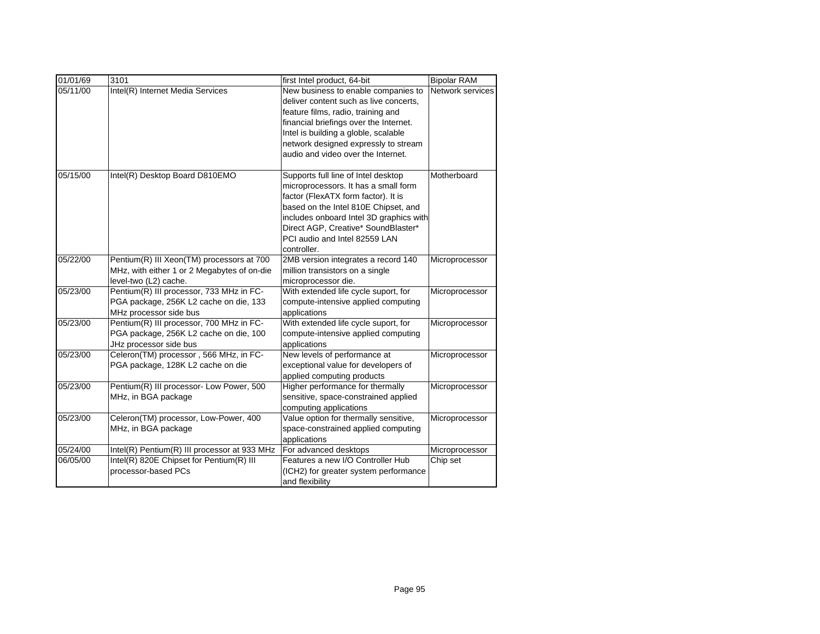| 01/01/69 | 3101                                                                                                              | first Intel product, 64-bit                                                                                                                                                                                                                                                                  | <b>Bipolar RAM</b> |
|----------|-------------------------------------------------------------------------------------------------------------------|----------------------------------------------------------------------------------------------------------------------------------------------------------------------------------------------------------------------------------------------------------------------------------------------|--------------------|
| 05/11/00 | Intel(R) Internet Media Services                                                                                  | New business to enable companies to<br>deliver content such as live concerts,<br>feature films, radio, training and<br>financial briefings over the Internet.<br>Intel is building a globle, scalable<br>network designed expressly to stream<br>audio and video over the Internet.          | Network services   |
| 05/15/00 | Intel(R) Desktop Board D810EMO                                                                                    | Supports full line of Intel desktop<br>microprocessors. It has a small form<br>factor (FlexATX form factor). It is<br>based on the Intel 810E Chipset, and<br>includes onboard Intel 3D graphics with<br>Direct AGP, Creative* SoundBlaster*<br>PCI audio and Intel 82559 LAN<br>controller. | Motherboard        |
| 05/22/00 | Pentium(R) III Xeon(TM) processors at 700<br>MHz, with either 1 or 2 Megabytes of on-die<br>level-two (L2) cache. | 2MB version integrates a record 140<br>million transistors on a single<br>microprocessor die.                                                                                                                                                                                                | Microprocessor     |
| 05/23/00 | Pentium(R) III processor, 733 MHz in FC-<br>PGA package, 256K L2 cache on die, 133<br>MHz processor side bus      | With extended life cycle suport, for<br>compute-intensive applied computing<br>applications                                                                                                                                                                                                  | Microprocessor     |
| 05/23/00 | Pentium(R) III processor, 700 MHz in FC-<br>PGA package, 256K L2 cache on die, 100<br>JHz processor side bus      | With extended life cycle suport, for<br>compute-intensive applied computing<br>applications                                                                                                                                                                                                  | Microprocessor     |
| 05/23/00 | Celeron(TM) processor, 566 MHz, in FC-<br>PGA package, 128K L2 cache on die                                       | New levels of performance at<br>exceptional value for developers of<br>applied computing products                                                                                                                                                                                            | Microprocessor     |
| 05/23/00 | Pentium(R) III processor- Low Power, 500<br>MHz, in BGA package                                                   | Higher performance for thermally<br>sensitive, space-constrained applied<br>computing applications                                                                                                                                                                                           | Microprocessor     |
| 05/23/00 | Celeron(TM) processor, Low-Power, 400<br>MHz, in BGA package                                                      | Value option for thermally sensitive,<br>space-constrained applied computing<br>applications                                                                                                                                                                                                 | Microprocessor     |
| 05/24/00 | Intel(R) Pentium(R) III processor at 933 MHz                                                                      | For advanced desktops                                                                                                                                                                                                                                                                        | Microprocessor     |
| 06/05/00 | Intel(R) 820E Chipset for Pentium(R) III<br>processor-based PCs                                                   | Features a new I/O Controller Hub<br>(ICH2) for greater system performance<br>and flexibility                                                                                                                                                                                                | Chip set           |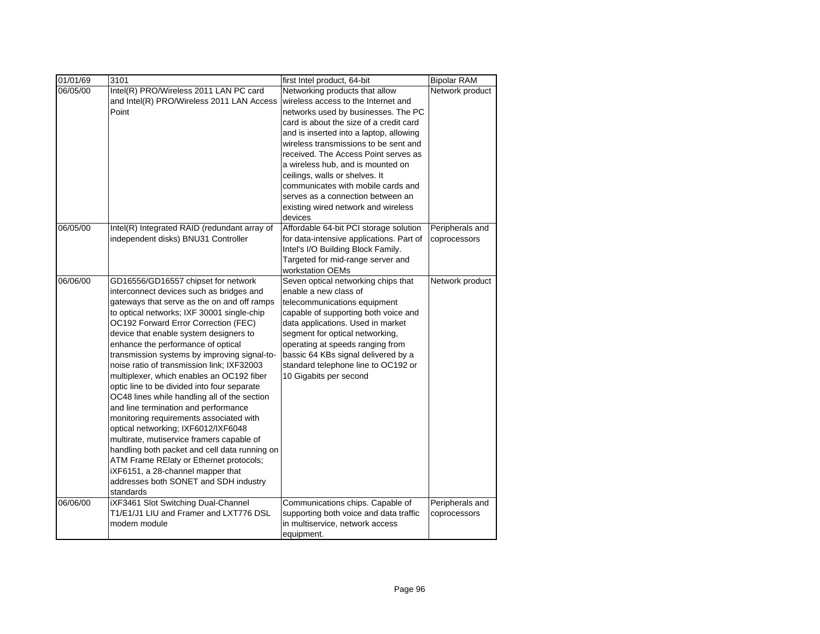| 01/01/69 | 3101                                                                                                                                                                                                                                                                                                                                                                                                                                                                                                                                                                                                                                                                                                                                                                                                                                                                                                         | first Intel product, 64-bit                                                                                                                                                                                                                                                                                                                                                                                                                                                             | <b>Bipolar RAM</b>              |
|----------|--------------------------------------------------------------------------------------------------------------------------------------------------------------------------------------------------------------------------------------------------------------------------------------------------------------------------------------------------------------------------------------------------------------------------------------------------------------------------------------------------------------------------------------------------------------------------------------------------------------------------------------------------------------------------------------------------------------------------------------------------------------------------------------------------------------------------------------------------------------------------------------------------------------|-----------------------------------------------------------------------------------------------------------------------------------------------------------------------------------------------------------------------------------------------------------------------------------------------------------------------------------------------------------------------------------------------------------------------------------------------------------------------------------------|---------------------------------|
| 06/05/00 | Intel(R) PRO/Wireless 2011 LAN PC card<br>and Intel(R) PRO/Wireless 2011 LAN Access<br>Point                                                                                                                                                                                                                                                                                                                                                                                                                                                                                                                                                                                                                                                                                                                                                                                                                 | Networking products that allow<br>wireless access to the Internet and<br>networks used by businesses. The PC<br>card is about the size of a credit card<br>and is inserted into a laptop, allowing<br>wireless transmissions to be sent and<br>received. The Access Point serves as<br>a wireless hub, and is mounted on<br>ceilings, walls or shelves. It<br>communicates with mobile cards and<br>serves as a connection between an<br>existing wired network and wireless<br>devices | Network product                 |
| 06/05/00 | Intel(R) Integrated RAID (redundant array of<br>independent disks) BNU31 Controller                                                                                                                                                                                                                                                                                                                                                                                                                                                                                                                                                                                                                                                                                                                                                                                                                          | Affordable 64-bit PCI storage solution<br>for data-intensive applications. Part of<br>Intel's I/O Building Block Family.<br>Targeted for mid-range server and<br>workstation OEMs                                                                                                                                                                                                                                                                                                       | Peripherals and<br>coprocessors |
| 06/06/00 | GD16556/GD16557 chipset for network<br>interconnect devices such as bridges and<br>gateways that serve as the on and off ramps<br>to optical networks; IXF 30001 single-chip<br>OC192 Forward Error Correction (FEC)<br>device that enable system designers to<br>enhance the performance of optical<br>transmission systems by improving signal-to-<br>noise ratio of transmission link; IXF32003<br>multiplexer, which enables an OC192 fiber<br>optic line to be divided into four separate<br>OC48 lines while handling all of the section<br>and line termination and performance<br>monitoring requirements associated with<br>optical networking; IXF6012/IXF6048<br>multirate, mutiservice framers capable of<br>handling both packet and cell data running on<br>ATM Frame RElaty or Ethernet protocols;<br>iXF6151, a 28-channel mapper that<br>addresses both SONET and SDH industry<br>standards | Seven optical networking chips that<br>enable a new class of<br>telecommunications equipment<br>capable of supporting both voice and<br>data applications. Used in market<br>segment for optical networking,<br>operating at speeds ranging from<br>bassic 64 KBs signal delivered by a<br>standard telephone line to OC192 or<br>10 Gigabits per second                                                                                                                                | Network product                 |
| 06/06/00 | iXF3461 Slot Switching Dual-Channel<br>T1/E1/J1 LIU and Framer and LXT776 DSL<br>modem module                                                                                                                                                                                                                                                                                                                                                                                                                                                                                                                                                                                                                                                                                                                                                                                                                | Communications chips. Capable of<br>supporting both voice and data traffic<br>in multiservice, network access<br>equipment.                                                                                                                                                                                                                                                                                                                                                             | Peripherals and<br>coprocessors |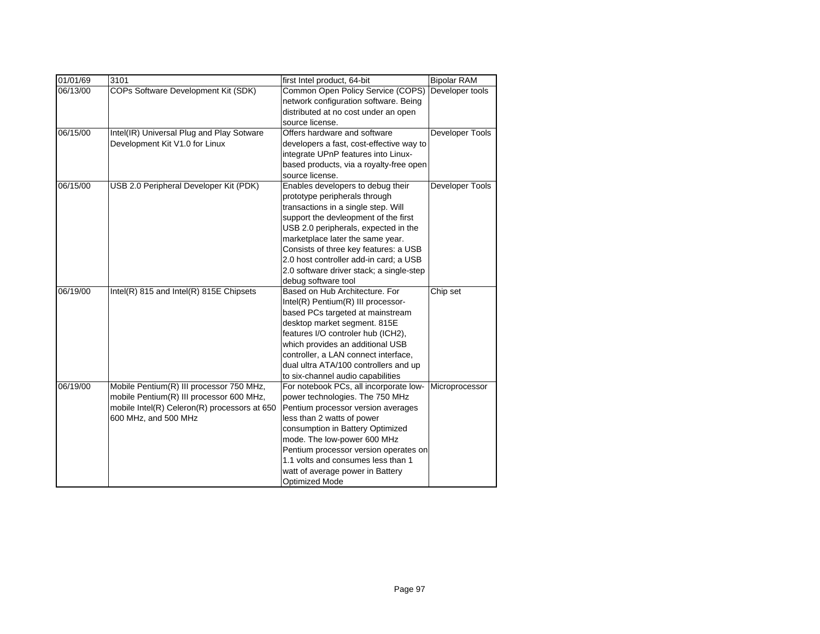| 01/01/69 | 3101                                         | first Intel product, 64-bit              | <b>Bipolar RAM</b>     |
|----------|----------------------------------------------|------------------------------------------|------------------------|
| 06/13/00 | COPs Software Development Kit (SDK)          | Common Open Policy Service (COPS)        | Developer tools        |
|          |                                              | network configuration software. Being    |                        |
|          |                                              | distributed at no cost under an open     |                        |
|          |                                              | source license.                          |                        |
| 06/15/00 | Intel(IR) Universal Plug and Play Sotware    | Offers hardware and software             | <b>Developer Tools</b> |
|          | Development Kit V1.0 for Linux               | developers a fast, cost-effective way to |                        |
|          |                                              | integrate UPnP features into Linux-      |                        |
|          |                                              | based products, via a royalty-free open  |                        |
|          |                                              | source license.                          |                        |
| 06/15/00 | USB 2.0 Peripheral Developer Kit (PDK)       | Enables developers to debug their        | Developer Tools        |
|          |                                              | prototype peripherals through            |                        |
|          |                                              | transactions in a single step. Will      |                        |
|          |                                              | support the devleopment of the first     |                        |
|          |                                              | USB 2.0 peripherals, expected in the     |                        |
|          |                                              | marketplace later the same year.         |                        |
|          |                                              | Consists of three key features: a USB    |                        |
|          |                                              | 2.0 host controller add-in card; a USB   |                        |
|          |                                              | 2.0 software driver stack; a single-step |                        |
|          |                                              | debug software tool                      |                        |
| 06/19/00 | Intel(R) 815 and Intel(R) 815E Chipsets      | Based on Hub Architecture, For           | Chip set               |
|          |                                              | Intel(R) Pentium(R) III processor-       |                        |
|          |                                              | based PCs targeted at mainstream         |                        |
|          |                                              | desktop market segment. 815E             |                        |
|          |                                              | features I/O controler hub (ICH2),       |                        |
|          |                                              | which provides an additional USB         |                        |
|          |                                              | controller, a LAN connect interface,     |                        |
|          |                                              | dual ultra ATA/100 controllers and up    |                        |
|          |                                              | to six-channel audio capabilities        |                        |
| 06/19/00 | Mobile Pentium(R) III processor 750 MHz,     | For notebook PCs, all incorporate low-   | Microprocessor         |
|          | mobile Pentium(R) III processor 600 MHz,     | power technologies. The 750 MHz          |                        |
|          | mobile Intel(R) Celeron(R) processors at 650 | Pentium processor version averages       |                        |
|          | 600 MHz, and 500 MHz                         | less than 2 watts of power               |                        |
|          |                                              | consumption in Battery Optimized         |                        |
|          |                                              | mode. The low-power 600 MHz              |                        |
|          |                                              | Pentium processor version operates on    |                        |
|          |                                              | 1.1 volts and consumes less than 1       |                        |
|          |                                              | watt of average power in Battery         |                        |
|          |                                              | <b>Optimized Mode</b>                    |                        |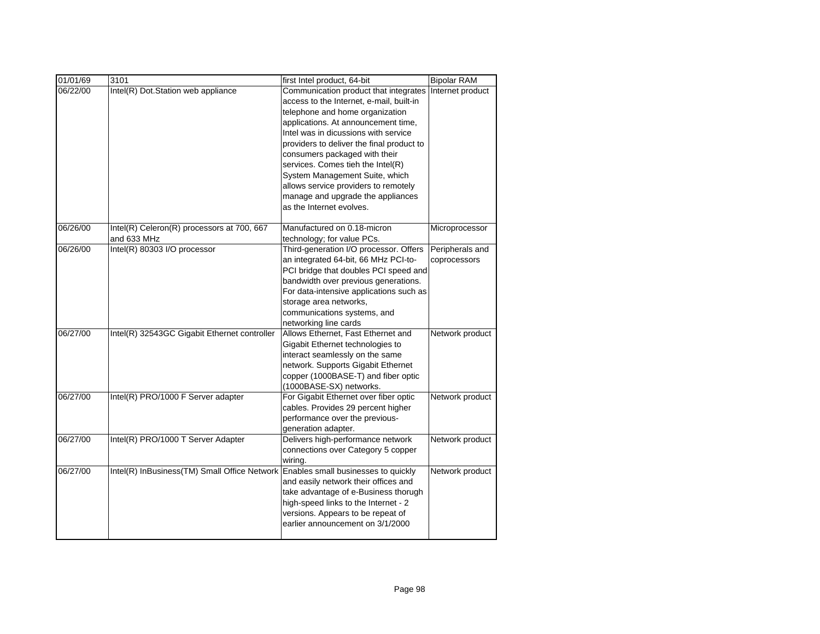| 01/01/69 | 3101                                         | first Intel product, 64-bit               | <b>Bipolar RAM</b> |
|----------|----------------------------------------------|-------------------------------------------|--------------------|
| 06/22/00 | Intel(R) Dot.Station web appliance           | Communication product that integrates     | Internet product   |
|          |                                              | access to the Internet, e-mail, built-in  |                    |
|          |                                              | telephone and home organization           |                    |
|          |                                              | applications. At announcement time,       |                    |
|          |                                              | Intel was in dicussions with service      |                    |
|          |                                              | providers to deliver the final product to |                    |
|          |                                              | consumers packaged with their             |                    |
|          |                                              | services. Comes tieh the Intel(R)         |                    |
|          |                                              | System Management Suite, which            |                    |
|          |                                              | allows service providers to remotely      |                    |
|          |                                              | manage and upgrade the appliances         |                    |
|          |                                              | as the Internet evolves.                  |                    |
|          |                                              |                                           |                    |
| 06/26/00 | Intel(R) Celeron(R) processors at 700, 667   | Manufactured on 0.18-micron               | Microprocessor     |
|          | and 633 MHz                                  | technology; for value PCs.                |                    |
| 06/26/00 | Intel(R) 80303 I/O processor                 | Third-generation I/O processor. Offers    | Peripherals and    |
|          |                                              | an integrated 64-bit, 66 MHz PCI-to-      | coprocessors       |
|          |                                              | PCI bridge that doubles PCI speed and     |                    |
|          |                                              | bandwidth over previous generations.      |                    |
|          |                                              | For data-intensive applications such as   |                    |
|          |                                              | storage area networks,                    |                    |
|          |                                              | communications systems, and               |                    |
|          |                                              | networking line cards                     |                    |
| 06/27/00 | Intel(R) 32543GC Gigabit Ethernet controller | Allows Ethernet, Fast Ethernet and        | Network product    |
|          |                                              | Gigabit Ethernet technologies to          |                    |
|          |                                              | interact seamlessly on the same           |                    |
|          |                                              | network. Supports Gigabit Ethernet        |                    |
|          |                                              | copper (1000BASE-T) and fiber optic       |                    |
|          |                                              | (1000BASE-SX) networks.                   |                    |
| 06/27/00 | Intel(R) PRO/1000 F Server adapter           | For Gigabit Ethernet over fiber optic     | Network product    |
|          |                                              | cables. Provides 29 percent higher        |                    |
|          |                                              | performance over the previous-            |                    |
|          |                                              | generation adapter.                       |                    |
| 06/27/00 | Intel(R) PRO/1000 T Server Adapter           | Delivers high-performance network         | Network product    |
|          |                                              | connections over Category 5 copper        |                    |
|          |                                              | wiring.                                   |                    |
| 06/27/00 | Intel(R) InBusiness(TM) Small Office Network | Enables small businesses to quickly       | Network product    |
|          |                                              | and easily network their offices and      |                    |
|          |                                              | take advantage of e-Business thorugh      |                    |
|          |                                              | high-speed links to the Internet - 2      |                    |
|          |                                              | versions. Appears to be repeat of         |                    |
|          |                                              | earlier announcement on 3/1/2000          |                    |
|          |                                              |                                           |                    |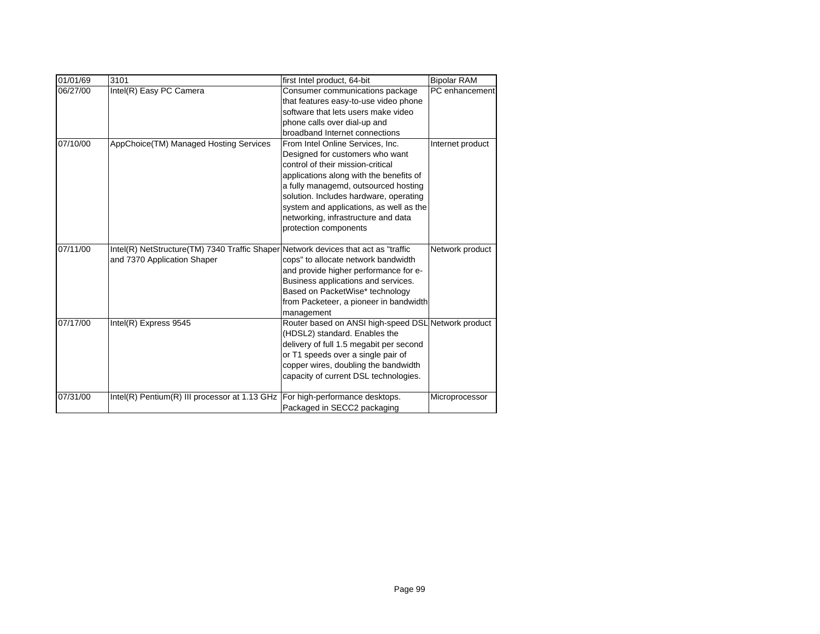| 01/01/69 | 3101                                                                               | first Intel product, 64-bit                         | <b>Bipolar RAM</b> |
|----------|------------------------------------------------------------------------------------|-----------------------------------------------------|--------------------|
| 06/27/00 | Intel(R) Easy PC Camera                                                            | Consumer communications package                     | PC enhancement     |
|          |                                                                                    | that features easy-to-use video phone               |                    |
|          |                                                                                    | software that lets users make video                 |                    |
|          |                                                                                    | phone calls over dial-up and                        |                    |
|          |                                                                                    | broadband Internet connections                      |                    |
| 07/10/00 | AppChoice(TM) Managed Hosting Services                                             | From Intel Online Services, Inc.                    | Internet product   |
|          |                                                                                    | Designed for customers who want                     |                    |
|          |                                                                                    | control of their mission-critical                   |                    |
|          |                                                                                    | applications along with the benefits of             |                    |
|          |                                                                                    | a fully managemd, outsourced hosting                |                    |
|          |                                                                                    | solution. Includes hardware, operating              |                    |
|          |                                                                                    | system and applications, as well as the             |                    |
|          |                                                                                    | networking, infrastructure and data                 |                    |
|          |                                                                                    | protection components                               |                    |
| 07/11/00 | Intel(R) NetStructure(TM) 7340 Traffic Shaper Network devices that act as "traffic |                                                     | Network product    |
|          | and 7370 Application Shaper                                                        | cops" to allocate network bandwidth                 |                    |
|          |                                                                                    | and provide higher performance for e-               |                    |
|          |                                                                                    | Business applications and services.                 |                    |
|          |                                                                                    | Based on PacketWise* technology                     |                    |
|          |                                                                                    | from Packeteer, a pioneer in bandwidth              |                    |
|          |                                                                                    | management                                          |                    |
| 07/17/00 | Intel(R) Express 9545                                                              | Router based on ANSI high-speed DSL Network product |                    |
|          |                                                                                    | (HDSL2) standard. Enables the                       |                    |
|          |                                                                                    | delivery of full 1.5 megabit per second             |                    |
|          |                                                                                    | or T1 speeds over a single pair of                  |                    |
|          |                                                                                    | copper wires, doubling the bandwidth                |                    |
|          |                                                                                    | capacity of current DSL technologies.               |                    |
| 07/31/00 | Intel(R) Pentium(R) III processor at 1.13 GHz                                      | For high-performance desktops.                      | Microprocessor     |
|          |                                                                                    | Packaged in SECC2 packaging                         |                    |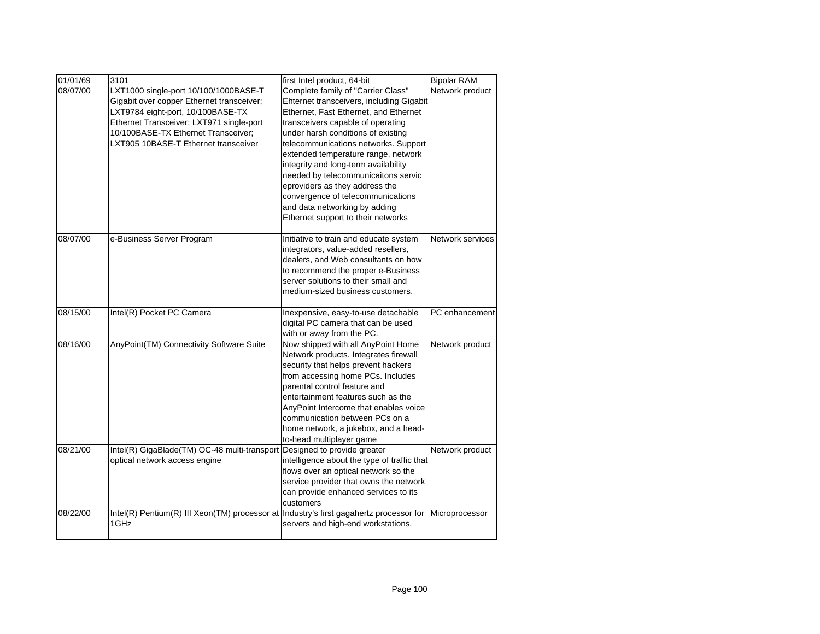| 01/01/69 | 3101                                                                                   | first Intel product, 64-bit                                             | <b>Bipolar RAM</b> |
|----------|----------------------------------------------------------------------------------------|-------------------------------------------------------------------------|--------------------|
| 08/07/00 | LXT1000 single-port 10/100/1000BASE-T                                                  | Complete family of "Carrier Class"                                      | Network product    |
|          | Gigabit over copper Ethernet transceiver;                                              | Ehternet transceivers, including Gigabit                                |                    |
|          | LXT9784 eight-port, 10/100BASE-TX                                                      | Ethernet, Fast Ethernet, and Ethernet                                   |                    |
|          | Ethernet Transceiver; LXT971 single-port                                               | transceivers capable of operating                                       |                    |
|          | 10/100BASE-TX Ethernet Transceiver;                                                    | under harsh conditions of existing                                      |                    |
|          | LXT905 10BASE-T Ethernet transceiver                                                   | telecommunications networks. Support                                    |                    |
|          |                                                                                        | extended temperature range, network                                     |                    |
|          |                                                                                        | integrity and long-term availability                                    |                    |
|          |                                                                                        | needed by telecommunicaitons servic                                     |                    |
|          |                                                                                        | eproviders as they address the                                          |                    |
|          |                                                                                        | convergence of telecommunications                                       |                    |
|          |                                                                                        | and data networking by adding                                           |                    |
|          |                                                                                        | Ethernet support to their networks                                      |                    |
| 08/07/00 | e-Business Server Program                                                              | Initiative to train and educate system                                  | Network services   |
|          |                                                                                        | integrators, value-added resellers,                                     |                    |
|          |                                                                                        | dealers, and Web consultants on how                                     |                    |
|          |                                                                                        | to recommend the proper e-Business                                      |                    |
|          |                                                                                        | server solutions to their small and                                     |                    |
|          |                                                                                        | medium-sized business customers.                                        |                    |
|          |                                                                                        |                                                                         |                    |
| 08/15/00 | Intel(R) Pocket PC Camera                                                              | Inexpensive, easy-to-use detachable                                     | PC enhancement     |
|          |                                                                                        | digital PC camera that can be used                                      |                    |
|          |                                                                                        | with or away from the PC.                                               |                    |
| 08/16/00 | AnyPoint(TM) Connectivity Software Suite                                               | Now shipped with all AnyPoint Home                                      | Network product    |
|          |                                                                                        | Network products. Integrates firewall                                   |                    |
|          |                                                                                        | security that helps prevent hackers                                     |                    |
|          |                                                                                        | from accessing home PCs. Includes                                       |                    |
|          |                                                                                        | parental control feature and                                            |                    |
|          |                                                                                        | entertainment features such as the                                      |                    |
|          |                                                                                        | AnyPoint Intercome that enables voice<br>communication between PCs on a |                    |
|          |                                                                                        |                                                                         |                    |
|          |                                                                                        | home network, a jukebox, and a head-<br>to-head multiplayer game        |                    |
| 08/21/00 | Intel(R) GigaBlade(TM) OC-48 multi-transport                                           | Designed to provide greater                                             | Network product    |
|          | optical network access engine                                                          | intelligence about the type of traffic that                             |                    |
|          |                                                                                        | flows over an optical network so the                                    |                    |
|          |                                                                                        | service provider that owns the network                                  |                    |
|          |                                                                                        | can provide enhanced services to its                                    |                    |
|          |                                                                                        | customers                                                               |                    |
| 08/22/00 | Intel(R) Pentium(R) III Xeon(TM) processor at Industry's first gagahertz processor for |                                                                         | Microprocessor     |
|          | 1GHz                                                                                   | servers and high-end workstations.                                      |                    |
|          |                                                                                        |                                                                         |                    |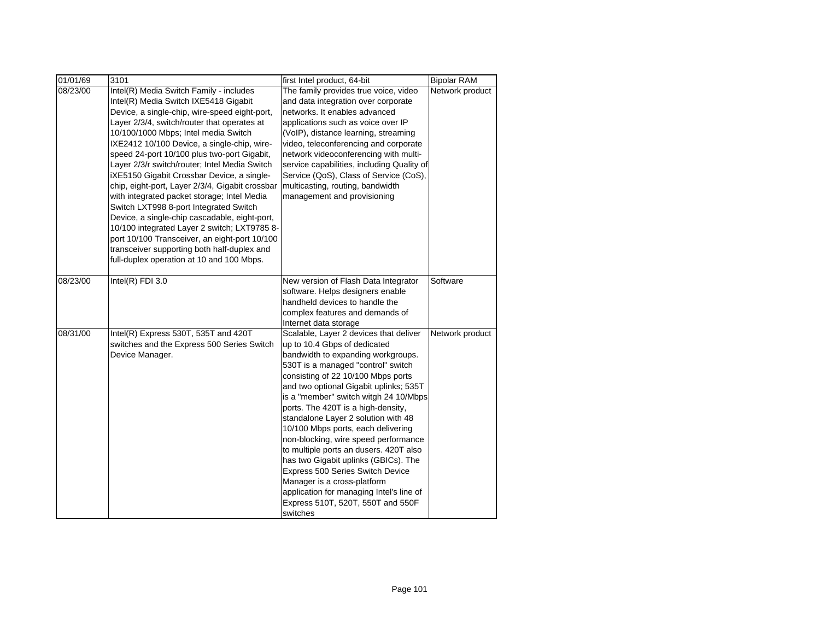| 01/01/69 | 3101                                                                                                                                                                                                                                                                                                                                                                                                                                                                                                                                                                                                                                                                                                                                                                                                            | first Intel product, 64-bit                                                                                                                                                                                                                                                                                                                                                                                                                                                                                                                                                                                                                                                              | <b>Bipolar RAM</b> |
|----------|-----------------------------------------------------------------------------------------------------------------------------------------------------------------------------------------------------------------------------------------------------------------------------------------------------------------------------------------------------------------------------------------------------------------------------------------------------------------------------------------------------------------------------------------------------------------------------------------------------------------------------------------------------------------------------------------------------------------------------------------------------------------------------------------------------------------|------------------------------------------------------------------------------------------------------------------------------------------------------------------------------------------------------------------------------------------------------------------------------------------------------------------------------------------------------------------------------------------------------------------------------------------------------------------------------------------------------------------------------------------------------------------------------------------------------------------------------------------------------------------------------------------|--------------------|
| 08/23/00 | Intel(R) Media Switch Family - includes<br>Intel(R) Media Switch IXE5418 Gigabit<br>Device, a single-chip, wire-speed eight-port,<br>Layer 2/3/4, switch/router that operates at<br>10/100/1000 Mbps; Intel media Switch<br>IXE2412 10/100 Device, a single-chip, wire-<br>speed 24-port 10/100 plus two-port Gigabit,<br>Layer 2/3/r switch/router; Intel Media Switch<br>iXE5150 Gigabit Crossbar Device, a single-<br>chip, eight-port, Layer 2/3/4, Gigabit crossbar<br>with integrated packet storage; Intel Media<br>Switch LXT998 8-port Integrated Switch<br>Device, a single-chip cascadable, eight-port,<br>10/100 integrated Layer 2 switch; LXT9785 8-<br>port 10/100 Transceiver, an eight-port 10/100<br>transceiver supporting both half-duplex and<br>full-duplex operation at 10 and 100 Mbps. | The family provides true voice, video<br>and data integration over corporate<br>networks. It enables advanced<br>applications such as voice over IP<br>(VoIP), distance learning, streaming<br>video, teleconferencing and corporate<br>network videoconferencing with multi-<br>service capabilities, including Quality of<br>Service (QoS), Class of Service (CoS),<br>multicasting, routing, bandwidth<br>management and provisioning                                                                                                                                                                                                                                                 | Network product    |
| 08/23/00 | Intel $(R)$ FDI 3.0                                                                                                                                                                                                                                                                                                                                                                                                                                                                                                                                                                                                                                                                                                                                                                                             | New version of Flash Data Integrator<br>software. Helps designers enable<br>handheld devices to handle the<br>complex features and demands of<br>Internet data storage                                                                                                                                                                                                                                                                                                                                                                                                                                                                                                                   | Software           |
| 08/31/00 | Intel(R) Express 530T, 535T and 420T<br>switches and the Express 500 Series Switch<br>Device Manager.                                                                                                                                                                                                                                                                                                                                                                                                                                                                                                                                                                                                                                                                                                           | Scalable, Layer 2 devices that deliver<br>up to 10.4 Gbps of dedicated<br>bandwidth to expanding workgroups.<br>530T is a managed "control" switch<br>consisting of 22 10/100 Mbps ports<br>and two optional Gigabit uplinks; 535T<br>is a "member" switch witgh 24 10/Mbps<br>ports. The 420T is a high-density,<br>standalone Layer 2 solution with 48<br>10/100 Mbps ports, each delivering<br>non-blocking, wire speed performance<br>to multiple ports an dusers. 420T also<br>has two Gigabit uplinks (GBICs). The<br>Express 500 Series Switch Device<br>Manager is a cross-platform<br>application for managing Intel's line of<br>Express 510T, 520T, 550T and 550F<br>switches | Network product    |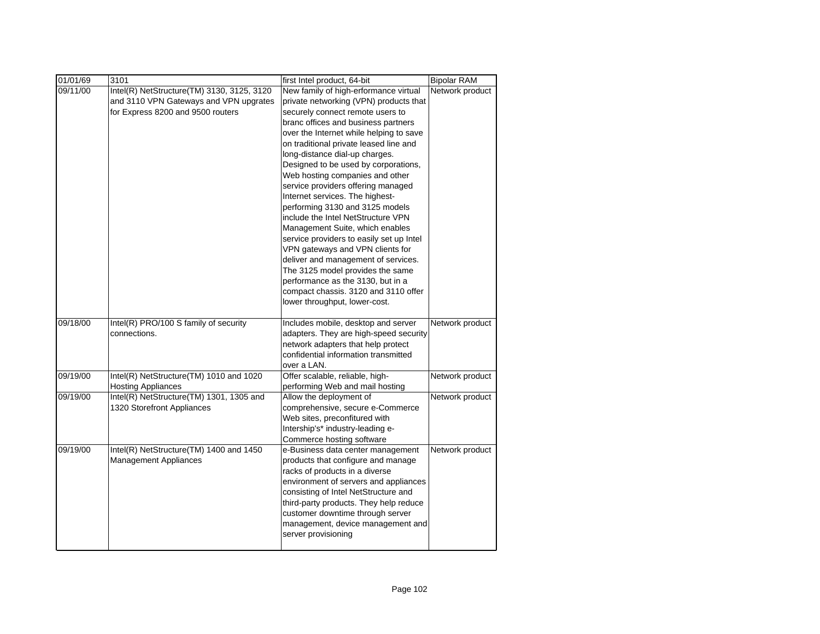| 01/01/69 | 3101                                       | first Intel product, 64-bit                                                    | <b>Bipolar RAM</b> |
|----------|--------------------------------------------|--------------------------------------------------------------------------------|--------------------|
| 09/11/00 | Intel(R) NetStructure(TM) 3130, 3125, 3120 | New family of high-erformance virtual                                          | Network product    |
|          | and 3110 VPN Gateways and VPN upgrates     | private networking (VPN) products that                                         |                    |
|          | for Express 8200 and 9500 routers          | securely connect remote users to                                               |                    |
|          |                                            | branc offices and business partners                                            |                    |
|          |                                            | over the Internet while helping to save                                        |                    |
|          |                                            | on traditional private leased line and                                         |                    |
|          |                                            | long-distance dial-up charges.                                                 |                    |
|          |                                            | Designed to be used by corporations,                                           |                    |
|          |                                            | Web hosting companies and other                                                |                    |
|          |                                            | service providers offering managed                                             |                    |
|          |                                            | Internet services. The highest-                                                |                    |
|          |                                            | performing 3130 and 3125 models                                                |                    |
|          |                                            | include the Intel NetStructure VPN                                             |                    |
|          |                                            | Management Suite, which enables                                                |                    |
|          |                                            | service providers to easily set up Intel                                       |                    |
|          |                                            | VPN gateways and VPN clients for                                               |                    |
|          |                                            | deliver and management of services.                                            |                    |
|          |                                            | The 3125 model provides the same                                               |                    |
|          |                                            | performance as the 3130, but in a<br>compact chassis. 3120 and 3110 offer      |                    |
|          |                                            | lower throughput, lower-cost.                                                  |                    |
|          |                                            |                                                                                |                    |
| 09/18/00 | Intel(R) PRO/100 S family of security      | Includes mobile, desktop and server                                            | Network product    |
|          | connections.                               | adapters. They are high-speed security                                         |                    |
|          |                                            | network adapters that help protect                                             |                    |
|          |                                            | confidential information transmitted                                           |                    |
|          |                                            | over a LAN.                                                                    |                    |
| 09/19/00 | Intel(R) NetStructure(TM) 1010 and 1020    | Offer scalable, reliable, high-                                                | Network product    |
|          | <b>Hosting Appliances</b>                  | performing Web and mail hosting                                                |                    |
| 09/19/00 | Intel(R) NetStructure(TM) 1301, 1305 and   | Allow the deployment of                                                        | Network product    |
|          | 1320 Storefront Appliances                 | comprehensive, secure e-Commerce                                               |                    |
|          |                                            | Web sites, preconfitured with                                                  |                    |
|          |                                            | Intership's* industry-leading e-                                               |                    |
|          |                                            | Commerce hosting software                                                      |                    |
| 09/19/00 | Intel(R) NetStructure(TM) 1400 and 1450    | e-Business data center management                                              | Network product    |
|          | <b>Management Appliances</b>               | products that configure and manage                                             |                    |
|          |                                            | racks of products in a diverse                                                 |                    |
|          |                                            | environment of servers and appliances                                          |                    |
|          |                                            | consisting of Intel NetStructure and<br>third-party products. They help reduce |                    |
|          |                                            | customer downtime through server                                               |                    |
|          |                                            | management, device management and                                              |                    |
|          |                                            | server provisioning                                                            |                    |
|          |                                            |                                                                                |                    |
|          |                                            |                                                                                |                    |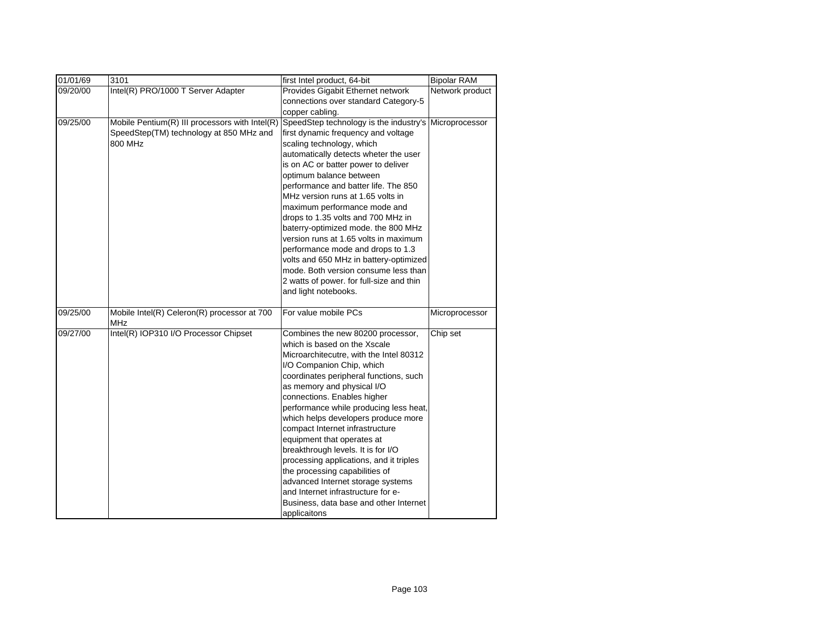| 01/01/69 | 3101                                               | first Intel product, 64-bit              | <b>Bipolar RAM</b> |
|----------|----------------------------------------------------|------------------------------------------|--------------------|
| 09/20/00 | Intel(R) PRO/1000 T Server Adapter                 | Provides Gigabit Ethernet network        | Network product    |
|          |                                                    | connections over standard Category-5     |                    |
|          |                                                    | copper cabling.                          |                    |
| 09/25/00 | Mobile Pentium(R) III processors with Intel(R)     | SpeedStep technology is the industry's   | Microprocessor     |
|          | SpeedStep(TM) technology at 850 MHz and            | first dynamic frequency and voltage      |                    |
|          | 800 MHz                                            | scaling technology, which                |                    |
|          |                                                    | automatically detects wheter the user    |                    |
|          |                                                    | is on AC or batter power to deliver      |                    |
|          |                                                    | optimum balance between                  |                    |
|          |                                                    | performance and batter life. The 850     |                    |
|          |                                                    | MHz version runs at 1.65 volts in        |                    |
|          |                                                    | maximum performance mode and             |                    |
|          |                                                    | drops to 1.35 volts and 700 MHz in       |                    |
|          |                                                    | baterry-optimized mode. the 800 MHz      |                    |
|          |                                                    | version runs at 1.65 volts in maximum    |                    |
|          |                                                    | performance mode and drops to 1.3        |                    |
|          |                                                    | volts and 650 MHz in battery-optimized   |                    |
|          |                                                    | mode. Both version consume less than     |                    |
|          |                                                    | 2 watts of power. for full-size and thin |                    |
|          |                                                    | and light notebooks.                     |                    |
| 09/25/00 | Mobile Intel(R) Celeron(R) processor at 700<br>MHz | For value mobile PCs                     | Microprocessor     |
| 09/27/00 | Intel(R) IOP310 I/O Processor Chipset              | Combines the new 80200 processor,        | Chip set           |
|          |                                                    | which is based on the Xscale             |                    |
|          |                                                    | Microarchitecutre, with the Intel 80312  |                    |
|          |                                                    | I/O Companion Chip, which                |                    |
|          |                                                    | coordinates peripheral functions, such   |                    |
|          |                                                    | as memory and physical I/O               |                    |
|          |                                                    | connections. Enables higher              |                    |
|          |                                                    | performance while producing less heat,   |                    |
|          |                                                    | which helps developers produce more      |                    |
|          |                                                    | compact Internet infrastructure          |                    |
|          |                                                    | equipment that operates at               |                    |
|          |                                                    | breakthrough levels. It is for I/O       |                    |
|          |                                                    | processing applications, and it triples  |                    |
|          |                                                    | the processing capabilities of           |                    |
|          |                                                    | advanced Internet storage systems        |                    |
|          |                                                    | and Internet infrastructure for e-       |                    |
|          |                                                    | Business, data base and other Internet   |                    |
|          |                                                    | applicaitons                             |                    |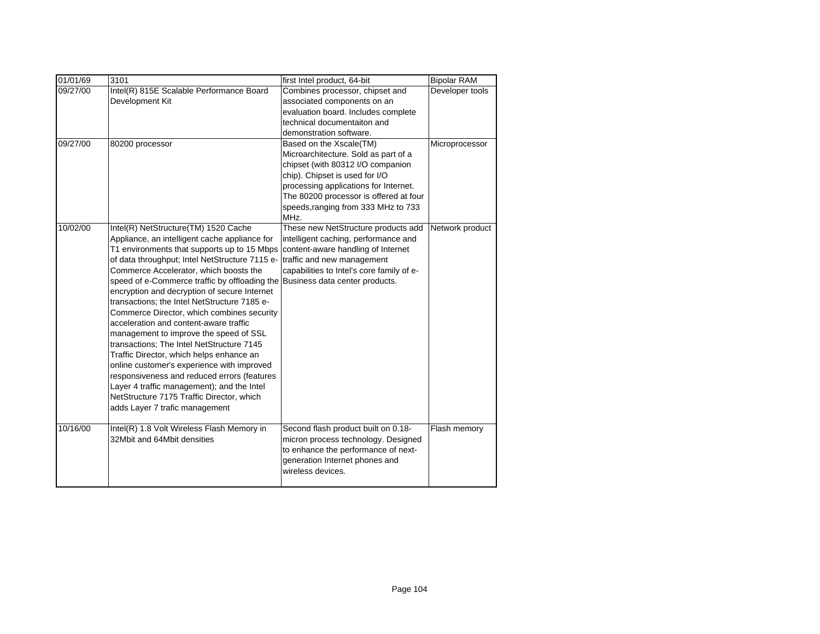| 01/01/69 | 3101                                                                                                                                                                                                                                                                                                                                                                                                                                                                                                                                                                                                                                                                                                                                                                                                                                   | first Intel product, 64-bit                                                                                                                                                                                                                                              | <b>Bipolar RAM</b> |
|----------|----------------------------------------------------------------------------------------------------------------------------------------------------------------------------------------------------------------------------------------------------------------------------------------------------------------------------------------------------------------------------------------------------------------------------------------------------------------------------------------------------------------------------------------------------------------------------------------------------------------------------------------------------------------------------------------------------------------------------------------------------------------------------------------------------------------------------------------|--------------------------------------------------------------------------------------------------------------------------------------------------------------------------------------------------------------------------------------------------------------------------|--------------------|
| 09/27/00 | Intel(R) 815E Scalable Performance Board<br>Development Kit                                                                                                                                                                                                                                                                                                                                                                                                                                                                                                                                                                                                                                                                                                                                                                            | Combines processor, chipset and<br>associated components on an<br>evaluation board. Includes complete<br>technical documentaiton and<br>demonstration software.                                                                                                          | Developer tools    |
| 09/27/00 | 80200 processor                                                                                                                                                                                                                                                                                                                                                                                                                                                                                                                                                                                                                                                                                                                                                                                                                        | Based on the Xscale(TM)<br>Microarchitecture. Sold as part of a<br>chipset (with 80312 I/O companion<br>chip). Chipset is used for I/O<br>processing applications for Internet.<br>The 80200 processor is offered at four<br>speeds, ranging from 333 MHz to 733<br>MHz. | Microprocessor     |
| 10/02/00 | Intel(R) NetStructure(TM) 1520 Cache<br>Appliance, an intelligent cache appliance for<br>T1 environments that supports up to 15 Mbps<br>of data throughput; Intel NetStructure 7115 e-<br>Commerce Accelerator, which boosts the<br>speed of e-Commerce traffic by offloading the<br>encryption and decryption of secure Internet<br>transactions: the Intel NetStructure 7185 e-<br>Commerce Director, which combines security<br>acceleration and content-aware traffic<br>management to improve the speed of SSL<br>transactions; The Intel NetStructure 7145<br>Traffic Director, which helps enhance an<br>online customer's experience with improved<br>responsiveness and reduced errors (features<br>Layer 4 traffic management); and the Intel<br>NetStructure 7175 Traffic Director, which<br>adds Layer 7 trafic management | These new NetStructure products add<br>intelligent caching, performance and<br>content-aware handling of Internet<br>traffic and new management<br>capabilities to Intel's core family of e-<br>Business data center products.                                           | Network product    |
| 10/16/00 | Intel(R) 1.8 Volt Wireless Flash Memory in<br>32Mbit and 64Mbit densities                                                                                                                                                                                                                                                                                                                                                                                                                                                                                                                                                                                                                                                                                                                                                              | Second flash product built on 0.18-<br>micron process technology. Designed<br>to enhance the performance of next-<br>generation Internet phones and<br>wireless devices.                                                                                                 | Flash memory       |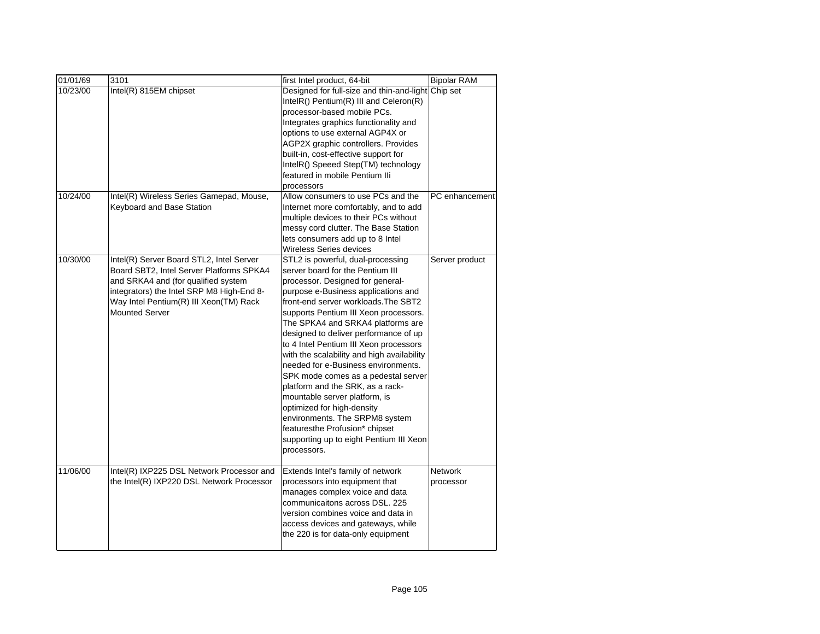| 01/01/69 | 3101                                                                                                                                                                                                                                        | first Intel product, 64-bit                                                                                                                                                                                                                                                                                                                                                                                                                                                                                                                                                                                                                                                                                            | <b>Bipolar RAM</b>   |
|----------|---------------------------------------------------------------------------------------------------------------------------------------------------------------------------------------------------------------------------------------------|------------------------------------------------------------------------------------------------------------------------------------------------------------------------------------------------------------------------------------------------------------------------------------------------------------------------------------------------------------------------------------------------------------------------------------------------------------------------------------------------------------------------------------------------------------------------------------------------------------------------------------------------------------------------------------------------------------------------|----------------------|
| 10/23/00 | Intel(R) 815EM chipset                                                                                                                                                                                                                      | Designed for full-size and thin-and-light Chip set<br>IntelR() Pentium(R) III and Celeron(R)<br>processor-based mobile PCs.<br>Integrates graphics functionality and<br>options to use external AGP4X or<br>AGP2X graphic controllers. Provides<br>built-in, cost-effective support for<br>IntelR() Speeed Step(TM) technology<br>featured in mobile Pentium Ili<br>processors                                                                                                                                                                                                                                                                                                                                         |                      |
| 10/24/00 | Intel(R) Wireless Series Gamepad, Mouse,<br>Keyboard and Base Station                                                                                                                                                                       | Allow consumers to use PCs and the<br>Internet more comfortably, and to add<br>multiple devices to their PCs without<br>messy cord clutter. The Base Station<br>lets consumers add up to 8 Intel<br><b>Wireless Series devices</b>                                                                                                                                                                                                                                                                                                                                                                                                                                                                                     | PC enhancement       |
| 10/30/00 | Intel(R) Server Board STL2, Intel Server<br>Board SBT2, Intel Server Platforms SPKA4<br>and SRKA4 and (for qualified system<br>integrators) the Intel SRP M8 High-End 8-<br>Way Intel Pentium(R) III Xeon(TM) Rack<br><b>Mounted Server</b> | STL2 is powerful, dual-processing<br>server board for the Pentium III<br>processor. Designed for general-<br>purpose e-Business applications and<br>front-end server workloads. The SBT2<br>supports Pentium III Xeon processors.<br>The SPKA4 and SRKA4 platforms are<br>designed to deliver performance of up<br>to 4 Intel Pentium III Xeon processors<br>with the scalability and high availability<br>needed for e-Business environments.<br>SPK mode comes as a pedestal server<br>platform and the SRK, as a rack-<br>mountable server platform, is<br>optimized for high-density<br>environments. The SRPM8 system<br>featuresthe Profusion* chipset<br>supporting up to eight Pentium III Xeon<br>processors. | Server product       |
| 11/06/00 | Intel(R) IXP225 DSL Network Processor and<br>the Intel(R) IXP220 DSL Network Processor                                                                                                                                                      | Extends Intel's family of network<br>processors into equipment that<br>manages complex voice and data<br>communicaitons across DSL, 225<br>version combines voice and data in<br>access devices and gateways, while<br>the 220 is for data-only equipment                                                                                                                                                                                                                                                                                                                                                                                                                                                              | Network<br>processor |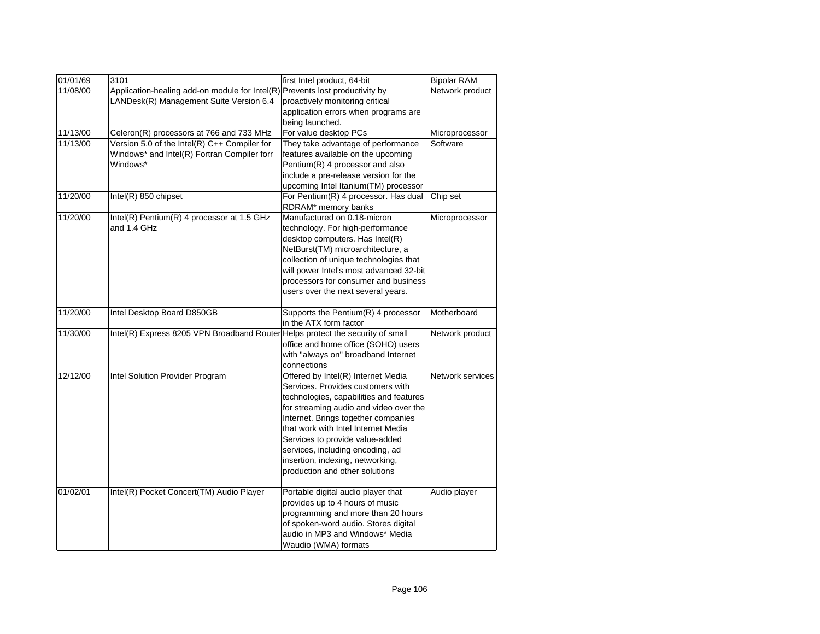| 01/01/69 | 3101                                                                           | first Intel product, 64-bit             | <b>Bipolar RAM</b> |
|----------|--------------------------------------------------------------------------------|-----------------------------------------|--------------------|
| 11/08/00 | Application-healing add-on module for Intel(R)                                 | Prevents lost productivity by           | Network product    |
|          | LANDesk(R) Management Suite Version 6.4                                        | proactively monitoring critical         |                    |
|          |                                                                                | application errors when programs are    |                    |
|          |                                                                                | being launched.                         |                    |
| 11/13/00 | Celeron(R) processors at 766 and 733 MHz                                       | For value desktop PCs                   | Microprocessor     |
| 11/13/00 | Version 5.0 of the Intel(R) C++ Compiler for                                   | They take advantage of performance      | Software           |
|          | Windows* and Intel(R) Fortran Compiler forr                                    | features available on the upcoming      |                    |
|          | Windows*                                                                       | Pentium(R) 4 processor and also         |                    |
|          |                                                                                | include a pre-release version for the   |                    |
|          |                                                                                | upcoming Intel Itanium(TM) processor    |                    |
| 11/20/00 | Intel(R) 850 chipset                                                           | For Pentium(R) 4 processor. Has dual    | Chip set           |
|          |                                                                                | RDRAM* memory banks                     |                    |
| 11/20/00 | Intel(R) Pentium(R) 4 processor at 1.5 GHz                                     | Manufactured on 0.18-micron             | Microprocessor     |
|          | and 1.4 GHz                                                                    | technology. For high-performance        |                    |
|          |                                                                                | desktop computers. Has Intel(R)         |                    |
|          |                                                                                | NetBurst(TM) microarchitecture, a       |                    |
|          |                                                                                | collection of unique technologies that  |                    |
|          |                                                                                | will power Intel's most advanced 32-bit |                    |
|          |                                                                                | processors for consumer and business    |                    |
|          |                                                                                | users over the next several years.      |                    |
|          |                                                                                |                                         |                    |
| 11/20/00 | Intel Desktop Board D850GB                                                     | Supports the Pentium(R) 4 processor     | Motherboard        |
|          |                                                                                | in the ATX form factor                  |                    |
| 11/30/00 | Intel(R) Express 8205 VPN Broadband Router Helps protect the security of small |                                         | Network product    |
|          |                                                                                | office and home office (SOHO) users     |                    |
|          |                                                                                | with "always on" broadband Internet     |                    |
|          |                                                                                | connections                             |                    |
| 12/12/00 | Intel Solution Provider Program                                                | Offered by Intel(R) Internet Media      | Network services   |
|          |                                                                                | Services. Provides customers with       |                    |
|          |                                                                                | technologies, capabilities and features |                    |
|          |                                                                                | for streaming audio and video over the  |                    |
|          |                                                                                | Internet. Brings together companies     |                    |
|          |                                                                                | that work with Intel Internet Media     |                    |
|          |                                                                                | Services to provide value-added         |                    |
|          |                                                                                | services, including encoding, ad        |                    |
|          |                                                                                | insertion, indexing, networking,        |                    |
|          |                                                                                | production and other solutions          |                    |
|          |                                                                                |                                         |                    |
| 01/02/01 | Intel(R) Pocket Concert(TM) Audio Player                                       | Portable digital audio player that      | Audio player       |
|          |                                                                                | provides up to 4 hours of music         |                    |
|          |                                                                                | programming and more than 20 hours      |                    |
|          |                                                                                | of spoken-word audio. Stores digital    |                    |
|          |                                                                                | audio in MP3 and Windows* Media         |                    |
|          |                                                                                | Waudio (WMA) formats                    |                    |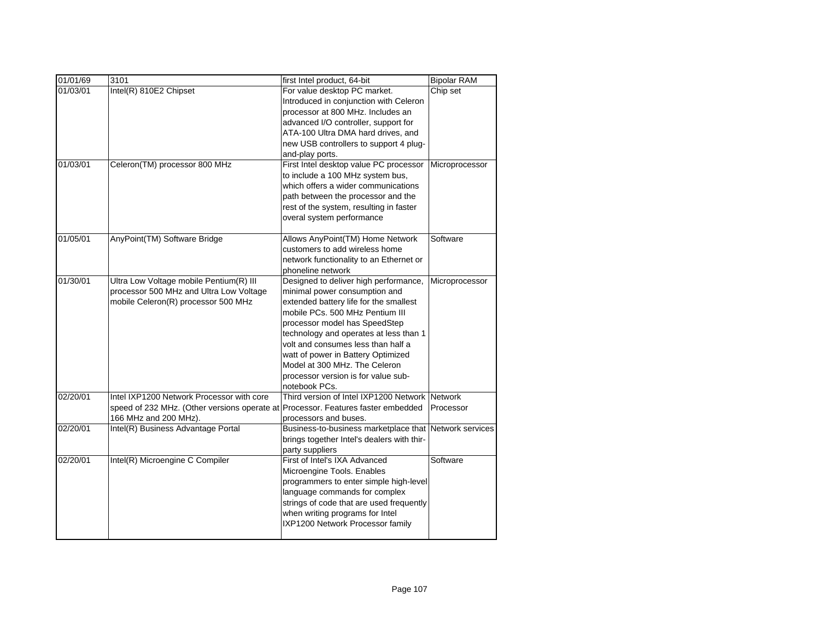| 01/01/69 | 3101                                         | first Intel product, 64-bit                          | <b>Bipolar RAM</b> |
|----------|----------------------------------------------|------------------------------------------------------|--------------------|
| 01/03/01 | Intel(R) 810E2 Chipset                       | For value desktop PC market.                         | Chip set           |
|          |                                              | Introduced in conjunction with Celeron               |                    |
|          |                                              | processor at 800 MHz. Includes an                    |                    |
|          |                                              | advanced I/O controller, support for                 |                    |
|          |                                              | ATA-100 Ultra DMA hard drives, and                   |                    |
|          |                                              | new USB controllers to support 4 plug-               |                    |
|          |                                              | and-play ports.                                      |                    |
| 01/03/01 | Celeron(TM) processor 800 MHz                | First Intel desktop value PC processor               | Microprocessor     |
|          |                                              | to include a 100 MHz system bus,                     |                    |
|          |                                              | which offers a wider communications                  |                    |
|          |                                              | path between the processor and the                   |                    |
|          |                                              | rest of the system, resulting in faster              |                    |
|          |                                              | overal system performance                            |                    |
| 01/05/01 | AnyPoint(TM) Software Bridge                 | Allows AnyPoint(TM) Home Network                     | Software           |
|          |                                              | customers to add wireless home                       |                    |
|          |                                              | network functionality to an Ethernet or              |                    |
|          |                                              | phoneline network                                    |                    |
| 01/30/01 | Ultra Low Voltage mobile Pentium(R) III      | Designed to deliver high performance,                | Microprocessor     |
|          | processor 500 MHz and Ultra Low Voltage      | minimal power consumption and                        |                    |
|          | mobile Celeron(R) processor 500 MHz          | extended battery life for the smallest               |                    |
|          |                                              | mobile PCs, 500 MHz Pentium III                      |                    |
|          |                                              | processor model has SpeedStep                        |                    |
|          |                                              | technology and operates at less than 1               |                    |
|          |                                              | volt and consumes less than half a                   |                    |
|          |                                              | watt of power in Battery Optimized                   |                    |
|          |                                              | Model at 300 MHz. The Celeron                        |                    |
|          |                                              | processor version is for value sub-<br>notebook PCs. |                    |
| 02/20/01 | Intel IXP1200 Network Processor with core    | Third version of Intel IXP1200 Network Network       |                    |
|          | speed of 232 MHz. (Other versions operate at | Processor. Features faster embedded                  | Processor          |
|          | 166 MHz and 200 MHz).                        | processors and buses.                                |                    |
| 02/20/01 | Intel(R) Business Advantage Portal           | Business-to-business marketplace that                | Network services   |
|          |                                              | brings together Intel's dealers with thir-           |                    |
|          |                                              | party suppliers                                      |                    |
| 02/20/01 | Intel(R) Microengine C Compiler              | First of Intel's IXA Advanced                        | Software           |
|          |                                              | Microengine Tools. Enables                           |                    |
|          |                                              | programmers to enter simple high-level               |                    |
|          |                                              | language commands for complex                        |                    |
|          |                                              | strings of code that are used frequently             |                    |
|          |                                              | when writing programs for Intel                      |                    |
|          |                                              | IXP1200 Network Processor family                     |                    |
|          |                                              |                                                      |                    |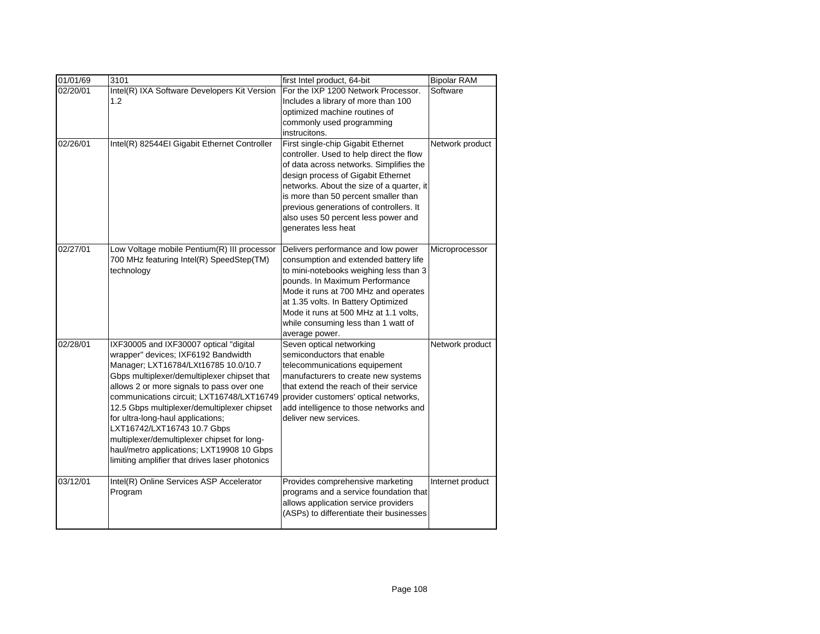| 01/01/69 | 3101                                                                                                                                                                                                                                                                                                                                                                                                                                                                                                                            | first Intel product, 64-bit                                                                                                                                                                                                                                                                                                                                   | <b>Bipolar RAM</b> |
|----------|---------------------------------------------------------------------------------------------------------------------------------------------------------------------------------------------------------------------------------------------------------------------------------------------------------------------------------------------------------------------------------------------------------------------------------------------------------------------------------------------------------------------------------|---------------------------------------------------------------------------------------------------------------------------------------------------------------------------------------------------------------------------------------------------------------------------------------------------------------------------------------------------------------|--------------------|
| 02/20/01 | Intel(R) IXA Software Developers Kit Version<br>1.2                                                                                                                                                                                                                                                                                                                                                                                                                                                                             | For the IXP 1200 Network Processor.<br>Includes a library of more than 100<br>optimized machine routines of<br>commonly used programming<br>instrucitons.                                                                                                                                                                                                     | Software           |
| 02/26/01 | Intel(R) 82544EI Gigabit Ethernet Controller                                                                                                                                                                                                                                                                                                                                                                                                                                                                                    | First single-chip Gigabit Ethernet<br>controller. Used to help direct the flow<br>of data across networks. Simplifies the<br>design process of Gigabit Ethernet<br>networks. About the size of a quarter, it<br>is more than 50 percent smaller than<br>previous generations of controllers. It<br>also uses 50 percent less power and<br>generates less heat | Network product    |
| 02/27/01 | Low Voltage mobile Pentium(R) III processor<br>700 MHz featuring Intel(R) SpeedStep(TM)<br>technology                                                                                                                                                                                                                                                                                                                                                                                                                           | Delivers performance and low power<br>consumption and extended battery life<br>to mini-notebooks weighing less than 3<br>pounds. In Maximum Performance<br>Mode it runs at 700 MHz and operates<br>at 1.35 volts. In Battery Optimized<br>Mode it runs at 500 MHz at 1.1 volts,<br>while consuming less than 1 watt of<br>average power.                      | Microprocessor     |
| 02/28/01 | IXF30005 and IXF30007 optical "digital<br>wrapper" devices; IXF6192 Bandwidth<br>Manager; LXT16784/LXt16785 10.0/10.7<br>Gbps multiplexer/demultiplexer chipset that<br>allows 2 or more signals to pass over one<br>communications circuit; LXT16748/LXT16749<br>12.5 Gbps multiplexer/demultiplexer chipset<br>for ultra-long-haul applications;<br>LXT16742/LXT16743 10.7 Gbps<br>multiplexer/demultiplexer chipset for long-<br>haul/metro applications; LXT19908 10 Gbps<br>limiting amplifier that drives laser photonics | Seven optical networking<br>semiconductors that enable<br>telecommunications equipement<br>manufacturers to create new systems<br>that extend the reach of their service<br>provider customers' optical networks,<br>add intelligence to those networks and<br>deliver new services.                                                                          | Network product    |
| 03/12/01 | Intel(R) Online Services ASP Accelerator<br>Program                                                                                                                                                                                                                                                                                                                                                                                                                                                                             | Provides comprehensive marketing<br>programs and a service foundation that<br>allows application service providers<br>(ASPs) to differentiate their businesses                                                                                                                                                                                                | Internet product   |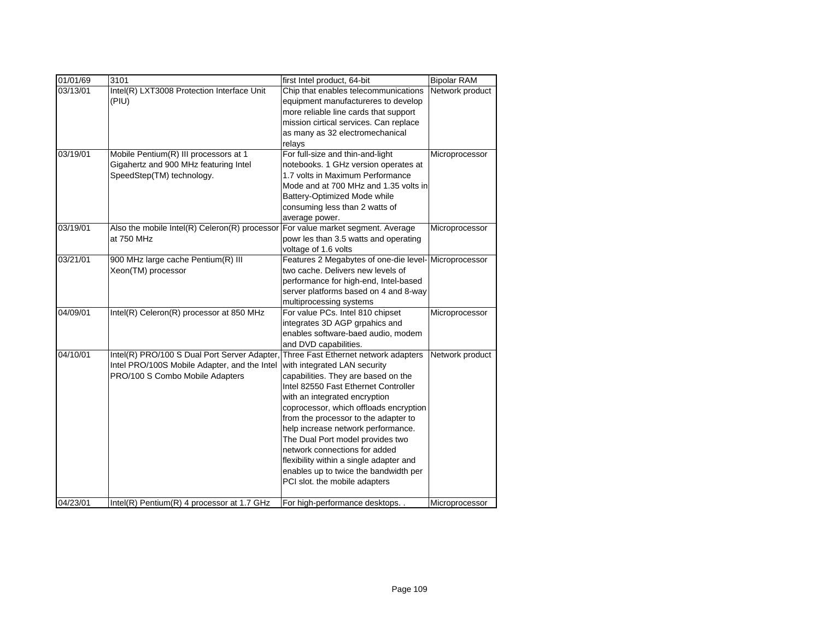| 01/01/69 | 3101                                                                                                                            | first Intel product, 64-bit                                                                                                                                                                                                                                                                                                                                                                                                                                                                            | <b>Bipolar RAM</b> |
|----------|---------------------------------------------------------------------------------------------------------------------------------|--------------------------------------------------------------------------------------------------------------------------------------------------------------------------------------------------------------------------------------------------------------------------------------------------------------------------------------------------------------------------------------------------------------------------------------------------------------------------------------------------------|--------------------|
| 03/13/01 | Intel(R) LXT3008 Protection Interface Unit<br>(PIU)                                                                             | Chip that enables telecommunications<br>equipment manufactureres to develop<br>more reliable line cards that support<br>mission cirtical services. Can replace<br>as many as 32 electromechanical<br>relays                                                                                                                                                                                                                                                                                            | Network product    |
| 03/19/01 | Mobile Pentium(R) III processors at 1<br>Gigahertz and 900 MHz featuring Intel<br>SpeedStep(TM) technology.                     | For full-size and thin-and-light<br>notebooks. 1 GHz version operates at<br>1.7 volts in Maximum Performance<br>Mode and at 700 MHz and 1.35 volts in<br>Battery-Optimized Mode while<br>consuming less than 2 watts of<br>average power.                                                                                                                                                                                                                                                              | Microprocessor     |
| 03/19/01 | Also the mobile Intel(R) Celeron(R) processor<br>at 750 MHz                                                                     | For value market segment. Average<br>powr les than 3.5 watts and operating<br>voltage of 1.6 volts                                                                                                                                                                                                                                                                                                                                                                                                     | Microprocessor     |
| 03/21/01 | 900 MHz large cache Pentium(R) III<br>Xeon(TM) processor                                                                        | Features 2 Megabytes of one-die level-<br>two cache. Delivers new levels of<br>performance for high-end, Intel-based<br>server platforms based on 4 and 8-way<br>multiprocessing systems                                                                                                                                                                                                                                                                                                               | Microprocessor     |
| 04/09/01 | Intel(R) Celeron(R) processor at 850 MHz                                                                                        | For value PCs. Intel 810 chipset<br>integrates 3D AGP grpahics and<br>enables software-baed audio, modem<br>and DVD capabilities.                                                                                                                                                                                                                                                                                                                                                                      | Microprocessor     |
| 04/10/01 | Intel(R) PRO/100 S Dual Port Server Adapter,<br>Intel PRO/100S Mobile Adapter, and the Intel<br>PRO/100 S Combo Mobile Adapters | Three Fast Ethernet network adapters<br>with integrated LAN security<br>capabilities. They are based on the<br>Intel 82550 Fast Ethernet Controller<br>with an integrated encryption<br>coprocessor, which offloads encryption<br>from the processor to the adapter to<br>help increase network performance.<br>The Dual Port model provides two<br>network connections for added<br>flexibility within a single adapter and<br>enables up to twice the bandwidth per<br>PCI slot. the mobile adapters | Network product    |
| 04/23/01 | Intel(R) Pentium(R) 4 processor at 1.7 GHz                                                                                      | For high-performance desktops. .                                                                                                                                                                                                                                                                                                                                                                                                                                                                       | Microprocessor     |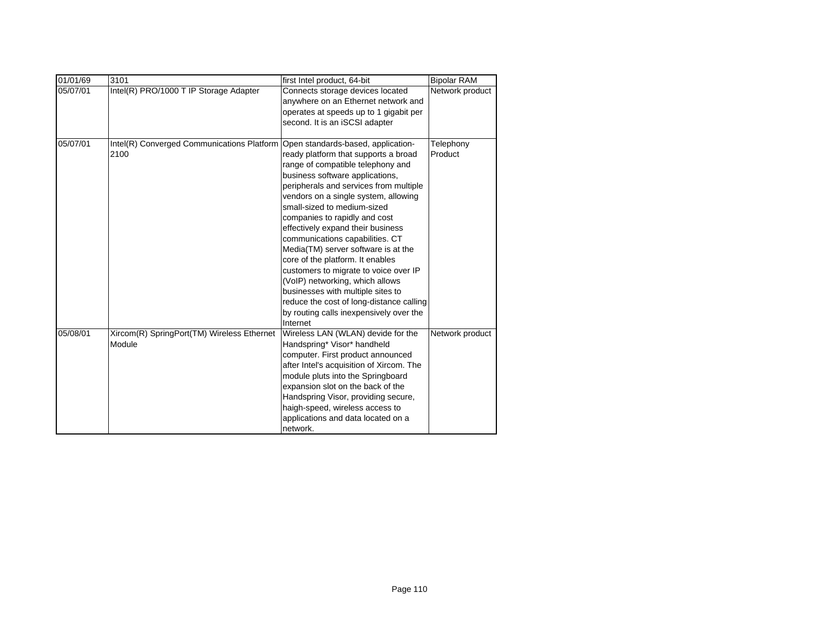| 01/01/69 | 3101                                       | first Intel product, 64-bit              | <b>Bipolar RAM</b> |
|----------|--------------------------------------------|------------------------------------------|--------------------|
| 05/07/01 | Intel(R) PRO/1000 T IP Storage Adapter     | Connects storage devices located         | Network product    |
|          |                                            | anywhere on an Ethernet network and      |                    |
|          |                                            | operates at speeds up to 1 gigabit per   |                    |
|          |                                            | second. It is an iSCSI adapter           |                    |
|          |                                            |                                          |                    |
| 05/07/01 | Intel(R) Converged Communications Platform | Open standards-based, application-       | Telephony          |
|          | 2100                                       | ready platform that supports a broad     | Product            |
|          |                                            | range of compatible telephony and        |                    |
|          |                                            | business software applications,          |                    |
|          |                                            | peripherals and services from multiple   |                    |
|          |                                            | vendors on a single system, allowing     |                    |
|          |                                            | small-sized to medium-sized              |                    |
|          |                                            | companies to rapidly and cost            |                    |
|          |                                            | effectively expand their business        |                    |
|          |                                            | communications capabilities. CT          |                    |
|          |                                            | Media(TM) server software is at the      |                    |
|          |                                            | core of the platform. It enables         |                    |
|          |                                            | customers to migrate to voice over IP    |                    |
|          |                                            | (VoIP) networking, which allows          |                    |
|          |                                            | businesses with multiple sites to        |                    |
|          |                                            | reduce the cost of long-distance calling |                    |
|          |                                            | by routing calls inexpensively over the  |                    |
|          |                                            | Internet                                 |                    |
| 05/08/01 | Xircom(R) SpringPort(TM) Wireless Ethernet | Wireless LAN (WLAN) devide for the       | Network product    |
|          | Module                                     | Handspring* Visor* handheld              |                    |
|          |                                            | computer. First product announced        |                    |
|          |                                            | after Intel's acquisition of Xircom. The |                    |
|          |                                            | module pluts into the Springboard        |                    |
|          |                                            | expansion slot on the back of the        |                    |
|          |                                            | Handspring Visor, providing secure,      |                    |
|          |                                            | haigh-speed, wireless access to          |                    |
|          |                                            | applications and data located on a       |                    |
|          |                                            | network.                                 |                    |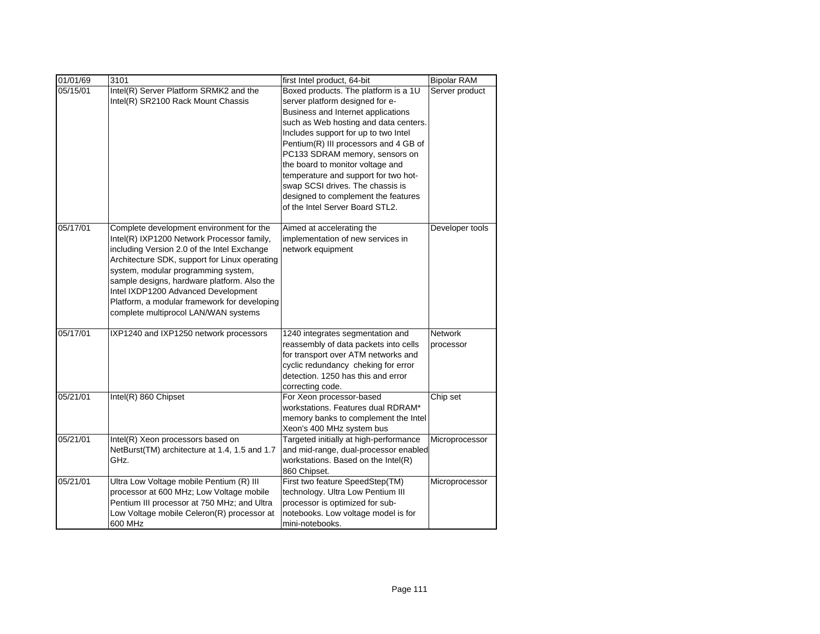| 01/01/69 | 3101                                                                                                                                                                                                                                                                                                                                                                                                        | first Intel product, 64-bit                                                                                                                                                                                                                                                                                                                                                                                                                                         | <b>Bipolar RAM</b>          |
|----------|-------------------------------------------------------------------------------------------------------------------------------------------------------------------------------------------------------------------------------------------------------------------------------------------------------------------------------------------------------------------------------------------------------------|---------------------------------------------------------------------------------------------------------------------------------------------------------------------------------------------------------------------------------------------------------------------------------------------------------------------------------------------------------------------------------------------------------------------------------------------------------------------|-----------------------------|
| 05/15/01 | Intel(R) Server Platform SRMK2 and the<br>Intel(R) SR2100 Rack Mount Chassis                                                                                                                                                                                                                                                                                                                                | Boxed products. The platform is a 1U<br>server platform designed for e-<br>Business and Internet applications<br>such as Web hosting and data centers.<br>Includes support for up to two Intel<br>Pentium(R) III processors and 4 GB of<br>PC133 SDRAM memory, sensors on<br>the board to monitor voltage and<br>temperature and support for two hot-<br>swap SCSI drives. The chassis is<br>designed to complement the features<br>of the Intel Server Board STL2. | Server product              |
| 05/17/01 | Complete development environment for the<br>Intel(R) IXP1200 Network Processor family,<br>including Version 2.0 of the Intel Exchange<br>Architecture SDK, support for Linux operating<br>system, modular programming system,<br>sample designs, hardware platform. Also the<br>Intel IXDP1200 Advanced Development<br>Platform, a modular framework for developing<br>complete multiprocol LAN/WAN systems | Aimed at accelerating the<br>implementation of new services in<br>network equipment                                                                                                                                                                                                                                                                                                                                                                                 | Developer tools             |
| 05/17/01 | IXP1240 and IXP1250 network processors                                                                                                                                                                                                                                                                                                                                                                      | 1240 integrates segmentation and<br>reassembly of data packets into cells<br>for transport over ATM networks and<br>cyclic redundancy cheking for error<br>detection. 1250 has this and error<br>correcting code.                                                                                                                                                                                                                                                   | <b>Network</b><br>processor |
| 05/21/01 | Intel(R) 860 Chipset                                                                                                                                                                                                                                                                                                                                                                                        | For Xeon processor-based<br>workstations. Features dual RDRAM*<br>memory banks to complement the Intel<br>Xeon's 400 MHz system bus                                                                                                                                                                                                                                                                                                                                 | Chip set                    |
| 05/21/01 | Intel(R) Xeon processors based on<br>NetBurst(TM) architecture at 1.4, 1.5 and 1.7<br>GHz.                                                                                                                                                                                                                                                                                                                  | Targeted initially at high-performance<br>and mid-range, dual-processor enabled<br>workstations. Based on the Intel(R)<br>860 Chipset.                                                                                                                                                                                                                                                                                                                              | Microprocessor              |
| 05/21/01 | Ultra Low Voltage mobile Pentium (R) III<br>processor at 600 MHz; Low Voltage mobile<br>Pentium III processor at 750 MHz; and Ultra<br>Low Voltage mobile Celeron(R) processor at<br>600 MHz                                                                                                                                                                                                                | First two feature SpeedStep(TM)<br>technology. Ultra Low Pentium III<br>processor is optimized for sub-<br>notebooks. Low voltage model is for<br>mini-notebooks.                                                                                                                                                                                                                                                                                                   | Microprocessor              |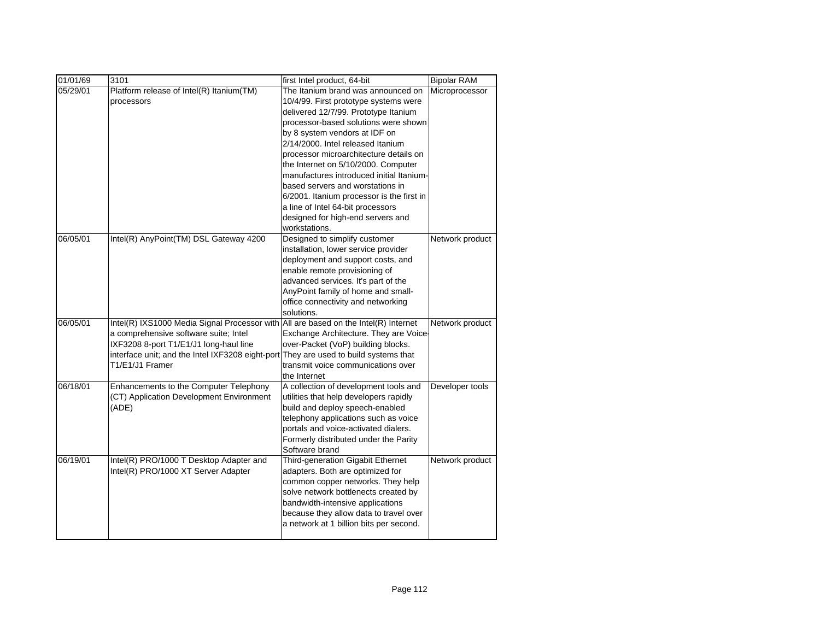| 01/01/69 | 3101                                                                                                                                                                                                                                          | first Intel product, 64-bit                                                                                                                                                                                                                                                                                        | <b>Bipolar RAM</b> |
|----------|-----------------------------------------------------------------------------------------------------------------------------------------------------------------------------------------------------------------------------------------------|--------------------------------------------------------------------------------------------------------------------------------------------------------------------------------------------------------------------------------------------------------------------------------------------------------------------|--------------------|
| 05/29/01 | Platform release of Intel(R) Itanium(TM)<br>processors                                                                                                                                                                                        | The Itanium brand was announced on<br>10/4/99. First prototype systems were<br>delivered 12/7/99. Prototype Itanium<br>processor-based solutions were shown<br>by 8 system vendors at IDF on<br>2/14/2000. Intel released Itanium<br>processor microarchitecture details on<br>the Internet on 5/10/2000. Computer | Microprocessor     |
|          |                                                                                                                                                                                                                                               | manufactures introduced initial Itanium-<br>based servers and worstations in<br>6/2001. Itanium processor is the first in<br>a line of Intel 64-bit processors<br>designed for high-end servers and<br>workstations.                                                                                               |                    |
| 06/05/01 | Intel(R) AnyPoint(TM) DSL Gateway 4200                                                                                                                                                                                                        | Designed to simplify customer<br>installation, lower service provider<br>deployment and support costs, and<br>enable remote provisioning of<br>advanced services. It's part of the<br>AnyPoint family of home and small-<br>office connectivity and networking<br>solutions.                                       | Network product    |
| 06/05/01 | Intel(R) IXS1000 Media Signal Processor with All are based on the Intel(R) Internet<br>a comprehensive software suite; Intel<br>IXF3208 8-port T1/E1/J1 long-haul line<br>interface unit; and the Intel IXF3208 eight-port<br>T1/E1/J1 Framer | Exchange Architecture. They are Voice-<br>over-Packet (VoP) building blocks.<br>They are used to build systems that<br>transmit voice communications over<br>the Internet                                                                                                                                          | Network product    |
| 06/18/01 | Enhancements to the Computer Telephony<br>(CT) Application Development Environment<br>(ADE)                                                                                                                                                   | A collection of development tools and<br>utilities that help developers rapidly<br>build and deploy speech-enabled<br>telephony applications such as voice<br>portals and voice-activated dialers.<br>Formerly distributed under the Parity<br>Software brand                                                      | Developer tools    |
| 06/19/01 | Intel(R) PRO/1000 T Desktop Adapter and<br>Intel(R) PRO/1000 XT Server Adapter                                                                                                                                                                | Third-generation Gigabit Ethernet<br>adapters. Both are optimized for<br>common copper networks. They help<br>solve network bottlenects created by<br>bandwidth-intensive applications<br>because they allow data to travel over<br>a network at 1 billion bits per second.                                        | Network product    |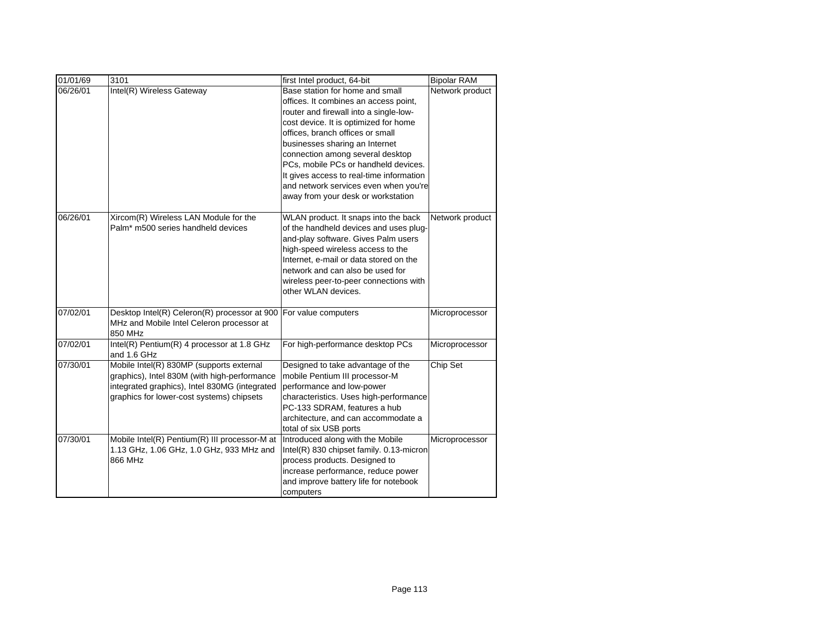| 01/01/69 | 3101                                                                                                                                                                                   | first Intel product, 64-bit                                                                                                                                                                                                                                                                                                                                                                                                              | <b>Bipolar RAM</b> |
|----------|----------------------------------------------------------------------------------------------------------------------------------------------------------------------------------------|------------------------------------------------------------------------------------------------------------------------------------------------------------------------------------------------------------------------------------------------------------------------------------------------------------------------------------------------------------------------------------------------------------------------------------------|--------------------|
| 06/26/01 | Intel(R) Wireless Gateway                                                                                                                                                              | Base station for home and small<br>offices. It combines an access point,<br>router and firewall into a single-low-<br>cost device. It is optimized for home<br>offices, branch offices or small<br>businesses sharing an Internet<br>connection among several desktop<br>PCs, mobile PCs or handheld devices.<br>It gives access to real-time information<br>and network services even when you're<br>away from your desk or workstation | Network product    |
| 06/26/01 | Xircom(R) Wireless LAN Module for the<br>Palm* m500 series handheld devices                                                                                                            | WLAN product. It snaps into the back<br>of the handheld devices and uses plug-<br>and-play software. Gives Palm users<br>high-speed wireless access to the<br>Internet, e-mail or data stored on the<br>network and can also be used for<br>wireless peer-to-peer connections with<br>other WLAN devices.                                                                                                                                | Network product    |
| 07/02/01 | Desktop Intel(R) Celeron(R) processor at 900<br>MHz and Mobile Intel Celeron processor at<br>850 MHz                                                                                   | For value computers                                                                                                                                                                                                                                                                                                                                                                                                                      | Microprocessor     |
| 07/02/01 | Intel(R) Pentium(R) 4 processor at 1.8 GHz<br>and 1.6 GHz                                                                                                                              | For high-performance desktop PCs                                                                                                                                                                                                                                                                                                                                                                                                         | Microprocessor     |
| 07/30/01 | Mobile Intel(R) 830MP (supports external<br>graphics), Intel 830M (with high-performance<br>integrated graphics), Intel 830MG (integrated<br>graphics for lower-cost systems) chipsets | Designed to take advantage of the<br>mobile Pentium III processor-M<br>performance and low-power<br>characteristics. Uses high-performance<br>PC-133 SDRAM, features a hub<br>architecture, and can accommodate a<br>total of six USB ports                                                                                                                                                                                              | Chip Set           |
| 07/30/01 | Mobile Intel(R) Pentium(R) III processor-M at<br>1.13 GHz, 1.06 GHz, 1.0 GHz, 933 MHz and<br>866 MHz                                                                                   | Introduced along with the Mobile<br>Intel(R) 830 chipset family. 0.13-micron<br>process products. Designed to<br>increase performance, reduce power<br>and improve battery life for notebook<br>computers                                                                                                                                                                                                                                | Microprocessor     |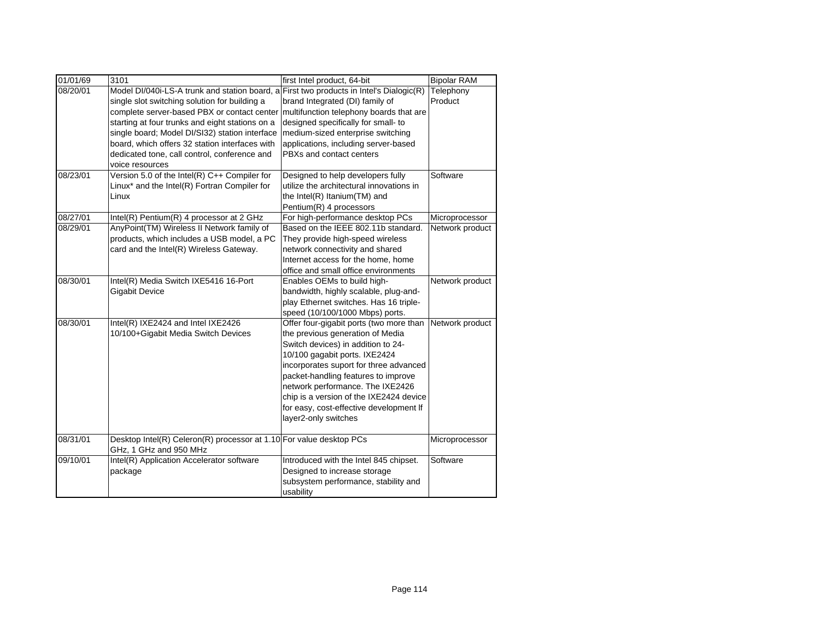| 01/01/69 | 3101                                                                                          | first Intel product, 64-bit               | <b>Bipolar RAM</b> |
|----------|-----------------------------------------------------------------------------------------------|-------------------------------------------|--------------------|
| 08/20/01 | Model DI/040i-LS-A trunk and station board, a                                                 | First two products in Intel's Dialogic(R) | Telephony          |
|          | single slot switching solution for building a                                                 | brand Integrated (DI) family of           | Product            |
|          | complete server-based PBX or contact center                                                   | multifunction telephony boards that are   |                    |
|          | starting at four trunks and eight stations on a                                               | designed specifically for small- to       |                    |
|          | single board; Model DI/SI32) station interface                                                | medium-sized enterprise switching         |                    |
|          | board, which offers 32 station interfaces with                                                | applications, including server-based      |                    |
|          | dedicated tone, call control, conference and                                                  | PBXs and contact centers                  |                    |
|          | voice resources                                                                               |                                           |                    |
| 08/23/01 | Version 5.0 of the Intel(R) $C++$ Compiler for                                                | Designed to help developers fully         | Software           |
|          | Linux* and the Intel(R) Fortran Compiler for                                                  | utilize the architectural innovations in  |                    |
|          | Linux                                                                                         | the Intel(R) Itanium(TM) and              |                    |
|          |                                                                                               | Pentium(R) 4 processors                   |                    |
| 08/27/01 | Intel(R) Pentium(R) 4 processor at 2 GHz                                                      | For high-performance desktop PCs          | Microprocessor     |
| 08/29/01 | AnyPoint(TM) Wireless II Network family of                                                    | Based on the IEEE 802.11b standard.       | Network product    |
|          | products, which includes a USB model, a PC                                                    | They provide high-speed wireless          |                    |
|          | card and the Intel(R) Wireless Gateway.                                                       | network connectivity and shared           |                    |
|          |                                                                                               | Internet access for the home, home        |                    |
|          |                                                                                               | office and small office environments      |                    |
| 08/30/01 | Intel(R) Media Switch IXE5416 16-Port                                                         | Enables OEMs to build high-               | Network product    |
|          | <b>Gigabit Device</b>                                                                         | bandwidth, highly scalable, plug-and-     |                    |
|          |                                                                                               | play Ethernet switches. Has 16 triple-    |                    |
|          |                                                                                               | speed (10/100/1000 Mbps) ports.           |                    |
| 08/30/01 | Intel(R) IXE2424 and Intel IXE2426                                                            | Offer four-gigabit ports (two more than   | Network product    |
|          | 10/100+Gigabit Media Switch Devices                                                           | the previous generation of Media          |                    |
|          |                                                                                               | Switch devices) in addition to 24-        |                    |
|          |                                                                                               | 10/100 gagabit ports. IXE2424             |                    |
|          |                                                                                               | incorporates suport for three advanced    |                    |
|          |                                                                                               | packet-handling features to improve       |                    |
|          |                                                                                               | network performance. The IXE2426          |                    |
|          |                                                                                               | chip is a version of the IXE2424 device   |                    |
|          |                                                                                               | for easy, cost-effective development If   |                    |
|          |                                                                                               | layer2-only switches                      |                    |
| 08/31/01 | Desktop Intel(R) Celeron(R) processor at 1.10 For value desktop PCs<br>GHz, 1 GHz and 950 MHz |                                           | Microprocessor     |
| 09/10/01 | Intel(R) Application Accelerator software                                                     | Introduced with the Intel 845 chipset.    | Software           |
|          | package                                                                                       | Designed to increase storage              |                    |
|          |                                                                                               | subsystem performance, stability and      |                    |
|          |                                                                                               | usability                                 |                    |
|          |                                                                                               |                                           |                    |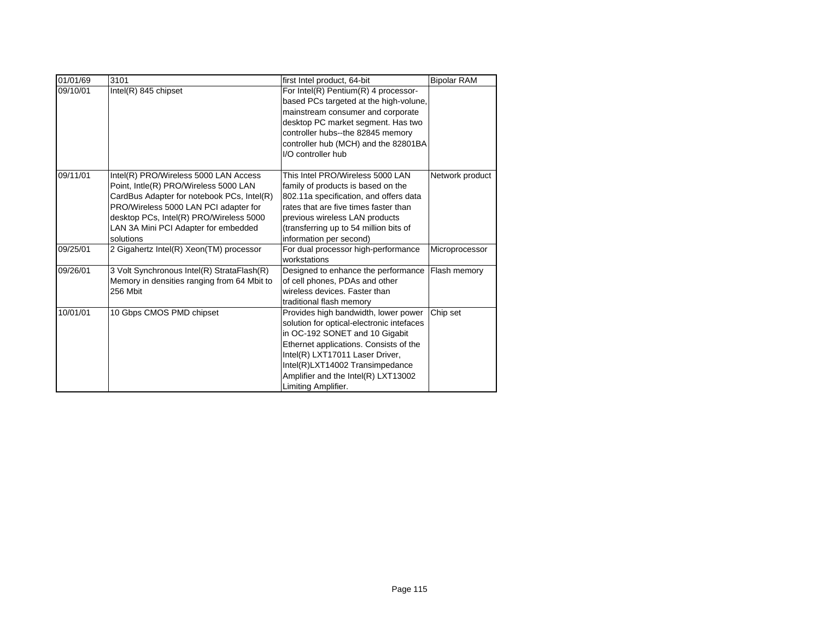| 01/01/69 | 3101                                        | first Intel product, 64-bit               | <b>Bipolar RAM</b> |
|----------|---------------------------------------------|-------------------------------------------|--------------------|
| 09/10/01 | $Intel(R)$ 845 chipset                      | For Intel(R) Pentium(R) 4 processor-      |                    |
|          |                                             | based PCs targeted at the high-volune,    |                    |
|          |                                             | mainstream consumer and corporate         |                    |
|          |                                             | desktop PC market segment. Has two        |                    |
|          |                                             | controller hubs--the 82845 memory         |                    |
|          |                                             | controller hub (MCH) and the 82801BA      |                    |
|          |                                             | I/O controller hub                        |                    |
| 09/11/01 | Intel(R) PRO/Wireless 5000 LAN Access       | This Intel PRO/Wireless 5000 LAN          | Network product    |
|          | Point, Intle(R) PRO/Wireless 5000 LAN       | family of products is based on the        |                    |
|          | CardBus Adapter for notebook PCs, Intel(R)  | 802.11a specification, and offers data    |                    |
|          | PRO/Wireless 5000 LAN PCI adapter for       | rates that are five times faster than     |                    |
|          | desktop PCs, Intel(R) PRO/Wireless 5000     | previous wireless LAN products            |                    |
|          | LAN 3A Mini PCI Adapter for embedded        | (transferring up to 54 million bits of    |                    |
|          | solutions                                   | information per second)                   |                    |
| 09/25/01 | 2 Gigahertz Intel(R) Xeon(TM) processor     | For dual processor high-performance       | Microprocessor     |
|          |                                             | workstations                              |                    |
| 09/26/01 | 3 Volt Synchronous Intel(R) StrataFlash(R)  | Designed to enhance the performance       | Flash memory       |
|          | Memory in densities ranging from 64 Mbit to | of cell phones, PDAs and other            |                    |
|          | 256 Mbit                                    | wireless devices. Faster than             |                    |
|          |                                             | traditional flash memory                  |                    |
| 10/01/01 | 10 Gbps CMOS PMD chipset                    | Provides high bandwidth, lower power      | Chip set           |
|          |                                             | solution for optical-electronic intefaces |                    |
|          |                                             | in OC-192 SONET and 10 Gigabit            |                    |
|          |                                             | Ethernet applications. Consists of the    |                    |
|          |                                             | Intel(R) LXT17011 Laser Driver,           |                    |
|          |                                             | Intel(R)LXT14002 Transimpedance           |                    |
|          |                                             | Amplifier and the Intel(R) LXT13002       |                    |
|          |                                             | Limiting Amplifier.                       |                    |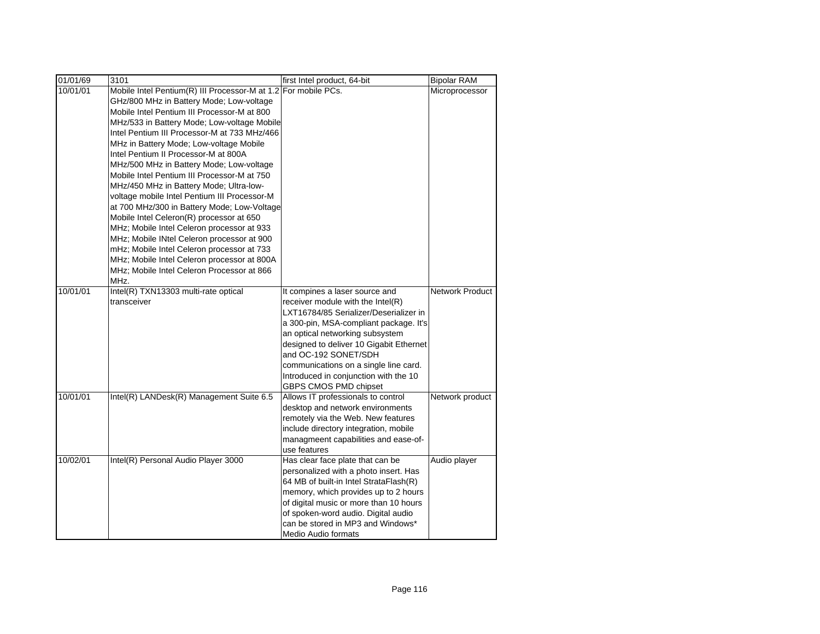| 01/01/69 | 3101                                                                                                                                                                                                                                                                                                                                                                                                                                                                                                                                                                                                                                                                                                                                                                                                                                                                        | first Intel product, 64-bit                                                                                                                                                                                                                                                                                                                                              | <b>Bipolar RAM</b>     |
|----------|-----------------------------------------------------------------------------------------------------------------------------------------------------------------------------------------------------------------------------------------------------------------------------------------------------------------------------------------------------------------------------------------------------------------------------------------------------------------------------------------------------------------------------------------------------------------------------------------------------------------------------------------------------------------------------------------------------------------------------------------------------------------------------------------------------------------------------------------------------------------------------|--------------------------------------------------------------------------------------------------------------------------------------------------------------------------------------------------------------------------------------------------------------------------------------------------------------------------------------------------------------------------|------------------------|
| 10/01/01 | Mobile Intel Pentium(R) III Processor-M at 1.2 For mobile PCs.<br>GHz/800 MHz in Battery Mode; Low-voltage<br>Mobile Intel Pentium III Processor-M at 800<br>MHz/533 in Battery Mode; Low-voltage Mobile<br>Intel Pentium III Processor-M at 733 MHz/466<br>MHz in Battery Mode; Low-voltage Mobile<br>Intel Pentium II Processor-M at 800A<br>MHz/500 MHz in Battery Mode; Low-voltage<br>Mobile Intel Pentium III Processor-M at 750<br>MHz/450 MHz in Battery Mode; Ultra-low-<br>voltage mobile Intel Pentium III Processor-M<br>at 700 MHz/300 in Battery Mode; Low-Voltage<br>Mobile Intel Celeron(R) processor at 650<br>MHz; Mobile Intel Celeron processor at 933<br>MHz; Mobile INtel Celeron processor at 900<br>mHz; Mobile Intel Celeron processor at 733<br>MHz; Mobile Intel Celeron processor at 800A<br>MHz; Mobile Intel Celeron Processor at 866<br>MHz. |                                                                                                                                                                                                                                                                                                                                                                          | Microprocessor         |
| 10/01/01 | Intel(R) TXN13303 multi-rate optical<br>transceiver                                                                                                                                                                                                                                                                                                                                                                                                                                                                                                                                                                                                                                                                                                                                                                                                                         | It compines a laser source and<br>receiver module with the Intel(R)<br>LXT16784/85 Serializer/Deserializer in<br>a 300-pin, MSA-compliant package. It's<br>an optical networking subsystem<br>designed to deliver 10 Gigabit Ethernet<br>and OC-192 SONET/SDH<br>communications on a single line card.<br>Introduced in conjunction with the 10<br>GBPS CMOS PMD chipset | <b>Network Product</b> |
| 10/01/01 | Intel(R) LANDesk(R) Management Suite 6.5                                                                                                                                                                                                                                                                                                                                                                                                                                                                                                                                                                                                                                                                                                                                                                                                                                    | Allows IT professionals to control<br>desktop and network environments<br>remotely via the Web. New features<br>include directory integration, mobile<br>managmeent capabilities and ease-of-<br>use features                                                                                                                                                            | Network product        |
| 10/02/01 | Intel(R) Personal Audio Player 3000                                                                                                                                                                                                                                                                                                                                                                                                                                                                                                                                                                                                                                                                                                                                                                                                                                         | Has clear face plate that can be<br>personalized with a photo insert. Has<br>64 MB of built-in Intel StrataFlash(R)<br>memory, which provides up to 2 hours<br>of digital music or more than 10 hours<br>of spoken-word audio. Digital audio<br>can be stored in MP3 and Windows*<br>Medio Audio formats                                                                 | Audio player           |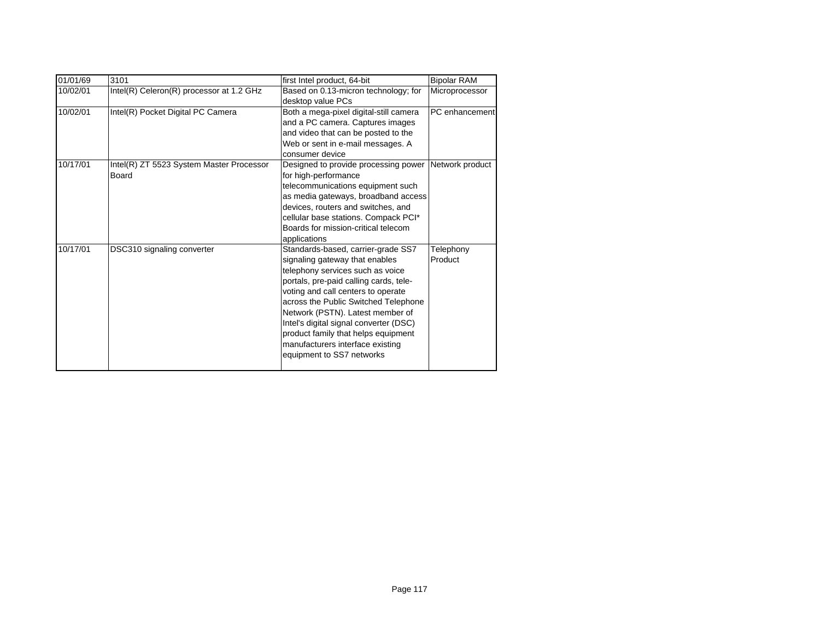| 01/01/69 | 3101                                              | first Intel product, 64-bit                                                                                                                                                                                                                                                                                                                                                                                            | <b>Bipolar RAM</b>   |
|----------|---------------------------------------------------|------------------------------------------------------------------------------------------------------------------------------------------------------------------------------------------------------------------------------------------------------------------------------------------------------------------------------------------------------------------------------------------------------------------------|----------------------|
| 10/02/01 | Intel(R) Celeron(R) processor at 1.2 GHz          | Based on 0.13-micron technology; for<br>desktop value PCs                                                                                                                                                                                                                                                                                                                                                              | Microprocessor       |
| 10/02/01 | Intel(R) Pocket Digital PC Camera                 | Both a mega-pixel digital-still camera<br>and a PC camera. Captures images<br>and video that can be posted to the<br>Web or sent in e-mail messages. A<br>consumer device                                                                                                                                                                                                                                              | PC enhancement       |
| 10/17/01 | Intel(R) ZT 5523 System Master Processor<br>Board | Designed to provide processing power<br>for high-performance<br>telecommunications equipment such<br>as media gateways, broadband access<br>devices, routers and switches, and<br>cellular base stations. Compack PCI*<br>Boards for mission-critical telecom<br>applications                                                                                                                                          | Network product      |
| 10/17/01 | DSC310 signaling converter                        | Standards-based, carrier-grade SS7<br>signaling gateway that enables<br>telephony services such as voice<br>portals, pre-paid calling cards, tele-<br>voting and call centers to operate<br>across the Public Switched Telephone<br>Network (PSTN). Latest member of<br>Intel's digital signal converter (DSC)<br>product family that helps equipment<br>manufacturers interface existing<br>equipment to SS7 networks | Telephony<br>Product |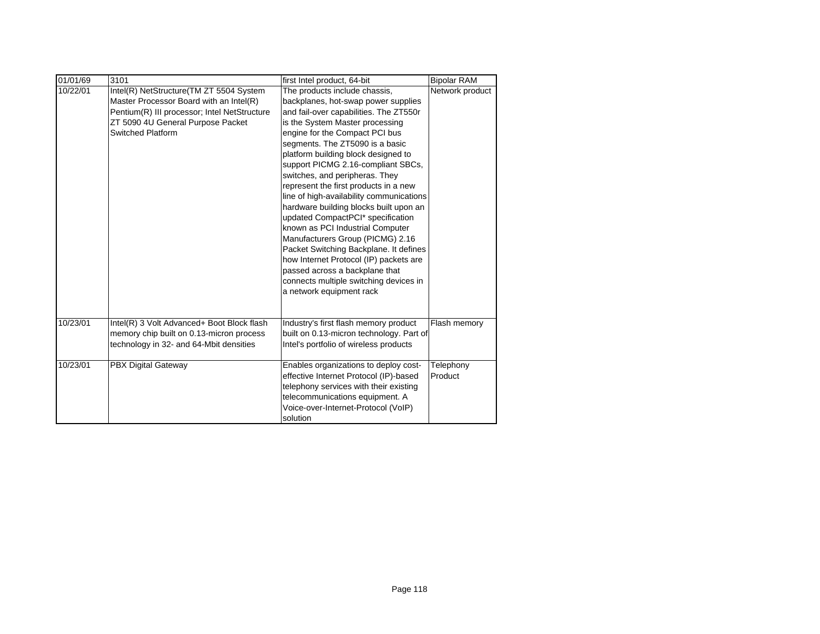| 01/01/69 | 3101                                         | first Intel product, 64-bit              | <b>Bipolar RAM</b> |
|----------|----------------------------------------------|------------------------------------------|--------------------|
| 10/22/01 | Intel(R) NetStructure(TM ZT 5504 System      | The products include chassis,            | Network product    |
|          | Master Processor Board with an Intel(R)      | backplanes, hot-swap power supplies      |                    |
|          | Pentium(R) III processor; Intel NetStructure | and fail-over capabilities. The ZT550r   |                    |
|          | ZT 5090 4U General Purpose Packet            | is the System Master processing          |                    |
|          | <b>Switched Platform</b>                     | engine for the Compact PCI bus           |                    |
|          |                                              | segments. The ZT5090 is a basic          |                    |
|          |                                              | platform building block designed to      |                    |
|          |                                              | support PICMG 2.16-compliant SBCs,       |                    |
|          |                                              | switches, and peripheras. They           |                    |
|          |                                              | represent the first products in a new    |                    |
|          |                                              | line of high-availability communications |                    |
|          |                                              | hardware building blocks built upon an   |                    |
|          |                                              | updated CompactPCI* specification        |                    |
|          |                                              | known as PCI Industrial Computer         |                    |
|          |                                              | Manufacturers Group (PICMG) 2.16         |                    |
|          |                                              | Packet Switching Backplane. It defines   |                    |
|          |                                              | how Internet Protocol (IP) packets are   |                    |
|          |                                              | passed across a backplane that           |                    |
|          |                                              | connects multiple switching devices in   |                    |
|          |                                              | a network equipment rack                 |                    |
|          |                                              |                                          |                    |
| 10/23/01 | Intel(R) 3 Volt Advanced+ Boot Block flash   | Industry's first flash memory product    | Flash memory       |
|          | memory chip built on 0.13-micron process     | built on 0.13-micron technology. Part of |                    |
|          | technology in 32- and 64-Mbit densities      | Intel's portfolio of wireless products   |                    |
| 10/23/01 | <b>PBX Digital Gateway</b>                   | Enables organizations to deploy cost-    | Telephony          |
|          |                                              | effective Internet Protocol (IP)-based   | Product            |
|          |                                              | telephony services with their existing   |                    |
|          |                                              | telecommunications equipment. A          |                    |
|          |                                              | Voice-over-Internet-Protocol (VoIP)      |                    |
|          |                                              | solution                                 |                    |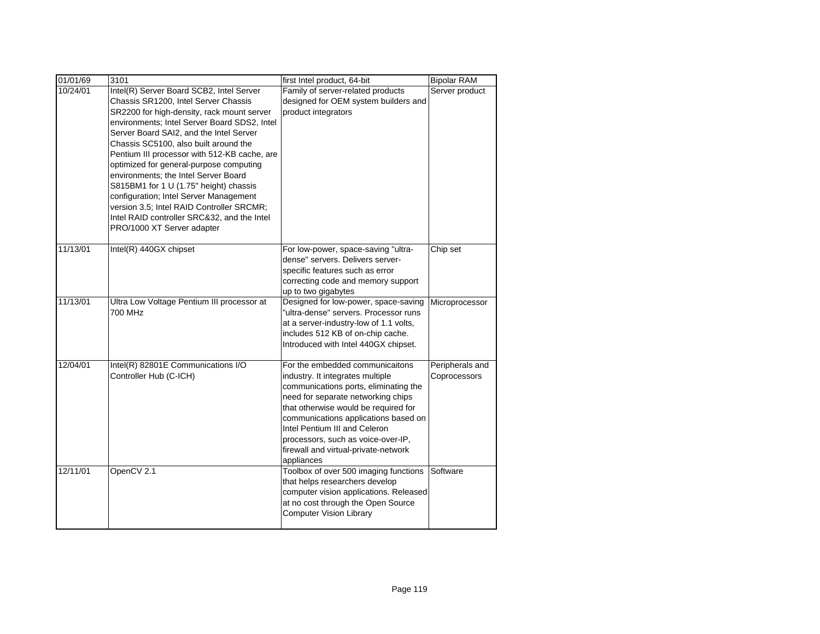| 01/01/69 | 3101                                                                                                                                                                                                                                                                                                                                                                                                                                                                                                                                                                                                                | first Intel product, 64-bit                                                                                                                                                                                                                                                                                                                                     | <b>Bipolar RAM</b>              |
|----------|---------------------------------------------------------------------------------------------------------------------------------------------------------------------------------------------------------------------------------------------------------------------------------------------------------------------------------------------------------------------------------------------------------------------------------------------------------------------------------------------------------------------------------------------------------------------------------------------------------------------|-----------------------------------------------------------------------------------------------------------------------------------------------------------------------------------------------------------------------------------------------------------------------------------------------------------------------------------------------------------------|---------------------------------|
| 10/24/01 | Intel(R) Server Board SCB2, Intel Server<br>Chassis SR1200, Intel Server Chassis<br>SR2200 for high-density, rack mount server<br>environments; Intel Server Board SDS2, Intel<br>Server Board SAI2, and the Intel Server<br>Chassis SC5100, also built around the<br>Pentium III processor with 512-KB cache, are<br>optimized for general-purpose computing<br>environments; the Intel Server Board<br>S815BM1 for 1 U (1.75" height) chassis<br>configuration; Intel Server Management<br>version 3.5; Intel RAID Controller SRCMR;<br>Intel RAID controller SRC&32, and the Intel<br>PRO/1000 XT Server adapter | Family of server-related products<br>designed for OEM system builders and<br>product integrators                                                                                                                                                                                                                                                                | Server product                  |
| 11/13/01 | Intel(R) 440GX chipset                                                                                                                                                                                                                                                                                                                                                                                                                                                                                                                                                                                              | For low-power, space-saving "ultra-<br>dense" servers. Delivers server-<br>specific features such as error<br>correcting code and memory support<br>up to two gigabytes                                                                                                                                                                                         | Chip set                        |
| 11/13/01 | Ultra Low Voltage Pentium III processor at<br>700 MHz                                                                                                                                                                                                                                                                                                                                                                                                                                                                                                                                                               | Designed for low-power, space-saving<br>"ultra-dense" servers. Processor runs<br>at a server-industry-low of 1.1 volts,<br>includes 512 KB of on-chip cache.<br>Introduced with Intel 440GX chipset.                                                                                                                                                            | Microprocessor                  |
| 12/04/01 | Intel(R) 82801E Communications I/O<br>Controller Hub (C-ICH)                                                                                                                                                                                                                                                                                                                                                                                                                                                                                                                                                        | For the embedded communicaitons<br>industry. It integrates multiple<br>communications ports, eliminating the<br>need for separate networking chips<br>that otherwise would be required for<br>communications applications based on<br>Intel Pentium III and Celeron<br>processors, such as voice-over-IP,<br>firewall and virtual-private-network<br>appliances | Peripherals and<br>Coprocessors |
| 12/11/01 | OpenCV 2.1                                                                                                                                                                                                                                                                                                                                                                                                                                                                                                                                                                                                          | Toolbox of over 500 imaging functions<br>that helps researchers develop<br>computer vision applications. Released<br>at no cost through the Open Source<br><b>Computer Vision Library</b>                                                                                                                                                                       | Software                        |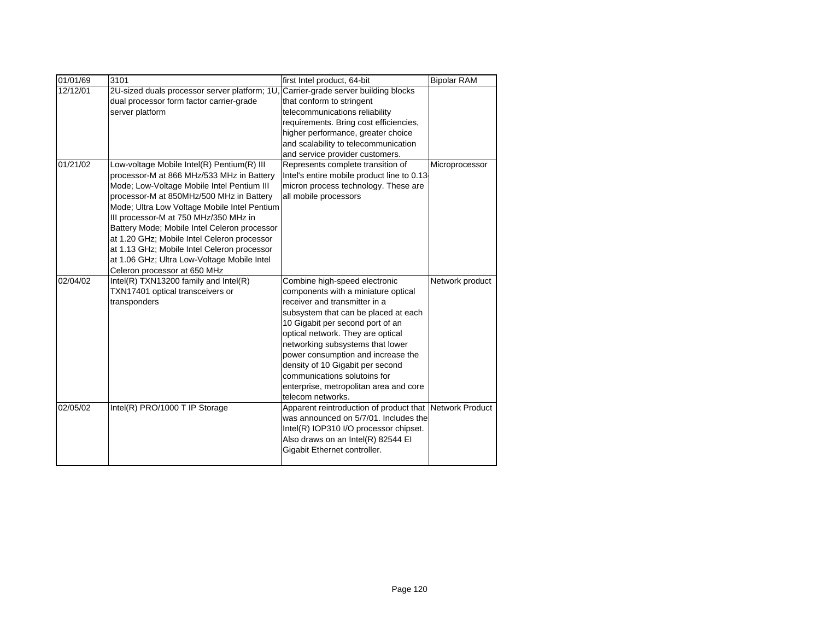| 01/01/69 | 3101                                          | first Intel product, 64-bit                             | <b>Bipolar RAM</b> |
|----------|-----------------------------------------------|---------------------------------------------------------|--------------------|
| 12/12/01 | 2U-sized duals processor server platform; 1U, | Carrier-grade server building blocks                    |                    |
|          | dual processor form factor carrier-grade      | that conform to stringent                               |                    |
|          | server platform                               | telecommunications reliability                          |                    |
|          |                                               | requirements. Bring cost efficiencies,                  |                    |
|          |                                               | higher performance, greater choice                      |                    |
|          |                                               | and scalability to telecommunication                    |                    |
|          |                                               | and service provider customers.                         |                    |
| 01/21/02 | Low-voltage Mobile Intel(R) Pentium(R) III    | Represents complete transition of                       | Microprocessor     |
|          | processor-M at 866 MHz/533 MHz in Battery     | Intel's entire mobile product line to 0.13              |                    |
|          | Mode; Low-Voltage Mobile Intel Pentium III    | micron process technology. These are                    |                    |
|          | processor-M at 850MHz/500 MHz in Battery      | all mobile processors                                   |                    |
|          | Mode; Ultra Low Voltage Mobile Intel Pentium  |                                                         |                    |
|          | III processor-M at 750 MHz/350 MHz in         |                                                         |                    |
|          | Battery Mode; Mobile Intel Celeron processor  |                                                         |                    |
|          | at 1.20 GHz; Mobile Intel Celeron processor   |                                                         |                    |
|          | at 1.13 GHz; Mobile Intel Celeron processor   |                                                         |                    |
|          | at 1.06 GHz; Ultra Low-Voltage Mobile Intel   |                                                         |                    |
|          | Celeron processor at 650 MHz                  |                                                         |                    |
| 02/04/02 | Intel(R) $TXN13200$ family and $Intel(R)$     | Combine high-speed electronic                           | Network product    |
|          | TXN17401 optical transceivers or              | components with a miniature optical                     |                    |
|          | transponders                                  | receiver and transmitter in a                           |                    |
|          |                                               | subsystem that can be placed at each                    |                    |
|          |                                               | 10 Gigabit per second port of an                        |                    |
|          |                                               | optical network. They are optical                       |                    |
|          |                                               | networking subsystems that lower                        |                    |
|          |                                               | power consumption and increase the                      |                    |
|          |                                               | density of 10 Gigabit per second                        |                    |
|          |                                               | communications solutoins for                            |                    |
|          |                                               | enterprise, metropolitan area and core                  |                    |
|          |                                               | telecom networks.                                       |                    |
| 02/05/02 | Intel(R) PRO/1000 T IP Storage                | Apparent reintroduction of product that Network Product |                    |
|          |                                               | was announced on 5/7/01. Includes the                   |                    |
|          |                                               | Intel(R) IOP310 I/O processor chipset.                  |                    |
|          |                                               | Also draws on an Intel(R) 82544 EI                      |                    |
|          |                                               | Gigabit Ethernet controller.                            |                    |
|          |                                               |                                                         |                    |